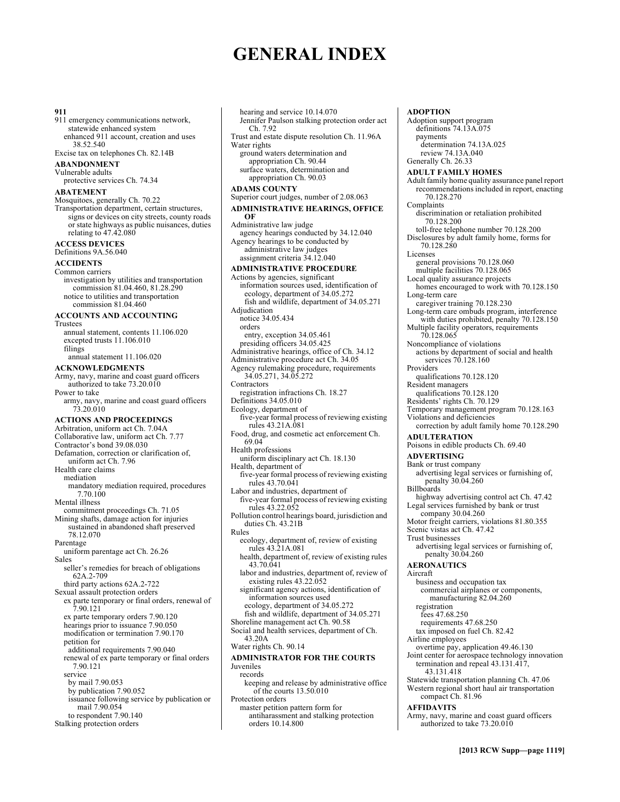# **GENERAL INDEX**

#### **911**

911 emergency communications network, statewide enhanced system enhanced 911 account, creation and uses 38.52.540

Excise tax on telephones Ch. 82.14B

### **ABANDONMENT**

Vulnerable adults protective services Ch. 74.34

#### **ABATEMENT**

Mosquitoes, generally Ch. 70.22 Transportation department, certain structures, signs or devices on city streets, county roads or state highways as public nuisances, duties relating to  $47.42.080$ 

# **ACCESS DEVICES**

Definitions 9A.56.040

# **ACCIDENTS**

Common carriers investigation by utilities and transportation commission 81.04.460, 81.28.290 notice to utilities and transportation commission 81.04.460

### **ACCOUNTS AND ACCOUNTING**

Trustees

annual statement, contents 11.106.020 excepted trusts 11.106.010 filings annual statement 11.106.020

#### **ACKNOWLEDGMENTS**

Army, navy, marine and coast guard officers authorized to take 73.20.010 Power to take army, navy, marine and coast guard officers 73.20.010 **ACTIONS AND PROCEEDINGS**  Arbitration, uniform act Ch. 7.04A Collaborative law, uniform act Ch. 7.77

#### Contractor's bond 39.08.030 Defamation, correction or clarification of, uniform act Ch. 7.96 Health care claims mediation mandatory mediation required, procedures 7.70.100 Mental illness commitment proceedings Ch. 71.05 Mining shafts, damage action for injuries sustained in abandoned shaft preserved 78.12.070 Parentage uniform parentage act Ch. 26.26 Sales seller's remedies for breach of obligations 62A.2-709 third party actions 62A.2-722 Sexual assault protection orders ex parte temporary or final orders, renewal of 7.90.121 ex parte temporary orders 7.90.120 hearings prior to issuance 7.90.050 modification or termination 7.90.170 petition for additional requirements 7.90.040 renewal of ex parte temporary or final orders

7.90.121 service by mail 7.90.053 by publication 7.90.052 issuance following service by publication or mail 7.90.054 to respondent 7.90.140

Stalking protection orders

hearing and service 10.14.070 Jennifer Paulson stalking protection order act Ch. 7.92 Trust and estate dispute resolution Ch. 11.96A Water rights ground waters determination and appropriation Ch. 90.44 surface waters, determination and appropriation Ch. 90.03 **ADAMS COUNTY**  Superior court judges, number of 2.08.063 **ADMINISTRATIVE HEARINGS, OFFICE OF**  Administrative law judge agency hearings conducted by 34.12.040 Agency hearings to be conducted by administrative law judges assignment criteria 34.12.040 **ADMINISTRATIVE PROCEDURE**  Actions by agencies, significant information sources used, identification of ecology, department of 34.05.272 fish and wildlife, department of 34.05.271 Adjudication notice 34.05.434 orders entry, exception 34.05.461 presiding officers 34.05.425 Administrative hearings, office of Ch. 34.12 Administrative procedure act Ch. 34.05 Agency rulemaking procedure, requirements 34.05.271, 34.05.272 **Contractors** registration infractions Ch. 18.27 Definitions 34.05.010 Ecology, department of five-year formal process of reviewing existing rules 43.21A.081 Food, drug, and cosmetic act enforcement Ch. 69.04 Health professions uniform disciplinary act Ch. 18.130 Health, department of five-year formal process of reviewing existing rules 43.70.041 Labor and industries, department of five-year formal process of reviewing existing rules 43.22.052 Pollution control hearings board, jurisdiction and duties Ch. 43.21B Rules ecology, department of, review of existing rules 43.21A.081 health, department of, review of existing rules 43.70.041 labor and industries, department of, review of existing rules 43.22.052 significant agency actions, identification of information sources used ecology, department of 34.05.272 fish and wildlife, department of 34.05.271 Shoreline management act Ch. 90.58 Social and health services, department of Ch. 43.20A Water rights Ch. 90.14 **ADMINISTRATOR FOR THE COURTS**  Juveniles records keeping and release by administrative office of the courts 13.50.010 Protection orders

#### master petition pattern form for antiharassment and stalking protection orders 10.14.800

**ADOPTION**  Adoption support program definitions 74.13A.075 payments determination 74.13A.025 review 74.13A.040 Generally Ch. 26.33 **ADULT FAMILY HOMES**  Adult family home quality assurance panel report recommendations included in report, enacting 70.128.270 Complaints discrimination or retaliation prohibited 70.128.200 toll-free telephone number 70.128.200 Disclosures by adult family home, forms for 70.128.280 Licenses general provisions 70.128.060 multiple facilities 70.128.065 Local quality assurance projects homes encouraged to work with 70.128.150 Long-term care caregiver training 70.128.230 Long-term care ombuds program, interference with duties prohibited, penalty 70.128.150 Multiple facility operators, requirements 70.128.065 Noncompliance of violations actions by department of social and health services  $70.128.160$ Providers qualifications 70.128.120 Resident managers qualifications 70.128.120 Residents' rights Ch. 70.129 Temporary management program 70.128.163 Violations and deficiencies correction by adult family home 70.128.290 **ADULTERATION**  Poisons in edible products Ch. 69.40 **ADVERTISING**  Bank or trust company advertising legal services or furnishing of, penalty 30.04.260 Billboards highway advertising control act Ch. 47.42 Legal services furnished by bank or trust company 30.04.260 Motor freight carriers, violations 81.80.355 Scenic vistas act Ch. 47.42 Trust businesses advertising legal services or furnishing of, penalty 30.04.260 **AERONAUTICS**  Aircraft business and occupation tax commercial airplanes or components, manufacturing 82.04.260 registration fees 47.68.250 requirements 47.68.250 tax imposed on fuel Ch. 82.42 Airline employees overtime pay, application 49.46.130 Joint center for aerospace technology innovation termination and repeal 43.131.417, 43.131.418 Statewide transportation planning Ch. 47.06 Western regional short haul air transportation compact Ch. 81.96

# **AFFIDAVITS**

Army, navy, marine and coast guard officers authorized to take 73.20.010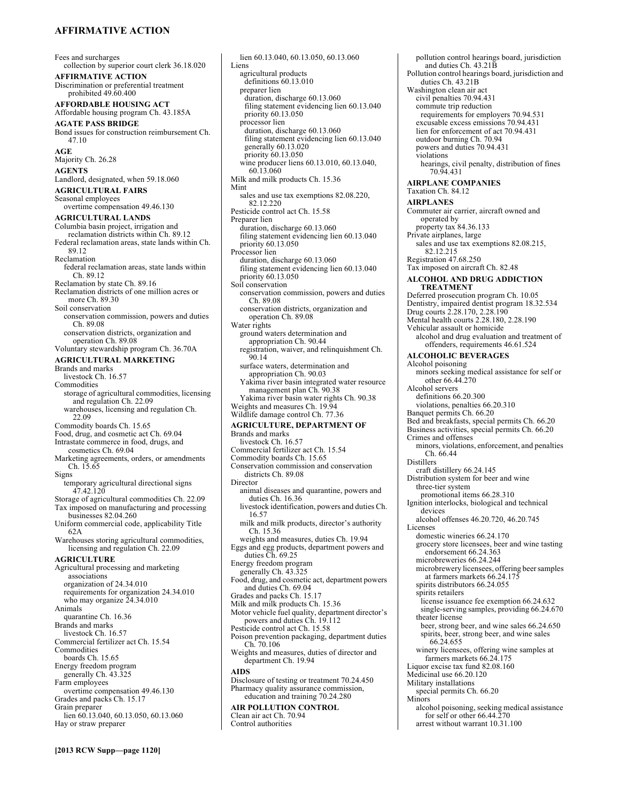# **AFFIRMATIVE ACTION**

Fees and surcharges collection by superior court clerk 36.18.020 **AFFIRMATIVE ACTION**  Discrimination or preferential treatment prohibited 49.60.400 **AFFORDABLE HOUSING ACT**  Affordable housing program Ch. 43.185A **AGATE PASS BRIDGE**  Bond issues for construction reimbursement Ch. 47.10 **AGE**  Majority Ch. 26.28 **AGENTS**  Landlord, designated, when 59.18.060 **AGRICULTURAL FAIRS**  Seasonal employees overtime compensation 49.46.130 **AGRICULTURAL LANDS**  Columbia basin project, irrigation and reclamation districts within Ch. 89.12 Federal reclamation areas, state lands within Ch. 89.12 Reclamation federal reclamation areas, state lands within Ch. 89.12 Reclamation by state Ch. 89.16 Reclamation districts of one million acres or more Ch. 89.30 Soil conservation conservation commission, powers and duties Ch. 89.08 conservation districts, organization and operation Ch. 89.08 Voluntary stewardship program Ch. 36.70A **AGRICULTURAL MARKETING**  Brands and marks livestock Ch. 16.57 Commodities storage of agricultural commodities, licensing and regulation Ch. 22.09 warehouses, licensing and regulation Ch. 22.09 Commodity boards Ch. 15.65 Food, drug, and cosmetic act Ch. 69.04 Intrastate commerce in food, drugs, and cosmetics Ch. 69.04 Marketing agreements, orders, or amendments Ch. 15.65 Signs temporary agricultural directional signs 47.42.120 Storage of agricultural commodities Ch. 22.09 Tax imposed on manufacturing and processing businesses 82.04.260 Uniform commercial code, applicability Title 62A Warehouses storing agricultural commodities, licensing and regulation Ch. 22.09 **AGRICULTURE**  Agricultural processing and marketing associations organization of 24.34.010 requirements for organization 24.34.010 who may organize  $24.34.010$ Animals quarantine Ch. 16.36 Brands and marks livestock Ch. 16.57 Commercial fertilizer act Ch. 15.54 Commodities boards Ch. 15.65 Energy freedom program generally Ch. 43.325 Farm employees overtime compensation 49.46.130 Grades and packs Ch. 15.17 Grain preparer lien 60.13.040, 60.13.050, 60.13.060 Hay or straw preparer

lien 60.13.040, 60.13.050, 60.13.060 Liens agricultural products definitions 60.13.010 preparer lien duration, discharge 60.13.060 filing statement evidencing lien 60.13.040 priority 60.13.050 processor lien duration, discharge 60.13.060 filing statement evidencing lien 60.13.040 generally 60.13.020 priority 60.13.050 wine producer liens 60.13.010, 60.13.040, 60.13.060 Milk and milk products Ch. 15.36 Mint sales and use tax exemptions 82.08.220, 82.12.220 Pesticide control act Ch. 15.58 Preparer lien duration, discharge 60.13.060 filing statement evidencing lien 60.13.040 priority 60.13.050 Processor lien duration, discharge 60.13.060 filing statement evidencing lien 60.13.040 priority 60.13.050 Soil conservation conservation commission, powers and duties Ch. 89.08 conservation districts, organization and operation Ch. 89.08 Water rights ground waters determination and appropriation Ch. 90.44 registration, waiver, and relinquishment Ch. 90.14 surface waters, determination and appropriation Ch. 90.03 Yakima river basin integrated water resource management plan Ch. 90.38 Yakima river basin water rights Ch. 90.38 Weights and measures Ch. 19.94 Wildlife damage control Ch. 77.36 **AGRICULTURE, DEPARTMENT OF**  Brands and marks livestock Ch. 16.57 Commercial fertilizer act Ch. 15.54 Commodity boards Ch. 15.65 Conservation commission and conservation districts Ch. 89.08 Director animal diseases and quarantine, powers and duties Ch. 16.36 livestock identification, powers and duties Ch. 16.57 milk and milk products, director's authority Ch. 15.36 weights and measures, duties Ch. 19.94 Eggs and egg products, department powers and duties Ch. 69.25 Energy freedom program generally Ch. 43.325 Food, drug, and cosmetic act, department powers and duties Ch. 69.04 Grades and packs Ch. 15.17 Milk and milk products Ch. 15.36 Motor vehicle fuel quality, department director's powers and duties Ch. 19.112 Pesticide control act Ch. 15.58 Poison prevention packaging, department duties Ch. 70.106 Weights and measures, duties of director and department Ch. 19.94 **AIDS**  Disclosure of testing or treatment 70.24.450 Pharmacy quality assurance commission, education and training 70.24.280 **AIR POLLUTION CONTROL**  Clean air act Ch. 70.94 Control authorities

pollution control hearings board, jurisdiction and duties Ch. 43.21B Pollution control hearings board, jurisdiction and duties Ch. 43.21B Washington clean air act civil penalties 70.94.431 commute trip reduction requirements for employers 70.94.531 excusable excess emissions 70.94.431 lien for enforcement of act 70.94.431 outdoor burning Ch. 70.94 powers and duties 70.94.431 violations hearings, civil penalty, distribution of fines 70.94.431 **AIRPLANE COMPANIES**  Taxation Ch. 84.12 **AIRPLANES**  Commuter air carrier, aircraft owned and operated by property tax 84.36.133 Private airplanes, large sales and use tax exemptions 82.08.215, 82.12.215 Registration 47.68.250 Tax imposed on aircraft Ch. 82.48 **ALCOHOL AND DRUG ADDICTION TREATMENT**  Deferred prosecution program Ch. 10.05 Dentistry, impaired dentist program 18.32.534 Drug courts 2.28.170, 2.28.190 Mental health courts 2.28.180, 2.28.190 Vehicular assault or homicide alcohol and drug evaluation and treatment of offenders, requirements 46.61.524 **ALCOHOLIC BEVERAGES**  Alcohol poisoning minors seeking medical assistance for self or other 66.44.270 Alcohol servers definitions 66.20.300 violations, penalties 66.20.310 Banquet permits Ch. 66.20 Bed and breakfasts, special permits Ch. 66.20 Business activities, special permits Ch. 66.20 Crimes and offenses minors, violations, enforcement, and penalties Ch. 66.44 Distillers craft distillery 66.24.145 Distribution system for beer and wine three-tier system promotional items 66.28.310 Ignition interlocks, biological and technical devices alcohol offenses 46.20.720, 46.20.745 Licenses domestic wineries 66.24.170 grocery store licensees, beer and wine tasting endorsement 66.24.363 microbreweries 66.24.244 microbrewery licensees, offering beer samples at farmers markets 66.24.175 spirits distributors 66.24.055 spirits retailers license issuance fee exemption 66.24.632 single-serving samples, providing 66.24.670 theater license beer, strong beer, and wine sales 66.24.650 spirits, beer, strong beer, and wine sales 66.24.655 winery licensees, offering wine samples at farmers markets 66.24.175 Liquor excise tax fund 82.08.160 Medicinal use 66.20.120 Military installations special permits Ch. 66.20 **Minors** alcohol poisoning, seeking medical assistance for self or other 66.44.270

arrest without warrant 10.31.100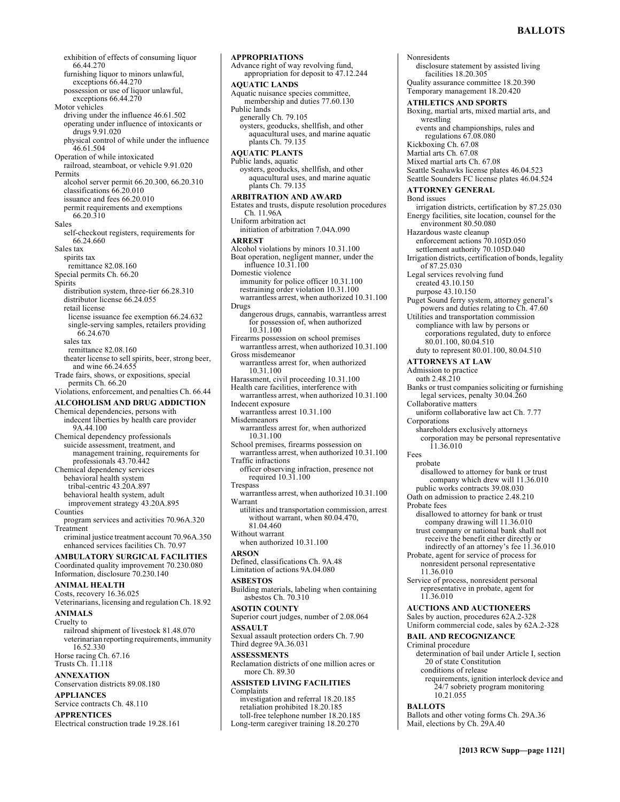exhibition of effects of consuming liquor 66.44.270 furnishing liquor to minors unlawful, exceptions 66.44.270 possession or use of liquor unlawful, exceptions 66.44.270 Motor vehicles driving under the influence 46.61.502 operating under influence of intoxicants or drugs 9.91.020 physical control of while under the influence 46.61.504 Operation of while intoxicated railroad, steamboat, or vehicle 9.91.020 Permits alcohol server permit 66.20.300, 66.20.310 classifications 66.20.010 issuance and fees 66.20.010 permit requirements and exemptions 66.20.310 Sales self-checkout registers, requirements for 66.24.660 Sales tax spirits tax remittance 82.08.160 Special permits Ch. 66.20 Spirits distribution system, three-tier 66.28.310 distributor license 66.24.055 retail license license issuance fee exemption 66.24.632 single-serving samples, retailers providing 66.24.670 sales tax remittance 82.08.160 theater license to sell spirits, beer, strong beer, and wine 66.24.655 Trade fairs, shows, or expositions, special permits Ch. 66.20 Violations, enforcement, and penalties Ch. 66.44 **ALCOHOLISM AND DRUG ADDICTION**  Chemical dependencies, persons with indecent liberties by health care provider 9A.44.100 Chemical dependency professionals suicide assessment, treatment, and management training, requirements for professionals 43.70.442 Chemical dependency services behavioral health system tribal-centric 43.20A.897 behavioral health system, adult improvement strategy 43.20A.895 Counties program services and activities 70.96A.320 Treatment criminal justice treatment account 70.96A.350 enhanced services facilities Ch. 70.97 **AMBULATORY SURGICAL FACILITIES**  Coordinated quality improvement 70.230.080 Information, disclosure 70.230.140 **ANIMAL HEALTH**  Costs, recovery 16.36.025 Veterinarians, licensing and regulation Ch. 18.92 **ANIMALS**  Cruelty to railroad shipment of livestock 81.48.070 veterinarian reporting requirements, immunity 16.52.330 Horse racing Ch. 67.16 Trusts Ch. 11.118 **ANNEXATION** 

Conservation districts 89.08.180 **APPLIANCES** 

Service contracts Ch. 48.110

**APPRENTICES** 

Electrical construction trade 19.28.161

Advance right of way revolving fund, appropriation for deposit to 47.12.244 **AQUATIC LANDS**  Aquatic nuisance species committee, membership and duties 77.60.130 Public lands generally Ch. 79.105 oysters, geoducks, shellfish, and other aquacultural uses, and marine aquatic plants Ch. 79.135 **AQUATIC PLANTS**  Public lands, aquatic oysters, geoducks, shellfish, and other aquacultural uses, and marine aquatic plants Ch. 79.135 **ARBITRATION AND AWARD**  Estates and trusts, dispute resolution procedures Ch. 11.96A Uniform arbitration act initiation of arbitration 7.04A.090 **ARREST**  Alcohol violations by minors 10.31.100 Boat operation, negligent manner, under the influence 10.31.100 Domestic violence immunity for police officer 10.31.100 restraining order violation 10.31.100 warrantless arrest, when authorized 10.31.100 Drugs dangerous drugs, cannabis, warrantless arrest for possession of, when authorized 10.31.100 Firearms possession on school premises warrantless arrest, when authorized 10.31.100 Gross misdemeanor warrantless arrest for, when authorized 10.31.100 Harassment, civil proceeding 10.31.100 Health care facilities, interference with warrantless arrest, when authorized 10.31.100 Indecent exposure warrantless arrest 10.31.100 Misdemeanors warrantless arrest for, when authorized 10.31.100 School premises, firearms possession on warrantless arrest, when authorized 10.31.100 Traffic infractions officer observing infraction, presence not required 10.31.100 **Trespass** warrantless arrest, when authorized 10.31.100 Warrant utilities and transportation commission, arrest without warrant, when 80.04.470, 81.04.460 Without warrant when authorized 10.31.100 **ARSON**  Defined, classifications Ch. 9A.48 Limitation of actions 9A.04.080 **ASBESTOS**  Building materials, labeling when containing asbestos Ch. 70.310 **ASOTIN COUNTY**  Superior court judges, number of 2.08.064 **ASSAULT**  Sexual assault protection orders Ch. 7.90 Third degree 9A.36.031 **ASSESSMENTS**  Reclamation districts of one million acres or more Ch. 89.30 **ASSISTED LIVING FACILITIES**  Complaints investigation and referral 18.20.185 retaliation prohibited 18.20.185 toll-free telephone number 18.20.185 Long-term caregiver training 18.20.270

**APPROPRIATIONS** 

**Nonresidents** disclosure statement by assisted living facilities 18.20.305 Quality assurance committee 18.20.390 Temporary management 18.20.420 **ATHLETICS AND SPORTS**  Boxing, martial arts, mixed martial arts, and wrestling events and championships, rules and regulations 67.08.080 Kickboxing Ch. 67.08 Martial arts Ch. 67.08 Mixed martial arts Ch. 67.08 Seattle Seahawks license plates 46.04.523 Seattle Sounders FC license plates 46.04.524 **ATTORNEY GENERAL**  Bond issues irrigation districts, certification by 87.25.030 Energy facilities, site location, counsel for the environment 80.50.080 Hazardous waste cleanup enforcement actions 70.105D.050 settlement authority 70.105D.040 Irrigation districts, certification of bonds, legality of 87.25.030 Legal services revolving fund created 43.10.150 purpose 43.10.150 Puget Sound ferry system, attorney general's powers and duties relating to Ch. 47.60 Utilities and transportation commission compliance with law by persons or corporations regulated, duty to enforce 80.01.100, 80.04.510 duty to represent 80.01.100, 80.04.510 **ATTORNEYS AT LAW**  Admission to practice oath 2.48.210 Banks or trust companies soliciting or furnishing legal services, penalty 30.04.260 Collaborative matters uniform collaborative law act Ch. 7.77 Corporations shareholders exclusively attorneys corporation may be personal representative 11.36.010 Fees probate disallowed to attorney for bank or trust company which drew will 11.36.010 public works contracts 39.08.030 Oath on admission to practice 2.48.210 Probate fees disallowed to attorney for bank or trust company drawing will 11.36.010 trust company or national bank shall not receive the benefit either directly or indirectly of an attorney's fee 11.36.010 Probate, agent for service of process for nonresident personal representative 11.36.010 Service of process, nonresident personal representative in probate, agent for 11.36.010 **AUCTIONS AND AUCTIONEERS**  Sales by auction, procedures 62A.2-328 Uniform commercial code, sales by 62A.2-328 **BAIL AND RECOGNIZANCE**  Criminal procedure determination of bail under Article I, section 20 of state Constitution conditions of release requirements, ignition interlock device and 24/7 sobriety program monitoring 10.21.055 **BALLOTS**  Ballots and other voting forms Ch. 29A.36

Mail, elections by Ch. 29A.40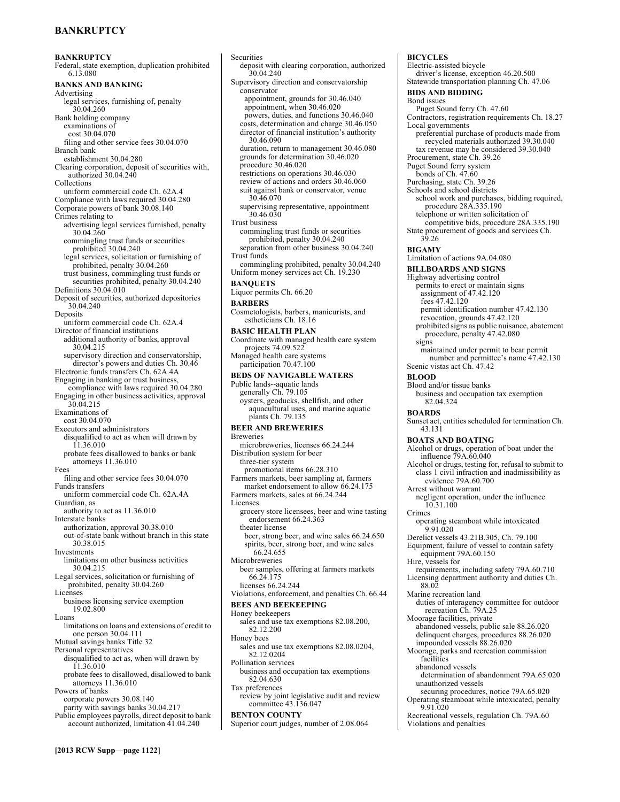# **BANKRUPTCY**

**BANKRUPTCY**  Federal, state exemption, duplication prohibited 6.13.080 **BANKS AND BANKING**  Advertising legal services, furnishing of, penalty 30.04.260 Bank holding company examinations of cost 30.04.070 filing and other service fees 30.04.070 Branch bank establishment 30.04.280 Clearing corporation, deposit of securities with, authorized 30.04.240 Collections uniform commercial code Ch. 62A.4 Compliance with laws required 30.04.280 Corporate powers of bank 30.08.140 Crimes relating to advertising legal services furnished, penalty 30.04.260 commingling trust funds or securities prohibited 30.04.240 legal services, solicitation or furnishing of prohibited, penalty 30.04.260 trust business, commingling trust funds or securities prohibited, penalty 30.04.240 Definitions 30.04.010 Deposit of securities, authorized depositories 30.04.240 Deposits uniform commercial code Ch. 62A.4 Director of financial institutions additional authority of banks, approval 30.04.215 supervisory direction and conservatorship, director's powers and duties Ch. 30.46 Electronic funds transfers Ch. 62A.4A Engaging in banking or trust business, compliance with laws required 30.04.280 Engaging in other business activities, approval 30.04.215 Examinations of cost 30.04.070 Executors and administrators disqualified to act as when will drawn by 11.36.010 probate fees disallowed to banks or bank attorneys 11.36.010 Fees filing and other service fees 30.04.070 Funds transfers uniform commercial code Ch. 62A.4A Guardian, as authority to act as 11.36.010 Interstate banks authorization, approval 30.38.010 out-of-state bank without branch in this state 30.38.015 Investments limitations on other business activities 30.04.215 Legal services, solicitation or furnishing of prohibited, penalty 30.04.260 Licenses business licensing service exemption 19.02.800 Loans limitations on loans and extensions of credit to one person 30.04.111 Mutual savings banks Title 32 Personal representatives disqualified to act as, when will drawn by 11.36.010 probate fees to disallowed, disallowed to bank attorneys 11.36.010 Powers of banks corporate powers 30.08.140 parity with savings banks 30.04.217 Public employees payrolls, direct deposit to bank account authorized, limitation 41.04.240

**Securities** deposit with clearing corporation, authorized 30.04.240 Supervisory direction and conservatorship conservator appointment, grounds for 30.46.040 appointment, when 30.46.020 powers, duties, and functions 30.46.040 costs, determination and charge 30.46.050 director of financial institution's authority 30.46.090 duration, return to management 30.46.080 grounds for determination 30.46.020 procedure 30.46.020 restrictions on operations 30.46.030 review of actions and orders 30.46.060 suit against bank or conservator, venue 30.46.070 supervising representative, appointment  $30.46.030$ Trust business commingling trust funds or securities prohibited, penalty 30.04.240 separation from other business 30.04.240 Trust funds commingling prohibited, penalty 30.04.240 Uniform money services act Ch. 19.230 **BANQUETS**  Liquor permits Ch. 66.20 **BARBERS**  Cosmetologists, barbers, manicurists, and estheticians Ch. 18.16 **BASIC HEALTH PLAN**  Coordinate with managed health care system projects 74.09.522 Managed health care systems participation 70.47.100 **BEDS OF NAVIGABLE WATERS**  Public lands--aquatic lands generally Ch. 79.105 oysters, geoducks, shellfish, and other aquacultural uses, and marine aquatic plants Ch. 79.135 **BEER AND BREWERIES**  Breweries microbreweries, licenses 66.24.244 Distribution system for beer three-tier system promotional items 66.28.310 Farmers markets, beer sampling at, farmers market endorsement to allow 66.24.175 Farmers markets, sales at 66.24.244 Licenses grocery store licensees, beer and wine tasting endorsement 66.24.363 theater license beer, strong beer, and wine sales 66.24.650 spirits, beer, strong beer, and wine sales 66.24.655 Microbreweries beer samples, offering at farmers markets 66.24.175 licenses 66.24.244 Violations, enforcement, and penalties Ch. 66.44 **BEES AND BEEKEEPING**  Honey beekeepers sales and use tax exemptions 82.08.200, 82.12.200 Honey bees sales and use tax exemptions 82.08.0204, 82.12.0204 Pollination services business and occupation tax exemptions 82.04.630 Tax preferences review by joint legislative audit and review committee 43.136.047 **BENTON COUNTY**  Superior court judges, number of 2.08.064

#### **BICYCLES**  Electric-assisted bicycle driver's license, exception 46.20.500 Statewide transportation planning Ch. 47.06 **BIDS AND BIDDING**  Bond issues Puget Sound ferry Ch. 47.60 Contractors, registration requirements Ch. 18.27 Local governments preferential purchase of products made from recycled materials authorized 39.30.040 tax revenue may be considered 39.30.040 Procurement, state Ch. 39.26 Puget Sound ferry system bonds of Ch.  $47.60$ Purchasing, state Ch. 39.26 Schools and school districts school work and purchases, bidding required, procedure 28A.335.190 telephone or written solicitation of competitive bids, procedure 28A.335.190 State procurement of goods and services Ch. 39.26 **BIGAMY**  Limitation of actions 9A.04.080 **BILLBOARDS AND SIGNS**  Highway advertising control permits to erect or maintain signs assignment of 47.42.120 fees 47.42.120 permit identification number 47.42.130 revocation, grounds 47.42.120 prohibited signs as public nuisance, abatement procedure, penalty 47.42.080 signs maintained under permit to bear permit number and permittee's name 47.42.130 Scenic vistas act Ch. 47.42 **BLOOD**  Blood and/or tissue banks business and occupation tax exemption 82.04.324 **BOARDS**  Sunset act, entities scheduled for termination Ch. 43.131 **BOATS AND BOATING**  Alcohol or drugs, operation of boat under the influence 79A.60.040 Alcohol or drugs, testing for, refusal to submit to class 1 civil infraction and inadmissibility as evidence 79A.60.700 Arrest without warrant negligent operation, under the influence 10.31.100 Crimes operating steamboat while intoxicated 9.91.020 Derelict vessels 43.21B.305, Ch. 79.100 Equipment, failure of vessel to contain safety equipment 79A.60.150 Hire, vessels for requirements, including safety 79A.60.710 Licensing department authority and duties Ch. 88.02 Marine recreation land duties of interagency committee for outdoor recreation Ch. 79A.25 Moorage facilities, private abandoned vessels, public sale 88.26.020 delinquent charges, procedures 88.26.020 impounded vessels 88.26.020 Moorage, parks and recreation commission facilities abandoned vessels determination of abandonment 79A.65.020 unauthorized vessels securing procedures, notice 79A.65.020 Operating steamboat while intoxicated, penalty 9.91.020

Recreational vessels, regulation Ch. 79A.60 Violations and penalties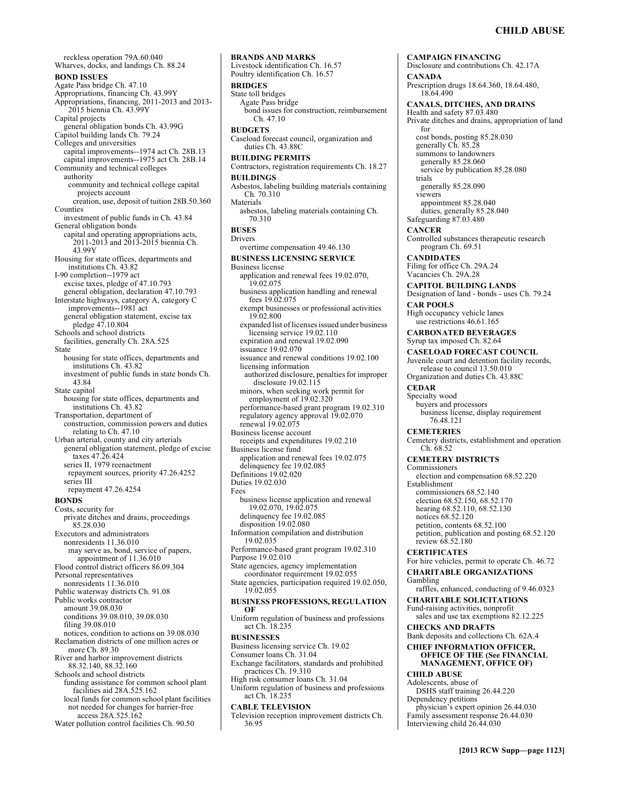reckless operation 79A.60.040 Wharves, docks, and landings Ch. 88.24 **BOND ISSUES**  Agate Pass bridge Ch. 47.10 Appropriations, financing Ch. 43.99Y Appropriations, financing, 2011-2013 and 2013- 2015 biennia Ch. 43.99Y Capital projects general obligation bonds Ch. 43.99G Capitol building lands Ch. 79.24 Colleges and universities capital improvements--1974 act Ch. 28B.13 capital improvements--1975 act Ch. 28B.14 Community and technical colleges authority community and technical college capital projects account creation, use, deposit of tuition 28B.50.360 Counties investment of public funds in Ch. 43.84 General obligation bonds capital and operating appropriations acts, 2011-2013 and 2013-2015 biennia Ch. 43.99Y Housing for state offices, departments and institutions Ch. 43.82 I-90 completion--1979 act excise taxes, pledge of 47.10.793 general obligation, declaration 47.10.793 Interstate highways, category A, category C improvements--1981 act general obligation statement, excise tax pledge 47.10.804 Schools and school districts facilities, generally Ch. 28A.525 State housing for state offices, departments and institutions Ch. 43.82 investment of public funds in state bonds Ch. 43.84 State capitol housing for state offices, departments and institutions Ch. 43.82 Transportation, department of construction, commission powers and duties relating to Ch. 47.10 Urban arterial, county and city arterials general obligation statement, pledge of excise taxes 47.26.424 series II, 1979 reenactment repayment sources, priority 47.26.4252 series III repayment 47.26.4254 **BONDS**  Costs, security for private ditches and drains, proceedings 85.28.030 Executors and administrators nonresidents 11.36.010 may serve as, bond, service of papers, appointment of 11.36.010 Flood control district officers 86.09.304 Personal representatives nonresidents 11.36.010 Public waterway districts Ch. 91.08 Public works contractor amount 39.08.030 conditions 39.08.010, 39.08.030 filing 39.08.010 notices, condition to actions on 39.08.030 Reclamation districts of one million acres or more Ch. 89.30 River and harbor improvement districts 88.32.140, 88.32.160 Schools and school districts funding assistance for common school plant facilities aid 28A.525.162 local funds for common school plant facilities not needed for changes for barrier-free access 28A.525.162

Water pollution control facilities Ch. 90.50

**BRANDS AND MARKS**  Livestock identification Ch. 16.57 Poultry identification Ch. 16.57 **BRIDGES**  State toll bridges Agate Pass bridge bond issues for construction, reimbursement Ch. 47.10 **BUDGETS**  Caseload forecast council, organization and duties Ch. 43.88C **BUILDING PERMITS**  Contractors, registration requirements Ch. 18.27 **BUILDINGS**  Asbestos, labeling building materials containing Ch. 70.310 Materials asbestos, labeling materials containing Ch. 70.310 **BUSES**  Drivers overtime compensation 49.46.130 **BUSINESS LICENSING SERVICE**  Business license application and renewal fees 19.02.070, 19.02.075 business application handling and renewal fees 19.02.075 exempt businesses or professional activities 19.02.800 expanded list of licenses issued under business licensing service 19.02.110 expiration and renewal 19.02.090 issuance 19.02.070 issuance and renewal conditions 19.02.100 licensing information authorized disclosure, penalties for improper disclosure 19.02.115 minors, when seeking work permit for employment of 19.02.320 performance-based grant program 19.02.310 regulatory agency approval 19.02.070 renewal 19.02.075 Business license account receipts and expenditures 19.02.210 Business license fund application and renewal fees 19.02.075 delinquency fee 19.02.085 Definitions 19.02.020 Duties 19.02.030 Fees business license application and renewal 19.02.070, 19.02.075 delinquency fee 19.02.085 disposition 19.02.080 Information compilation and distribution 19.02.035 Performance-based grant program 19.02.310 Purpose 19.02.010 State agencies, agency implementation coordinator requirement 19.02.055 State agencies, participation required 19.02.050, 19.02.055 **BUSINESS PROFESSIONS, REGULATION OF**  Uniform regulation of business and professions act Ch. 18.235 **BUSINESSES**  Business licensing service Ch. 19.02 Consumer loans Ch. 31.04 Exchange facilitators, standards and prohibited practices Ch. 19.310 High risk consumer loans Ch. 31.04 Uniform regulation of business and professions act Ch. 18.235 **CABLE TELEVISION**  Television reception improvement districts Ch. 36.95

**CAMPAIGN FINANCING**  Disclosure and contributions Ch. 42.17A **CANADA**  Prescription drugs 18.64.360, 18.64.480, 18.64.490 **CANALS, DITCHES, AND DRAINS**  Health and safety 87.03.480 Private ditches and drains, appropriation of land for cost bonds, posting 85.28.030 generally Ch. 85.28 summons to landowners generally 85.28.060 service by publication 85.28.080 trials generally 85.28.090 viewers appointment 85.28.040 duties, generally 85.28.040 Safeguarding 87.03.480 **CANCER**  Controlled substances therapeutic research program Ch. 69.51 **CANDIDATES**  Filing for office Ch. 29A.24 Vacancies Ch. 29A.28 **CAPITOL BUILDING LANDS**  Designation of land - bonds - uses Ch. 79.24 **CAR POOLS**  High occupancy vehicle lanes use restrictions 46.61.165 **CARBONATED BEVERAGES**  Syrup tax imposed Ch. 82.64 **CASELOAD FORECAST COUNCIL**  Juvenile court and detention facility records, release to council 13.50.010 Organization and duties Ch. 43.88C **CEDAR**  Specialty wood buyers and processors business license, display requirement 76.48.121 **CEMETERIES**  Cemetery districts, establishment and operation Ch. 68.52 **CEMETERY DISTRICTS**  Commissioners election and compensation 68.52.220 Establishment commissioners 68.52.140 election 68.52.150, 68.52.170 hearing 68.52.110, 68.52.130 notices 68.52.120 petition, contents 68.52.100 petition, publication and posting 68.52.120 review 68.52.180 **CERTIFICATES**  For hire vehicles, permit to operate Ch. 46.72 **CHARITABLE ORGANIZATIONS**  Gambling raffles, enhanced, conducting of 9.46.0323 **CHARITABLE SOLICITATIONS**  Fund-raising activities, nonprofit sales and use tax exemptions 82.12.225 **CHECKS AND DRAFTS**  Bank deposits and collections Ch. 62A.4 **CHIEF INFORMATION OFFICER, OFFICE OF THE (See FINANCIAL MANAGEMENT, OFFICE OF) CHILD ABUSE**  Adolescents, abuse of DSHS staff training 26.44.220 Dependency petitions physician's expert opinion 26.44.030 Family assessment response 26.44.030 Interviewing child 26.44.030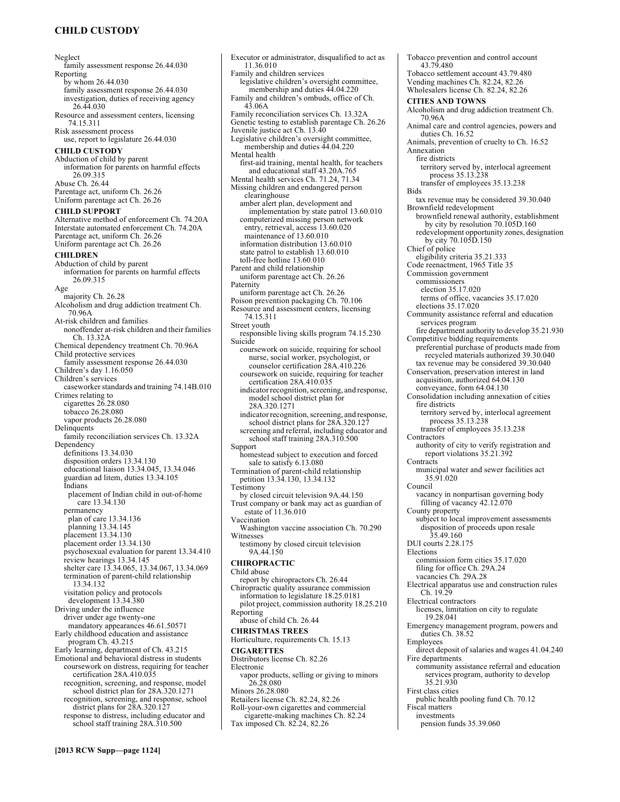# **CHILD CUSTODY**

Neglect family assessment response 26.44.030 Reporting by whom 26.44.030 family assessment response 26.44.030 investigation, duties of receiving agency 26.44.030 Resource and assessment centers, licensing 74.15.311 Risk assessment process use, report to legislature 26.44.030 **CHILD CUSTODY**  Abduction of child by parent information for parents on harmful effects 26.09.315 Abuse Ch. 26.44 Parentage act, uniform Ch. 26.26 Uniform parentage act Ch. 26.26 **CHILD SUPPORT**  Alternative method of enforcement Ch. 74.20A Interstate automated enforcement Ch. 74.20A Parentage act, uniform Ch. 26.26 Uniform parentage act Ch. 26.26 **CHILDREN**  Abduction of child by parent information for parents on harmful effects 26.09.315 Age majority Ch. 26.28 Alcoholism and drug addiction treatment Ch. 70.96A At-risk children and families nonoffender at-risk children and their families Ch. 13.32A Chemical dependency treatment Ch. 70.96A Child protective services family assessment response 26.44.030 Children's day 1.16.050 Children's services caseworker standards and training 74.14B.010 Crimes relating to cigarettes 26.28.080 tobacco 26.28.080 vapor products 26.28.080 Delinquents family reconciliation services Ch. 13.32A Dependency definitions 13.34.030 disposition orders 13.34.130 educational liaison 13.34.045, 13.34.046 guardian ad litem, duties 13.34.105 Indians placement of Indian child in out-of-home care 13.34.130 permanency plan of care 13.34.136 planning 13.34.145 placement 13.34.130 placement order 13.34.130 psychosexual evaluation for parent 13.34.410 review hearings 13.34.145 shelter care 13.34.065, 13.34.067, 13.34.069 termination of parent-child relationship 13.34.132 visitation policy and protocols development 13.34.380 Driving under the influence driver under age twenty-one mandatory appearances 46.61.50571 Early childhood education and assistance program Ch. 43.215 Early learning, department of Ch. 43.215 Emotional and behavioral distress in students coursework on distress, requiring for teacher certification 28A.410.035 recognition, screening, and response, model school district plan for 28A.320.1271 recognition, screening, and response, school district plans for 28A.320.127 response to distress, including educator and school staff training 28A.310.500

Executor or administrator, disqualified to act as 11.36.010 Family and children services legislative children's oversight committee, membership and duties  $44.04.220$ Family and children's ombuds, office of Ch. 43.06A Family reconciliation services Ch. 13.32A Genetic testing to establish parentage Ch. 26.26 Juvenile justice act Ch. 13.40 Legislative children's oversight committee, membership and duties 44.04.220 Mental health first-aid training, mental health, for teachers and educational staff 43.20A.765 Mental health services Ch. 71.24, 71.34 Missing children and endangered person clearinghouse amber alert plan, development and implementation by state patrol 13.60.010 computerized missing person network entry, retrieval, access 13.60.020 maintenance of 13.60.010 information distribution 13.60.010 state patrol to establish 13.60.010 toll-free hotline 13.60.010 Parent and child relationship uniform parentage act Ch. 26.26 Paternity uniform parentage act Ch. 26.26 Poison prevention packaging Ch. 70.106 Resource and assessment centers, licensing 74.15.311 Street youth responsible living skills program 74.15.230 Suicide coursework on suicide, requiring for school nurse, social worker, psychologist, or counselor certification 28A.410.226 coursework on suicide, requiring for teacher certification 28A.410.035 indicator recognition, screening, and response, model school district plan for 28A.320.1271 indicator recognition, screening, and response, school district plans for 28A.320.127 screening and referral, including educator and school staff training 28A.310.500 Support homestead subject to execution and forced sale to satisfy 6.13.080 Termination of parent-child relationship petition 13.34.130, 13.34.132 Testimony by closed circuit television 9A.44.150 Trust company or bank may act as guardian of estate of 11.36.010 Vaccination Washington vaccine association Ch. 70.290 Witnesses testimony by closed circuit television 9A.44.150 **CHIROPRACTIC**  Child abuse report by chiropractors Ch. 26.44 Chiropractic quality assurance commission information to legislature 18.25.0181 pilot project, commission authority 18.25.210 Reporting abuse of child Ch. 26.44 **CHRISTMAS TREES**  Horticulture, requirements Ch. 15.13 **CIGARETTES**  Distributors license Ch. 82.26 Electronic vapor products, selling or giving to minors 26.28.080 Minors 26.28.080 Retailers license Ch. 82.24, 82.26 Roll-your-own cigarettes and commercial cigarette-making machines Ch. 82.24 Tax imposed Ch. 82.24, 82.26

Tobacco prevention and control account 43.79.480 Tobacco settlement account 43.79.480 Vending machines Ch. 82.24, 82.26 Wholesalers license Ch. 82.24, 82.26 **CITIES AND TOWNS**  Alcoholism and drug addiction treatment Ch. 70.96A Animal care and control agencies, powers and duties Ch. 16.52 Animals, prevention of cruelty to Ch. 16.52 Annexation fire districts territory served by, interlocal agreement process 35.13.238 transfer of employees 35.13.238 Bids tax revenue may be considered 39.30.040 Brownfield redevelopment brownfield renewal authority, establishment by city by resolution 70.105D.160 redevelopment opportunity zones, designation by city 70.105D.150 Chief of police eligibility criteria 35.21.333 Code reenactment, 1965 Title 35 Commission government commissioners election 35.17.020 terms of office, vacancies 35.17.020 elections 35.17.020 Community assistance referral and education services program fire department authority to develop 35.21.930 Competitive bidding requirements preferential purchase of products made from recycled materials authorized 39.30.040 tax revenue may be considered 39.30.040 Conservation, preservation interest in land acquisition, authorized 64.04.130 conveyance, form 64.04.130 Consolidation including annexation of cities fire districts territory served by, interlocal agreement process 35.13.238 transfer of employees 35.13.238 Contractors authority of city to verify registration and report violations 35.21.392 **Contracts** municipal water and sewer facilities act 35.91.020 Council vacancy in nonpartisan governing body filling of vacancy 42.12.070 County property subject to local improvement assessments disposition of proceeds upon resale 35.49.160 DUI courts 2.28.175 Elections commission form cities 35.17.020 filing for office Ch. 29A.24 vacancies Ch. 29A.28 Electrical apparatus use and construction rules Ch. 19.29 Electrical contractors licenses, limitation on city to regulate 19.28.041 Emergency management program, powers and duties Ch. 38.52 Employees direct deposit of salaries and wages 41.04.240 Fire departments community assistance referral and education services program, authority to develop 35.21.930 First class cities public health pooling fund Ch. 70.12 Fiscal matters investments pension funds 35.39.060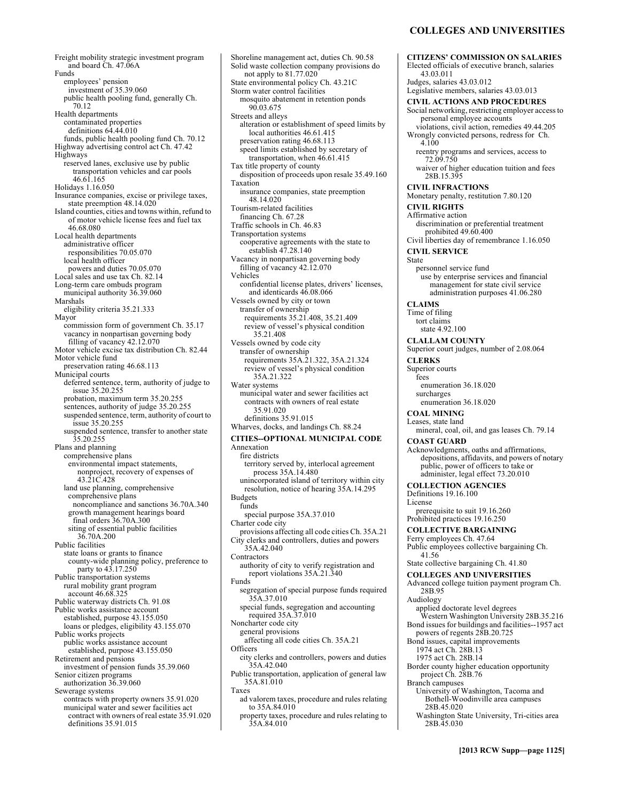# **COLLEGES AND UNIVERSITIES**

**CITIZENS' COMMISSION ON SALARIES** 

Freight mobility strategic investment program and board Ch. 47.06A Funds employees' pension investment of 35.39.060 public health pooling fund, generally Ch. 70.12 Health departments contaminated properties definitions 64.44.010 funds, public health pooling fund Ch. 70.12 Highway advertising control act Ch. 47.42 Highways reserved lanes, exclusive use by public transportation vehicles and car pools 46.61.165 Holidays 1.16.050 Insurance companies, excise or privilege taxes, state preemption 48.14.020 Island counties, cities and towns within, refund to of motor vehicle license fees and fuel tax 46.68.080 Local health departments administrative officer responsibilities 70.05.070 local health officer powers and duties 70.05.070 Local sales and use tax Ch. 82.14 Long-term care ombuds program municipal authority 36.39.060 Marshals eligibility criteria 35.21.333 Mayor commission form of government Ch. 35.17 vacancy in nonpartisan governing body filling of vacancy 42.12.070 Motor vehicle excise tax distribution Ch. 82.44 Motor vehicle fund preservation rating 46.68.113 Municipal courts deferred sentence, term, authority of judge to issue 35.20.255 probation, maximum term 35.20.255 sentences, authority of judge 35.20.255 suspended sentence, term, authority of court to issue 35.20.255 suspended sentence, transfer to another state 35.20.255 Plans and planning comprehensive plans environmental impact statements, nonproject, recovery of expenses of 43.21C.428 land use planning, comprehensive comprehensive plans noncompliance and sanctions 36.70A.340 growth management hearings board final orders 36.70A.300 siting of essential public facilities 36.70A.200 Public facilities state loans or grants to finance county-wide planning policy, preference to party to 43.17.250 Public transportation systems rural mobility grant program account 46.68.325 Public waterway districts Ch. 91.08 Public works assistance account established, purpose 43.155.050 loans or pledges, eligibility 43.155.070 Public works projects public works assistance account established, purpose 43.155.050 Retirement and pensions investment of pension funds 35.39.060 Senior citizen programs authorization 36.39.060 Sewerage systems contracts with property owners 35.91.020 municipal water and sewer facilities act contract with owners of real estate 35.91.020 definitions 35.91.015

Shoreline management act, duties Ch. 90.58 Solid waste collection company provisions do not apply to 81.77.020 State environmental policy Ch. 43.21C Storm water control facilities mosquito abatement in retention ponds 90.03.675 Streets and alleys alteration or establishment of speed limits by local authorities 46.61.415 preservation rating 46.68.113 speed limits established by secretary of transportation, when 46.61.415 Tax title property of county disposition of proceeds upon resale 35.49.160 Taxation insurance companies, state preemption 48.14.020 Tourism-related facilities financing Ch. 67.28 Traffic schools in Ch. 46.83 Transportation systems cooperative agreements with the state to establish 47.28.140 Vacancy in nonpartisan governing body filling of vacancy 42.12.070 Vehicles confidential license plates, drivers' licenses, and identicards 46.08.066 Vessels owned by city or town transfer of ownership requirements 35.21.408, 35.21.409 review of vessel's physical condition 35.21.408 Vessels owned by code city transfer of ownership requirements 35A.21.322, 35A.21.324 review of vessel's physical condition 35A.21.322 Water systems municipal water and sewer facilities act contracts with owners of real estate 35.91.020 definitions 35.91.015 Wharves, docks, and landings Ch. 88.24 **CITIES--OPTIONAL MUNICIPAL CODE**  Annexation fire districts territory served by, interlocal agreement process 35A.14.480 unincorporated island of territory within city resolution, notice of hearing 35A.14.295 Budgets funds special purpose 35A.37.010 Charter code city provisions affecting all code cities Ch. 35A.21 City clerks and controllers, duties and powers 35A.42.040 **Contractors** authority of city to verify registration and report violations 35A.21.340 Funds segregation of special purpose funds required 35A.37.010 special funds, segregation and accounting required 35A.37.010 Noncharter code city general provisions affecting all code cities Ch. 35A.21 **Officers** city clerks and controllers, powers and duties 35A.42.040 Public transportation, application of general law 35A.81.010 Taxes ad valorem taxes, procedure and rules relating to 35A.84.010 property taxes, procedure and rules relating to 35A.84.010

Elected officials of executive branch, salaries 43.03.011 Judges, salaries 43.03.012 Legislative members, salaries 43.03.013 **CIVIL ACTIONS AND PROCEDURES**  Social networking, restricting employer access to personal employee accounts violations, civil action, remedies 49.44.205 Wrongly convicted persons, redress for Ch. 4.100 reentry programs and services, access to 72.09.750 waiver of higher education tuition and fees 28B.15.395 **CIVIL INFRACTIONS**  Monetary penalty, restitution 7.80.120 **CIVIL RIGHTS**  Affirmative action discrimination or preferential treatment prohibited 49.60.400 Civil liberties day of remembrance 1.16.050 **CIVIL SERVICE**  State personnel service fund use by enterprise services and financial management for state civil service administration purposes 41.06.280 **CLAIMS**  Time of filing tort claims state 4.92.100 **CLALLAM COUNTY**  Superior court judges, number of 2.08.064 **CLERKS**  Superior courts fees enumeration 36.18.020 surcharges enumeration 36.18.020 **COAL MINING**  Leases, state land mineral, coal, oil, and gas leases Ch. 79.14 **COAST GUARD**  Acknowledgments, oaths and affirmations, depositions, affidavits, and powers of notary public, power of officers to take or administer, legal effect 73.20.010 **COLLECTION AGENCIES**  Definitions 19.16.100 License prerequisite to suit 19.16.260 Prohibited practices 19.16.250 **COLLECTIVE BARGAINING**  Ferry employees Ch. 47.64 Public employees collective bargaining Ch. 41.56 State collective bargaining Ch. 41.80 **COLLEGES AND UNIVERSITIES**  Advanced college tuition payment program Ch. 28B.95 Audiology applied doctorate level degrees Western Washington University 28B.35.216 Bond issues for buildings and facilities--1957 act powers of regents 28B.20.725 Bond issues, capital improvements 1974 act Ch. 28B.13 1975 act Ch. 28B.14 Border county higher education opportunity project Ch. 28B.76 Branch campuses University of Washington, Tacoma and Bothell-Woodinville area campuses 28B.45.020 Washington State University, Tri-cities area 28B.45.030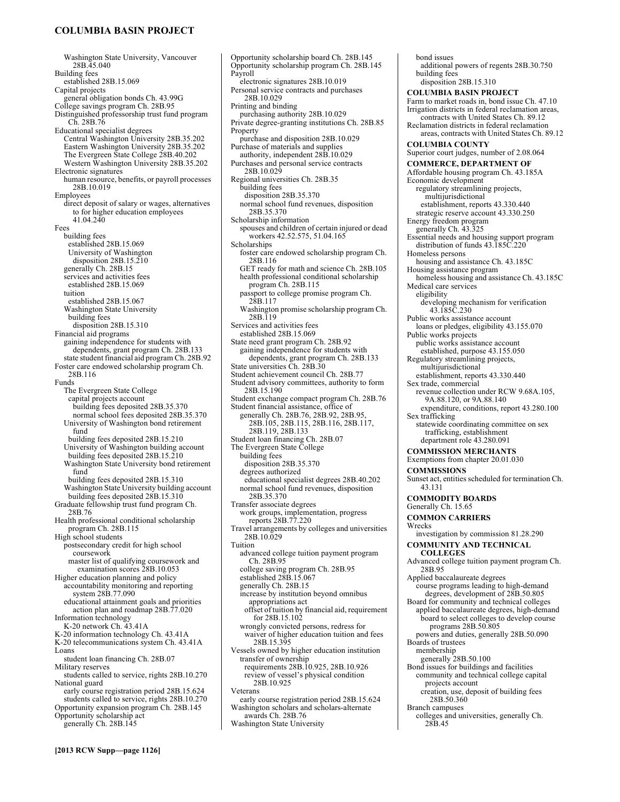# **COLUMBIA BASIN PROJECT**

Washington State University, Vancouver 28B.45.040 Building fees established 28B.15.069 Capital projects general obligation bonds Ch. 43.99G College savings program Ch. 28B.95 Distinguished professorship trust fund program Ch. 28B.76 Educational specialist degrees Central Washington University 28B.35.202 Eastern Washington University 28B.35.202 The Evergreen State College 28B.40.202 Western Washington University 28B.35.202 Electronic signatures human resource, benefits, or payroll processes 28B.10.019 Employees direct deposit of salary or wages, alternatives to for higher education employees 41.04.240 Fees building fees established 28B.15.069 University of Washington disposition 28B.15.210 generally Ch. 28B.15 services and activities fees established 28B.15.069 tuition established 28B.15.067 Washington State University building fees disposition 28B.15.310 Financial aid programs gaining independence for students with dependents, grant program Ch. 28B.133 state student financial aid program Ch. 28B.92 Foster care endowed scholarship program Ch. 28B.116 Funds The Evergreen State College capital projects account building fees deposited 28B.35.370 normal school fees deposited 28B.35.370 University of Washington bond retirement fund building fees deposited 28B.15.210 University of Washington building account building fees deposited 28B.15.210 Washington State University bond retirement fund building fees deposited 28B.15.310 Washington State University building account building fees deposited 28B.15.310 Graduate fellowship trust fund program Ch. 28B.76 Health professional conditional scholarship program Ch. 28B.115 High school students postsecondary credit for high school coursework master list of qualifying coursework and examination scores 28B.10.053 Higher education planning and policy accountability monitoring and reporting system 28B.77.090 educational attainment goals and priorities action plan and roadmap 28B.77.020 Information technology K-20 network Ch. 43.41A K-20 information technology Ch. 43.41A K-20 telecommunications system Ch. 43.41A Loans student loan financing Ch. 28B.07 Military reserves students called to service, rights 28B.10.270 National guard early course registration period 28B.15.624 students called to service, rights 28B.10.270 Opportunity expansion program Ch. 28B.145 Opportunity scholarship act generally Ch. 28B.145

Opportunity scholarship board Ch. 28B.145 Opportunity scholarship program Ch. 28B.145 Payroll electronic signatures 28B.10.019 Personal service contracts and purchases 28B.10.029 Printing and binding purchasing authority 28B.10.029 Private degree-granting institutions Ch. 28B.85 Property purchase and disposition 28B.10.029 Purchase of materials and supplies authority, independent 28B.10.029 Purchases and personal service contracts 28B.10.029 Regional universities Ch. 28B.35 building fees disposition 28B.35.370 normal school fund revenues, disposition 28B.35.370 Scholarship information spouses and children of certain injured or dead workers 42.52.575, 51.04.165 Scholarships foster care endowed scholarship program Ch. 28B.116 GET ready for math and science Ch. 28B.105 health professional conditional scholarship program Ch. 28B.115 passport to college promise program Ch. 28B.117 Washington promise scholarship program Ch. 28B.119 Services and activities fees established 28B.15.069 State need grant program Ch. 28B.92 gaining independence for students with dependents, grant program Ch. 28B.133 State universities Ch. 28B.30 Student achievement council Ch. 28B.77 Student advisory committees, authority to form 28B.15.190 Student exchange compact program Ch. 28B.76 Student financial assistance, office of generally Ch. 28B.76, 28B.92, 28B.95, 28B.105, 28B.115, 28B.116, 28B.117, 28B.119, 28B.133 Student loan financing Ch. 28B.07 The Evergreen State College building fees disposition 28B.35.370 degrees authorized educational specialist degrees 28B.40.202 normal school fund revenues, disposition 28B.35.370 Transfer associate degrees work groups, implementation, progress reports 28B.77.220 Travel arrangements by colleges and universities 28B.10.029 Tuition advanced college tuition payment program Ch. 28B.95 college saving program Ch. 28B.95 established 28B.15.067 generally Ch. 28B.15 increase by institution beyond omnibus appropriations act offset of tuition by financial aid, requirement for 28B.15.102 wrongly convicted persons, redress for waiver of higher education tuition and fees 28B.15.395 Vessels owned by higher education institution transfer of ownership requirements 28B.10.925, 28B.10.926 review of vessel's physical condition 28B.10.925 Veterans early course registration period 28B.15.624

Washington scholars and scholars-alternate awards Ch. 28B.76

Washington State University

bond issues additional powers of regents 28B.30.750 building fees disposition 28B.15.310 **COLUMBIA BASIN PROJECT**  Farm to market roads in, bond issue Ch. 47.10 Irrigation districts in federal reclamation areas, contracts with United States Ch. 89.12 Reclamation districts in federal reclamation areas, contracts with United States Ch. 89.12 **COLUMBIA COUNTY**  Superior court judges, number of 2.08.064 **COMMERCE, DEPARTMENT OF**  Affordable housing program Ch. 43.185A Economic development regulatory streamlining projects, multijurisdictional establishment, reports 43.330.440 strategic reserve account 43.330.250 Energy freedom program generally Ch. 43.325 Essential needs and housing support program distribution of funds 43.185C.220 Homeless persons housing and assistance Ch. 43.185C Housing assistance program homeless housing and assistance Ch. 43.185C Medical care services eligibility developing mechanism for verification 43.185C.230 Public works assistance account loans or pledges, eligibility 43.155.070 Public works projects public works assistance account established, purpose 43.155.050 Regulatory streamlining projects, multijurisdictional establishment, reports 43.330.440 Sex trade, commercial revenue collection under RCW 9.68A.105, 9A.88.120, or 9A.88.140 expenditure, conditions, report 43.280.100 Sex trafficking statewide coordinating committee on sex trafficking, establishment department role 43.280.091 **COMMISSION MERCHANTS**  Exemptions from chapter 20.01.030 **COMMISSIONS**  Sunset act, entities scheduled for termination Ch. 43.131 **COMMODITY BOARDS**  Generally Ch. 15.65 **COMMON CARRIERS**  Wrecks investigation by commission 81.28.290 **COMMUNITY AND TECHNICAL COLLEGES**  Advanced college tuition payment program Ch. 28B.95 Applied baccalaureate degrees course programs leading to high-demand degrees, development of 28B.50.805 Board for community and technical colleges applied baccalaureate degrees, high-demand board to select colleges to develop course programs 28B.50.805 powers and duties, generally 28B.50.090 Boards of trustees membership generally 28B.50.100 Bond issues for buildings and facilities community and technical college capital projects account creation, use, deposit of building fees 28B.50.360 Branch campuses

colleges and universities, generally Ch. 28B.45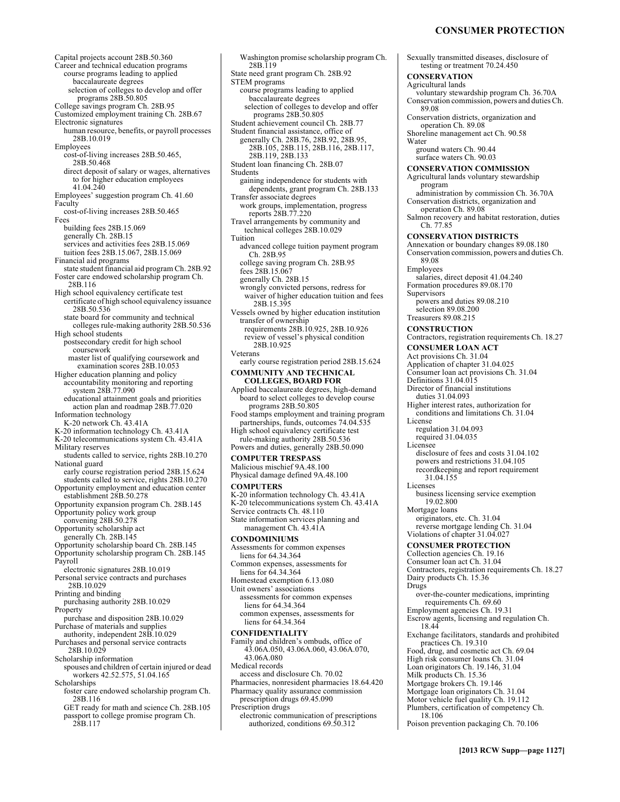Capital projects account 28B.50.360 Career and technical education programs course programs leading to applied baccalaureate degrees selection of colleges to develop and offer programs 28B.50.805 College savings program Ch. 28B.95 Customized employment training Ch. 28B.67 Electronic signatures human resource, benefits, or payroll processes 28B.10.019 Employees cost-of-living increases 28B.50.465, 28B.50.468 direct deposit of salary or wages, alternatives to for higher education employees 41.04.240 Employees' suggestion program Ch. 41.60 Faculty cost-of-living increases 28B.50.465 Fees building fees 28B.15.069 generally Ch. 28B.15 services and activities fees 28B.15.069 tuition fees 28B.15.067, 28B.15.069 Financial aid programs state student financial aid program Ch. 28B.92 Foster care endowed scholarship program Ch. 28B.116 High school equivalency certificate test certificate of high school equivalency issuance 28B.50.536 state board for community and technical colleges rule-making authority 28B.50.536 High school students postsecondary credit for high school coursework master list of qualifying coursework and examination scores 28B.10.053 Higher education planning and policy accountability monitoring and reporting system 28B.77.090 educational attainment goals and priorities action plan and roadmap 28B.77.020 Information technology K-20 network Ch. 43.41A K-20 information technology Ch. 43.41A K-20 telecommunications system Ch. 43.41A Military reserves students called to service, rights 28B.10.270 National guard early course registration period 28B.15.624 students called to service, rights 28B.10.270 Opportunity employment and education center establishment 28B.50.278 Opportunity expansion program Ch. 28B.145 Opportunity policy work group convening 28B.50.278 Opportunity scholarship act generally Ch. 28B.145 Opportunity scholarship board Ch. 28B.145 Opportunity scholarship program Ch. 28B.145 Payroll electronic signatures 28B.10.019 Personal service contracts and purchases 28B.10.029 Printing and binding purchasing authority 28B.10.029 Property purchase and disposition 28B.10.029 Purchase of materials and supplies authority, independent 28B.10.029 Purchases and personal service contracts 28B.10.029 Scholarship information spouses and children of certain injured or dead workers 42.52.575, 51.04.165 **Scholarships** foster care endowed scholarship program Ch. 28B.116 GET ready for math and science Ch. 28B.105 passport to college promise program Ch. 28B.117

Washington promise scholarship program Ch. 28B.119 State need grant program Ch. 28B.92 STEM programs course programs leading to applied baccalaureate degrees selection of colleges to develop and offer programs 28B.50.805 Student achievement council Ch. 28B.77 Student financial assistance, office of generally Ch. 28B.76, 28B.92, 28B.95, 28B.105, 28B.115, 28B.116, 28B.117, 28B.119, 28B.133 Student loan financing Ch. 28B.07 Students gaining independence for students with dependents, grant program Ch. 28B.133 Transfer associate degrees work groups, implementation, progress reports 28B.77.220 Travel arrangements by community and technical colleges 28B.10.029 Tuition advanced college tuition payment program Ch. 28B.95 college saving program Ch. 28B.95 fees 28B.15.067 generally Ch. 28B.15 wrongly convicted persons, redress for waiver of higher education tuition and fees 28B.15.395 Vessels owned by higher education institution transfer of ownership requirements 28B.10.925, 28B.10.926 review of vessel's physical condition 28B.10.925 Veterans early course registration period 28B.15.624 **COMMUNITY AND TECHNICAL COLLEGES, BOARD FOR**  Applied baccalaureate degrees, high-demand board to select colleges to develop course programs 28B.50.805 Food stamps employment and training program partnerships, funds, outcomes 74.04.535 High school equivalency certificate test rule-making authority 28B.50.536 Powers and duties, generally 28B.50.090 **COMPUTER TRESPASS**  Malicious mischief 9A.48.100 Physical damage defined 9A.48.100 **COMPUTERS**  K-20 information technology Ch. 43.41A K-20 telecommunications system Ch. 43.41A Service contracts Ch. 48.110 State information services planning and management Ch. 43.41A **CONDOMINIUMS**  Assessments for common expenses liens for 64.34.364 Common expenses, assessments for liens for 64.34.364 Homestead exemption 6.13.080 Unit owners' associations assessments for common expenses liens for 64.34.364 common expenses, assessments for liens for 64.34.364 **CONFIDENTIALITY**  Family and children's ombuds, office of 43.06A.050, 43.06A.060, 43.06A.070, 43.06A.080 Medical records access and disclosure Ch. 70.02 Pharmacies, nonresident pharmacies 18.64.420 Pharmacy quality assurance commission prescription drugs 69.45.090 Prescription drugs electronic communication of prescriptions authorized, conditions 69.50.312

Sexually transmitted diseases, disclosure of testing or treatment 70.24.450 **CONSERVATION**  Agricultural lands voluntary stewardship program Ch. 36.70A Conservation commission, powers and duties Ch. 89.08 Conservation districts, organization and operation Ch. 89.08 Shoreline management act Ch. 90.58 Water ground waters Ch. 90.44 surface waters Ch. 90.03 **CONSERVATION COMMISSION**  Agricultural lands voluntary stewardship program administration by commission Ch. 36.70A Conservation districts, organization and operation Ch. 89.08 Salmon recovery and habitat restoration, duties Ch. 77.85 **CONSERVATION DISTRICTS**  Annexation or boundary changes 89.08.180 Conservation commission, powers and duties Ch. 89.08 Employees salaries, direct deposit 41.04.240 Formation procedures 89.08.170 **Supervisors** powers and duties 89.08.210 selection 89.08.200 Treasurers 89.08.215 **CONSTRUCTION**  Contractors, registration requirements Ch. 18.27 **CONSUMER LOAN ACT**  Act provisions Ch. 31.04 Application of chapter 31.04.025 Consumer loan act provisions Ch. 31.04 Definitions 31.04.015 Director of financial institutions duties 31.04.093 Higher interest rates, authorization for conditions and limitations Ch. 31.04 License regulation 31.04.093 required 31.04.035 Licensee disclosure of fees and costs 31.04.102 powers and restrictions 31.04.105 recordkeeping and report requirement 31.04.155 Licenses business licensing service exemption 19.02.800 Mortgage loans originators, etc. Ch. 31.04 reverse mortgage lending Ch. 31.04 Violations of chapter 31.04.027 **CONSUMER PROTECTION**  Collection agencies Ch. 19.16 Consumer loan act Ch. 31.04 Contractors, registration requirements Ch. 18.27 Dairy products Ch. 15.36 Drugs over-the-counter medications, imprinting requirements Ch. 69.60 Employment agencies Ch. 19.31 Escrow agents, licensing and regulation Ch. 18.44 Exchange facilitators, standards and prohibited practices Ch. 19.310 Food, drug, and cosmetic act Ch. 69.04 High risk consumer loans Ch. 31.04 Loan originators Ch. 19.146, 31.04 Milk products Ch. 15.36 Mortgage brokers Ch. 19.146 Mortgage loan originators Ch. 31.04 Motor vehicle fuel quality Ch. 19.112 Plumbers, certification of competency Ch. 18.106 Poison prevention packaging Ch. 70.106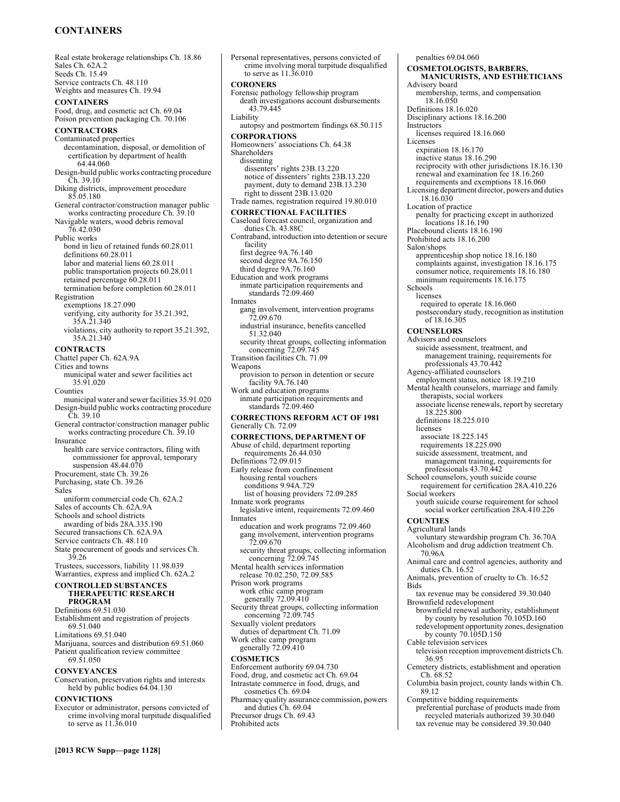# **CONTAINERS**

Real estate brokerage relationships Ch. 18.86 Sales Ch. 62A.2 Seeds Ch. 15.49 Service contracts Ch. 48.110 Weights and measures Ch. 19.94 **CONTAINERS**  Food, drug, and cosmetic act Ch. 69.04 Poison prevention packaging Ch. 70.106 **CONTRACTORS**  Contaminated properties decontamination, disposal, or demolition of certification by department of health 64.44.060 Design-build public works contracting procedure Ch. 39.10 Diking districts, improvement procedure 85.05.180 General contractor/construction manager public works contracting procedure Ch. 39.10 Navigable waters, wood debris removal 76.42.030 Public works bond in lieu of retained funds 60.28.011 definitions 60.28.011 labor and material liens 60.28.011 public transportation projects 60.28.011 retained percentage 60.28.011 termination before completion 60.28.011 Registration exemptions 18.27.090 verifying, city authority for 35.21.392, 35A.21.340 violations, city authority to report 35.21.392, 35A.21.340 **CONTRACTS**  Chattel paper Ch. 62A.9A Cities and towns municipal water and sewer facilities act 35.91.020 Counties municipal water and sewer facilities 35.91.020 Design-build public works contracting procedure Ch. 39.10 General contractor/construction manager public works contracting procedure Ch. 39.10 Insurance health care service contractors, filing with commissioner for approval, temporary suspension 48.44.070 Procurement, state Ch. 39.26 Purchasing, state Ch. 39.26 Sales uniform commercial code Ch. 62A.2 Sales of accounts Ch. 62A.9A Schools and school districts awarding of bids 28A.335.190 Secured transactions Ch. 62A.9A Service contracts Ch. 48.110 State procurement of goods and services Ch. 39.26 Trustees, successors, liability 11.98.039 Warranties, express and implied Ch. 62A.2 **CONTROLLED SUBSTANCES THERAPEUTIC RESEARCH PROGRAM**  Definitions 69.51.030 Establishment and registration of projects 69.51.040 Limitations 69.51.040 Marijuana, sources and distribution 69.51.060 Patient qualification review committee 69.51.050 **CONVEYANCES**  Conservation, preservation rights and interests held by public bodies 64.04.130 **CONVICTIONS** 

Personal representatives, persons convicted of crime involving moral turpitude disqualified to serve as 11.36.010 **CORONERS**  Forensic pathology fellowship program death investigations account disbursements 43.79.445 Liability autopsy and postmortem findings 68.50.115 **CORPORATIONS**  Homeowners' associations Ch. 64.38 Shareholders dissenting dissenters' rights 23B.13.220 notice of dissenters' rights 23B.13.220 payment, duty to demand 23B.13.230 right to dissent 23B.13.020 Trade names, registration required 19.80.010 **CORRECTIONAL FACILITIES**  Caseload forecast council, organization and duties Ch. 43.88C Contraband, introduction into detention or secure facility first degree 9A.76.140 second degree 9A.76.150 third degree 9A.76.160 Education and work programs inmate participation requirements and standards 72.09.460 Inmates gang involvement, intervention programs 72.09.670 industrial insurance, benefits cancelled 51.32.040 security threat groups, collecting information concerning 72.09.745 Transition facilities Ch. 71.09 Weapons provision to person in detention or secure facility 9A.76.140 Work and education programs inmate participation requirements and standards 72.09.460 **CORRECTIONS REFORM ACT OF 1981**  Generally Ch. 72.09 **CORRECTIONS, DEPARTMENT OF**  Abuse of child, department reporting requirements 26.44.030 Definitions 72.09.015 Early release from confinement housing rental vouchers conditions 9.94A.729 list of housing providers 72.09.285 Inmate work programs legislative intent, requirements 72.09.460 Inmates education and work programs 72.09.460 gang involvement, intervention programs 72.09.670 security threat groups, collecting information concerning 72.09.745 Mental health services information release 70.02.250, 72.09.585 Prison work programs work ethic camp program generally 72.09.410 Security threat groups, collecting information concerning 72.09.745 Sexually violent predators duties of department Ch. 71.09 Work ethic camp program generally 72.09.410 **COSMETICS**  Enforcement authority 69.04.730 Food, drug, and cosmetic act Ch. 69.04 Intrastate commerce in food, drugs, and cosmetics Ch. 69.04

Pharmacy quality assurance commission, powers and duties Ch. 69.04 Precursor drugs Ch. 69.43

Prohibited acts

penalties 69.04.060 **COSMETOLOGISTS, BARBERS, MANICURISTS, AND ESTHETICIANS**  Advisory board membership, terms, and compensation 18.16.050 Definitions 18.16.020 Disciplinary actions 18.16.200 Instructors licenses required 18.16.060 Licenses expiration 18.16.170 inactive status 18.16.290 reciprocity with other jurisdictions 18.16.130 renewal and examination fee 18.16.260 requirements and exemptions 18.16.060 Licensing department director, powers and duties 18.16.030 Location of practice penalty for practicing except in authorized locations 18.16.190 Placebound clients 18.16.190 Prohibited acts 18.16.200 Salon/shops apprenticeship shop notice 18.16.180 complaints against, investigation 18.16.175 consumer notice, requirements 18.16.180 minimum requirements 18.16.175 Schools licenses required to operate 18.16.060 postsecondary study, recognition as institution of 18.16.305 **COUNSELORS**  Advisors and counselors suicide assessment, treatment, and management training, requirements for professionals 43.70.442 Agency-affiliated counselors employment status, notice 18.19.210 Mental health counselors, marriage and family therapists, social workers associate license renewals, report by secretary 18.225.800 definitions 18.225.010 licenses associate 18.225.145 requirements 18.225.090 suicide assessment, treatment, and management training, requirements for professionals 43.70.442 School counselors, youth suicide course requirement for certification 28A.410.226 Social workers youth suicide course requirement for school social worker certification 28A.410.226 **COUNTIES**  Agricultural lands voluntary stewardship program Ch. 36.70A Alcoholism and drug addiction treatment Ch. 70.96A Animal care and control agencies, authority and duties Ch. 16.52 Animals, prevention of cruelty to Ch. 16.52 Bids tax revenue may be considered 39.30.040 Brownfield redevelopment brownfield renewal authority, establishment by county by resolution 70.105D.160 redevelopment opportunity zones, designation by county 70.105D.150 Cable television services television reception improvement districts Ch. 36.95 Cemetery districts, establishment and operation Ch. 68.52 Columbia basin project, county lands within Ch. 89.12 Competitive bidding requirements

preferential purchase of products made from recycled materials authorized 39.30.040 tax revenue may be considered 39.30.040

to serve as 11.36.010

Executor or administrator, persons convicted of crime involving moral turpitude disqualified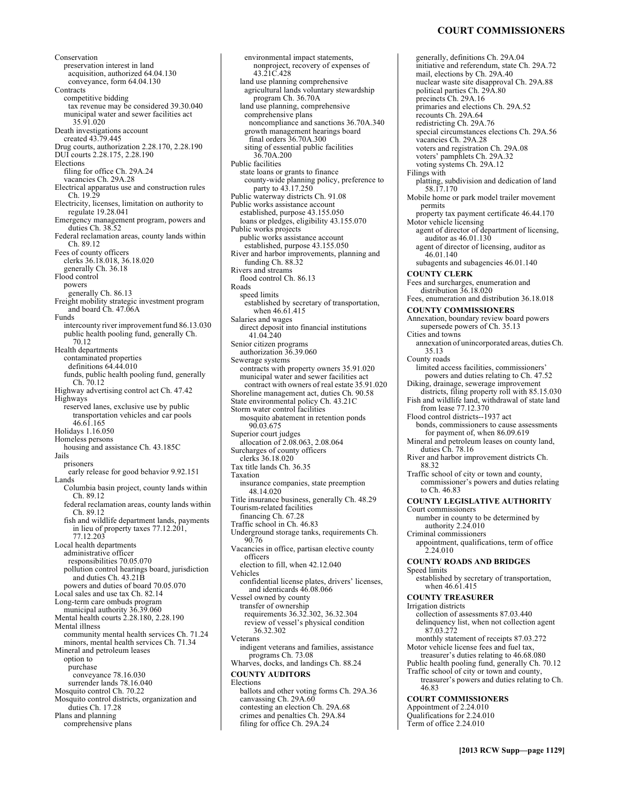# **COURT COMMISSIONERS**

Conservation preservation interest in land acquisition, authorized 64.04.130 conveyance, form 64.04.130 **Contracts** competitive bidding tax revenue may be considered 39.30.040 municipal water and sewer facilities act 35.91.020 Death investigations account created 43.79.445 Drug courts, authorization 2.28.170, 2.28.190 DUI courts 2.28.175, 2.28.190 Elections filing for office Ch. 29A.24 vacancies Ch. 29A.28 Electrical apparatus use and construction rules Ch. 19.29 Electricity, licenses, limitation on authority to regulate 19.28.041 Emergency management program, powers and duties Ch. 38.52 Federal reclamation areas, county lands within Ch. 89.12 Fees of county officers clerks 36.18.018, 36.18.020 generally Ch. 36.18 Flood control powers generally Ch. 86.13 Freight mobility strategic investment program and board Ch. 47.06A Funds intercounty river improvement fund 86.13.030 public health pooling fund, generally Ch. 70.12 Health departments contaminated properties definitions 64.44.010 funds, public health pooling fund, generally Ch. 70.12 Highway advertising control act Ch. 47.42 Highways reserved lanes, exclusive use by public transportation vehicles and car pools 46.61.165 Holidays 1.16.050 Homeless persons housing and assistance Ch. 43.185C Jails prisoners early release for good behavior 9.92.151 Lands Columbia basin project, county lands within Ch. 89.12 federal reclamation areas, county lands within Ch. 89.12 fish and wildlife department lands, payments in lieu of property taxes 77.12.201, 77.12.203 Local health departments administrative officer responsibilities 70.05.070 pollution control hearings board, jurisdiction and duties Ch. 43.21B powers and duties of board 70.05.070 Local sales and use tax Ch. 82.14 Long-term care ombuds program municipal authority 36.39.060 Mental health courts 2.28.180, 2.28.190 Mental illness community mental health services Ch. 71.24 minors, mental health services Ch. 71.34 Mineral and petroleum leases option to purchase conveyance 78.16.030 surrender lands 78.16.040 Mosquito control Ch. 70.22 Mosquito control districts, organization and duties Ch. 17.28 Plans and planning comprehensive plans

environmental impact statements, nonproject, recovery of expenses of 43.21C.428 land use planning comprehensive agricultural lands voluntary stewardship program Ch. 36.70A land use planning, comprehensive comprehensive plans noncompliance and sanctions 36.70A.340 growth management hearings board final orders 36.70A.300 siting of essential public facilities 36.70A.200 Public facilities state loans or grants to finance county-wide planning policy, preference to party to 43.17.250 Public waterway districts Ch. 91.08 Public works assistance account established, purpose 43.155.050 loans or pledges, eligibility 43.155.070 Public works projects public works assistance account established, purpose 43.155.050 River and harbor improvements, planning and funding Ch. 88.32 Rivers and streams flood control Ch. 86.13 Roads speed limits established by secretary of transportation, when 46.61.415 Salaries and wages direct deposit into financial institutions 41.04.240 Senior citizen programs authorization 36.39.060 Sewerage systems contracts with property owners 35.91.020 municipal water and sewer facilities act contract with owners of real estate 35.91.020 Shoreline management act, duties Ch. 90.58 State environmental policy Ch. 43.21C Storm water control facilities mosquito abatement in retention ponds 90.03.675 Superior court judges allocation of 2.08.063, 2.08.064 Surcharges of county officers clerks 36.18.020 Tax title lands Ch. 36.35 Taxation insurance companies, state preemption 48.14.020 Title insurance business, generally Ch. 48.29 Tourism-related facilities financing Ch. 67.28 Traffic school in Ch. 46.83 Underground storage tanks, requirements Ch. 90.76 Vacancies in office, partisan elective county officers election to fill, when 42.12.040 Vehicles confidential license plates, drivers' licenses, and identicards 46.08.066 Vessel owned by county transfer of ownership requirements 36.32.302, 36.32.304 review of vessel's physical condition 36.32.302 Veterans indigent veterans and families, assistance programs Ch. 73.08 Wharves, docks, and landings Ch. 88.24 **COUNTY AUDITORS**  Elections ballots and other voting forms Ch. 29A.36 canvassing Ch. 29A.60 contesting an election Ch. 29A.68 crimes and penalties Ch. 29A.84 filing for office Ch. 29A.24

generally, definitions Ch. 29A.04 initiative and referendum, state Ch. 29A.72 mail, elections by Ch. 29A.40 nuclear waste site disapproval Ch. 29A.88 political parties Ch. 29A.80 precincts Ch. 29A.16 primaries and elections Ch. 29A.52 recounts Ch. 29A.64 redistricting Ch. 29A.76 special circumstances elections Ch. 29A.56 vacancies Ch. 29A.28 voters and registration Ch. 29A.08 voters' pamphlets Ch. 29A.32 voting systems Ch. 29A.12 Filings with platting, subdivision and dedication of land 58.17.170 Mobile home or park model trailer movement permits property tax payment certificate 46.44.170 Motor vehicle licensing agent of director of department of licensing, auditor as 46.01.130 agent of director of licensing, auditor as 46.01.140 subagents and subagencies 46.01.140 **COUNTY CLERK**  Fees and surcharges, enumeration and distribution 36.18.020 Fees, enumeration and distribution 36.18.018 **COUNTY COMMISSIONERS**  Annexation, boundary review board powers supersede powers of Ch. 35.13 Cities and towns annexation of unincorporated areas, duties Ch. 35.13 County roads limited access facilities, commissioners' powers and duties relating to Ch. 47.52 Diking, drainage, sewerage improvement districts, filing property roll with 85.15.030 Fish and wildlife land, withdrawal of state land from lease 77.12.370 Flood control districts--1937 act bonds, commissioners to cause assessments for payment of, when 86.09.619 Mineral and petroleum leases on county land, duties Ch. 78.16 River and harbor improvement districts Ch. 88.32 Traffic school of city or town and county, commissioner's powers and duties relating to Ch. 46.83 **COUNTY LEGISLATIVE AUTHORITY**  Court commissioners number in county to be determined by authority 2.24.010 Criminal commissioners appointment, qualifications, term of office 2.24.010 **COUNTY ROADS AND BRIDGES**  Speed limits established by secretary of transportation, when 46.61.415 **COUNTY TREASURER**  Irrigation districts collection of assessments 87.03.440 delinquency list, when not collection agent 87.03.272 monthly statement of receipts 87.03.272 Motor vehicle license fees and fuel tax, treasurer's duties relating to 46.68.080 Public health pooling fund, generally Ch. 70.12 Traffic school of city or town and county, treasurer's powers and duties relating to Ch. 46.83 **COURT COMMISSIONERS**  Appointment of 2.24.010 Qualifications for 2.24.010 Term of office 2.24.010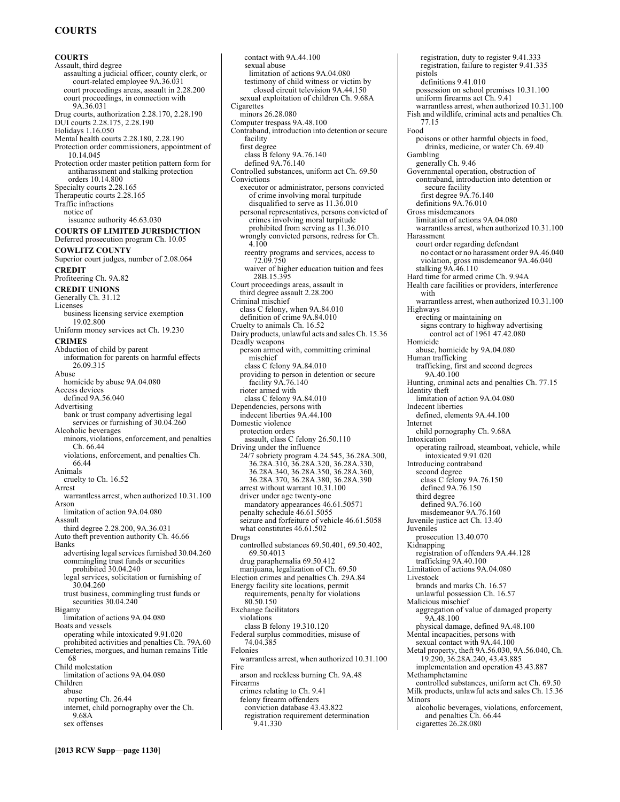# **COURTS**

**COURTS**  Assault, third degree assaulting a judicial officer, county clerk, or court-related employee 9A.36.031 court proceedings areas, assault in 2.28.200 court proceedings, in connection with 9A.36.031 Drug courts, authorization 2.28.170, 2.28.190 DUI courts 2.28.175, 2.28.190 Holidays 1.16.050 Mental health courts 2.28.180, 2.28.190 Protection order commissioners, appointment of 10.14.045 Protection order master petition pattern form for antiharassment and stalking protection orders 10.14.800 Specialty courts 2.28.165 Therapeutic courts 2.28.165 Traffic infractions notice of issuance authority 46.63.030 **COURTS OF LIMITED JURISDICTION**  Deferred prosecution program Ch. 10.05 **COWLITZ COUNTY**  Superior court judges, number of 2.08.064 **CREDIT**  Profiteering Ch. 9A.82 **CREDIT UNIONS**  Generally Ch. 31.12 Licenses business licensing service exemption 19.02.800 Uniform money services act Ch. 19.230 **CRIMES**  Abduction of child by parent information for parents on harmful effects 26.09.315 Abuse homicide by abuse 9A.04.080 Access devices defined 9A.56.040 Advertising bank or trust company advertising legal services or furnishing of 30.04.260 Alcoholic beverages minors, violations, enforcement, and penalties Ch. 66.44 violations, enforcement, and penalties Ch. 66.44 Animals cruelty to Ch. 16.52 Arrest warrantless arrest, when authorized 10.31.100 Arson limitation of action 9A.04.080 Assault third degree 2.28.200, 9A.36.031 Auto theft prevention authority Ch. 46.66 Banks advertising legal services furnished 30.04.260 commingling trust funds or securities prohibited 30.04.240 legal services, solicitation or furnishing of 30.04.260 trust business, commingling trust funds or securities 30.04.240 Bigamy limitation of actions 9A.04.080 Boats and vessels operating while intoxicated 9.91.020 prohibited activities and penalties Ch. 79A.60 Cemeteries, morgues, and human remains Title 68 Child molestation limitation of actions 9A.04.080 Children abuse reporting Ch. 26.44 internet, child pornography over the Ch. 9.68A sex offenses

contact with 9A.44.100 sexual abuse limitation of actions 9A.04.080 testimony of child witness or victim by closed circuit television 9A.44.150 sexual exploitation of children Ch. 9.68A **Cigarettes** minors 26.28.080 Computer trespass 9A.48.100 Contraband, introduction into detention or secure facility first degree class B felony 9A.76.140 defined 9A.76.140 Controlled substances, uniform act Ch. 69.50 Convictions executor or administrator, persons convicted of crime involving moral turpitude disqualified to serve as 11.36.010 personal representatives, persons convicted of crimes involving moral turpitude prohibited from serving as 11.36.010 wrongly convicted persons, redress for Ch. 4.100 reentry programs and services, access to 72.09.750 waiver of higher education tuition and fees 28B.15.395 Court proceedings areas, assault in third degree assault 2.28.200 Criminal mischief class C felony, when 9A.84.010 definition of crime 9A.84.010 Cruelty to animals Ch. 16.52 Dairy products, unlawful acts and sales Ch. 15.36 Deadly weapons person armed with, committing criminal mischief class C felony 9A.84.010 providing to person in detention or secure facility 9A.76.140 rioter armed with class C felony 9A.84.010 Dependencies, persons with indecent liberties 9A.44.100 Domestic violence protection orders assault, class C felony 26.50.110 Driving under the influence 24/7 sobriety program 4.24.545, 36.28A.300, 36.28A.310, 36.28A.320, 36.28A.330, 36.28A.340, 36.28A.350, 36.28A.360, 36.28A.370, 36.28A.380, 36.28A.390 arrest without warrant 10.31.100 driver under age twenty-one mandatory appearances 46.61.50571 penalty schedule 46.61.5055 seizure and forfeiture of vehicle 46.61.5058 what constitutes 46.61.502 Drugs controlled substances 69.50.401, 69.50.402, 69.50.4013 drug paraphernalia 69.50.412 marijuana, legalization of Ch. 69.50 Election crimes and penalties Ch. 29A.84 Energy facility site locations, permit requirements, penalty for violations 80.50.150 Exchange facilitators violations class B felony 19.310.120 Federal surplus commodities, misuse of 74.04.385 Felonies warrantless arrest, when authorized 10.31.100 Fire arson and reckless burning Ch. 9A.48 Firearms crimes relating to Ch. 9.41 felony firearm offenders conviction database 43.43.822 registration requirement determination 9.41.330

registration, duty to register 9.41.333 registration, failure to register 9.41.335 pistols definitions 9.41.010 possession on school premises 10.31.100 uniform firearms act Ch. 9.41 warrantless arrest, when authorized 10.31.100 Fish and wildlife, criminal acts and penalties Ch. 77.15 Food poisons or other harmful objects in food, drinks, medicine, or water Ch. 69.40 Gambling generally Ch. 9.46 Governmental operation, obstruction of contraband, introduction into detention or secure facility first degree 9A.76.140 definitions 9A.76.010 Gross misdemeanors limitation of actions 9A.04.080 warrantless arrest, when authorized 10.31.100 Harassment court order regarding defendant no contact or no harassment order 9A.46.040 violation, gross misdemeanor 9A.46.040 stalking 9A.46.110 Hard time for armed crime Ch. 9.94A Health care facilities or providers, interference with warrantless arrest, when authorized 10.31.100 Highways erecting or maintaining on signs contrary to highway advertising control act of 1961 47.42.080 Homicide abuse, homicide by 9A.04.080 Human trafficking trafficking, first and second degrees 9A.40.100 Hunting, criminal acts and penalties Ch. 77.15 Identity theft limitation of action 9A.04.080 Indecent liberties defined, elements 9A.44.100 Internet child pornography Ch. 9.68A Intoxication operating railroad, steamboat, vehicle, while intoxicated 9.91.020 Introducing contraband second degree class C felony 9A.76.150 defined 9A.76.150 third degree defined 9A.76.160 misdemeanor 9A.76.160 Juvenile justice act Ch. 13.40 **Juveniles** prosecution 13.40.070 Kidnapping registration of offenders 9A.44.128 trafficking 9A.40.100 Limitation of actions 9A.04.080 Livestock brands and marks Ch. 16.57 unlawful possession Ch. 16.57 Malicious mischief aggregation of value of damaged property 9A.48.100 physical damage, defined 9A.48.100 Mental incapacities, persons with sexual contact with 9A.44.100 Metal property, theft 9A.56.030, 9A.56.040, Ch. 19.290, 36.28A.240, 43.43.885 implementation and operation 43.43.887 Methamphetamine controlled substances, uniform act Ch. 69.50 Milk products, unlawful acts and sales Ch. 15.36 Minors alcoholic beverages, violations, enforcement, and penalties Ch. 66.44 cigarettes 26.28.080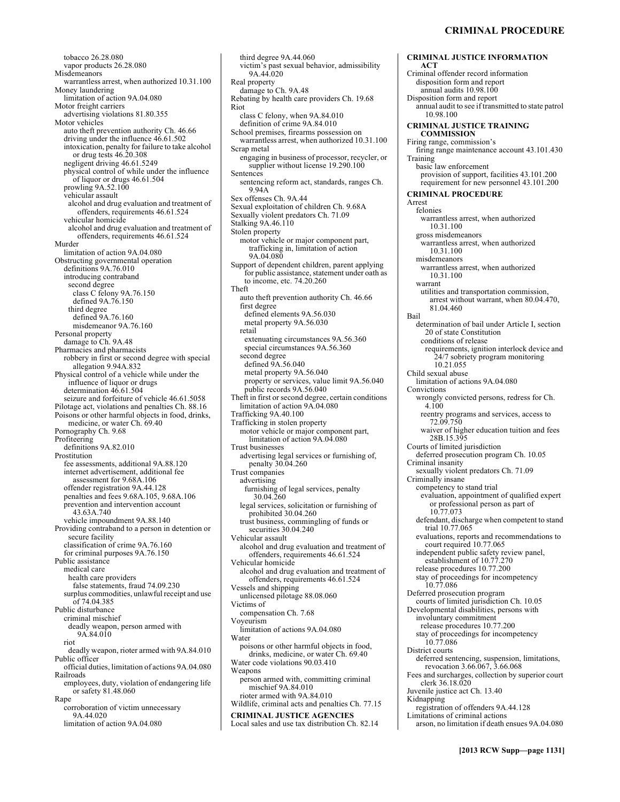tobacco 26.28.080 vapor products 26.28.080 **Misdemeanors** warrantless arrest, when authorized 10.31.100 Money laundering limitation of action 9A.04.080 Motor freight carriers advertising violations 81.80.355 Motor vehicles auto theft prevention authority Ch. 46.66 driving under the influence 46.61.502 intoxication, penalty for failure to take alcohol or drug tests 46.20.308 negligent driving 46.61.5249 physical control of while under the influence of liquor or drugs 46.61.504 prowling 9A.52.100 vehicular assault alcohol and drug evaluation and treatment of offenders, requirements 46.61.524 vehicular homicide alcohol and drug evaluation and treatment of offenders, requirements 46.61.524 Murder limitation of action 9A.04.080 Obstructing governmental operation definitions 9A.76.010 introducing contraband second degree class C felony 9A.76.150 defined 9A.76.150 third degree defined 9A.76.160 misdemeanor 9A.76.160 Personal property damage to Ch. 9A.48 Pharmacies and pharmacists robbery in first or second degree with special allegation 9.94A.832 Physical control of a vehicle while under the influence of liquor or drugs determination 46.61.504 seizure and forfeiture of vehicle 46.61.5058 Pilotage act, violations and penalties Ch. 88.16 Poisons or other harmful objects in food, drinks, medicine, or water Ch. 69.40 Pornography Ch. 9.68 Profiteering definitions 9A.82.010 Prostitution fee assessments, additional 9A.88.120 internet advertisement, additional fee assessment for 9.68A.106 offender registration 9A.44.128 penalties and fees 9.68A.105, 9.68A.106 prevention and intervention account 43.63A.740 vehicle impoundment 9A.88.140 Providing contraband to a person in detention or secure facility classification of crime 9A.76.160 for criminal purposes 9A.76.150 Public assistance medical care health care providers false statements, fraud 74.09.230 surplus commodities, unlawful receipt and use of 74.04.385 Public disturbance criminal mischief deadly weapon, person armed with 9A.84.010 riot deadly weapon, rioter armed with 9A.84.010 Public officer official duties, limitation of actions 9A.04.080 Railroads employees, duty, violation of endangering life or safety 81.48.060 Rape corroboration of victim unnecessary 9A.44.020 limitation of action 9A.04.080

third degree 9A.44.060 victim's past sexual behavior, admissibility 9A.44.020 Real property damage to Ch. 9A.48 Rebating by health care providers Ch. 19.68 Riot class C felony, when 9A.84.010 definition of crime 9A.84.010 School premises, firearms possession on warrantless arrest, when authorized 10.31.100 Scrap metal engaging in business of processor, recycler, or supplier without license 19.290.100 **Sentences** sentencing reform act, standards, ranges Ch. 9.94A Sex offenses Ch. 9A.44 Sexual exploitation of children Ch. 9.68A Sexually violent predators Ch. 71.09 Stalking 9A.46.110 Stolen property motor vehicle or major component part, trafficking in, limitation of action 9A.04.080 Support of dependent children, parent applying for public assistance, statement under oath as to income, etc. 74.20.260 Theft auto theft prevention authority Ch. 46.66 first degree defined elements 9A.56.030 metal property 9A.56.030 retail extenuating circumstances 9A.56.360 special circumstances 9A.56.360 second degree defined 9A.56.040 metal property 9A.56.040 property or services, value limit 9A.56.040 public records 9A.56.040 Theft in first or second degree, certain conditions limitation of action 9A.04.080 Trafficking 9A.40.100 Trafficking in stolen property motor vehicle or major component part, limitation of action 9A.04.080 Trust businesses advertising legal services or furnishing of, penalty 30.04.260 Trust companies advertising furnishing of legal services, penalty 30.04.260 legal services, solicitation or furnishing of prohibited 30.04.260 trust business, commingling of funds or securities 30.04.240 Vehicular assault alcohol and drug evaluation and treatment of offenders, requirements 46.61.524 Vehicular homicide alcohol and drug evaluation and treatment of offenders, requirements 46.61.524 Vessels and shipping unlicensed pilotage 88.08.060 Victims of compensation Ch. 7.68 Voyeurism limitation of actions 9A.04.080 Water poisons or other harmful objects in food, drinks, medicine, or water Ch. 69.40 Water code violations 90.03.410 Weapons person armed with, committing criminal mischief 9A.84.010 rioter armed with 9A.84.010 Wildlife, criminal acts and penalties Ch. 77.15 **CRIMINAL JUSTICE AGENCIES**  Local sales and use tax distribution Ch. 82.14

**CRIMINAL JUSTICE INFORMATION ACT**  Criminal offender record information disposition form and report annual audits 10.98.100 Disposition form and report annual audit to see if transmitted to state patrol 10.98.100 **CRIMINAL JUSTICE TRAINING COMMISSION**  Firing range, commission's firing range maintenance account 43.101.430 Training basic law enforcement provision of support, facilities 43.101.200 requirement for new personnel 43.101.200 **CRIMINAL PROCEDURE**  Arrest felonies warrantless arrest, when authorized 10.31.100 gross misdemeanors warrantless arrest, when authorized 10.31.100 misdemeanors warrantless arrest, when authorized 10.31.100 warrant utilities and transportation commission, arrest without warrant, when 80.04.470, 81.04.460 Bail determination of bail under Article I, section 20 of state Constitution conditions of release requirements, ignition interlock device and 24/7 sobriety program monitoring 10.21.055 Child sexual abuse limitation of actions 9A.04.080 Convictions wrongly convicted persons, redress for Ch. 4.100 reentry programs and services, access to 72.09.750 waiver of higher education tuition and fees 28B.15.395 Courts of limited jurisdiction deferred prosecution program Ch. 10.05 Criminal insanity sexually violent predators Ch. 71.09 Criminally insane competency to stand trial evaluation, appointment of qualified expert or professional person as part of 10.77.073 defendant, discharge when competent to stand trial 10.77.065 evaluations, reports and recommendations to court required 10.77.065 independent public safety review panel, establishment of 10.77.270 release procedures 10.77.200 stay of proceedings for incompetency 10.77.086 Deferred prosecution program courts of limited jurisdiction Ch. 10.05 Developmental disabilities, persons with involuntary commitment release procedures 10.77.200 stay of proceedings for incompetency 10.77.086 District courts deferred sentencing, suspension, limitations, revocation 3.66.067, 3.66.068 Fees and surcharges, collection by superior court clerk 36.18.020 Juvenile justice act Ch. 13.40 Kidnapping registration of offenders 9A.44.128 Limitations of criminal actions arson, no limitation if death ensues 9A.04.080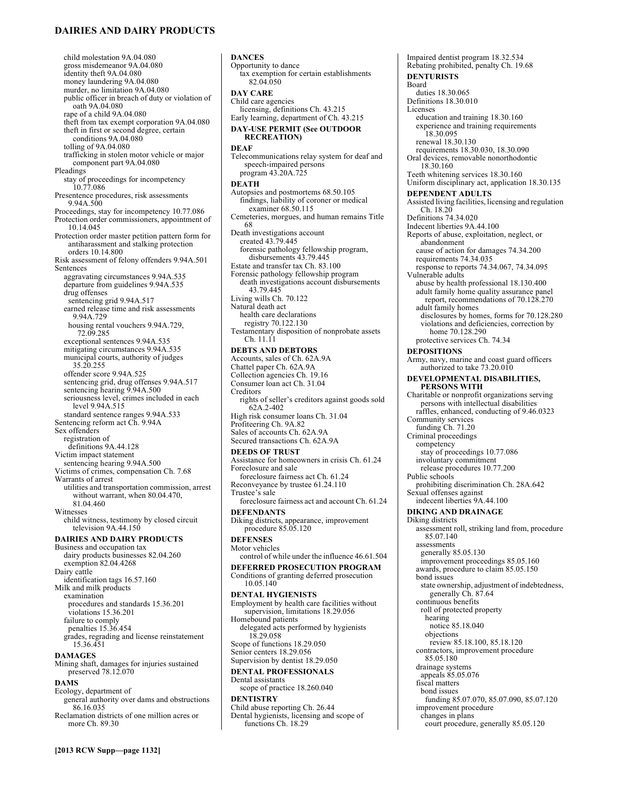# **DAIRIES AND DAIRY PRODUCTS**

**[2013 RCW Supp—page 1132]** child molestation 9A.04.080 gross misdemeanor 9A.04.080 identity theft 9A.04.080 money laundering 9A.04.080 murder, no limitation 9A.04.080 public officer in breach of duty or violation of oath 9A.04.080 rape of a child 9A.04.080 theft from tax exempt corporation 9A.04.080 theft in first or second degree, certain conditions 9A.04.080 tolling of 9A.04.080 trafficking in stolen motor vehicle or major component part 9A.04.080 Pleadings stay of proceedings for incompetency 10.77.086 Presentence procedures, risk assessments 9.94A.500 Proceedings, stay for incompetency 10.77.086 Protection order commissioners, appointment of 10.14.045 Protection order master petition pattern form for antiharassment and stalking protection orders 10.14.800 Risk assessment of felony offenders 9.94A.501 Sentences aggravating circumstances 9.94A.535 departure from guidelines 9.94A.535 drug offenses sentencing grid 9.94A.517 earned release time and risk assessments 9.94A.729 housing rental vouchers 9.94A.729, 72.09.285 exceptional sentences 9.94A.535 mitigating circumstances 9.94A.535 municipal courts, authority of judges 35.20.255 offender score 9.94A.525 sentencing grid, drug offenses 9.94A.517 sentencing hearing 9.94A.500 seriousness level, crimes included in each level 9.94A.515 standard sentence ranges 9.94A.533 Sentencing reform act Ch. 9.94A Sex offenders registration of definitions 9A.44.128 Victim impact statement sentencing hearing 9.94A.500 Victims of crimes, compensation Ch. 7.68 Warrants of arrest utilities and transportation commission, arrest without warrant, when 80.04.470, 81.04.460 Witnesses child witness, testimony by closed circuit television 9A.44.150 **DAIRIES AND DAIRY PRODUCTS**  Business and occupation tax dairy products businesses 82.04.260 exemption 82.04.4268 Dairy cattle identification tags 16.57.160 Milk and milk products examination procedures and standards 15.36.201 violations 15.36.201 failure to comply penalties 15.36.454 grades, regrading and license reinstatement 15.36.451 **DAMAGES**  Mining shaft, damages for injuries sustained preserved 78.12.070 **DAMS**  Ecology, department of general authority over dams and obstructions 86.16.035 Reclamation districts of one million acres or more Ch. 89.30

**DANCES**  Opportunity to dance tax exemption for certain establishments 82.04.050 **DAY CARE**  Child care agencies licensing, definitions Ch. 43.215 Early learning, department of Ch. 43.215 **DAY-USE PERMIT (See OUTDOOR RECREATION) DEAF**  Telecommunications relay system for deaf and speech-impaired persons program 43.20A.725 **DEATH**  Autopsies and postmortems 68.50.105 findings, liability of coroner or medical examiner 68.50.115 Cemeteries, morgues, and human remains Title 68 Death investigations account created 43.79.445 forensic pathology fellowship program, disbursements 43.79.445 Estate and transfer tax Ch. 83.100 Forensic pathology fellowship program death investigations account disbursements 43.79.445 Living wills Ch. 70.122 Natural death act health care declarations registry 70.122.130 Testamentary disposition of nonprobate assets Ch. 11.11 **DEBTS AND DEBTORS**  Accounts, sales of Ch. 62A.9A Chattel paper Ch. 62A.9A Collection agencies Ch. 19.16 Consumer loan act Ch. 31.04 Creditors rights of seller's creditors against goods sold 62A.2-402 High risk consumer loans Ch. 31.04 Profiteering Ch. 9A.82 Sales of accounts Ch. 62A.9A Secured transactions Ch. 62A.9A **DEEDS OF TRUST**  Assistance for homeowners in crisis Ch. 61.24 Foreclosure and sale foreclosure fairness act Ch. 61.24 Reconveyance by trustee 61.24.110 Trustee's sale foreclosure fairness act and account Ch. 61.24 **DEFENDANTS**  Diking districts, appearance, improvement procedure 85.05.120 **DEFENSES**  Motor vehicles control of while under the influence 46.61.504 **DEFERRED PROSECUTION PROGRAM**  Conditions of granting deferred prosecution 10.05.140 **DENTAL HYGIENISTS**  Employment by health care facilities without supervision, limitations 18.29.056 Homebound patients delegated acts performed by hygienists 18.29.058 Scope of functions 18.29.050 Senior centers 18.29.056 Supervision by dentist 18.29.050 **DENTAL PROFESSIONALS**  Dental assistants scope of practice 18.260.040 **DENTISTRY**  Child abuse reporting Ch. 26.44 Dental hygienists, licensing and scope of functions Ch. 18.29

Impaired dentist program 18.32.534 Rebating prohibited, penalty Ch. 19.68 **DENTURISTS**  Board duties 18.30.065 Definitions 18.30.010 Licenses education and training 18.30.160 experience and training requirements 18.30.095 renewal 18.30.130 requirements 18.30.030, 18.30.090 Oral devices, removable nonorthodontic 18.30.160 Teeth whitening services 18.30.160 Uniform disciplinary act, application 18.30.135 **DEPENDENT ADULTS**  Assisted living facilities, licensing and regulation Ch. 18.20 Definitions 74.34.020 Indecent liberties 9A.44.100 Reports of abuse, exploitation, neglect, or abandonment cause of action for damages 74.34.200 requirements 74.34.035 response to reports 74.34.067, 74.34.095 Vulnerable adults abuse by health professional 18.130.400 adult family home quality assurance panel report, recommendations of 70.128.270 adult family homes disclosures by homes, forms for 70.128.280 violations and deficiencies, correction by home 70.128.290 protective services Ch. 74.34 **DEPOSITIONS**  Army, navy, marine and coast guard officers authorized to take 73.20.010 **DEVELOPMENTAL DISABILITIES, PERSONS WITH**  Charitable or nonprofit organizations serving persons with intellectual disabilities raffles, enhanced, conducting of 9.46.0323 Community services funding Ch. 71.20 Criminal proceedings competency stay of proceedings 10.77.086 involuntary commitment release procedures 10.77.200 Public schools prohibiting discrimination Ch. 28A.642 Sexual offenses against indecent liberties 9A.44.100 **DIKING AND DRAINAGE**  Diking districts assessment roll, striking land from, procedure 85.07.140 assessments generally 85.05.130 improvement proceedings 85.05.160 awards, procedure to claim 85.05.150 bond issues state ownership, adjustment of indebtedness, generally Ch. 87.64 continuous benefits roll of protected property hearing notice 85.18.040 objections review 85.18.100, 85.18.120 contractors, improvement procedure 85.05.180 drainage systems appeals 85.05.076 fiscal matters bond issues funding 85.07.070, 85.07.090, 85.07.120 improvement procedure changes in plans court procedure, generally 85.05.120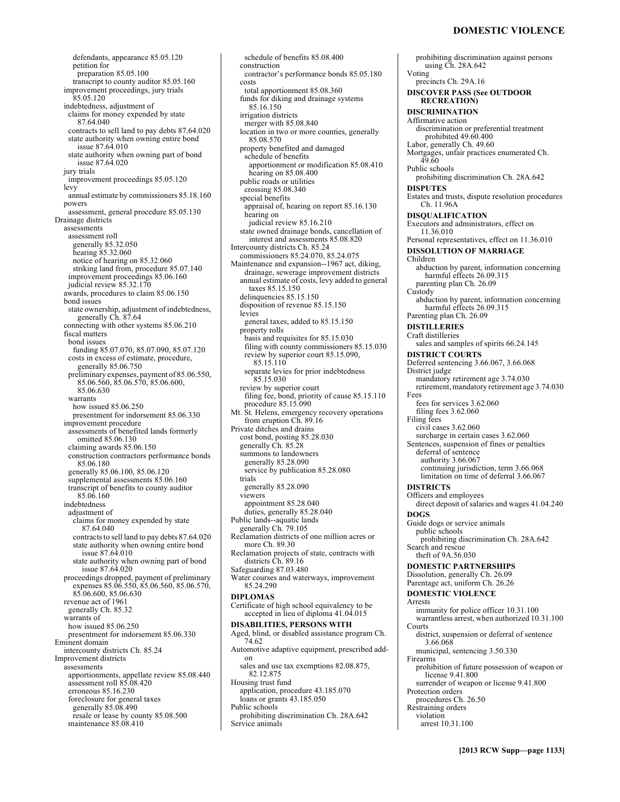# **DOMESTIC VIOLENCE**

defendants, appearance 85.05.120 petition for preparation 85.05.100 transcript to county auditor 85.05.160 improvement proceedings, jury trials 85.05.120 indebtedness, adjustment of claims for money expended by state 87.64.040 contracts to sell land to pay debts 87.64.020 state authority when owning entire bond issue 87.64.010 state authority when owning part of bond issue 87.64.020 jury trials improvement proceedings 85.05.120 levy annual estimate by commissioners 85.18.160 powers assessment, general procedure 85.05.130 Drainage districts assessments assessment roll generally 85.32.050 hearing 85.32.060 notice of hearing on 85.32.060 striking land from, procedure 85.07.140 improvement proceedings 85.06.160 judicial review 85.32.170 awards, procedures to claim 85.06.150 bond issues state ownership, adjustment of indebtedness, generally Ch. 87.64 connecting with other systems 85.06.210 fiscal matters bond issues funding 85.07.070, 85.07.090, 85.07.120 costs in excess of estimate, procedure, generally 85.06.750 preliminary expenses, payment of 85.06.550, 85.06.560, 85.06.570, 85.06.600, 85.06.630 warrants how issued 85.06.250 presentment for indorsement 85.06.330 improvement procedure assessments of benefited lands formerly omitted 85.06.130 claiming awards 85.06.150 construction contractors performance bonds 85.06.180 generally 85.06.100, 85.06.120 supplemental assessments 85.06.160 transcript of benefits to county auditor 85.06.160 indebtedness adjustment of claims for money expended by state 87.64.040 contracts to sell land to pay debts 87.64.020 state authority when owning entire bond issue 87.64.010 state authority when owning part of bond issue 87.64.020 proceedings dropped, payment of preliminary expenses 85.06.550, 85.06.560, 85.06.570, 85.06.600, 85.06.630 revenue act of 1961 generally Ch. 85.32 warrants of how issued 85.06.250 presentment for indorsement 85.06.330 Eminent domain intercounty districts Ch. 85.24 Improvement districts <u>.</u><br>assessments apportionments, appellate review 85.08.440 assessment roll 85.08.420 erroneous 85.16.230 foreclosure for general taxes generally 85.08.490 resale or lease by county 85.08.500 maintenance 85.08.410

construction contractor's performance bonds 85.05.180 costs total apportionment 85.08.360 funds for diking and drainage systems 85.16.150 irrigation districts merger with 85.08.840 location in two or more counties, generally 85.08.570 property benefited and damaged schedule of benefits apportionment or modification 85.08.410 hearing on 85.08.400 public roads or utilities crossing 85.08.340 special benefits appraisal of, hearing on report 85.16.130 hearing on judicial review 85.16.210 state owned drainage bonds, cancellation of interest and assessments 85.08.820 Intercounty districts Ch. 85.24 commissioners 85.24.070, 85.24.075 Maintenance and expansion--1967 act, diking, drainage, sewerage improvement districts annual estimate of costs, levy added to general taxes 85.15.150 delinquencies 85.15.150 disposition of revenue 85.15.150 levies general taxes, added to 85.15.150 property rolls basis and requisites for 85.15.030 filing with county commissioners 85.15.030 review by superior court 85.15.090, 85.15.110 separate levies for prior indebtedness 85.15.030 review by superior court filing fee, bond, priority of cause 85.15.110 procedure 85.15.090 Mt. St. Helens, emergency recovery operations from eruption Ch. 89.16 Private ditches and drains cost bond, posting 85.28.030 generally Ch. 85.28 summons to landowners generally 85.28.090 service by publication 85.28.080 trials generally 85.28.090 viewers appointment 85.28.040 duties, generally 85.28.040 Public lands--aquatic lands generally Ch. 79.105 Reclamation districts of one million acres or more Ch. 89.30 Reclamation projects of state, contracts with districts Ch. 89.16 Safeguarding 87.03.480 Water courses and waterways, improvement 85.24.290 **DIPLOMAS**  Certificate of high school equivalency to be accepted in lieu of diploma 41.04.015 **DISABILITIES, PERSONS WITH**  Aged, blind, or disabled assistance program Ch. 74.62 Automotive adaptive equipment, prescribed addon sales and use tax exemptions 82.08.875, 82.12.875 Housing trust fund application, procedure 43.185.070 loans or grants 43.185.050 Public schools prohibiting discrimination Ch. 28A.642 Service animals

schedule of benefits 85.08.400

prohibiting discrimination against persons using Ch. 28A.642 Voting precincts Ch. 29A.16 **DISCOVER PASS (See OUTDOOR RECREATION) DISCRIMINATION**  Affirmative action discrimination or preferential treatment prohibited 49.60.400 Labor, generally Ch. 49.60 Mortgages, unfair practices enumerated Ch. 49.60 Public schools prohibiting discrimination Ch. 28A.642 **DISPUTES**  Estates and trusts, dispute resolution procedures Ch. 11.96A **DISQUALIFICATION**  Executors and administrators, effect on 11.36.010 Personal representatives, effect on 11.36.010 **DISSOLUTION OF MARRIAGE**  Children abduction by parent, information concerning harmful effects 26.09.315 parenting plan Ch. 26.09 Custody abduction by parent, information concerning harmful effects 26.09.315 Parenting plan Ch. 26.09 **DISTILLERIES**  Craft distilleries sales and samples of spirits 66.24.145 **DISTRICT COURTS**  Deferred sentencing 3.66.067, 3.66.068 District judge mandatory retirement age 3.74.030 retirement, mandatory retirement age 3.74.030 Fees fees for services 3.62.060 filing fees 3.62.060 Filing fees civil cases 3.62.060 surcharge in certain cases 3.62.060 Sentences, suspension of fines or penalties deferral of sentence authority 3.66.067 continuing jurisdiction, term 3.66.068 limitation on time of deferral 3.66.067 **DISTRICTS**  Officers and employees direct deposit of salaries and wages 41.04.240 **DOGS**  Guide dogs or service animals public schools prohibiting discrimination Ch. 28A.642 Search and rescue theft of 9A.56.030 **DOMESTIC PARTNERSHIPS**  Dissolution, generally Ch. 26.09 Parentage act, uniform Ch. 26.26 **DOMESTIC VIOLENCE**  Arrests immunity for police officer 10.31.100 warrantless arrest, when authorized 10.31.100 Courts district, suspension or deferral of sentence 3.66.068 municipal, sentencing 3.50.330 Firearms prohibition of future possession of weapon or license 9.41.800 surrender of weapon or license 9.41.800 Protection orders procedures Ch. 26.50 Restraining orders violation arrest 10.31.100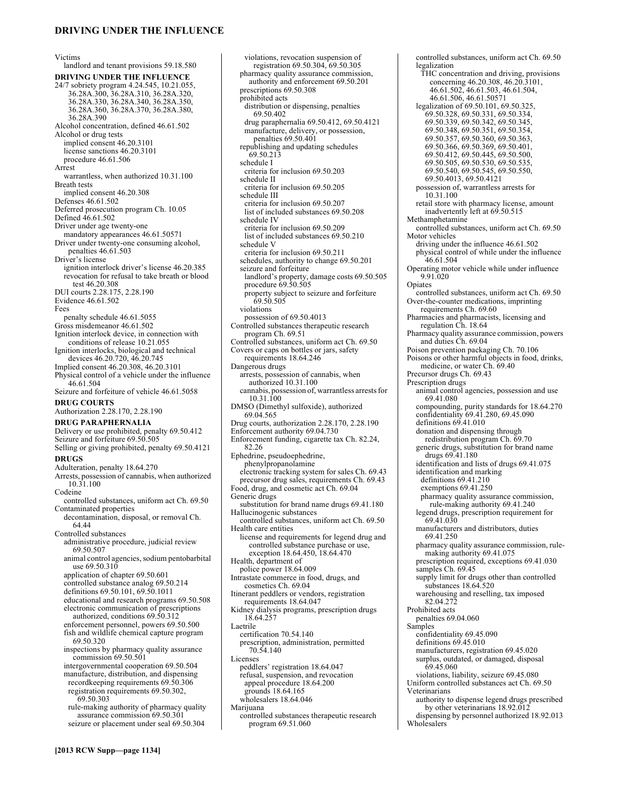# **DRIVING UNDER THE INFLUENCE**

Victims

landlord and tenant provisions 59.18.580 **DRIVING UNDER THE INFLUENCE**  24/7 sobriety program 4.24.545, 10.21.055, 36.28A.300, 36.28A.310, 36.28A.320, 36.28A.330, 36.28A.340, 36.28A.350, 36.28A.360, 36.28A.370, 36.28A.380, 36.28A.390 Alcohol concentration, defined 46.61.502 Alcohol or drug tests implied consent 46.20.3101 license sanctions 46.20.3101 procedure 46.61.506 Arrest warrantless, when authorized 10.31.100 Breath tests implied consent 46.20.308 Defenses 46.61.502 Deferred prosecution program Ch. 10.05 Defined 46.61.502 Driver under age twenty-one mandatory appearances 46.61.50571 Driver under twenty-one consuming alcohol, penalties 46.61.503 Driver's license ignition interlock driver's license 46.20.385 revocation for refusal to take breath or blood test 46.20.308 DUI courts 2.28.175, 2.28.190 Evidence 46.61.502 Fees penalty schedule 46.61.5055 Gross misdemeanor 46.61.502 Ignition interlock device, in connection with conditions of release 10.21.055 Ignition interlocks, biological and technical devices 46.20.720, 46.20.745 Implied consent 46.20.308, 46.20.3101 Physical control of a vehicle under the influence 46.61.504 Seizure and forfeiture of vehicle 46.61.5058 **DRUG COURTS**  Authorization 2.28.170, 2.28.190 **DRUG PARAPHERNALIA**  Delivery or use prohibited, penalty 69.50.412 Seizure and forfeiture 69.50.505 Selling or giving prohibited, penalty 69.50.4121 **DRUGS**  Adulteration, penalty 18.64.270 Arrests, possession of cannabis, when authorized 10.31.100 Codeine controlled substances, uniform act Ch. 69.50 Contaminated properties decontamination, disposal, or removal Ch. 64.44 Controlled substances administrative procedure, judicial review 69.50.507 animal control agencies, sodium pentobarbital use 69.50.310 application of chapter 69.50.601 controlled substance analog 69.50.214 definitions 69.50.101, 69.50.1011 educational and research programs 69.50.508 electronic communication of prescriptions authorized, conditions 69.50.312 enforcement personnel, powers 69.50.500 fish and wildlife chemical capture program 69.50.320 inspections by pharmacy quality assurance commission 69.50.501 intergovernmental cooperation 69.50.504 manufacture, distribution, and dispensing recordkeeping requirements 69.50.306 registration requirements 69.50.302, 69.50.303 rule-making authority of pharmacy quality assurance commission 69.50.301 seizure or placement under seal 69.50.304

violations, revocation suspension of registration 69.50.304, 69.50.305 pharmacy quality assurance commission, authority and enforcement 69.50.201 prescriptions 69.50.308 prohibited acts distribution or dispensing, penalties 69.50.402 drug paraphernalia 69.50.412, 69.50.4121 manufacture, delivery, or possession, penalties 69.50.401 republishing and updating schedules 69.50.213 schedule I criteria for inclusion 69.50.203 schedule II criteria for inclusion 69.50.205 schedule III criteria for inclusion 69.50.207 list of included substances 69.50.208 schedule IV criteria for inclusion 69.50.209 list of included substances 69.50.210 schedule V criteria for inclusion 69.50.211 schedules, authority to change 69.50.201 seizure and forfeiture landlord's property, damage costs 69.50.505 procedure 69.50.505 property subject to seizure and forfeiture 69.50.505 violations possession of 69.50.4013 Controlled substances therapeutic research program Ch. 69.51 Controlled substances, uniform act Ch. 69.50 Covers or caps on bottles or jars, safety requirements 18.64.246 Dangerous drugs arrests, possession of cannabis, when authorized 10.31.100 cannabis, possession of, warrantless arrests for 10.31.100 DMSO (Dimethyl sulfoxide), authorized 69.04.565 Drug courts, authorization 2.28.170, 2.28.190 Enforcement authority 69.04.730 Enforcement funding, cigarette tax Ch. 82.24, 82.26 Ephedrine, pseudoephedrine, phenylpropanolamine electronic tracking system for sales Ch. 69.43 precursor drug sales, requirements Ch. 69.43 Food, drug, and cosmetic act Ch. 69.04 Generic drugs substitution for brand name drugs 69.41.180 Hallucinogenic substances controlled substances, uniform act Ch. 69.50 Health care entities license and requirements for legend drug and controlled substance purchase or use, exception 18.64.450, 18.64.470 Health, department of police power 18.64.009 Intrastate commerce in food, drugs, and cosmetics Ch. 69.04 Itinerant peddlers or vendors, registration requirements 18.64.047 Kidney dialysis programs, prescription drugs 18.64.257 Laetrile certification 70.54.140 prescription, administration, permitted 70.54.140 Licenses peddlers' registration 18.64.047 refusal, suspension, and revocation appeal procedure 18.64.200 grounds 18.64.165 wholesalers 18.64.046 Marijuana

controlled substances therapeutic research program 69.51.060

legalization THC concentration and driving, provisions concerning 46.20.308, 46.20.3101, 46.61.502, 46.61.503, 46.61.504, 46.61.506, 46.61.50571 legalization of 69.50.101, 69.50.325, 69.50.328, 69.50.331, 69.50.334, 69.50.339, 69.50.342, 69.50.345, 69.50.348, 69.50.351, 69.50.354, 69.50.357, 69.50.360, 69.50.363, 69.50.366, 69.50.369, 69.50.401, 69.50.412, 69.50.445, 69.50.500, 69.50.505, 69.50.530, 69.50.535, 69.50.540, 69.50.545, 69.50.550, 69.50.4013, 69.50.4121 possession of, warrantless arrests for 10.31.100 retail store with pharmacy license, amount inadvertently left at 69.50.515 Methamphetamine controlled substances, uniform act Ch. 69.50 Motor vehicles driving under the influence 46.61.502 physical control of while under the influence 46.61.504 Operating motor vehicle while under influence 9.91.020 **Opiates** controlled substances, uniform act Ch. 69.50 Over-the-counter medications, imprinting requirements Ch. 69.60 Pharmacies and pharmacists, licensing and regulation Ch. 18.64 Pharmacy quality assurance commission, powers and duties Ch. 69.04 Poison prevention packaging Ch. 70.106 Poisons or other harmful objects in food, drinks, medicine, or water Ch. 69.40 Precursor drugs Ch. 69.43 Prescription drugs animal control agencies, possession and use 69.41.080 compounding, purity standards for 18.64.270 confidentiality 69.41.280, 69.45.090 definitions 69.41.010 donation and dispensing through redistribution program Ch. 69.70 generic drugs, substitution for brand name drugs 69.41.180 identification and lists of drugs 69.41.075 identification and marking definitions 69.41.210 exemptions 69.41.250 pharmacy quality assurance commission, rule-making authority 69.41.240 legend drugs, prescription requirement for 69.41.030 manufacturers and distributors, duties 69.41.250 pharmacy quality assurance commission, rulemaking authority 69.41.075 prescription required, exceptions 69.41.030 samples Ch. 69.45 supply limit for drugs other than controlled substances 18.64.520 warehousing and reselling, tax imposed 82.04.272 Prohibited acts penalties 69.04.060 Samples confidentiality 69.45.090 definitions 69.45.010 manufacturers, registration 69.45.020 surplus, outdated, or damaged, disposal 69.45.060 violations, liability, seizure 69.45.080 Uniform controlled substances act Ch. 69.50 Veterinarians authority to dispense legend drugs prescribed by other veterinarians 18.92.012

controlled substances, uniform act Ch. 69.50

dispensing by personnel authorized 18.92.013 Wholesalers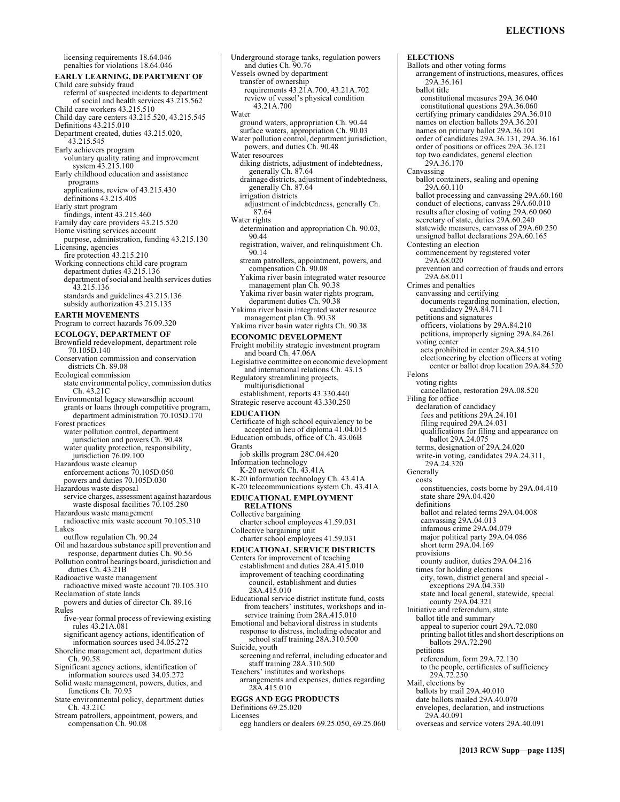licensing requirements 18.64.046 penalties for violations 18.64.046 **EARLY LEARNING, DEPARTMENT OF**  Child care subsidy fraud referral of suspected incidents to department of social and health services 43.215.562 Child care workers 43.215.510 Child day care centers 43.215.520, 43.215.545 Definitions 43.215.010 Department created, duties 43.215.020, 43.215.545 Early achievers program voluntary quality rating and improvement system 43.215.100 Early childhood education and assistance programs applications, review of 43.215.430 definitions 43.215.405 Early start program findings, intent 43.215.460 Family day care providers 43.215.520 Home visiting services account purpose, administration, funding 43.215.130 Licensing, agencies fire protection 43.215.210 Working connections child care program department duties 43.215.136 department of social and health services duties 43.215.136 standards and guidelines 43.215.136 subsidy authorization 43.215.135 **EARTH MOVEMENTS**  Program to correct hazards 76.09.320 **ECOLOGY, DEPARTMENT OF**  Brownfield redevelopment, department role 70.105D.140 Conservation commission and conservation districts Ch. 89.08 Ecological commission state environmental policy, commission duties Ch. 43.21C Environmental legacy stewarsdhip account grants or loans through competitive program, department administration 70.105D.170 Forest practices water pollution control, department jurisdiction and powers Ch. 90.48 water quality protection, responsibility, jurisdiction 76.09.100 Hazardous waste cleanup enforcement actions 70.105D.050 powers and duties 70.105D.030 Hazardous waste disposal service charges, assessment against hazardous waste disposal facilities  $70.105.280$ Hazardous waste management radioactive mix waste account 70.105.310 Lakes outflow regulation Ch. 90.24 Oil and hazardous substance spill prevention and response, department duties Ch. 90.56 Pollution control hearings board, jurisdiction and duties Ch. 43.21B Radioactive waste management radioactive mixed waste account 70.105.310 Reclamation of state lands powers and duties of director Ch. 89.16 Rules five-year formal process of reviewing existing rules 43.21A.081 significant agency actions, identification of information sources used 34.05.272 Shoreline management act, department duties Ch. 90.58 Significant agency actions, identification of information sources used 34.05.272 Solid waste management, powers, duties, and functions Ch. 70.95 State environmental policy, department duties Ch. 43.21C

Water

Grants

Licenses

egg handlers or dealers 69.25.050, 69.25.060

Stream patrollers, appointment, powers, and compensation Ch. 90.08

Underground storage tanks, regulation powers and duties Ch. 90.76 Vessels owned by department transfer of ownership requirements 43.21A.700, 43.21A.702 review of vessel's physical condition 43.21A.700 ground waters, appropriation Ch. 90.44 surface waters, appropriation Ch. 90.03 Water pollution control, department jurisdiction, powers, and duties Ch. 90.48 Water resources diking districts, adjustment of indebtedness, generally Ch. 87.64 drainage districts, adjustment of indebtedness, generally Ch. 87.64 irrigation districts adjustment of indebtedness, generally Ch. 87.64 Water rights determination and appropriation Ch. 90.03, 90.44 registration, waiver, and relinquishment Ch. 90.14 stream patrollers, appointment, powers, and compensation Ch. 90.08 Yakima river basin integrated water resource management plan Ch. 90.38 Yakima river basin water rights program, department duties Ch. 90.38 Yakima river basin integrated water resource management plan Ch. 90.38 Yakima river basin water rights Ch. 90.38 **ECONOMIC DEVELOPMENT**  Freight mobility strategic investment program and board Ch. 47.06A Legislative committee on economic development and international relations Ch. 43.15 Regulatory streamlining projects, multijurisdictional establishment, reports 43.330.440 Strategic reserve account 43.330.250 **EDUCATION**  Certificate of high school equivalency to be accepted in lieu of diploma 41.04.015 Education ombuds, office of Ch. 43.06B job skills program 28C.04.420 Information technology K-20 network Ch. 43.41A K-20 information technology Ch. 43.41A K-20 telecommunications system Ch. 43.41A **EDUCATIONAL EMPLOYMENT RELATIONS**  Collective bargaining charter school employees 41.59.031 Collective bargaining unit charter school employees 41.59.031 **EDUCATIONAL SERVICE DISTRICTS**  Centers for improvement of teaching establishment and duties 28A.415.010 improvement of teaching coordinating council, establishment and duties 28A.415.010 Educational service district institute fund, costs from teachers' institutes, workshops and inservice training from 28A.415.010 Emotional and behavioral distress in students response to distress, including educator and school staff training 28A.310.500 Suicide, youth screening and referral, including educator and staff training 28A.310.500 Teachers' institutes and workshops arrangements and expenses, duties regarding 28A.415.010 **EGGS AND EGG PRODUCTS**  Definitions 69.25.020 **ELECTIONS**  Ballots and other voting forms arrangement of instructions, measures, offices 29A.36.161 ballot title constitutional measures 29A.36.040 constitutional questions 29A.36.060 Canvassing Felons **Generally** costs

certifying primary candidates 29A.36.010 names on election ballots 29A.36.201 names on primary ballot 29A.36.101 order of candidates 29A.36.131, 29A.36.161 order of positions or offices 29A.36.121 top two candidates, general election 29A.36.170 ballot containers, sealing and opening 29A.60.110 ballot processing and canvassing 29A.60.160 conduct of elections, canvass 29A.60.010 results after closing of voting 29A.60.060 secretary of state, duties  $29\overline{A}$ .60.240 statewide measures, canvass of 29A.60.250 unsigned ballot declarations 29A.60.165 Contesting an election commencement by registered voter 29A.68.020 prevention and correction of frauds and errors 29A.68.011 Crimes and penalties canvassing and certifying documents regarding nomination, election, candidacy 29A.84.711 petitions and signatures officers, violations by 29A.84.210 petitions, improperly signing 29A.84.261 voting center acts prohibited in center 29A.84.510 electioneering by election officers at voting center or ballot drop location 29A.84.520 voting rights cancellation, restoration 29A.08.520 Filing for office declaration of candidacy fees and petitions 29A.24.101 filing required 29A.24.031 qualifications for filing and appearance on ballot 29A.24.075 terms, designation of 29A.24.020 write-in voting, candidates 29A.24.311, 29A.24.320 constituencies, costs borne by 29A.04.410 state share 29A.04.420 definitions ballot and related terms 29A.04.008 canvassing 29A.04.013 infamous crime 29A.04.079 major political party 29A.04.086 short term 29A.04.169 provisions county auditor, duties 29A.04.216 times for holding elections city, town, district general and special exceptions 29A.04.330 state and local general, statewide, special county 29A.04.321 Initiative and referendum, state ballot title and summary appeal to superior court 29A.72.080 printing ballot titles and short descriptions on ballots 29A.72.290 petitions referendum, form 29A.72.130 to the people, certificates of sufficiency 29A.72.250 Mail, elections by ballots by mail 29A.40.010 date ballots mailed 29A.40.070 envelopes, declaration, and instructions 29A.40.091

overseas and service voters 29A.40.091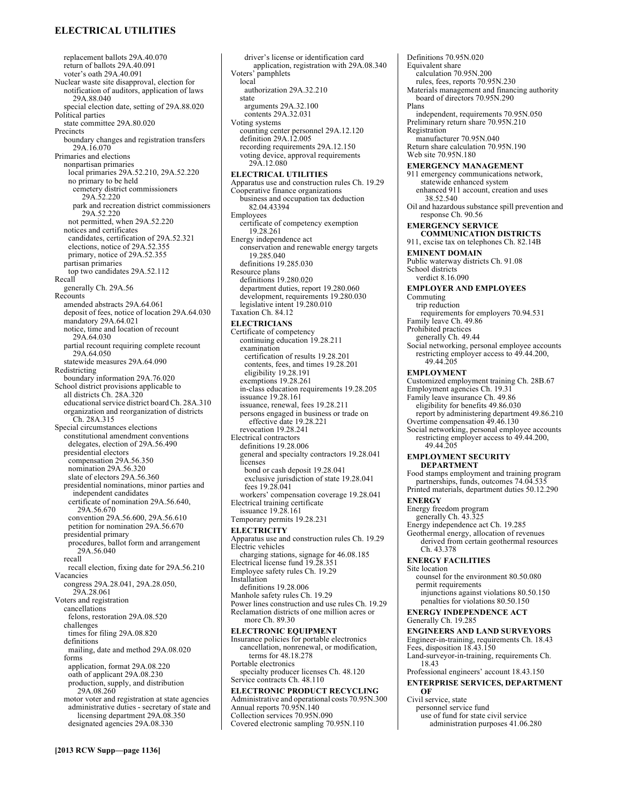# **ELECTRICAL UTILITIES**

replacement ballots 29A.40.070 return of ballots 29A.40.091 voter's oath 29A.40.091 Nuclear waste site disapproval, election for notification of auditors, application of laws 29A.88.040 special election date, setting of 29A.88.020 Political parties state committee 29A.80.020 **Precincts** boundary changes and registration transfers 29A.16.070 Primaries and elections nonpartisan primaries local primaries 29A.52.210, 29A.52.220 no primary to be held cemetery district commissioners 29A.52.220 park and recreation district commissioners 29A.52.220 not permitted, when 29A.52.220 notices and certificates candidates, certification of 29A.52.321 elections, notice of 29A.52.355 primary, notice of 29A.52.355 partisan primaries top two candidates 29A.52.112 Recall generally Ch. 29A.56 Recounts amended abstracts 29A.64.061 deposit of fees, notice of location 29A.64.030 mandatory 29A.64.021 notice, time and location of recount 29A.64.030 partial recount requiring complete recount 29A.64.050 statewide measures 29A.64.090 Redistricting boundary information 29A.76.020 School district provisions applicable to all districts Ch. 28A.320 educational service district board Ch. 28A.310 organization and reorganization of districts Ch. 28A.315 Special circumstances elections constitutional amendment conventions delegates, election of 29A.56.490 presidential electors compensation 29A.56.350 nomination 29A.56.320 slate of electors 29A.56.360 presidential nominations, minor parties and independent candidates certificate of nomination 29A.56.640, 29A.56.670 convention 29A.56.600, 29A.56.610 petition for nomination 29A.56.670 presidential primary procedures, ballot form and arrangement 29A.56.040 recall recall election, fixing date for 29A.56.210 Vacancies congress 29A.28.041, 29A.28.050, 29A.28.061 Voters and registration cancellations felons, restoration 29A.08.520 challenges times for filing 29A.08.820 definitions mailing, date and method 29A.08.020 forms application, format 29A.08.220 oath of applicant 29A.08.230 production, supply, and distribution 29A.08.260 motor voter and registration at state agencies administrative duties - secretary of state and licensing department 29A.08.350 designated agencies 29A.08.330

driver's license or identification card application, registration with 29A.08.340 Voters' pamphlets local authorization 29A.32.210 state arguments 29A.32.100 contents 29A.32.031 Voting systems counting center personnel 29A.12.120 definition 29A.12.005 recording requirements 29A.12.150 voting device, approval requirements 29A.12.080 **ELECTRICAL UTILITIES**  Apparatus use and construction rules Ch. 19.29 Cooperative finance organizations business and occupation tax deduction 82.04.43394 Employees certificate of competency exemption 19.28.261 Energy independence act conservation and renewable energy targets 19.285.040 definitions 19.285.030 Resource plans definitions 19.280.020 department duties, report 19.280.060 development, requirements 19.280.030 legislative intent 19.280.010 Taxation Ch. 84.12 **ELECTRICIANS**  Certificate of competency continuing education 19.28.211 examination certification of results 19.28.201 contents, fees, and times 19.28.201 eligibility 19.28.191 exemptions 19.28.261 in-class education requirements 19.28.205 issuance 19.28.161 issuance, renewal, fees 19.28.211 persons engaged in business or trade on effective date 19.28.221 revocation 19.28.241 Electrical contractors definitions 19.28.006 general and specialty contractors 19.28.041 licenses bond or cash deposit 19.28.041 exclusive jurisdiction of state 19.28.041 fees 19.28.041 workers' compensation coverage 19.28.041 Electrical training certificate issuance 19.28.161 Temporary permits 19.28.231 **ELECTRICITY**  Apparatus use and construction rules Ch. 19.29 Electric vehicles charging stations, signage for 46.08.185 Electrical license fund 19.28.351 Employee safety rules Ch. 19.29 Installation definitions 19.28.006 Manhole safety rules Ch. 19.29 Power lines construction and use rules Ch. 19.29 Reclamation districts of one million acres or more Ch. 89.30 **ELECTRONIC EQUIPMENT**  Insurance policies for portable electronics cancellation, nonrenewal, or modification, terms for 48.18.278 Portable electronics specialty producer licenses Ch. 48.120 Service contracts Ch. 48.110 **ELECTRONIC PRODUCT RECYCLING**  Administrative and operational costs 70.95N.300 Annual reports 70.95N.140 Collection services 70.95N.090

Covered electronic sampling 70.95N.110

Definitions 70.95N.020 Equivalent share calculation 70.95N.200 rules, fees, reports 70.95N.230 Materials management and financing authority board of directors 70.95N.290 Plans independent, requirements 70.95N.050 Preliminary return share 70.95N.210 Registration manufacturer 70.95N.040 Return share calculation 70.95N.190 Web site 70.95N.180 **EMERGENCY MANAGEMENT**  911 emergency communications network, statewide enhanced system enhanced 911 account, creation and uses 38.52.540 Oil and hazardous substance spill prevention and response Ch. 90.56 **EMERGENCY SERVICE COMMUNICATION DISTRICTS**  911, excise tax on telephones Ch. 82.14B **EMINENT DOMAIN**  Public waterway districts Ch. 91.08 School districts verdict 8.16.090 **EMPLOYER AND EMPLOYEES**  Commuting trip reduction requirements for employers 70.94.531 Family leave Ch. 49.86 Prohibited practices generally Ch. 49.44 Social networking, personal employee accounts restricting employer access to 49.44.200, 49.44.205 **EMPLOYMENT**  Customized employment training Ch. 28B.67 Employment agencies Ch. 19.31 Family leave insurance Ch. 49.86 eligibility for benefits 49.86.030 report by administering department 49.86.210 Overtime compensation 49.46.130 Social networking, personal employee accounts restricting employer access to 49.44.200, 49.44.205 **EMPLOYMENT SECURITY DEPARTMENT**  Food stamps employment and training program partnerships, funds, outcomes 74.04.535 Printed materials, department duties 50.12.290 **ENERGY**  Energy freedom program generally Ch. 43.325 Energy independence act Ch. 19.285 Geothermal energy, allocation of revenues derived from certain geothermal resources Ch. 43.378 **ENERGY FACILITIES**  Site location counsel for the environment 80.50.080 permit requirements injunctions against violations 80.50.150 penalties for violations 80.50.150 **ENERGY INDEPENDENCE ACT**  Generally Ch. 19.285 **ENGINEERS AND LAND SURVEYORS**  Engineer-in-training, requirements Ch. 18.43 Fees, disposition 18.43.150 Land-surveyor-in-training, requirements Ch. 18.43 Professional engineers' account 18.43.150 **ENTERPRISE SERVICES, DEPARTMENT OF** 

Civil service, state

- personnel service fund
- use of fund for state civil service administration purposes 41.06.280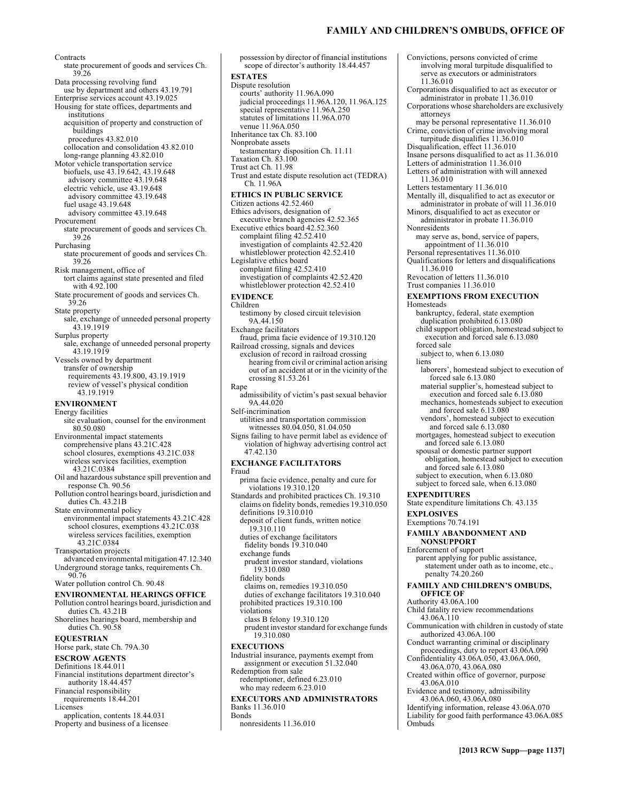# **FAMILY AND CHILDREN'S OMBUDS, OFFICE OF**

**Contracts** state procurement of goods and services Ch. 39.26 Data processing revolving fund use by department and others 43.19.791 Enterprise services account 43.19.025 Housing for state offices, departments and institutions acquisition of property and construction of buildings procedures 43.82.010 collocation and consolidation 43.82.010 long-range planning 43.82.010 Motor vehicle transportation service biofuels, use 43.19.642, 43.19.648 advisory committee 43.19.648 electric vehicle, use 43.19.648 advisory committee 43.19.648 fuel usage 43.19.648 advisory committee 43.19.648 Procurement state procurement of goods and services Ch. 39.26 Purchasing state procurement of goods and services Ch. 39.26 Risk management, office of tort claims against state presented and filed with 4.92.100 State procurement of goods and services Ch. 39.26 State property sale, exchange of unneeded personal property 43.19.1919 Surplus property sale, exchange of unneeded personal property 43.19.1919 Vessels owned by department transfer of ownership requirements 43.19.800, 43.19.1919 review of vessel's physical condition 43.19.1919 **ENVIRONMENT**  Energy facilities site evaluation, counsel for the environment 80.50.080 Environmental impact statements comprehensive plans 43.21C.428 school closures, exemptions 43.21C.038 wireless services facilities, exemption 43.21C.0384 Oil and hazardous substance spill prevention and response Ch. 90.56 Pollution control hearings board, jurisdiction and duties Ch. 43.21B State environmental policy environmental impact statements 43.21C.428 school closures, exemptions 43.21C.038 wireless services facilities, exemption 43.21C.0384 Transportation projects advanced environmental mitigation 47.12.340 Underground storage tanks, requirements Ch. 90.76 Water pollution control Ch. 90.48 **ENVIRONMENTAL HEARINGS OFFICE**  Pollution control hearings board, jurisdiction and duties Ch. 43.21B Shorelines hearings board, membership and duties Ch. 90.58 **EQUESTRIAN**  Horse park, state Ch. 79A.30 **ESCROW AGENTS**  Definitions 18.44.011 Financial institutions department director's authority 18.44.457 Financial responsibility requirements 18.44.201 Licenses

application, contents 18.44.031 Property and business of a licensee

possession by director of financial institutions scope of director's authority 18.44.457 **ESTATES**  Dispute resolution courts' authority 11.96A.090 judicial proceedings 11.96A.120, 11.96A.125 special representative 11.96A.250 statutes of limitations 11.96A.070 venue 11.96A.050 Inheritance tax Ch. 83.100 Nonprobate assets testamentary disposition Ch. 11.11 Taxation Ch. 83.100 Trust act Ch. 11.98 Trust and estate dispute resolution act (TEDRA) Ch. 11.96A **ETHICS IN PUBLIC SERVICE**  Citizen actions 42.52.460 Ethics advisors, designation of executive branch agencies 42.52.365 Executive ethics board 42.52.360 complaint filing 42.52.410 investigation of complaints 42.52.420 whistleblower protection 42.52.410 Legislative ethics board complaint filing 42.52.410 investigation of complaints 42.52.420 whistleblower protection 42.52.410 **EVIDENCE**  Children testimony by closed circuit television 9A.44.150 Exchange facilitators fraud, prima facie evidence of 19.310.120 Railroad crossing, signals and devices exclusion of record in railroad crossing hearing from civil or criminal action arising out of an accident at or in the vicinity of the crossing 81.53.261 Rape admissibility of victim's past sexual behavior 9A.44.020 Self-incrimination utilities and transportation commission witnesses 80.04.050, 81.04.050 Signs failing to have permit label as evidence of violation of highway advertising control act 47.42.130 **EXCHANGE FACILITATORS**  Fraud prima facie evidence, penalty and cure for violations 19.310.120 Standards and prohibited practices Ch. 19.310 claims on fidelity bonds, remedies 19.310.050 definitions 19.310.010 deposit of client funds, written notice 19.310.110 duties of exchange facilitators fidelity bonds 19.310.040 exchange funds prudent investor standard, violations 19.310.080 fidelity bonds claims on, remedies 19.310.050 duties of exchange facilitators 19.310.040 prohibited practices 19.310.100 violations class B felony 19.310.120 prudent investor standard for exchange funds 19.310.080 **EXECUTIONS**  Industrial insurance, payments exempt from assignment or execution 51.32.040 Redemption from sale redemptioner, defined 6.23.010 who may redeem 6.23.010 **EXECUTORS AND ADMINISTRATORS**  Banks 11.36.010 Bonds nonresidents 11.36.010

Convictions, persons convicted of crime involving moral turpitude disqualified to serve as executors or administrators 11.36.010 Corporations disqualified to act as executor or administrator in probate 11.36.010 Corporations whose shareholders are exclusively attorneys may be personal representative 11.36.010 Crime, conviction of crime involving moral turpitude disqualifies 11.36.010 Disqualification, effect 11.36.010 Insane persons disqualified to act as 11.36.010 Letters of administration 11.36.010 Letters of administration with will annexed 11.36.010 Letters testamentary 11.36.010 Mentally ill, disqualified to act as executor or administrator in probate of will 11.36.010 Minors, disqualified to act as executor or administrator in probate 11.36.010 Nonresidents may serve as, bond, service of papers, appointment of 11.36.010 Personal representatives 11.36.010 Qualifications for letters and disqualifications 11.36.010 Revocation of letters 11.36.010 Trust companies 11.36.010 **EXEMPTIONS FROM EXECUTION**  Homesteads bankruptcy, federal, state exemption duplication prohibited 6.13.080 child support obligation, homestead subject to execution and forced sale 6.13.080 forced sale subject to, when 6.13.080 **liens** laborers', homestead subject to execution of forced sale 6.13.080 material supplier's, homestead subject to execution and forced sale 6.13.080 mechanics, homesteads subject to execution and forced sale 6.13.080 vendors', homestead subject to execution and forced sale 6.13.080 mortgages, homestead subject to execution and forced sale 6.13.080 spousal or domestic partner support obligation, homestead subject to execution and forced sale 6.13.080 subject to execution, when 6.13.080 subject to forced sale, when 6.13.080 **EXPENDITURES**  State expenditure limitations Ch. 43.135 **EXPLOSIVES**  Exemptions 70.74.191 **FAMILY ABANDONMENT AND NONSUPPORT**  Enforcement of support parent applying for public assistance, statement under oath as to income, etc., penalty 74.20.260 **FAMILY AND CHILDREN'S OMBUDS, OFFICE OF**  Authority 43.06A.100 Child fatality review recommendations 43.06A.110 Communication with children in custody of state authorized 43.06A.100 Conduct warranting criminal or disciplinary proceedings, duty to report 43.06A.090 Confidentiality 43.06A.050, 43.06A.060, 43.06A.070, 43.06A.080 Created within office of governor, purpose 43.06A.010 Evidence and testimony, admissibility 43.06A.060, 43.06A.080 Identifying information, release 43.06A.070 Liability for good faith performance 43.06A.085

**Ombuds**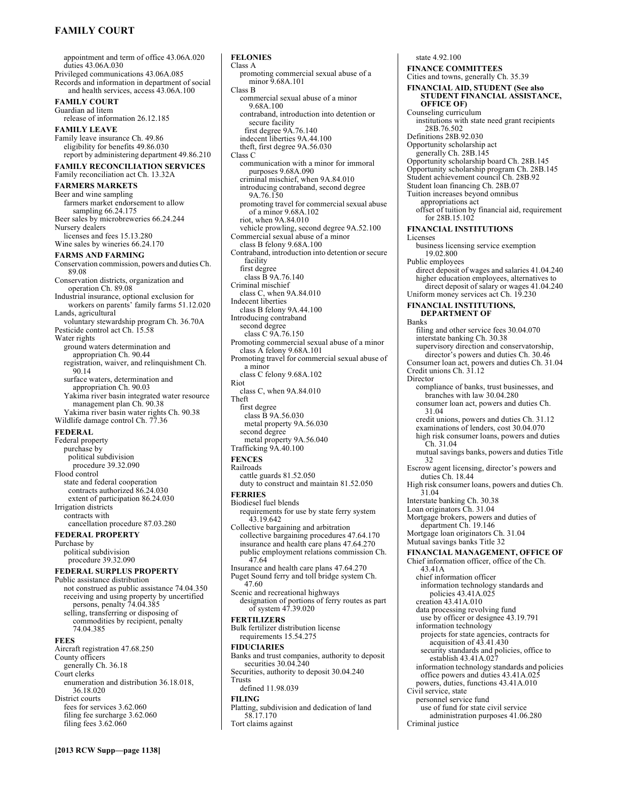# **FAMILY COURT**

appointment and term of office 43.06A.020 duties 43.06A.030 Privileged communications 43.06A.085 Records and information in department of social and health services, access 43.06A.100 **FAMILY COURT**  Guardian ad litem release of information 26.12.185 **FAMILY LEAVE**  Family leave insurance Ch. 49.86 eligibility for benefits 49.86.030 report by administering department 49.86.210 **FAMILY RECONCILIATION SERVICES**  Family reconciliation act Ch. 13.32A **FARMERS MARKETS**  Beer and wine sampling farmers market endorsement to allow sampling 66.24.175 Beer sales by microbreweries 66.24.244 Nursery dealers licenses and fees 15.13.280 Wine sales by wineries 66.24.170 **FARMS AND FARMING**  Conservation commission, powers and duties Ch. 89.08 Conservation districts, organization and operation Ch. 89.08 Industrial insurance, optional exclusion for workers on parents' family farms 51.12.020 Lands, agricultural voluntary stewardship program Ch. 36.70A Pesticide control act Ch. 15.58 Water rights ground waters determination and appropriation Ch. 90.44 registration, waiver, and relinquishment Ch. 90.14 surface waters, determination and appropriation Ch. 90.03 Yakima river basin integrated water resource management plan Ch. 90.38 Yakima river basin water rights Ch. 90.38 Wildlife damage control Ch. 77.36 **FEDERAL**  Federal property purchase by political subdivision procedure 39.32.090 Flood control state and federal cooperation contracts authorized 86.24.030 extent of participation 86.24.030 Irrigation districts contracts with cancellation procedure 87.03.280 **FEDERAL PROPERTY**  Purchase by political subdivision procedure 39.32.090 **FEDERAL SURPLUS PROPERTY**  Public assistance distribution not construed as public assistance 74.04.350 receiving and using property by uncertified persons, penalty 74.04.385 selling, transferring or disposing of commodities by recipient, penalty 74.04.385 **FEES**  Aircraft registration 47.68.250 County officers generally Ch. 36.18 Court clerks enumeration and distribution 36.18.018, 36.18.020 District courts fees for services 3.62.060 filing fee surcharge 3.62.060 filing fees 3.62.060

**FELONIES**  Class A promoting commercial sexual abuse of a minor 9.68A.101 Class B commercial sexual abuse of a minor 9.68A.100 contraband, introduction into detention or secure facility first degree 9A.76.140 indecent liberties 9A.44.100 theft, first degree 9A.56.030 Class C communication with a minor for immoral purposes 9.68A.090 criminal mischief, when 9A.84.010 introducing contraband, second degree 9A.76.150 promoting travel for commercial sexual abuse of a minor 9.68A.102 riot, when 9A.84.010 vehicle prowling, second degree 9A.52.100 Commercial sexual abuse of a minor class B felony 9.68A.100 Contraband, introduction into detention or secure facility first degree class B 9A.76.140 Criminal mischief class C, when 9A.84.010 Indecent liberties class B felony 9A.44.100 Introducing contraband second degree class C 9A.76.150 Promoting commercial sexual abuse of a minor class A felony 9.68A.101 Promoting travel for commercial sexual abuse of a minor class C felony 9.68A.102 Riot class C, when 9A.84.010 Theft first degree class B 9A.56.030 metal property 9A.56.030 second degree metal property 9A.56.040 Trafficking 9A.40.100 **FENCES**  Railroads cattle guards 81.52.050 duty to construct and maintain 81.52.050 **FERRIES**  Biodiesel fuel blends requirements for use by state ferry system 43.19.642 Collective bargaining and arbitration collective bargaining procedures 47.64.170 insurance and health care plans 47.64.270 public employment relations commission Ch. 47.64 Insurance and health care plans 47.64.270 Puget Sound ferry and toll bridge system Ch. 47.60 Scenic and recreational highways designation of portions of ferry routes as part of system 47.39.020 **FERTILIZERS**  Bulk fertilizer distribution license requirements 15.54.275 **FIDUCIARIES**  Banks and trust companies, authority to deposit securities 30.04.240 Securities, authority to deposit 30.04.240 Trusts defined 11.98.039 **FILING**  Platting, subdivision and dedication of land 58.17.170 Tort claims against

state 4.92.100 **FINANCE COMMITTEES**  Cities and towns, generally Ch. 35.39 **FINANCIAL AID, STUDENT (See also STUDENT FINANCIAL ASSISTANCE, OFFICE OF)**  Counseling curriculum institutions with state need grant recipients 28B.76.502 Definitions 28B.92.030 Opportunity scholarship act generally Ch. 28B.145 Opportunity scholarship board Ch. 28B.145 Opportunity scholarship program Ch. 28B.145 Student achievement council Ch. 28B.92 Student loan financing Ch. 28B.07 Tuition increases beyond omnibus appropriations act offset of tuition by financial aid, requirement for 28B.15.102 **FINANCIAL INSTITUTIONS**  Licenses business licensing service exemption 19.02.800 Public employees direct deposit of wages and salaries 41.04.240 higher education employees, alternatives to direct deposit of salary or wages 41.04.240 Uniform money services act Ch. 19.230 **FINANCIAL INSTITUTIONS, DEPARTMENT OF**  Banks filing and other service fees 30.04.070 interstate banking Ch. 30.38 supervisory direction and conservatorship, director's powers and duties Ch. 30.46 Consumer loan act, powers and duties Ch. 31.04 Credit unions Ch. 31.12 Director compliance of banks, trust businesses, and branches with law 30.04.280 consumer loan act, powers and duties Ch. 31.04 credit unions, powers and duties Ch. 31.12 examinations of lenders, cost 30.04.070 high risk consumer loans, powers and duties Ch. 31.04 mutual savings banks, powers and duties Title 32 Escrow agent licensing, director's powers and duties Ch. 18.44 High risk consumer loans, powers and duties Ch. 31.04 Interstate banking Ch. 30.38 Loan originators Ch. 31.04 Mortgage brokers, powers and duties of department Ch. 19.146 Mortgage loan originators Ch. 31.04 Mutual savings banks Title 32 **FINANCIAL MANAGEMENT, OFFICE OF**  Chief information officer, office of the Ch. 43.41A chief information officer information technology standards and policies 43.41A.025 creation 43.41A.010 data processing revolving fund use by officer or designee 43.19.791 information technology projects for state agencies, contracts for acquisition of 43.41.430 security standards and policies, office to establish 43.41A.027 information technology standards and policies office powers and duties 43.41A.025 powers, duties, functions 43.41A.010 Civil service, state personnel service fund use of fund for state civil service administration purposes 41.06.280 Criminal justice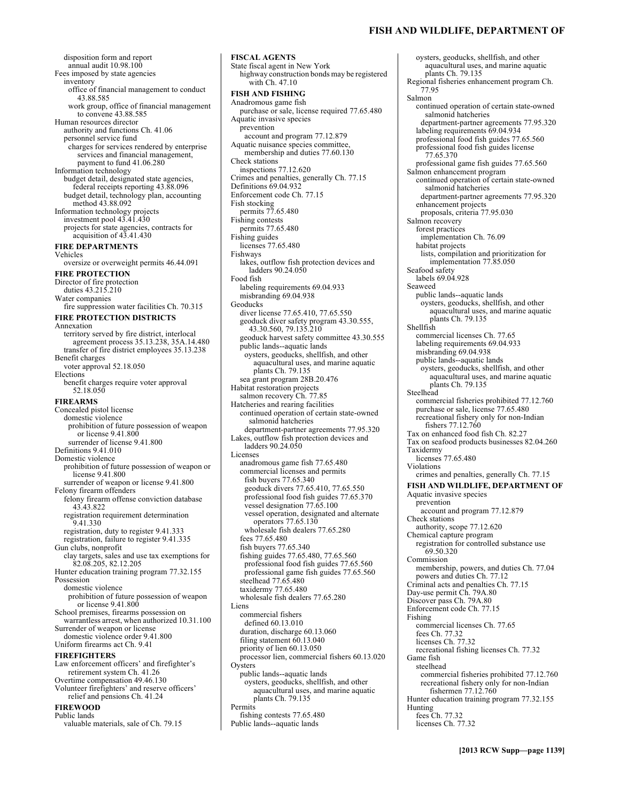### **FISH AND WILDLIFE, DEPARTMENT OF**

disposition form and report annual audit 10.98.100 Fees imposed by state agencies inventory office of financial management to conduct 43.88.585 work group, office of financial management to convene 43.88.585 Human resources director authority and functions Ch. 41.06 personnel service fund charges for services rendered by enterprise services and financial management, payment to fund 41.06.280 Information technology budget detail, designated state agencies, federal receipts reporting 43.88.096 budget detail, technology plan, accounting method 43.88.092 Information technology projects investment pool 43.41.430 projects for state agencies, contracts for acquisition of 43.41.430 **FIRE DEPARTMENTS**  Vehicles oversize or overweight permits 46.44.091 **FIRE PROTECTION**  Director of fire protection duties 43.215.210 Water companies fire suppression water facilities Ch. 70.315 **FIRE PROTECTION DISTRICTS**  Annexation territory served by fire district, interlocal agreement process 35.13.238, 35A.14.480 transfer of fire district employees 35.13.238 Benefit charges voter approval 52.18.050 Elections benefit charges require voter approval 52.18.050 **FIREARMS**  Concealed pistol license domestic violence prohibition of future possession of weapon or license 9.41.800 surrender of license 9.41.800 Definitions 9.41.010 Domestic violence prohibition of future possession of weapon or license 9.41.800 surrender of weapon or license 9.41.800 Felony firearm offenders felony firearm offense conviction database 43.43.822 registration requirement determination 9.41.330 registration, duty to register 9.41.333 registration, failure to register 9.41.335 Gun clubs, nonprofit clay targets, sales and use tax exemptions for 82.08.205, 82.12.205 Hunter education training program 77.32.155 Possession domestic violence prohibition of future possession of weapon or license 9.41.800 School premises, firearms possession on warrantless arrest, when authorized 10.31.100 Surrender of weapon or license domestic violence order 9.41.800 Uniform firearms act Ch. 9.41 **FIREFIGHTERS**  Law enforcement officers' and firefighter's retirement system Ch. 41.26 Overtime compensation 49.46.130 Volunteer firefighters' and reserve officers' relief and pensions Ch. 41.24 **FIREWOOD**  Public lands valuable materials, sale of Ch. 79.15

State fiscal agent in New York highway construction bonds may be registered with Ch. 47.10 **FISH AND FISHING**  Anadromous game fish purchase or sale, license required 77.65.480 Aquatic invasive species prevention account and program 77.12.879 Aquatic nuisance species committee, membership and duties 77.60.130 Check stations inspections 77.12.620 Crimes and penalties, generally Ch. 77.15 Definitions 69.04.932 Enforcement code Ch. 77.15 Fish stocking permits 77.65.480 Fishing contests permits 77.65.480 Fishing guides licenses 77.65.480 Fishways lakes, outflow fish protection devices and ladders 90.24.050 Food fish labeling requirements 69.04.933 misbranding 69.04.938 Geoducks diver license 77.65.410, 77.65.550 geoduck diver safety program 43.30.555, 43.30.560, 79.135.210 geoduck harvest safety committee 43.30.555 public lands--aquatic lands oysters, geoducks, shellfish, and other aquacultural uses, and marine aquatic plants Ch. 79.135 sea grant program 28B.20.476 Habitat restoration projects salmon recovery Ch. 77.85 Hatcheries and rearing facilities continued operation of certain state-owned salmonid hatcheries department-partner agreements 77.95.320 Lakes, outflow fish protection devices and ladders 90.24.050 Licenses anadromous game fish 77.65.480 commercial licenses and permits fish buyers 77.65.340 geoduck divers 77.65.410, 77.65.550 professional food fish guides 77.65.370 vessel designation 77.65.100 vessel operation, designated and alternate operators 77.65.130 wholesale fish dealers 77.65.280 fees 77.65.480 fish buyers 77.65.340 fishing guides 77.65.480, 77.65.560 professional food fish guides 77.65.560 professional game fish guides 77.65.560 steelhead 77.65.480 taxidermy 77.65.480 wholesale fish dealers 77.65.280 Liens commercial fishers defined 60.13.010 duration, discharge 60.13.060 filing statement 60.13.040 priority of lien 60.13.050 processor lien, commercial fishers 60.13.020 **Oysters** public lands--aquatic lands oysters, geoducks, shellfish, and other aquacultural uses, and marine aquatic plants Ch. 79.135 **Permits** fishing contests 77.65.480 Public lands--aquatic lands

**FISCAL AGENTS** 

oysters, geoducks, shellfish, and other aquacultural uses, and marine aquatic plants Ch. 79.135 Regional fisheries enhancement program Ch. 77.95 Salmon continued operation of certain state-owned salmonid hatcheries department-partner agreements 77.95.320 labeling requirements 69.04.934 professional food fish guides 77.65.560 professional food fish guides license 77.65.370 professional game fish guides 77.65.560 Salmon enhancement program continued operation of certain state-owned salmonid hatcheries department-partner agreements 77.95.320 enhancement projects proposals, criteria 77.95.030 Salmon recovery forest practices implementation Ch. 76.09 habitat projects lists, compilation and prioritization for implementation 77.85.050 Seafood safety labels 69.04.928 Seaweed public lands--aquatic lands oysters, geoducks, shellfish, and other aquacultural uses, and marine aquatic plants Ch. 79.135 Shellfish commercial licenses Ch. 77.65 labeling requirements 69.04.933 misbranding 69.04.938 public lands--aquatic lands oysters, geoducks, shellfish, and other aquacultural uses, and marine aquatic plants Ch. 79.135 Steelhead commercial fisheries prohibited 77.12.760 purchase or sale, license 77.65.480 recreational fishery only for non-Indian fishers 77.12.760 Tax on enhanced food fish Ch. 82.27 Tax on seafood products businesses 82.04.260 Taxidermy licenses 77.65.480 Violations crimes and penalties, generally Ch. 77.15 **FISH AND WILDLIFE, DEPARTMENT OF**  Aquatic invasive species prevention account and program 77.12.879 Check stations authority, scope 77.12.620 Chemical capture program registration for controlled substance use 69.50.320 Commission membership, powers, and duties Ch. 77.04 powers and duties Ch. 77.12 Criminal acts and penalties Ch. 77.15 Day-use permit Ch. 79A.80 Discover pass Ch. 79A.80 Enforcement code Ch. 77.15 Fishing commercial licenses Ch. 77.65 fees Ch. 77.32 licenses Ch. 77.32 recreational fishing licenses Ch. 77.32 Game fish steelhead commercial fisheries prohibited 77.12.760 recreational fishery only for non-Indian fishermen 77.12.760 Hunter education training program 77.32.155 Hunting fees Ch. 77.32 licenses Ch. 77.32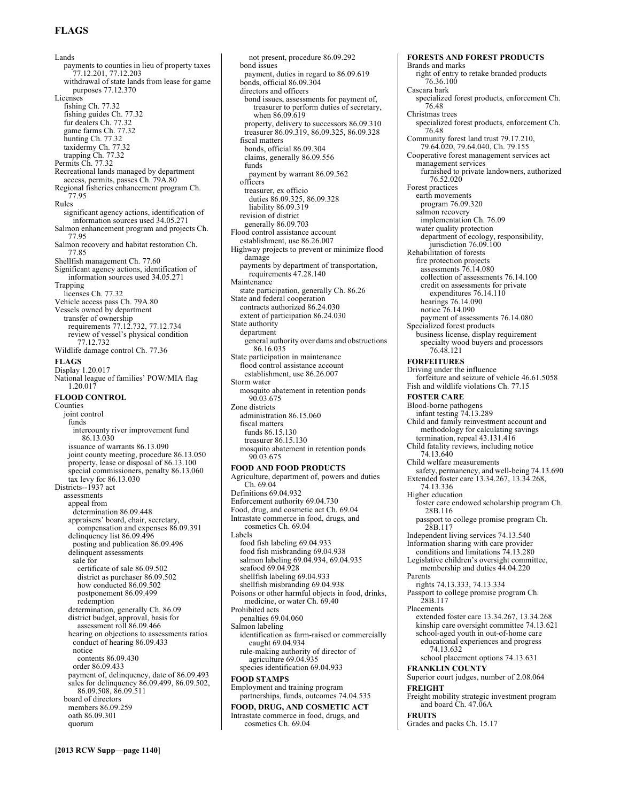# **FLAGS**

Lands payments to counties in lieu of property taxes 77.12.201, 77.12.203 withdrawal of state lands from lease for game purposes 77.12.370 **Licenses** fishing Ch. 77.32 fishing guides Ch. 77.32 fur dealers Ch. 77.32 game farms Ch. 77.32 hunting Ch. 77.32 taxidermy Ch. 77.32 trapping Ch. 77.32 Permits Ch. 77.32 Recreational lands managed by department access, permits, passes Ch. 79A.80 Regional fisheries enhancement program Ch. 77.95 Rules significant agency actions, identification of information sources used 34.05.271 Salmon enhancement program and projects Ch. 77.95 Salmon recovery and habitat restoration Ch. 77.85 Shellfish management Ch. 77.60 Significant agency actions, identification of information sources used 34.05.271 Trapping licenses Ch. 77.32 Vehicle access pass Ch. 79A.80 Vessels owned by department transfer of ownership requirements 77.12.732, 77.12.734 review of vessel's physical condition 77.12.732 Wildlife damage control Ch. 77.36 **FLAGS**  Display 1.20.017 National league of families' POW/MIA flag 1.20.017 **FLOOD CONTROL**  Counties joint control funds intercounty river improvement fund 86.13.030 issuance of warrants 86.13.090 joint county meeting, procedure 86.13.050 property, lease or disposal of 86.13.100 special commissioners, penalty 86.13.060 tax levy for 86.13.030 Districts--1937 act assessments appeal from determination 86.09.448 appraisers' board, chair, secretary, compensation and expenses 86.09.391 delinquency list 86.09.496 posting and publication 86.09.496 delinquent assessments sale for certificate of sale 86.09.502 district as purchaser 86.09.502 how conducted 86.09.502 postponement 86.09.499 redemption determination, generally Ch. 86.09 district budget, approval, basis for assessment roll 86.09.466 hearing on objections to assessments ratios conduct of hearing 86.09.433 notice contents 86.09.430 order 86.09.433 payment of, delinquency, date of 86.09.493 sales for delinquency 86.09.499, 86.09.502, 86.09.508, 86.09.511 board of directors members 86.09.259 oath 86.09.301 quorum

**[2013 RCW Supp—page 1140]**

Storm water 90.03.675 Zone districts fiscal matters 90.03.675 Ch. 69.04 Labels Prohibited acts Salmon labeling cosmetics Ch. 69.04

not present, procedure 86.09.292 bond issues payment, duties in regard to 86.09.619 bonds, official 86.09.304 directors and officers bond issues, assessments for payment of, treasurer to perform duties of secretary, when 86.09.619 property, delivery to successors 86.09.310 treasurer 86.09.319, 86.09.325, 86.09.328 fiscal matters bonds, official 86.09.304 claims, generally 86.09.556 funds payment by warrant 86.09.562 officers treasurer, ex officio duties 86.09.325, 86.09.328 liability 86.09.319 revision of district generally 86.09.703 Flood control assistance account establishment, use 86.26.007 Highway projects to prevent or minimize flood damage payments by department of transportation, requirements 47.28.140 Maintenance state participation, generally Ch. 86.26 State and federal cooperation contracts authorized 86.24.030 extent of participation 86.24.030 State authority department general authority over dams and obstructions 86.16.035 State participation in maintenance flood control assistance account establishment, use 86.26.007 mosquito abatement in retention ponds administration 86.15.060 funds 86.15.130 treasurer 86.15.130 mosquito abatement in retention ponds **FOOD AND FOOD PRODUCTS**  Agriculture, department of, powers and duties Definitions 69.04.932 Enforcement authority 69.04.730 Food, drug, and cosmetic act Ch. 69.04 Intrastate commerce in food, drugs, and cosmetics Ch. 69.04 food fish labeling 69.04.933 food fish misbranding 69.04.938 salmon labeling 69.04.934, 69.04.935 seafood 69.04.928 shellfish labeling 69.04.933 shellfish misbranding 69.04.938 Poisons or other harmful objects in food, drinks, medicine, or water Ch. 69.40 penalties 69.04.060 identification as farm-raised or commercially caught 69.04.934 rule-making authority of director of agriculture 69.04.935 species identification 69.04.933 **FOOD STAMPS**  Employment and training program partnerships, funds, outcomes 74.04.535 **FOOD, DRUG, AND COSMETIC ACT**  Intrastate commerce in food, drugs, and

Brands and marks right of entry to retake branded products 76.36.100 Cascara bark specialized forest products, enforcement Ch. 76.48 Christmas trees specialized forest products, enforcement Ch. 76.48 Community forest land trust 79.17.210, 79.64.020, 79.64.040, Ch. 79.155 Cooperative forest management services act management services furnished to private landowners, authorized 76.52.020 Forest practices earth movements program 76.09.320 salmon recovery implementation Ch. 76.09 water quality protection department of ecology, responsibility, jurisdiction 76.09.100 Rehabilitation of forests fire protection projects assessments 76.14.080 collection of assessments 76.14.100 credit on assessments for private expenditures 76.14.110 hearings 76.14.090 notice 76.14.090 payment of assessments 76.14.080 Specialized forest products business license, display requirement specialty wood buyers and processors 76.48.121 **FORFEITURES**  Driving under the influence forfeiture and seizure of vehicle 46.61.5058 Fish and wildlife violations Ch. 77.15 **FOSTER CARE**  Blood-borne pathogens infant testing 74.13.289 Child and family reinvestment account and methodology for calculating savings termination, repeal 43.131.416 Child fatality reviews, including notice 74.13.640 Child welfare measurements safety, permanency, and well-being 74.13.690 Extended foster care 13.34.267, 13.34.268, 74.13.336 Higher education foster care endowed scholarship program Ch. 28B.116 passport to college promise program Ch. 28B.117 Independent living services 74.13.540 Information sharing with care provider conditions and limitations 74.13.280 Legislative children's oversight committee, membership and duties 44.04.220 Parents rights 74.13.333, 74.13.334 Passport to college promise program Ch. 28B.117 Placements extended foster care 13.34.267, 13.34.268 kinship care oversight committee 74.13.621 school-aged youth in out-of-home care educational experiences and progress 74.13.632 school placement options 74.13.631 **FRANKLIN COUNTY**  Superior court judges, number of 2.08.064 **FREIGHT**  Freight mobility strategic investment program and board Ch. 47.06A **FRUITS**  Grades and packs Ch. 15.17

**FORESTS AND FOREST PRODUCTS**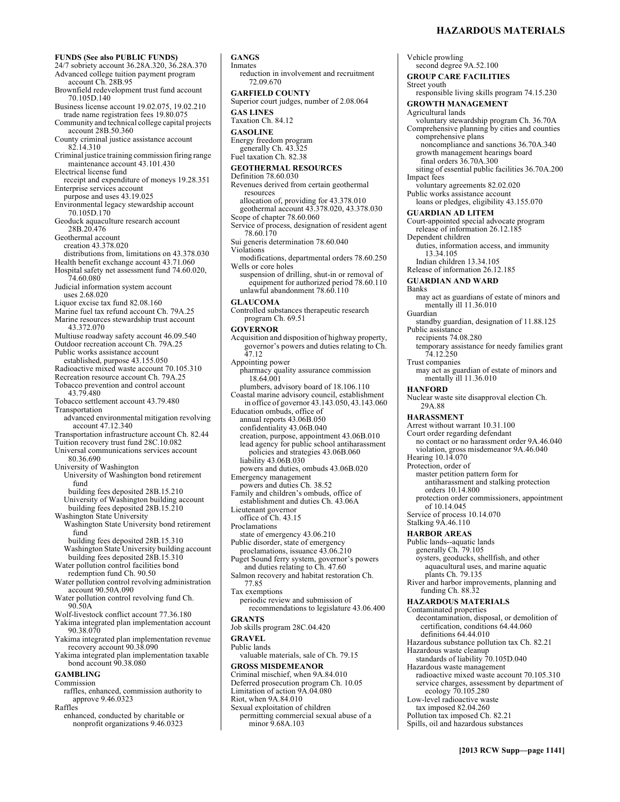Vehicle prowling

**FUNDS (See also PUBLIC FUNDS)**  24/7 sobriety account 36.28A.320, 36.28A.370 Advanced college tuition payment program account Ch. 28B.95 Brownfield redevelopment trust fund account 70.105D.140 Business license account 19.02.075, 19.02.210 trade name registration fees 19.80.075 Community and technical college capital projects account 28B.50.360 County criminal justice assistance account 82.14.310 Criminal justice training commission firing range maintenance account 43.101.430 Electrical license fund receipt and expenditure of moneys 19.28.351 Enterprise services account purpose and uses 43.19.025 Environmental legacy stewardship account 70.105D.170 Geoduck aquaculture research account 28B.20.476 Geothermal account creation 43.378.020 distributions from, limitations on 43.378.030 Health benefit exchange account 43.71.060 Hospital safety net assessment fund 74.60.020, 74.60.080 Judicial information system account uses 2.68.020 Liquor excise tax fund 82.08.160 Marine fuel tax refund account Ch. 79A.25 Marine resources stewardship trust account 43.372.070 Multiuse roadway safety account 46.09.540 Outdoor recreation account Ch. 79A.25 Public works assistance account established, purpose 43.155.050 Radioactive mixed waste account 70.105.310 Recreation resource account Ch. 79A.25 Tobacco prevention and control account 43.79.480 Tobacco settlement account 43.79.480 Transportation advanced environmental mitigation revolving account 47.12.340 Transportation infrastructure account Ch. 82.44 Tuition recovery trust fund 28C.10.082 Universal communications services account 80.36.690 University of Washington University of Washington bond retirement fund building fees deposited 28B.15.210 University of Washington building account building fees deposited 28B.15.210 Washington State University Washington State University bond retirement fund building fees deposited 28B.15.310 Washington State University building account building fees deposited 28B.15.310 Water pollution control facilities bond redemption fund Ch. 90.50 Water pollution control revolving administration account 90.50A.090 Water pollution control revolving fund Ch. 90.50A Wolf-livestock conflict account 77.36.180 Yakima integrated plan implementation account 90.38.070 Yakima integrated plan implementation revenue recovery account 90.38.090 Yakima integrated plan implementation taxable bond account 90.38.080 **GAMBLING**  Commission raffles, enhanced, commission authority to approve 9.46.0323 Raffles

enhanced, conducted by charitable or nonprofit organizations 9.46.0323

**GANGS**  Inmates reduction in involvement and recruitment 72.09.670 **GARFIELD COUNTY**  Superior court judges, number of 2.08.064 **GAS LINES**  Taxation Ch. 84.12 **GASOLINE**  Energy freedom program generally Ch. 43.325 Fuel taxation Ch. 82.38 **GEOTHERMAL RESOURCES**  Definition 78.60.030 Revenues derived from certain geothermal resources allocation of, providing for 43.378.010 geothermal account 43.378.020, 43.378.030 Scope of chapter 78.60.060 Service of process, designation of resident agent 78.60.170 Sui generis determination 78.60.040 Violations modifications, departmental orders 78.60.250 Wells or core holes suspension of drilling, shut-in or removal of equipment for authorized period 78.60.110 unlawful abandonment 78.60.110 **GLAUCOMA**  Controlled substances therapeutic research program Ch. 69.51 **GOVERNOR**  Acquisition and disposition of highway property, governor's powers and duties relating to Ch. 47.12 Appointing power pharmacy quality assurance commission 18.64.001 plumbers, advisory board of 18.106.110 Coastal marine advisory council, establishment in office of governor 43.143.050, 43.143.060 Education ombuds, office of annual reports 43.06B.050 confidentiality 43.06B.040 creation, purpose, appointment 43.06B.010 lead agency for public school antiharassment policies and strategies 43.06B.060 liability 43.06B.030 powers and duties, ombuds 43.06B.020 Emergency management powers and duties Ch. 38.52 Family and children's ombuds, office of establishment and duties Ch. 43.06A Lieutenant governor office of Ch. 43.15 Proclamations state of emergency 43.06.210 Public disorder, state of emergency proclamations, issuance 43.06.210 Puget Sound ferry system, governor's powers and duties relating to Ch. 47.60 Salmon recovery and habitat restoration Ch. 77.85 Tax exemptions periodic review and submission of recommendations to legislature 43.06.400 **GRANTS**  Job skills program 28C.04.420 **GRAVEL**  Public lands valuable materials, sale of Ch. 79.15 **GROSS MISDEMEANOR**  Criminal mischief, when 9A.84.010 Deferred prosecution program Ch. 10.05 Limitation of action 9A.04.080 Riot, when 9A.84.010 Sexual exploitation of children permitting commercial sexual abuse of a minor 9.68A.103

second degree 9A.52.100 **GROUP CARE FACILITIES**  Street youth responsible living skills program 74.15.230 **GROWTH MANAGEMENT**  Agricultural lands voluntary stewardship program Ch. 36.70A Comprehensive planning by cities and counties comprehensive plans noncompliance and sanctions 36.70A.340 growth management hearings board final orders 36.70A.300 siting of essential public facilities 36.70A.200 Impact fees voluntary agreements 82.02.020 Public works assistance account loans or pledges, eligibility 43.155.070 **GUARDIAN AD LITEM**  Court-appointed special advocate program release of information 26.12.185 Dependent children duties, information access, and immunity 13.34.105 Indian children 13.34.105 Release of information 26.12.185 **GUARDIAN AND WARD**  Banks may act as guardians of estate of minors and mentally ill 11.36.010 Guardian standby guardian, designation of 11.88.125 Public assistance recipients 74.08.280 temporary assistance for needy families grant 74.12.250 Trust companies may act as guardian of estate of minors and mentally ill 11.36.010 **HANFORD**  Nuclear waste site disapproval election Ch. 29A.88 **HARASSMENT**  Arrest without warrant 10.31.100 Court order regarding defendant no contact or no harassment order 9A.46.040 violation, gross misdemeanor 9A.46.040 Hearing 10.14.070 Protection, order of master petition pattern form for antiharassment and stalking protection orders 10.14.800 protection order commissioners, appointment of 10.14.045 Service of process 10.14.070 Stalking 9A.46.110 **HARBOR AREAS**  Public lands--aquatic lands generally Ch. 79.105 oysters, geoducks, shellfish, and other aquacultural uses, and marine aquatic plants Ch. 79.135 River and harbor improvements, planning and funding Ch. 88.32 **HAZARDOUS MATERIALS**  Contaminated properties decontamination, disposal, or demolition of certification, conditions 64.44.060 definitions 64.44.010 Hazardous substance pollution tax Ch. 82.21 Hazardous waste cleanup standards of liability 70.105D.040 Hazardous waste management radioactive mixed waste account 70.105.310 service charges, assessment by department of ecology 70.105.280 Low-level radioactive waste tax imposed 82.04.260 Pollution tax imposed Ch. 82.21 Spills, oil and hazardous substances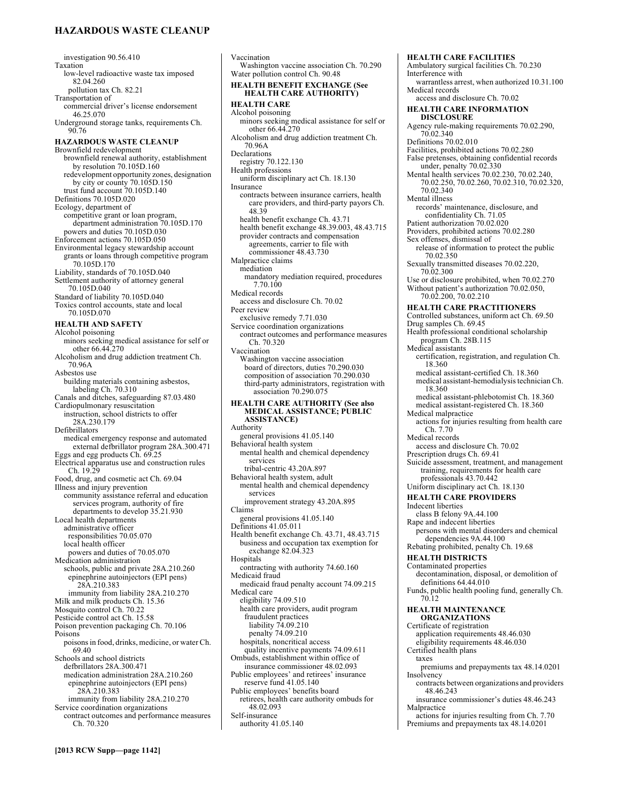# **HAZARDOUS WASTE CLEANUP**

investigation 90.56.410 Taxation low-level radioactive waste tax imposed 82.04.260 pollution tax Ch. 82.21 Transportation of commercial driver's license endorsement 46.25.070 Underground storage tanks, requirements Ch. 90.76 **HAZARDOUS WASTE CLEANUP**  Brownfield redevelopment brownfield renewal authority, establishment by resolution 70.105D.160 redevelopment opportunity zones, designation by city or county 70.105D.150 trust fund account 70.105D.140 Definitions 70.105D.020 Ecology, department of competitive grant or loan program, department administration 70.105D.170 powers and duties 70.105D.030 Enforcement actions 70.105D.050 Environmental legacy stewardship account grants or loans through competitive program 70.105D.170 Liability, standards of 70.105D.040 Settlement authority of attorney general 70.105D.040 Standard of liability 70.105D.040 Toxics control accounts, state and local 70.105D.070 **HEALTH AND SAFETY**  Alcohol poisoning minors seeking medical assistance for self or other 66.44.270 Alcoholism and drug addiction treatment Ch. 70.96A Asbestos use building materials containing asbestos, labeling Ch. 70.310 Canals and ditches, safeguarding 87.03.480 Cardiopulmonary resuscitation instruction, school districts to offer 28A.230.179 Defibrillators medical emergency response and automated external defbrillator program 28A.300.471 Eggs and egg products Ch. 69.25 Electrical apparatus use and construction rules Ch. 19.29 Food, drug, and cosmetic act Ch. 69.04 Illness and injury prevention community assistance referral and education services program, authority of fire departments to develop 35.21.930 Local health departments administrative officer responsibilities 70.05.070 local health officer powers and duties of 70.05.070 Medication administration schools, public and private 28A.210.260 epinephrine autoinjectors (EPI pens) 28A.210.383 immunity from liability 28A.210.270 Milk and milk products Ch. 15.36 Mosquito control Ch. 70.22 Pesticide control act Ch. 15.58 Poison prevention packaging Ch. 70.106 Poisons poisons in food, drinks, medicine, or water Ch. 69.40 Schools and school districts defbrillators 28A.300.471 medication administration 28A.210.260 epinephrine autoinjectors (EPI pens) 28A.210.383 immunity from liability 28A.210.270 Service coordination organizations contract outcomes and performance measures Ch. 70.320

Vaccination Washington vaccine association Ch. 70.290 Water pollution control Ch. 90.48 **HEALTH BENEFIT EXCHANGE (See HEALTH CARE AUTHORITY) HEALTH CARE**  Alcohol poisoning minors seeking medical assistance for self or other 66.44.270 Alcoholism and drug addiction treatment Ch. 70.96A Declarations registry 70.122.130 Health professions uniform disciplinary act Ch. 18.130 Insurance contracts between insurance carriers, health care providers, and third-party payors Ch. 48.39 health benefit exchange Ch. 43.71 health benefit exchange 48.39.003, 48.43.715 provider contracts and compensation agreements, carrier to file with commissioner 48.43.730 Malpractice claims mediation mandatory mediation required, procedures 7.70.100 Medical records access and disclosure Ch. 70.02 Peer review exclusive remedy 7.71.030 Service coordination organizations contract outcomes and performance measures Ch. 70.320 Vaccination Washington vaccine association board of directors, duties 70.290.030 composition of association 70.290.030 third-party administrators, registration with association 70.290.075 **HEALTH CARE AUTHORITY (See also MEDICAL ASSISTANCE; PUBLIC ASSISTANCE)**  Authority general provisions 41.05.140 Behavioral health system mental health and chemical dependency services tribal-centric 43.20A.897 Behavioral health system, adult mental health and chemical dependency services improvement strategy 43.20A.895 Claims general provisions 41.05.140 Definitions 41.05.011 Health benefit exchange Ch. 43.71, 48.43.715 business and occupation tax exemption for exchange 82.04.323 Hospitals contracting with authority 74.60.160 Medicaid fraud medicaid fraud penalty account 74.09.215 Medical care eligibility 74.09.510 health care providers, audit program fraudulent practices liability 74.09.210 penalty 74.09.210 hospitals, noncritical access quality incentive payments 74.09.611 Ombuds, establishment within office of insurance commissioner 48.02.093 Public employees' and retirees' insurance reserve fund 41.05.140 Public employees' benefits board retirees, health care authority ombuds for 48.02.093 Self-insurance authority 41.05.140

**HEALTH CARE FACILITIES**  Ambulatory surgical facilities Ch. 70.230 Interference with warrantless arrest, when authorized 10.31.100 Medical records access and disclosure Ch. 70.02 **HEALTH CARE INFORMATION DISCLOSURE**  Agency rule-making requirements 70.02.290, 70.02.340 Definitions 70.02.010 Facilities, prohibited actions 70.02.280 False pretenses, obtaining confidential records under, penalty 70.02.330 Mental health services 70.02.230, 70.02.240, 70.02.250, 70.02.260, 70.02.310, 70.02.320, 70.02.340 Mental illness records' maintenance, disclosure, and confidentiality Ch. 71.05 Patient authorization 70.02.020 Providers, prohibited actions 70.02.280 Sex offenses, dismissal of release of information to protect the public 70.02.350 Sexually transmitted diseases 70.02.220, 70.02.300 Use or disclosure prohibited, when 70.02.270 Without patient's authorization 70.02.050, 70.02.200, 70.02.210 **HEALTH CARE PRACTITIONERS**  Controlled substances, uniform act Ch. 69.50 Drug samples Ch. 69.45 Health professional conditional scholarship program Ch. 28B.115 Medical assistants certification, registration, and regulation Ch. 18.360 medical assistant-certified Ch. 18.360 medical assistant-hemodialysis technician Ch. 18.360 medical assistant-phlebotomist Ch. 18.360 medical assistant-registered Ch. 18.360 Medical malpractice actions for injuries resulting from health care Ch. 7.70 Medical records access and disclosure Ch. 70.02 Prescription drugs Ch. 69.41 Suicide assessment, treatment, and management training, requirements for health care professionals 43.70.442 Uniform disciplinary act Ch. 18.130 **HEALTH CARE PROVIDERS**  Indecent liberties class B felony 9A.44.100 Rape and indecent liberties persons with mental disorders and chemical dependencies 9A.44.100 Rebating prohibited, penalty Ch. 19.68 **HEALTH DISTRICTS**  Contaminated properties decontamination, disposal, or demolition of definitions 64.44.010 Funds, public health pooling fund, generally Ch. 70.12 **HEALTH MAINTENANCE ORGANIZATIONS**  Certificate of registration application requirements 48.46.030 eligibility requirements 48.46.030 Certified health plans taxes premiums and prepayments tax 48.14.0201 Insolvency contracts between organizations and providers 48.46.243 insurance commissioner's duties 48.46.243

Malpractice actions for injuries resulting from Ch. 7.70

Premiums and prepayments tax 48.14.0201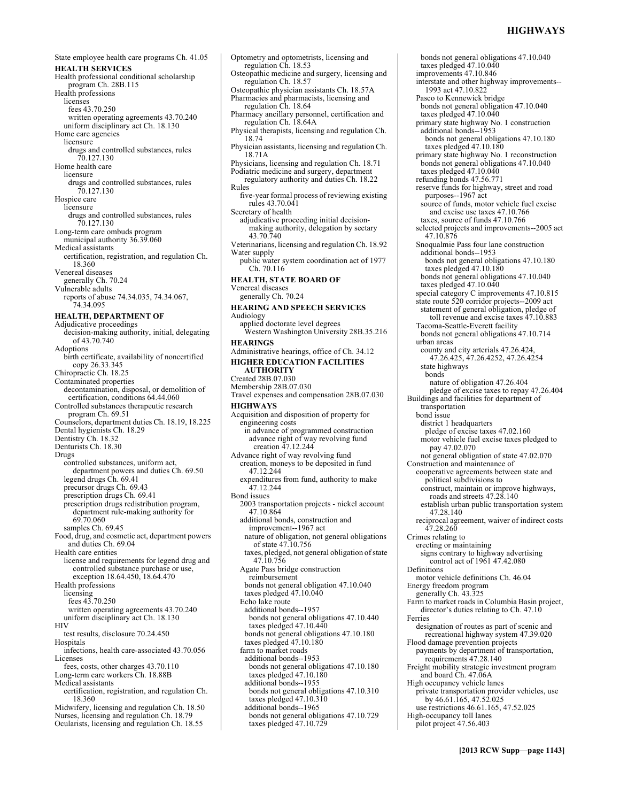bonds not general obligations 47.10.040

taxes pledged 47.10.040 improvements 47.10.846

State employee health care programs Ch. 41.05 **HEALTH SERVICES**  Health professional conditional scholarship program Ch. 28B.115 Health professions licenses fees 43.70.250 written operating agreements 43.70.240 uniform disciplinary act Ch. 18.130 Home care agencies licensure drugs and controlled substances, rules 70.127.130 Home health care licensure drugs and controlled substances, rules 70.127.130 Hospice care licensure drugs and controlled substances, rules 70.127.130 Long-term care ombuds program municipal authority 36.39.060 Medical assistants certification, registration, and regulation Ch. 18.360 Venereal diseases generally Ch. 70.24 Vulnerable adults reports of abuse 74.34.035, 74.34.067, 74.34.095 **HEALTH, DEPARTMENT OF**  Adjudicative proceedings decision-making authority, initial, delegating of 43.70.740 Adoptions birth certificate, availability of noncertified copy 26.33.345 Chiropractic Ch. 18.25 Contaminated properties decontamination, disposal, or demolition of certification, conditions 64.44.060 Controlled substances therapeutic research program Ch. 69.51 Counselors, department duties Ch. 18.19, 18.225 Dental hygienists Ch. 18.29 Dentistry Ch. 18.32 Denturists Ch. 18.30 Drugs controlled substances, uniform act, department powers and duties Ch. 69.50 legend drugs Ch. 69.41 precursor drugs Ch. 69.43 prescription drugs Ch. 69.41 prescription drugs redistribution program, department rule-making authority for 69.70.060 samples Ch. 69.45 Food, drug, and cosmetic act, department powers and duties Ch. 69.04 Health care entities license and requirements for legend drug and controlled substance purchase or use, exception 18.64.450, 18.64.470 Health professions licensing fees 43.70.250 written operating agreements 43.70.240 uniform disciplinary act Ch. 18.130 **HIV** test results, disclosure 70.24.450 Hospitals infections, health care-associated 43.70.056 Licenses fees, costs, other charges 43.70.110 Long-term care workers Ch. 18.88B Medical assistants certification, registration, and regulation Ch. 18.360 Midwifery, licensing and regulation Ch. 18.50 Nurses, licensing and regulation Ch. 18.79 Ocularists, licensing and regulation Ch. 18.55

Optometry and optometrists, licensing and regulation Ch. 18.53 Osteopathic medicine and surgery, licensing and regulation Ch. 18.57 Osteopathic physician assistants Ch. 18.57A Pharmacies and pharmacists, licensing and regulation Ch. 18.64 Pharmacy ancillary personnel, certification and regulation Ch. 18.64A Physical therapists, licensing and regulation Ch. 18.74 Physician assistants, licensing and regulation Ch. 18.71A Physicians, licensing and regulation Ch. 18.71 Podiatric medicine and surgery, department regulatory authority and duties Ch. 18.22 Rules five-year formal process of reviewing existing rules 43.70.041 Secretary of health adjudicative proceeding initial decisionmaking authority, delegation by sectary 43.70.740 Veterinarians, licensing and regulation Ch. 18.92 Water supply public water system coordination act of 1977 Ch. 70.116 **HEALTH, STATE BOARD OF**  Venereal diseases generally Ch. 70.24 **HEARING AND SPEECH SERVICES**  Audiology applied doctorate level degrees Western Washington University 28B.35.216 **HEARINGS**  Administrative hearings, office of Ch. 34.12 **HIGHER EDUCATION FACILITIES AUTHORITY**  Created 28B.07.030 Membership 28B.07.030 Travel expenses and compensation 28B.07.030 **HIGHWAYS**  Acquisition and disposition of property for engineering costs in advance of programmed construction advance right of way revolving fund creation 47.12.244 Advance right of way revolving fund creation, moneys to be deposited in fund 47.12.244 expenditures from fund, authority to make 47.12.244 Bond issues 2003 transportation projects - nickel account 47.10.864 additional bonds, construction and improvement--1967 act nature of obligation, not general obligations of state 47.10.756 taxes, pledged, not general obligation of state 47.10.756 Agate Pass bridge construction reimbursement bonds not general obligation 47.10.040 taxes pledged 47.10.040 Echo lake route additional bonds--1957 bonds not general obligations 47.10.440 taxes pledged 47.10.440 bonds not general obligations 47.10.180 taxes pledged 47.10.180 farm to market roads additional bonds--1953 bonds not general obligations 47.10.180 taxes pledged 47.10.180 additional bonds--1955 bonds not general obligations 47.10.310 taxes pledged 47.10.310 additional bonds--1965 bonds not general obligations 47.10.729 taxes pledged 47.10.729

interstate and other highway improvements-- 1993 act 47.10.822 Pasco to Kennewick bridge bonds not general obligation 47.10.040 taxes pledged 47.10.040 primary state highway No. 1 construction additional bonds--1953 bonds not general obligations 47.10.180 taxes pledged 47.10.180 primary state highway No. 1 reconstruction bonds not general obligations 47.10.040 taxes pledged 47.10.040 refunding bonds 47.56.771 reserve funds for highway, street and road purposes--1967 act source of funds, motor vehicle fuel excise and excise use taxes 47.10.766 taxes, source of funds 47.10.766 selected projects and improvements--2005 act 47.10.876 Snoqualmie Pass four lane construction additional bonds--1953 bonds not general obligations 47.10.180 taxes pledged 47.10.180 bonds not general obligations 47.10.040 taxes pledged 47.10.040 special category C improvements 47.10.815 state route 520 corridor projects--2009 act statement of general obligation, pledge of toll revenue and excise taxes 47.10.883 Tacoma-Seattle-Everett facility bonds not general obligations 47.10.714 urban areas county and city arterials 47.26.424, 47.26.425, 47.26.4252, 47.26.4254 state highways bonds nature of obligation 47.26.404 pledge of excise taxes to repay 47.26.404 Buildings and facilities for department of transportation bond issue district 1 headquarters pledge of excise taxes 47.02.160 motor vehicle fuel excise taxes pledged to pay 47.02.070 not general obligation of state 47.02.070 Construction and maintenance of cooperative agreements between state and political subdivisions to construct, maintain or improve highways, roads and streets 47.28.140 establish urban public transportation system 47.28.140 reciprocal agreement, waiver of indirect costs 47.28.260 Crimes relating to erecting or maintaining signs contrary to highway advertising control act of 1961 47.42.080 Definitions motor vehicle definitions Ch. 46.04 Energy freedom program generally Ch. 43.325 Farm to market roads in Columbia Basin project, director's duties relating to Ch. 47.10 Ferries designation of routes as part of scenic and recreational highway system 47.39.020 Flood damage prevention projects payments by department of transportation, requirements 47.28.140 Freight mobility strategic investment program and board Ch. 47.06A High occupancy vehicle lanes private transportation provider vehicles, use by 46.61.165, 47.52.025 use restrictions 46.61.165, 47.52.025 High-occupancy toll lanes pilot project 47.56.403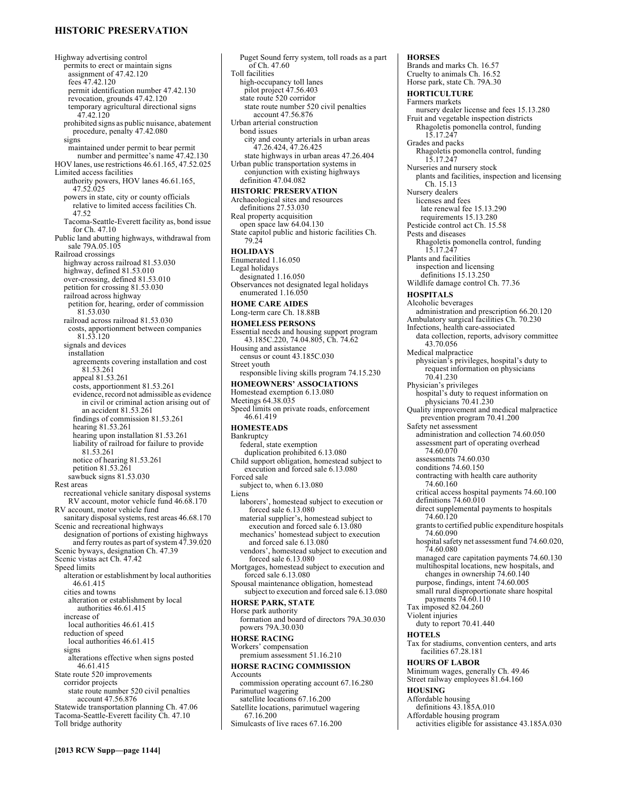# **HISTORIC PRESERVATION**

Highway advertising control permits to erect or maintain signs assignment of 47.42.120 fees 47.42.120 permit identification number 47.42.130 revocation, grounds 47.42.120 temporary agricultural directional signs  $47.42.120$ prohibited signs as public nuisance, abatement procedure, penalty 47.42.080 signs maintained under permit to bear permit number and permittee's name 47.42.130 HOV lanes, use restrictions 46.61.165, 47.52.025 Limited access facilities authority powers, HOV lanes 46.61.165, 47.52.025 powers in state, city or county officials relative to limited access facilities Ch. 47.52 Tacoma-Seattle-Everett facility as, bond issue for Ch. 47.10 Public land abutting highways, withdrawal from sale 79A.05.105 Railroad crossings highway across railroad 81.53.030 highway, defined 81.53.010 over-crossing, defined 81.53.010 petition for crossing 81.53.030 railroad across highway petition for, hearing, order of commission 81.53.030 railroad across railroad 81.53.030 costs, apportionment between companies 81.53.120 signals and devices installation agreements covering installation and cost 81.53.261 appeal 81.53.261 costs, apportionment 81.53.261 evidence, record not admissible as evidence in civil or criminal action arising out of an accident 81.53.261 findings of commission 81.53.261 hearing 81.53.261 hearing upon installation 81.53.261 liability of railroad for failure to provide 81.53.261 notice of hearing 81.53.261 petition 81.53.261 sawbuck signs 81.53.030 Rest areas recreational vehicle sanitary disposal systems RV account, motor vehicle fund 46.68.170 RV account, motor vehicle fund sanitary disposal systems, rest areas 46.68.170 Scenic and recreational highways designation of portions of existing highways and ferry routes as part of system 47.39.020 Scenic byways, designation Ch. 47.39 Scenic vistas act Ch. 47.42 Speed limits alteration or establishment by local authorities 46.61.415 cities and towns alteration or establishment by local authorities 46.61.415 increase of local authorities 46.61.415 reduction of speed local authorities 46.61.415 signs alterations effective when signs posted 46.61.415 State route 520 improvements corridor projects state route number 520 civil penalties account 47.56.876 Statewide transportation planning Ch. 47.06 Tacoma-Seattle-Everett facility Ch. 47.10 Toll bridge authority

Puget Sound ferry system, toll roads as a part of Ch. 47.60 Toll facilities high-occupancy toll lanes pilot project 47.56.403 state route 520 corridor state route number 520 civil penalties account 47.56.876 Urban arterial construction bond issues city and county arterials in urban areas 47.26.424, 47.26.425 state highways in urban areas 47.26.404 Urban public transportation systems in conjunction with existing highways definition 47.04.082 **HISTORIC PRESERVATION**  Archaeological sites and resources definitions 27.53.030 Real property acquisition open space law 64.04.130 State capitol public and historic facilities Ch. 79.24 **HOLIDAYS**  Enumerated 1.16.050 Legal holidays designated 1.16.050 Observances not designated legal holidays enumerated 1.16.050 **HOME CARE AIDES**  Long-term care Ch. 18.88B **HOMELESS PERSONS**  Essential needs and housing support program 43.185C.220, 74.04.805, Ch. 74.62 Housing and assistance census or count 43.185C.030 Street youth responsible living skills program 74.15.230 **HOMEOWNERS' ASSOCIATIONS**  Homestead exemption 6.13.080 Meetings 64.38.035 Speed limits on private roads, enforcement 46.61.419 **HOMESTEADS**  Bankruptcy federal, state exemption duplication prohibited 6.13.080 Child support obligation, homestead subject to execution and forced sale 6.13.080 Forced sale subject to, when 6.13.080 Liens laborers', homestead subject to execution or forced sale 6.13.080 material supplier's, homestead subject to execution and forced sale 6.13.080 mechanics' homestead subject to execution and forced sale 6.13.080 vendors', homestead subject to execution and forced sale 6.13.080 Mortgages, homestead subject to execution and forced sale 6.13.080 Spousal maintenance obligation, homestead subject to execution and forced sale 6.13.080 **HORSE PARK, STATE**  Horse park authority formation and board of directors 79A.30.030 powers 79A.30.030 **HORSE RACING**  Workers' compensation premium assessment 51.16.210 **HORSE RACING COMMISSION**  Accounts commission operating account 67.16.280 Parimutuel wagering satellite locations 67.16.200 Satellite locations, parimutuel wagering 67.16.200 Simulcasts of live races 67.16.200

#### **HORSES**  Brands and marks Ch. 16.57 Cruelty to animals Ch. 16.52 Horse park, state Ch. 79A.30 **HORTICULTURE**  Farmers markets nursery dealer license and fees 15.13.280 Fruit and vegetable inspection districts Rhagoletis pomonella control, funding 15.17.247 Grades and packs Rhagoletis pomonella control, funding 15.17.247 Nurseries and nursery stock plants and facilities, inspection and licensing Ch. 15.13 Nursery dealers licenses and fees late renewal fee 15.13.290 requirements 15.13.280 Pesticide control act Ch. 15.58 Pests and diseases Rhagoletis pomonella control, funding 15.17.247 Plants and facilities inspection and licensing definitions 15.13.250 Wildlife damage control Ch. 77.36 **HOSPITALS**  Alcoholic beverages administration and prescription 66.20.120 Ambulatory surgical facilities Ch. 70.230 Infections, health care-associated data collection, reports, advisory committee 43.70.056 Medical malpractice physician's privileges, hospital's duty to request information on physicians 70.41.230 Physician's privileges hospital's duty to request information on physicians 70.41.230 Quality improvement and medical malpractice prevention program 70.41.200 Safety net assessment administration and collection 74.60.050 assessment part of operating overhead 74.60.070 assessments 74.60.030 conditions 74.60.150 contracting with health care authority 74.60.160 critical access hospital payments 74.60.100 definitions 74.60.010 direct supplemental payments to hospitals 74.60.120 grants to certified public expenditure hospitals 74.60.090 hospital safety net assessment fund 74.60.020, 74.60.080 managed care capitation payments 74.60.130 multihospital locations, new hospitals, and changes in ownership 74.60.140 purpose, findings, intent 74.60.005 small rural disproportionate share hospital payments 74.60.110 Tax imposed 82.04.260 Violent injuries duty to report 70.41.440 **HOTELS**  Tax for stadiums, convention centers, and arts facilities 67.28.181 **HOURS OF LABOR**  Minimum wages, generally Ch. 49.46 Street railway employees 81.64.160 **HOUSING**  Affordable housing definitions 43.185A.010 Affordable housing program activities eligible for assistance 43.185A.030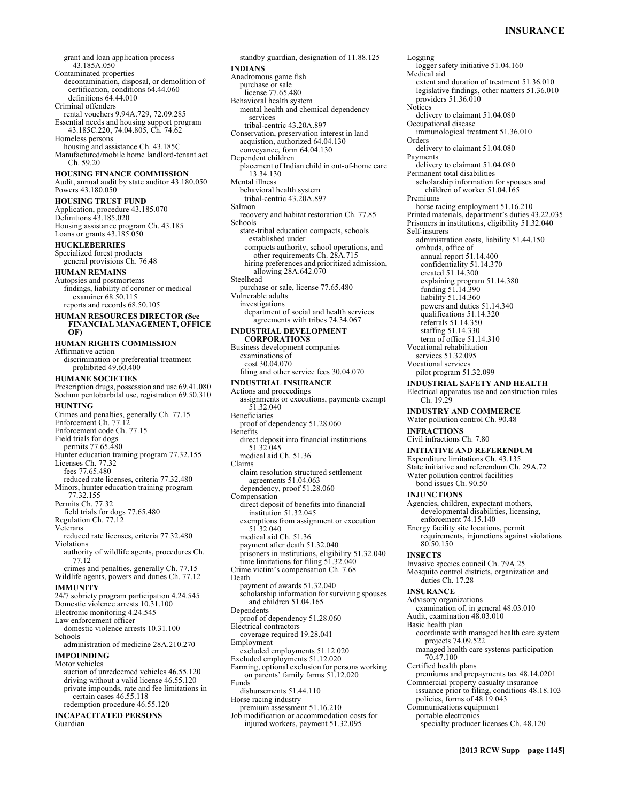Logging

grant and loan application process 43.185A.050 Contaminated properties decontamination, disposal, or demolition of certification, conditions 64.44.060 definitions 64.44.010 Criminal offenders rental vouchers 9.94A.729, 72.09.285 Essential needs and housing support program 43.185C.220, 74.04.805, Ch. 74.62 Homeless persons housing and assistance Ch. 43.185C Manufactured/mobile home landlord-tenant act Ch. 59.20 **HOUSING FINANCE COMMISSION**  Audit, annual audit by state auditor 43.180.050 Powers 43.180.050 **HOUSING TRUST FUND**  Application, procedure 43.185.070 Definitions 43.185.020 Housing assistance program Ch. 43.185 Loans or grants 43.185.050 **HUCKLEBERRIES**  Specialized forest products general provisions Ch. 76.48 **HUMAN REMAINS**  Autopsies and postmortems findings, liability of coroner or medical examiner 68.50.115 reports and records 68.50.105 **HUMAN RESOURCES DIRECTOR (See FINANCIAL MANAGEMENT, OFFICE OF) HUMAN RIGHTS COMMISSION**  Affirmative action discrimination or preferential treatment prohibited 49.60.400 **HUMANE SOCIETIES**  Prescription drugs, possession and use 69.41.080 Sodium pentobarbital use, registration 69.50.310 **HUNTING**  Crimes and penalties, generally Ch. 77.15 Enforcement Ch. 77.12 Enforcement code Ch. 77.15 Field trials for dogs permits 77.65.480 Hunter education training program 77.32.155 Licenses Ch. 77.32 fees 77.65.480 reduced rate licenses, criteria 77.32.480 Minors, hunter education training program 77.32.155 Permits Ch. 77.32 field trials for dogs 77.65.480 Regulation Ch. 77.12 Veterans reduced rate licenses, criteria 77.32.480 Violations authority of wildlife agents, procedures Ch. 77.12 crimes and penalties, generally Ch. 77.15 Wildlife agents, powers and duties Ch. 77.12 **IMMUNITY**  24/7 sobriety program participation 4.24.545 Domestic violence arrests 10.31.100 Electronic monitoring 4.24.545 Law enforcement officer domestic violence arrests 10.31.100 Schools administration of medicine 28A.210.270 **IMPOUNDING**  Motor vehicles auction of unredeemed vehicles 46.55.120 driving without a valid license 46.55.120 private impounds, rate and fee limitations in certain cases 46.55.118 redemption procedure 46.55.120 **INCAPACITATED PERSONS**  Guardian Salmon Schools Benefits Claims Death Funds

standby guardian, designation of 11.88.125 **INDIANS**  Anadromous game fish purchase or sale license 77.65.480 Behavioral health system mental health and chemical dependency services tribal-centric 43.20A.897 Conservation, preservation interest in land acquistion, authorized 64.04.130 conveyance, form 64.04.130 Dependent children placement of Indian child in out-of-home care 13.34.130 Mental illness behavioral health system tribal-centric 43.20A.897 recovery and habitat restoration Ch. 77.85 state-tribal education compacts, schools established under compacts authority, school operations, and other requirements Ch. 28A.715 hiring preferences and prioritized admission, allowing 28A.642.070 Steelhead purchase or sale, license 77.65.480 Vulnerable adults investigations department of social and health services agreements with tribes 74.34.067 **INDUSTRIAL DEVELOPMENT CORPORATIONS**  Business development companies examinations of cost 30.04.070 filing and other service fees 30.04.070 **INDUSTRIAL INSURANCE**  Actions and proceedings assignments or executions, payments exempt 51.32.040 Beneficiaries proof of dependency 51.28.060 direct deposit into financial institutions 51.32.045 medical aid Ch. 51.36 claim resolution structured settlement agreements 51.04.063 dependency, proof 51.28.060 Compensation direct deposit of benefits into financial institution 51.32.045 exemptions from assignment or execution 51.32.040 medical aid Ch. 51.36 payment after death 51.32.040 prisoners in institutions, eligibility 51.32.040 time limitations for filing 51.32.040 Crime victim's compensation Ch. 7.68 payment of awards 51.32.040 scholarship information for surviving spouses and children 51.04.165 **Dependents** proof of dependency 51.28.060 Electrical contractors coverage required 19.28.041 Employment excluded employments 51.12.020 Excluded employments 51.12.020 Farming, optional exclusion for persons working on parents' family farms 51.12.020 disbursements 51.44.110 Horse racing industry premium assessment 51.16.210 Job modification or accommodation costs for injured workers, payment 51.32.095

logger safety initiative 51.04.160 Medical aid extent and duration of treatment 51.36.010 legislative findings, other matters 51.36.010 providers 51.36.010 Notices delivery to claimant 51.04.080 Occupational disease immunological treatment 51.36.010 Orders delivery to claimant 51.04.080 Payments delivery to claimant 51.04.080 Permanent total disabilities scholarship information for spouses and children of worker 51.04.165 Premiums horse racing employment 51.16.210 Printed materials, department's duties 43.22.035 Prisoners in institutions, eligibility 51.32.040 Self-insurers administration costs, liability 51.44.150 ombuds, office of annual report 51.14.400 confidentiality 51.14.370 created 51.14.300 explaining program 51.14.380 funding 51.14.390 liability 51.14.360 powers and duties 51.14.340 qualifications 51.14.320 referrals 51.14.350 staffing 51.14.330 term of office 51.14.310 Vocational rehabilitation services 51.32.095 Vocational services pilot program 51.32.099 **INDUSTRIAL SAFETY AND HEALTH**  Electrical apparatus use and construction rules Ch. 19.29 **INDUSTRY AND COMMERCE**  Water pollution control Ch. 90.48 **INFRACTIONS**  Civil infractions Ch. 7.80 **INITIATIVE AND REFERENDUM**  Expenditure limitations Ch. 43.135 State initiative and referendum Ch. 29A.72 Water pollution control facilities bond issues Ch. 90.50 **INJUNCTIONS**  Agencies, children, expectant mothers, developmental disabilities, licensing, enforcement 74.15.140 Energy facility site locations, permit requirements, injunctions against violations 80.50.150 **INSECTS**  Invasive species council Ch. 79A.25 Mosquito control districts, organization and duties Ch. 17.28 **INSURANCE**  Advisory organizations examination of, in general 48.03.010 Audit, examination 48.03.010 Basic health plan coordinate with managed health care system projects 74.09.522 managed health care systems participation 70.47.100 Certified health plans premiums and prepayments tax 48.14.0201 Commercial property casualty insurance issuance prior to filing, conditions 48.18.103 policies, forms of 48.19.043 Communications equipment portable electronics specialty producer licenses Ch. 48.120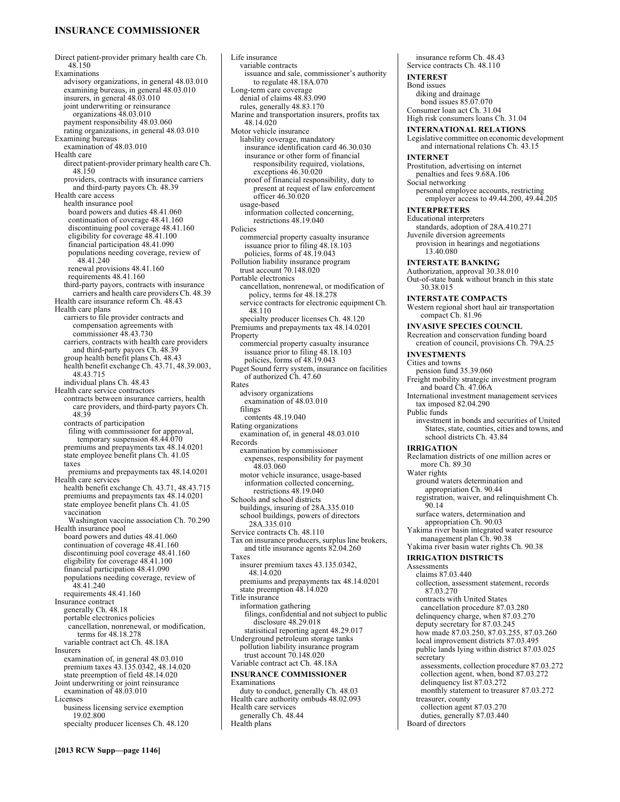# **INSURANCE COMMISSIONER**

Direct patient-provider primary health care Ch. 48.150 Examinations advisory organizations, in general 48.03.010 examining bureaus, in general 48.03.010 insurers, in general 48.03.010 joint underwriting or reinsurance organizations 48.03.010 payment responsibility 48.03.060 rating organizations, in general 48.03.010 Examining bureaus examination of 48.03.010 Health care direct patient-provider primary health care Ch. 48.150 providers, contracts with insurance carriers and third-party payors Ch. 48.39 Health care access health insurance pool board powers and duties 48.41.060 continuation of coverage 48.41.160 discontinuing pool coverage 48.41.160 eligibility for coverage 48.41.100 financial participation 48.41.090 populations needing coverage, review of 48.41.240 renewal provisions 48.41.160 requirements 48.41.160 third-party payors, contracts with insurance carriers and health care providers Ch. 48.39 Health care insurance reform Ch. 48.43 Health care plans carriers to file provider contracts and compensation agreements with commissioner 48.43.730 carriers, contracts with health care providers and third-party payors Ch. 48.39 group health benefit plans Ch. 48.43 health benefit exchange Ch. 43.71, 48.39.003, 48.43.715 individual plans Ch. 48.43 Health care service contractors contracts between insurance carriers, health care providers, and third-party payors Ch. 48.39 contracts of participation filing with commissioner for approval, temporary suspension 48.44.070 premiums and prepayments tax 48.14.0201 state employee benefit plans Ch. 41.05 taxes premiums and prepayments tax 48.14.0201 Health care services health benefit exchange Ch. 43.71, 48.43.715 premiums and prepayments tax 48.14.0201 state employee benefit plans Ch. 41.05 vaccination Washington vaccine association Ch. 70.290 Health insurance pool board powers and duties 48.41.060 continuation of coverage 48.41.160 discontinuing pool coverage 48.41.160 eligibility for coverage 48.41.100 financial participation 48.41.090 populations needing coverage, review of 48.41.240 requirements 48.41.160 Insurance contract generally Ch. 48.18 portable electronics policies cancellation, nonrenewal, or modification, terms for 48.18.278 variable contract act Ch. 48.18A Insurers examination of, in general 48.03.010 premium taxes 43.135.0342, 48.14.020 state preemption of field 48.14.020 Joint underwriting or joint reinsurance examination of 48.03.010 Licenses business licensing service exemption 19.02.800 specialty producer licenses Ch. 48.120

Life insurance variable contracts issuance and sale, commissioner's authority to regulate 48.18A.070 Long-term care coverage denial of claims 48.83.090 rules, generally 48.83.170 Marine and transportation insurers, profits tax 48.14.020 Motor vehicle insurance liability coverage, mandatory insurance identification card 46.30.030 insurance or other form of financial responsibility required, violations, exceptions 46.30.020 proof of financial responsibility, duty to present at request of law enforcement officer 46.30.020 usage-based information collected concerning, restrictions 48.19.040 Policies commercial property casualty insurance issuance prior to filing 48.18.103 policies, forms of 48.19.043 Pollution liability insurance program trust account 70.148.020 Portable electronics cancellation, nonrenewal, or modification of policy, terms for 48.18.278 service contracts for electronic equipment Ch. 48.110 specialty producer licenses Ch. 48.120 Premiums and prepayments tax 48.14.0201 Property commercial property casualty insurance issuance prior to filing 48.18.103 policies, forms of 48.19.043 Puget Sound ferry system, insurance on facilities of authorized Ch. 47.60 Rates advisory organizations examination of 48.03.010 filings contents 48.19.040 Rating organizations examination of, in general 48.03.010 Records examination by commissioner expenses, responsibility for payment 48.03.060 motor vehicle insurance, usage-based information collected concerning, restrictions 48.19.040 Schools and school districts buildings, insuring of 28A.335.010 school buildings, powers of directors 28A.335.010 Service contracts Ch. 48.110 Tax on insurance producers, surplus line brokers, and title insurance agents 82.04.260 Taxes insurer premium taxes 43.135.0342, 48.14.020 premiums and prepayments tax 48.14.0201 state preemption 48.14.020 Title insurance information gathering filings, confidential and not subject to public disclosure 48.29.018 statisitical reporting agent 48.29.017 Underground petroleum storage tanks pollution liability insurance program trust account 70.148.020 Variable contract act Ch. 48.18A **INSURANCE COMMISSIONER**  Examinations duty to conduct, generally Ch. 48.03 Health care authority ombuds 48.02.093 Health care services generally Ch. 48.44

Health plans

insurance reform Ch. 48.43 Service contracts Ch. 48.110 **INTEREST**  Bond issues diking and drainage bond issues 85.07.070 Consumer loan act Ch. 31.04 High risk consumers loans Ch. 31.04 **INTERNATIONAL RELATIONS**  Legislative committee on economic development and international relations Ch. 43.15 **INTERNET**  Prostitution, advertising on internet penalties and fees 9.68A.106 Social networking personal employee accounts, restricting employer access to 49.44.200, 49.44.205 **INTERPRETERS**  Educational interpreters standards, adoption of 28A.410.271 Juvenile diversion agreements provision in hearings and negotiations 13.40.080 **INTERSTATE BANKING**  Authorization, approval 30.38.010 Out-of-state bank without branch in this state 30.38.015 **INTERSTATE COMPACTS**  Western regional short haul air transportation compact Ch. 81.96 **INVASIVE SPECIES COUNCIL**  Recreation and conservation funding board creation of council, provisions Ch. 79A.25 **INVESTMENTS**  Cities and towns pension fund 35.39.060 Freight mobility strategic investment program and board Ch. 47.06A International investment management services tax imposed 82.04.290 Public funds investment in bonds and securities of United States, state, counties, cities and towns, and school districts Ch. 43.84 **IRRIGATION**  Reclamation districts of one million acres or more Ch. 89.30 Water rights ground waters determination and appropriation Ch. 90.44 registration, waiver, and relinquishment Ch. 90.14 surface waters, determination and appropriation Ch. 90.03 Yakima river basin integrated water resource management plan Ch. 90.38 Yakima river basin water rights Ch. 90.38 **IRRIGATION DISTRICTS**  Assessments claims 87.03.440 collection, assessment statement, records 87.03.270 contracts with United States cancellation procedure 87.03.280 delinquency charge, when 87.03.270 deputy secretary for 87.03.245 how made 87.03.250, 87.03.255, 87.03.260 local improvement districts 87.03.495 public lands lying within district 87.03.025 **secretary** assessments, collection procedure 87.03.272 collection agent, when, bond 87.03.272 delinquency list 87.03.272 monthly statement to treasurer 87.03.272 treasurer, county collection agent 87.03.270 duties, generally 87.03.440

Board of directors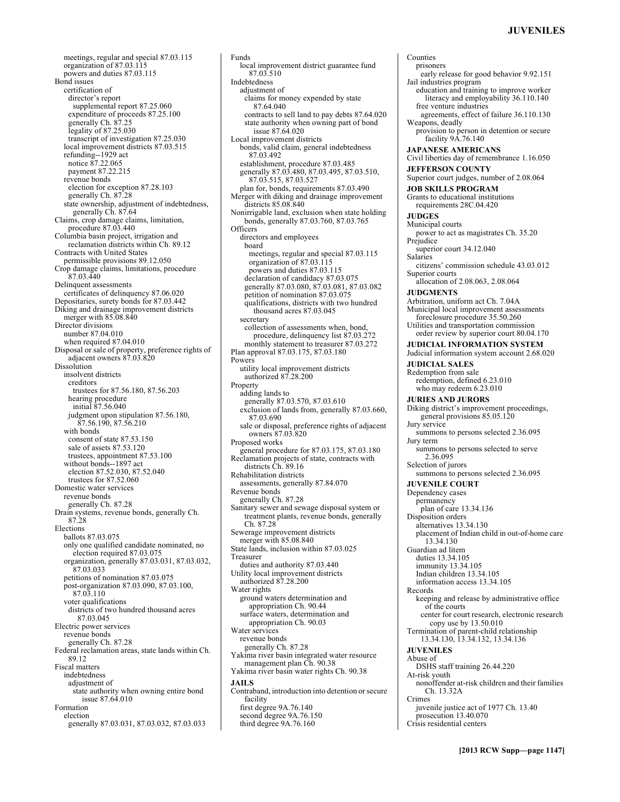meetings, regular and special 87.03.115 organization of 87.03.115 powers and duties 87.03.115 Bond issues certification of director's report supplemental report 87.25.060 expenditure of proceeds 87.25.100 generally Ch. 87.25 legality of 87.25.030 transcript of investigation 87.25.030 local improvement districts 87.03.515 refunding--1929 act notice 87.22.065 payment 87.22.215 revenue bonds election for exception 87.28.103 generally Ch. 87.28 state ownership, adjustment of indebtedness, generally Ch. 87.64 Claims, crop damage claims, limitation, procedure 87.03.440 Columbia basin project, irrigation and reclamation districts within Ch. 89.12 Contracts with United States permissible provisions 89.12.050 Crop damage claims, limitations, procedure  $87.03\,440$ Delinquent assessments certificates of delinquency 87.06.020 Depositaries, surety bonds for 87.03.442 Diking and drainage improvement districts merger with 85.08.840 Director divisions number 87.04.010 when required 87.04.010 Disposal or sale of property, preference rights of adjacent owners 87.03.820 Dissolution insolvent districts creditors trustees for 87.56.180, 87.56.203 hearing procedure initial 87.56.040 judgment upon stipulation 87.56.180, 87.56.190, 87.56.210 with bonds consent of state 87.53.150 sale of assets 87.53.120 trustees, appointment 87.53.100 without bonds--1897 act election 87.52.030, 87.52.040 trustees for 87.52.060 Domestic water services revenue bonds generally Ch. 87.28 Drain systems, revenue bonds, generally Ch. 87.28 Elections ballots 87.03.075 only one qualified candidate nominated, no election required 87.03.075 organization, generally 87.03.031, 87.03.032, 87.03.033 petitions of nomination 87.03.075 post-organization 87.03.090, 87.03.100, 87.03.110 voter qualifications districts of two hundred thousand acres 87.03.045 Electric power services revenue bonds generally Ch. 87.28 Federal reclamation areas, state lands within Ch. 89.12 Fiscal matters indebtedness adjustment of state authority when owning entire bond issue 87.64.010 Formation election generally 87.03.031, 87.03.032, 87.03.033

Funds local improvement district guarantee fund 87.03.510 Indebtedness adjustment of claims for money expended by state 87.64.040 contracts to sell land to pay debts 87.64.020 state authority when owning part of bond issue 87.64.020 Local improvement districts bonds, valid claim, general indebtedness 87.03.492 establishment, procedure 87.03.485 generally 87.03.480, 87.03.495, 87.03.510, 87.03.515, 87.03.527 plan for, bonds, requirements 87.03.490 Merger with diking and drainage improvement districts 85.08.840 Nonirrigable land, exclusion when state holding bonds, generally 87.03.760, 87.03.765 Officers directors and employees board meetings, regular and special 87.03.115 organization of 87.03.115 powers and duties 87.03.115 declaration of candidacy 87.03.075 generally 87.03.080, 87.03.081, 87.03.082 petition of nomination 87.03.075 qualifications, districts with two hundred thousand acres 87.03.045 secretary collection of assessments when, bond, procedure, delinquency list 87.03.272 monthly statement to treasurer 87.03.272 Plan approval 87.03.175, 87.03.180 Powers utility local improvement districts authorized 87.28.200 Property adding lands to generally 87.03.570, 87.03.610 exclusion of lands from, generally 87.03.660, 87.03.690 sale or disposal, preference rights of adjacent owners 87.03.820 Proposed works general procedure for 87.03.175, 87.03.180 Reclamation projects of state, contracts with districts Ch. 89.16 Rehabilitation districts assessments, generally 87.84.070 Revenue bonds generally Ch. 87.28 Sanitary sewer and sewage disposal system or treatment plants, revenue bonds, generally Ch. 87.28 Sewerage improvement districts merger with 85.08.840 State lands, inclusion within 87.03.025 Treasurer duties and authority 87.03.440 Utility local improvement districts authorized 87.28.200 Water rights ground waters determination and appropriation Ch. 90.44 surface waters, determination and appropriation Ch. 90.03 Water services revenue bonds generally Ch. 87.28 Yakima river basin integrated water resource management plan Ch. 90.38 Yakima river basin water rights Ch. 90.38 **JAILS**  Contraband, introduction into detention or secure facility first degree 9A.76.140 second degree 9A.76.150 third degree 9A.76.160

Counties prisoners early release for good behavior 9.92.151 Jail industries program education and training to improve worker literacy and employability 36.110.140 free venture industries agreements, effect of failure 36.110.130 Weapons, deadly provision to person in detention or secure facility 9A.76.140 **JAPANESE AMERICANS**  Civil liberties day of remembrance 1.16.050 **JEFFERSON COUNTY**  Superior court judges, number of 2.08.064 **JOB SKILLS PROGRAM**  Grants to educational institutions requirements 28C.04.420 **JUDGES**  Municipal courts power to act as magistrates Ch. 35.20 Prejudice superior court 34.12.040 Salaries citizens' commission schedule 43.03.012 Superior courts allocation of 2.08.063, 2.08.064 **JUDGMENTS**  Arbitration, uniform act Ch. 7.04A Municipal local improvement assessments foreclosure procedure 35.50.260 Utilities and transportation commission order review by superior court 80.04.170 **JUDICIAL INFORMATION SYSTEM**  Judicial information system account 2.68.020 **JUDICIAL SALES**  Redemption from sale redemption, defined 6.23.010 who may redeem 6.23.010 **JURIES AND JURORS**  Diking district's improvement proceedings, general provisions 85.05.120 Jury service summons to persons selected 2.36.095 Jury term summons to persons selected to serve 2.36.095 Selection of jurors summons to persons selected 2.36.095 **JUVENILE COURT**  Dependency cases permanency plan of care 13.34.136 Disposition orders alternatives 13.34.130 placement of Indian child in out-of-home care 13.34.130 Guardian ad litem duties 13.34.105 immunity 13.34.105 Indian children 13.34.105 information access 13.34.105 Records keeping and release by administrative office of the courts center for court research, electronic research copy use by 13.50.010 Termination of parent-child relationship 13.34.130, 13.34.132, 13.34.136 **JUVENILES**  Abuse of DSHS staff training 26.44.220 At-risk youth nonoffender at-risk children and their families Ch. 13.32A Crimes juvenile justice act of 1977 Ch. 13.40 prosecution 13.40.070

Crisis residential centers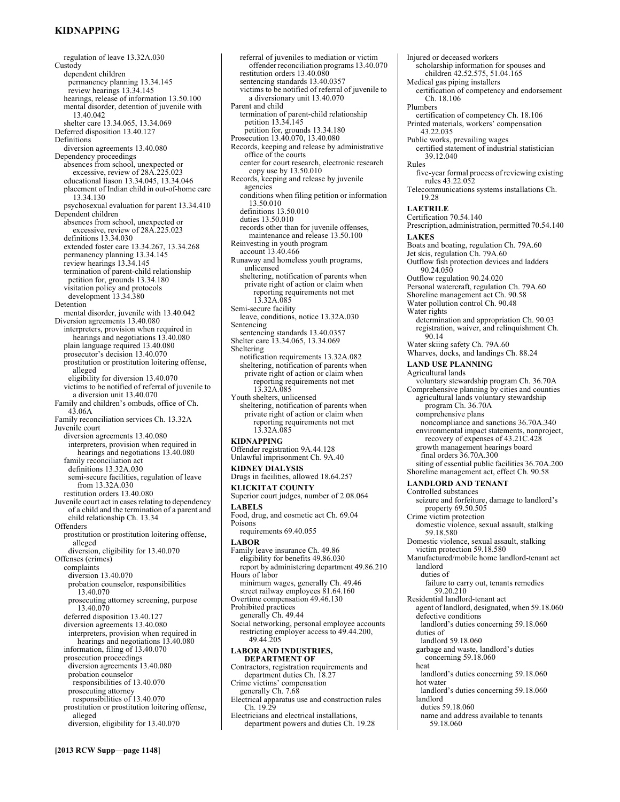# **KIDNAPPING**

regulation of leave 13.32A.030 **Custody** dependent children permanency planning 13.34.145 review hearings 13.34.145 hearings, release of information 13.50.100 mental disorder, detention of juvenile with 13.40.042 shelter care 13.34.065, 13.34.069 Deferred disposition 13.40.127 Definitions diversion agreements 13.40.080 Dependency proceedings absences from school, unexpected or excessive, review of 28A.225.023 educational liason 13.34.045, 13.34.046 placement of Indian child in out-of-home care 13.34.130 psychosexual evaluation for parent 13.34.410 Dependent children absences from school, unexpected or excessive, review of 28A.225.023 definitions 13.34.030 extended foster care 13.34.267, 13.34.268 permanency planning 13.34.145 review hearings 13.34.145 termination of parent-child relationship petition for, grounds 13.34.180 visitation policy and protocols development 13.34.380 Detention mental disorder, juvenile with 13.40.042 Diversion agreements 13.40.080 interpreters, provision when required in hearings and negotiations 13.40.080 plain language required 13.40.080 prosecutor's decision 13.40.070 prostitution or prostitution loitering offense, alleged eligibility for diversion 13.40.070 victims to be notified of referral of juvenile to a diversion unit 13.40.070 Family and children's ombuds, office of Ch. 43.06A Family reconciliation services Ch. 13.32A Juvenile court diversion agreements 13.40.080 interpreters, provision when required in hearings and negotiations 13.40.080 family reconciliation act definitions 13.32A.030 semi-secure facilities, regulation of leave from 13.32A.030 restitution orders 13.40.080 Juvenile court act in cases relating to dependency of a child and the termination of a parent and child relationship Ch. 13.34 **Offenders** prostitution or prostitution loitering offense, alleged diversion, eligibility for 13.40.070 Offenses (crimes) complaints diversion 13.40.070 probation counselor, responsibilities 13.40.070 prosecuting attorney screening, purpose 13.40.070 deferred disposition 13.40.127 diversion agreements 13.40.080 interpreters, provision when required in hearings and negotiations 13.40.080 information, filing of 13.40.070 prosecution proceedings diversion agreements 13.40.080 probation counselor responsibilities of 13.40.070 prosecuting attorney responsibilities of 13.40.070 prostitution or prostitution loitering offense, alleged diversion, eligibility for 13.40.070

referral of juveniles to mediation or victim offender reconciliation programs 13.40.070 restitution orders 13.40.080 sentencing standards 13.40.0357 victims to be notified of referral of juvenile to a diversionary unit 13.40.070 Parent and child termination of parent-child relationship petition 13.34.145 petition for, grounds 13.34.180 Prosecution 13.40.070, 13.40.080 Records, keeping and release by administrative office of the courts center for court research, electronic research copy use by 13.50.010 Records, keeping and release by juvenile agencies conditions when filing petition or information 13.50.010 definitions 13.50.010 duties 13.50.010 records other than for juvenile offenses, maintenance and release 13.50.100 Reinvesting in youth program account 13.40.466 Runaway and homeless youth programs, unlicensed sheltering, notification of parents when private right of action or claim when reporting requirements not met 13.32A.085 Semi-secure facility leave, conditions, notice 13.32A.030 Sentencing sentencing standards 13.40.0357 Shelter care 13.34.065, 13.34.069 Sheltering notification requirements 13.32A.082 sheltering, notification of parents when private right of action or claim when reporting requirements not met 13.32A.085 Youth shelters, unlicensed sheltering, notification of parents when private right of action or claim when reporting requirements not met 13.32A.085 **KIDNAPPING**  Offender registration 9A.44.128 Unlawful imprisonment Ch. 9A.40 **KIDNEY DIALYSIS**  Drugs in facilities, allowed 18.64.257 **KLICKITAT COUNTY**  Superior court judges, number of 2.08.064 **LABELS**  Food, drug, and cosmetic act Ch. 69.04 Poisons requirements 69.40.055 **LABOR**  Family leave insurance Ch. 49.86 eligibility for benefits 49.86.030 report by administering department 49.86.210 Hours of labor minimum wages, generally Ch. 49.46 street railway employees 81.64.160 Overtime compensation 49.46.130 Prohibited practices generally Ch. 49.44 Social networking, personal employee accounts restricting employer access to 49.44.200, 49.44.205 **LABOR AND INDUSTRIES, DEPARTMENT OF**  Contractors, registration requirements and department duties Ch. 18.27 Crime victims' compensation generally Ch. 7.68 Electrical apparatus use and construction rules Ch. 19.29 Electricians and electrical installations, department powers and duties Ch. 19.28

Injured or deceased workers scholarship information for spouses and children 42.52.575, 51.04.165 Medical gas piping installers certification of competency and endorsement Ch. 18.106 Plumbers certification of competency Ch. 18.106 Printed materials, workers' compensation 43.22.035 Public works, prevailing wages certified statement of industrial statistician 39.12.040 Rules five-year formal process of reviewing existing rules 43.22.052 Telecommunications systems installations Ch. 19.28 **LAETRILE**  Certification 70.54.140 Prescription, administration, permitted 70.54.140 **LAKES**  Boats and boating, regulation Ch. 79A.60 Jet skis, regulation Ch. 79A.60 Outflow fish protection devices and ladders 90.24.050 Outflow regulation 90.24.020 Personal watercraft, regulation Ch. 79A.60 Shoreline management act Ch. 90.58 Water pollution control Ch. 90.48 Water rights determination and appropriation Ch. 90.03 registration, waiver, and relinquishment Ch. 90.14 Water skiing safety Ch. 79A.60 Wharves, docks, and landings Ch. 88.24 **LAND USE PLANNING**  Agricultural lands voluntary stewardship program Ch. 36.70A Comprehensive planning by cities and counties agricultural lands voluntary stewardship program Ch. 36.70A comprehensive plans noncompliance and sanctions 36.70A.340 environmental impact statements, nonproject, recovery of expenses of 43.21C.428 growth management hearings board final orders 36.70A.300 siting of essential public facilities 36.70A.200 Shoreline management act, effect Ch. 90.58 **LANDLORD AND TENANT**  Controlled substances seizure and forfeiture, damage to landlord's property 69.50.505 Crime victim protection domestic violence, sexual assault, stalking 59.18.580 Domestic violence, sexual assault, stalking victim protection 59.18.580 Manufactured/mobile home landlord-tenant act landlord duties of failure to carry out, tenants remedies 59.20.210 Residential landlord-tenant act agent of landlord, designated, when 59.18.060 defective conditions landlord's duties concerning 59.18.060 duties of landlord 59.18.060 garbage and waste, landlord's duties concerning 59.18.060 heat landlord's duties concerning 59.18.060 hot water landlord's duties concerning 59.18.060 landlord duties 59.18.060 name and address available to tenants 59.18.060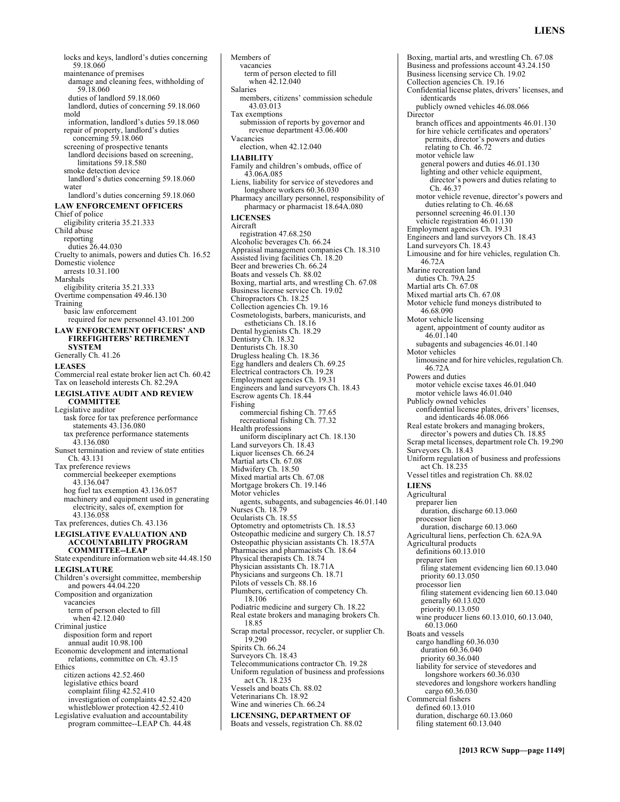locks and keys, landlord's duties concerning 59.18.060 maintenance of premises damage and cleaning fees, withholding of 59.18.060 duties of landlord 59.18.060 landlord, duties of concerning 59.18.060 mold information, landlord's duties 59.18.060 repair of property, landlord's duties concerning 59.18.060 screening of prospective tenants landlord decisions based on screening, limitations 59.18.580 smoke detection device landlord's duties concerning 59.18.060 water landlord's duties concerning 59.18.060 **LAW ENFORCEMENT OFFICERS**  Chief of police eligibility criteria 35.21.333 Child abuse reporting duties 26.44.030 Cruelty to animals, powers and duties Ch. 16.52 Domestic violence arrests 10.31.100 Marshals eligibility criteria 35.21.333 Overtime compensation 49.46.130 Training basic law enforcement required for new personnel 43.101.200 **LAW ENFORCEMENT OFFICERS' AND FIREFIGHTERS' RETIREMENT SYSTEM**  Generally Ch. 41.26 **LEASES**  Commercial real estate broker lien act Ch. 60.42 Tax on leasehold interests Ch. 82.29A **LEGISLATIVE AUDIT AND REVIEW COMMITTEE**  Legislative auditor task force for tax preference performance statements 43.136.080 tax preference performance statements 43.136.080 Sunset termination and review of state entities Ch. 43.131 Tax preference reviews commercial beekeeper exemptions 43.136.047 hog fuel tax exemption 43.136.057 machinery and equipment used in generating electricity, sales of, exemption for 43.136.058 Tax preferences, duties Ch. 43.136 **LEGISLATIVE EVALUATION AND ACCOUNTABILITY PROGRAM COMMITTEE--LEAP**  State expenditure information web site 44.48.150 **LEGISLATURE**  Children's oversight committee, membership and powers 44.04.220 Composition and organization vacancies term of person elected to fill when 42.12.040 Criminal justice disposition form and report annual audit 10.98.100 Economic development and international relations, committee on Ch. 43.15 Ethics citizen actions 42.52.460 legislative ethics board complaint filing 42.52.410 investigation of complaints 42.52.420 whistleblower protection 42.52.410 Legislative evaluation and accountability program committee--LEAP Ch. 44.48

vacancies term of person elected to fill when 42.12.040 Salaries members, citizens' commission schedule 43.03.013 Tax exemptions submission of reports by governor and revenue department 43.06.400 Vacancies election, when 42.12.040 **LIABILITY**  Family and children's ombuds, office of 43.06A.085 Liens, liability for service of stevedores and longshore workers 60.36.030 Pharmacy ancillary personnel, responsibility of pharmacy or pharmacist 18.64A.080 **LICENSES**  Aircraft registration 47.68.250 Alcoholic beverages Ch. 66.24 Appraisal management companies Ch. 18.310 Assisted living facilities Ch. 18.20 Beer and breweries Ch. 66.24 Boats and vessels Ch. 88.02 Boxing, martial arts, and wrestling Ch. 67.08 Business license service Ch. 19.02 Chiropractors Ch. 18.25 Collection agencies Ch. 19.16 Cosmetologists, barbers, manicurists, and estheticians Ch. 18.16 Dental hygienists Ch. 18.29 Dentistry Ch. 18.32 Denturists Ch. 18.30 Drugless healing Ch. 18.36 Egg handlers and dealers Ch. 69.25 Electrical contractors Ch. 19.28 Employment agencies Ch. 19.31 Engineers and land surveyors Ch. 18.43 Escrow agents Ch. 18.44 Fishing commercial fishing Ch. 77.65 recreational fishing Ch. 77.32 Health professions uniform disciplinary act Ch. 18.130 Land surveyors Ch. 18.43 Liquor licenses Ch. 66.24 Martial arts Ch. 67.08 Midwifery Ch. 18.50 Mixed martial arts Ch. 67.08 Mortgage brokers Ch. 19.146 Motor vehicles agents, subagents, and subagencies 46.01.140 Nurses Ch. 18.79 Ocularists Ch. 18.55 Optometry and optometrists Ch. 18.53 Osteopathic medicine and surgery Ch. 18.57 Osteopathic physician assistants Ch. 18.57A Pharmacies and pharmacists Ch. 18.64 Physical therapists Ch. 18.74 Physician assistants Ch. 18.71A Physicians and surgeons Ch. 18.71 Pilots of vessels Ch. 88.16 Plumbers, certification of competency Ch. 18.106 Podiatric medicine and surgery Ch. 18.22 Real estate brokers and managing brokers Ch. 18.85 Scrap metal processor, recycler, or supplier Ch. 19.290 Spirits Ch. 66.24 Surveyors Ch. 18.43 Telecommunications contractor Ch. 19.28 Uniform regulation of business and professions act Ch. 18.235 Vessels and boats Ch. 88.02 Veterinarians Ch. 18.92 Wine and wineries Ch. 66.24 **LICENSING, DEPARTMENT OF**  Boats and vessels, registration Ch. 88.02

Members of

Boxing, martial arts, and wrestling Ch. 67.08 Business and professions account 43.24.150 Business licensing service Ch. 19.02 Collection agencies Ch. 19.16 Confidential license plates, drivers' licenses, and identicards publicly owned vehicles 46.08.066 **Director** branch offices and appointments 46.01.130 for hire vehicle certificates and operators' permits, director's powers and duties relating to Ch. 46.72 motor vehicle law general powers and duties 46.01.130 lighting and other vehicle equipment, director's powers and duties relating to Ch. 46.37 motor vehicle revenue, director's powers and duties relating to Ch. 46.68 personnel screening 46.01.130 vehicle registration 46.01.130 Employment agencies Ch. 19.31 Engineers and land surveyors Ch. 18.43 Land surveyors Ch. 18.43 Limousine and for hire vehicles, regulation Ch. 46.72A Marine recreation land duties Ch. 79A.25 Martial arts Ch. 67.08 Mixed martial arts Ch. 67.08 Motor vehicle fund moneys distributed to 46.68.090 Motor vehicle licensing agent, appointment of county auditor as 46.01.140 subagents and subagencies 46.01.140 Motor vehicles limousine and for hire vehicles, regulation Ch. 46.72A Powers and duties motor vehicle excise taxes 46.01.040 motor vehicle laws 46.01.040 Publicly owned vehicles confidential license plates, drivers' licenses, and identicards 46.08.066 Real estate brokers and managing brokers, director's powers and duties Ch. 18.85 Scrap metal licenses, department role Ch. 19.290 Surveyors Ch. 18.43 Uniform regulation of business and professions act Ch. 18.235 Vessel titles and registration Ch. 88.02 **LIENS**  Agricultural preparer lien duration, discharge 60.13.060 processor lien duration, discharge 60.13.060 Agricultural liens, perfection Ch. 62A.9A Agricultural products definitions 60.13.010 preparer lien filing statement evidencing lien 60.13.040 priority 60.13.050 processor lien filing statement evidencing lien 60.13.040 generally 60.13.020 priority 60.13.050 wine producer liens 60.13.010, 60.13.040, 60.13.060 Boats and vessels cargo handling 60.36.030 duration 60.36.040 priority 60.36.040 liability for service of stevedores and longshore workers 60.36.030 stevedores and longshore workers handling cargo 60.36.030 Commercial fishers defined 60.13.010 duration, discharge 60.13.060 filing statement 60.13.040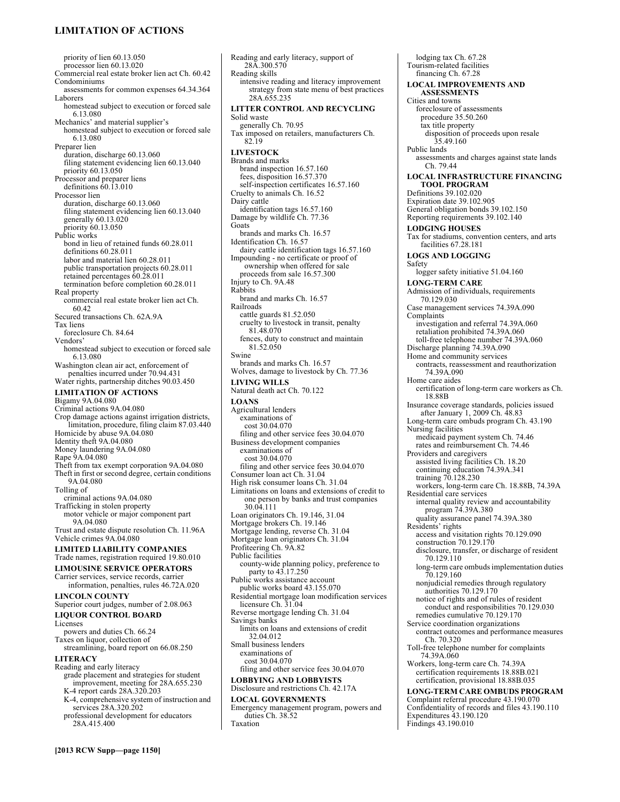# **LIMITATION OF ACTIONS**

priority of lien 60.13.050 processor lien 60.13.020 Commercial real estate broker lien act Ch. 60.42 Condominiums assessments for common expenses 64.34.364 Laborers homestead subject to execution or forced sale 6.13.080 Mechanics' and material supplier's homestead subject to execution or forced sale 6.13.080 Preparer lien duration, discharge 60.13.060 filing statement evidencing lien 60.13.040 priority 60.13.050 Processor and preparer liens definitions  $60.\overline{13.010}$ Processor lien duration, discharge 60.13.060 filing statement evidencing lien 60.13.040 generally 60.13.020 priority 60.13.050 Public works bond in lieu of retained funds 60.28.011 definitions 60.28.011 labor and material lien 60.28.011 public transportation projects 60.28.011 retained percentages 60.28.011 termination before completion 60.28.011 Real property commercial real estate broker lien act Ch. 60.42 Secured transactions Ch. 62A.9A Tax liens foreclosure Ch. 84.64 Vendors' homestead subject to execution or forced sale 6.13.080 Washington clean air act, enforcement of penalties incurred under 70.94.431 Water rights, partnership ditches 90.03.450 **LIMITATION OF ACTIONS**  Bigamy 9A.04.080 Criminal actions 9A.04.080 Crop damage actions against irrigation districts, limitation, procedure, filing claim 87.03.440 Homicide by abuse 9A.04.080 Identity theft 9A.04.080 Money laundering 9A.04.080 Rape 9A.04.080 Theft from tax exempt corporation 9A.04.080 Theft in first or second degree, certain conditions 9A.04.080 Tolling of criminal actions 9A.04.080 Trafficking in stolen property motor vehicle or major component part 9A.04.080 Trust and estate dispute resolution Ch. 11.96A Vehicle crimes 9A.04.080 **LIMITED LIABILITY COMPANIES**  Trade names, registration required 19.80.010 **LIMOUSINE SERVICE OPERATORS**  Carrier services, service records, carrier information, penalties, rules 46.72A.020 **LINCOLN COUNTY**  Superior court judges, number of 2.08.063 **LIQUOR CONTROL BOARD**  Licenses powers and duties Ch. 66.24 Taxes on liquor, collection of streamlining, board report on 66.08.250 **LITERACY**  Reading and early literacy grade placement and strategies for student improvement, meeting for 28A.655.230 K-4 report cards 28A.320.203 K-4, comprehensive system of instruction and services 28A.320.202 professional development for educators 28A.415.400

**[2013 RCW Supp—page 1150]**

28A.300.570 Reading skills intensive reading and literacy improvement strategy from state menu of best practices 28A.655.235 **LITTER CONTROL AND RECYCLING**  Solid waste generally Ch. 70.95 Tax imposed on retailers, manufacturers Ch. 82.19 **LIVESTOCK**  Brands and marks brand inspection 16.57.160 fees, disposition 16.57.370 self-inspection certificates 16.57.160 Cruelty to animals Ch. 16.52 Dairy cattle identification tags 16.57.160 Damage by wildlife Ch. 77.36 Goats brands and marks Ch. 16.57 Identification Ch. 16.57 dairy cattle identification tags 16.57.160 Impounding - no certificate or proof of ownership when offered for sale proceeds from sale 16.57.300 Injury to Ch. 9A.48 Rabbits brand and marks Ch. 16.57 Railroads cattle guards 81.52.050 cruelty to livestock in transit, penalty 81.48.070 fences, duty to construct and maintain 81.52.050 Swine brands and marks Ch. 16.57 Wolves, damage to livestock by Ch. 77.36 **LIVING WILLS**  Natural death act Ch. 70.122 **LOANS**  Agricultural lenders examinations of cost 30.04.070 filing and other service fees 30.04.070 Business development companies examinations of cost 30.04.070 filing and other service fees 30.04.070 Consumer loan act Ch. 31.04 High risk consumer loans Ch. 31.04 Limitations on loans and extensions of credit to one person by banks and trust companies 30.04.111 Loan originators Ch. 19.146, 31.04 Mortgage brokers Ch. 19.146 Mortgage lending, reverse Ch. 31.04 Mortgage loan originators Ch. 31.04 Profiteering Ch. 9A.82 Public facilities county-wide planning policy, preference to party to 43.17.250 Public works assistance account public works board 43.155.070 Residential mortgage loan modification services licensure Ch. 31.04 Reverse mortgage lending Ch. 31.04 Savings banks limits on loans and extensions of credit 32.04.012 Small business lenders examinations of cost 30.04.070 filing and other service fees 30.04.070 **LOBBYING AND LOBBYISTS**  Disclosure and restrictions Ch. 42.17A **LOCAL GOVERNMENTS**  Emergency management program, powers and duties Ch. 38.52 Taxation

Reading and early literacy, support of

lodging tax Ch. 67.28 Tourism-related facilities financing Ch. 67.28 **LOCAL IMPROVEMENTS AND ASSESSMENTS**  Cities and towns foreclosure of assessments procedure 35.50.260 tax title property disposition of proceeds upon resale 35.49.160 Public lands assessments and charges against state lands Ch. 79.44 **LOCAL INFRASTRUCTURE FINANCING TOOL PROGRAM**  Definitions 39.102.020 Expiration date 39.102.905 General obligation bonds 39.102.150 Reporting requirements 39.102.140 **LODGING HOUSES**  Tax for stadiums, convention centers, and arts facilities 67.28.181 **LOGS AND LOGGING**  Safety logger safety initiative 51.04.160 **LONG-TERM CARE**  Admission of individuals, requirements 70.129.030 Case management services 74.39A.090 Complaints investigation and referral 74.39A.060 retaliation prohibited 74.39A.060 toll-free telephone number 74.39A.060 Discharge planning 74.39A.090 Home and community services contracts, reassessment and reauthorization 74.39A.090 Home care aides certification of long-term care workers as Ch. 18.88B Insurance coverage standards, policies issued after January 1, 2009 Ch. 48.83 Long-term care ombuds program Ch. 43.190 Nursing facilities medicaid payment system Ch. 74.46 rates and reimbursement Ch. 74.46 Providers and caregivers assisted living facilities Ch. 18.20 continuing education 74.39A.341 training 70.128.230 workers, long-term care Ch. 18.88B, 74.39A Residential care services internal quality review and accountability program 74.39A.380 quality assurance panel 74.39A.380 Residents' rights access and visitation rights 70.129.090 construction 70.129.170 disclosure, transfer, or discharge of resident 70.129.110 long-term care ombuds implementation duties 70.129.160 nonjudicial remedies through regulatory authorities 70.129.170 notice of rights and of rules of resident conduct and responsibilities 70.129.030 remedies cumulative 70.129.170 Service coordination organizations contract outcomes and performance measures Ch. 70.320 Toll-free telephone number for complaints 74.39A.060 Workers, long-term care Ch. 74.39A certification requirements 18.88B.021 certification, provisional 18.88B.035 **LONG-TERM CARE OMBUDS PROGRAM**  Complaint referral procedure 43.190.070 Confidentiality of records and files 43.190.110 Expenditures 43.190.120

Findings 43.190.010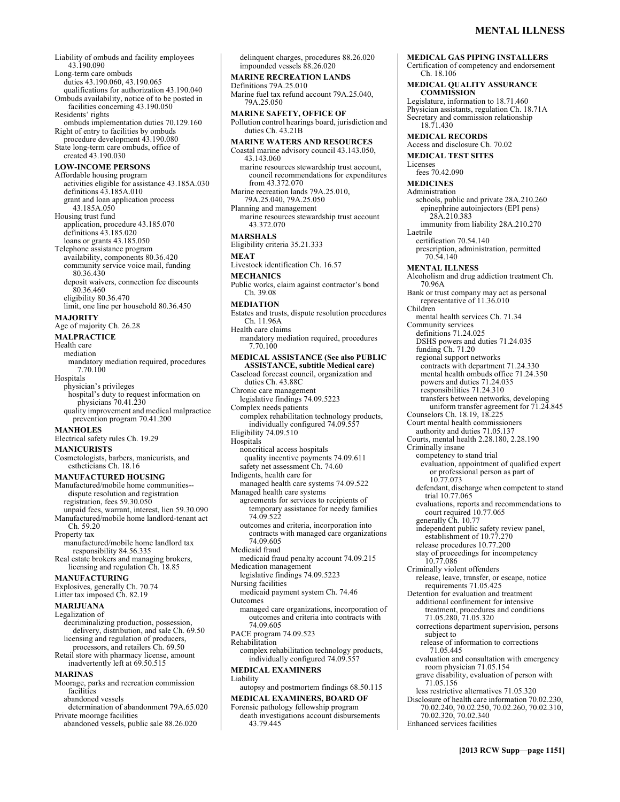Liability of ombuds and facility employees 43.190.090 Long-term care ombuds duties 43.190.060, 43.190.065 qualifications for authorization 43.190.040 Ombuds availability, notice of to be posted in facilities concerning 43.190.050 Residents' rights ombuds implementation duties 70.129.160 Right of entry to facilities by ombuds procedure development 43.190.080 State long-term care ombuds, office of created 43.190.030 **LOW-INCOME PERSONS**  Affordable housing program activities eligible for assistance 43.185A.030 definitions 43.185A.010 grant and loan application process 43.185A.050 Housing trust fund application, procedure 43.185.070 definitions 43.185.020 loans or grants 43.185.050 Telephone assistance program availability, components 80.36.420 community service voice mail, funding 80.36.430 deposit waivers, connection fee discounts 80.36.460 eligibility 80.36.470 limit, one line per household 80.36.450 **MAJORITY**  Age of majority Ch. 26.28 **MALPRACTICE**  Health care mediation mandatory mediation required, procedures 7.70.100 **Hospitals** physician's privileges hospital's duty to request information on physicians 70.41.230 quality improvement and medical malpractice prevention program 70.41.200 **MANHOLES**  Electrical safety rules Ch. 19.29 **MANICURISTS**  Cosmetologists, barbers, manicurists, and estheticians Ch. 18.16 **MANUFACTURED HOUSING**  Manufactured/mobile home communities- dispute resolution and registration registration, fees 59.30.050 unpaid fees, warrant, interest, lien 59.30.090 Manufactured/mobile home landlord-tenant act Ch. 59.20 Property tax manufactured/mobile home landlord tax responsibility 84.56.335 Real estate brokers and managing brokers, licensing and regulation Ch. 18.85 **MANUFACTURING**  Explosives, generally Ch. 70.74 Litter tax imposed Ch. 82.19 **MARIJUANA**  Legalization of decriminalizing production, possession, delivery, distribution, and sale Ch. 69.50 licensing and regulation of producers, processors, and retailers Ch. 69.50 Retail store with pharmacy license, amount inadvertently left at 69.50.515 **MARINAS**  Moorage, parks and recreation commission facilities abandoned vessels determination of abandonment 79A.65.020 Private moorage facilities abandoned vessels, public sale 88.26.020

impounded vessels 88.26.020 **MARINE RECREATION LANDS**  Definitions 79A.25.010 Marine fuel tax refund account 79A.25.040, 79A.25.050 **MARINE SAFETY, OFFICE OF**  Pollution control hearings board, jurisdiction and duties Ch. 43.21B **MARINE WATERS AND RESOURCES**  Coastal marine advisory council 43.143.050, 43.143.060 marine resources stewardship trust account, council recommendations for expenditures from 43.372.070 Marine recreation lands 79A.25.010, 79A.25.040, 79A.25.050 Planning and management marine resources stewardship trust account 43.372.070 **MARSHALS**  Eligibility criteria 35.21.333 **MEAT**  Livestock identification Ch. 16.57 **MECHANICS**  Public works, claim against contractor's bond Ch. 39.08 **MEDIATION**  Estates and trusts, dispute resolution procedures Ch. 11.96A Health care claims mandatory mediation required, procedures 7.70.100 **MEDICAL ASSISTANCE (See also PUBLIC ASSISTANCE, subtitle Medical care)**  Caseload forecast council, organization and duties Ch. 43.88C Chronic care management legislative findings 74.09.5223 Complex needs patients complex rehabilitation technology products, individually configured 74.09.557 Eligibility 74.09.510 **Hospitals** noncritical access hospitals quality incentive payments 74.09.611 safety net assessment Ch. 74.60 Indigents, health care for managed health care systems 74.09.522 Managed health care systems agreements for services to recipients of temporary assistance for needy families 74.09.522 outcomes and criteria, incorporation into contracts with managed care organizations 74.09.605 Medicaid fraud medicaid fraud penalty account 74.09.215 Medication management legislative findings 74.09.5223 Nursing facilities medicaid payment system Ch. 74.46 Outcomes managed care organizations, incorporation of outcomes and criteria into contracts with 74.09.605 PACE program 74.09.523 Rehabilitation complex rehabilitation technology products, individually configured 74.09.557 **MEDICAL EXAMINERS**  Liability autopsy and postmortem findings 68.50.115 **MEDICAL EXAMINERS, BOARD OF**  Forensic pathology fellowship program death investigations account disbursements 43.79.445

delinquent charges, procedures 88.26.020

**MEDICAL GAS PIPING INSTALLERS**  Certification of competency and endorsement Ch. 18.106 **MEDICAL QUALITY ASSURANCE COMMISSION**  Legislature, information to 18.71.460 Physician assistants, regulation Ch. 18.71A Secretary and commission relationship 18.71.430 **MEDICAL RECORDS**  Access and disclosure Ch. 70.02 **MEDICAL TEST SITES**  Licenses fees 70.42.090 **MEDICINES**  Administration schools, public and private 28A.210.260 epinephrine autoinjectors (EPI pens) 28A.210.383 immunity from liability 28A.210.270 Laetrile certification 70.54.140 prescription, administration, permitted 70.54.140 **MENTAL ILLNESS**  Alcoholism and drug addiction treatment Ch. 70.96A Bank or trust company may act as personal representative of 11.36.010 Children mental health services Ch. 71.34 Community services definitions 71.24.025 DSHS powers and duties 71.24.035 funding Ch. 71.20 regional support networks contracts with department 71.24.330 mental health ombuds office 71.24.350 powers and duties 71.24.035 responsibilities 71.24.310 transfers between networks, developing uniform transfer agreement for 71.24.845 Counselors Ch. 18.19, 18.225 Court mental health commissioners authority and duties 71.05.137 Courts, mental health 2.28.180, 2.28.190 Criminally insane competency to stand trial evaluation, appointment of qualified expert or professional person as part of 10.77.073 defendant, discharge when competent to stand trial 10.77.065 evaluations, reports and recommendations to court required 10.77.065 generally Ch. 10.77 independent public safety review panel, establishment of 10.77.270 release procedures 10.77.200 stay of proceedings for incompetency 10.77.086 Criminally violent offenders release, leave, transfer, or escape, notice requirements 71.05.425 Detention for evaluation and treatment additional confinement for intensive treatment, procedures and conditions 71.05.280, 71.05.320 corrections department supervision, persons subject to release of information to corrections 71.05.445 evaluation and consultation with emergency room physician 71.05.154 grave disability, evaluation of person with 71.05.156 less restrictive alternatives 71.05.320 Disclosure of health care information 70.02.230, 70.02.240, 70.02.250, 70.02.260, 70.02.310, 70.02.320, 70.02.340 Enhanced services facilities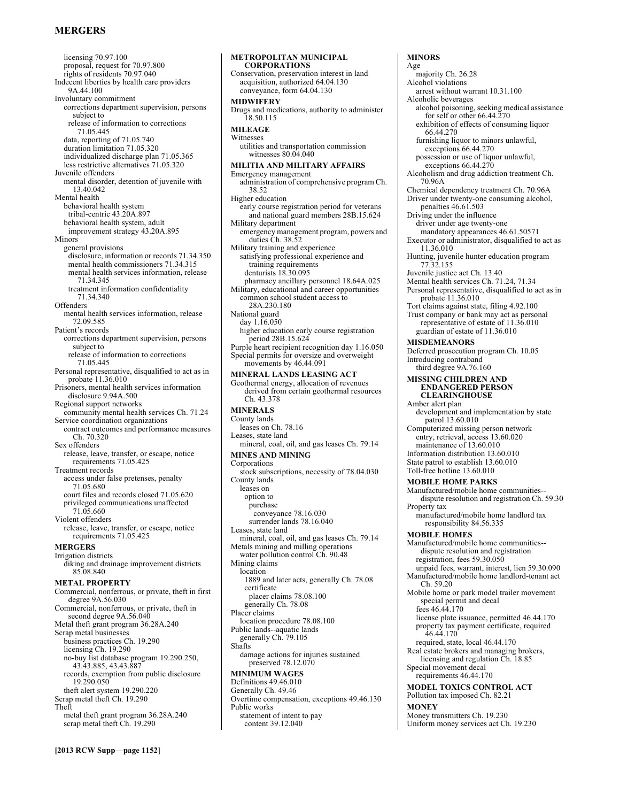# **MERGERS**

licensing 70.97.100 proposal, request for 70.97.800 rights of residents 70.97.040 Indecent liberties by health care providers 9A.44.100 Involuntary commitment corrections department supervision, persons subject to release of information to corrections 71.05.445 data, reporting of 71.05.740 duration limitation 71.05.320 individualized discharge plan 71.05.365 less restrictive alternatives 71.05.320 Juvenile offenders mental disorder, detention of juvenile with 13.40.042 Mental health behavioral health system tribal-centric 43.20A.897 behavioral health system, adult improvement strategy 43.20A.895 Minors general provisions disclosure, information or records 71.34.350 mental health commissioners 71.34.315 mental health services information, release 71.34.345 treatment information confidentiality 71.34.340 **Offenders** mental health services information, release 72.09.585 Patient's records corrections department supervision, persons subject to release of information to corrections 71.05.445 Personal representative, disqualified to act as in probate 11.36.010 Prisoners, mental health services information disclosure 9.94A.500 Regional support networks community mental health services Ch. 71.24 Service coordination organizations contract outcomes and performance measures Ch. 70.320 Sex offenders release, leave, transfer, or escape, notice requirements 71.05.425 Treatment records access under false pretenses, penalty 71.05.680 court files and records closed 71.05.620 privileged communications unaffected 71.05.660 Violent offenders release, leave, transfer, or escape, notice requirements 71.05.425 **MERGERS**  Irrigation districts diking and drainage improvement districts 85.08.840 **METAL PROPERTY**  Commercial, nonferrous, or private, theft in first degree 9A.56.030 Commercial, nonferrous, or private, theft in second degree 9A.56.040 Metal theft grant program 36.28A.240 Scrap metal businesses business practices Ch. 19.290 licensing Ch. 19.290 no-buy list database program 19.290.250, 43.43.885, 43.43.887 records, exemption from public disclosure 19.290.050 theft alert system 19.290.220 Scrap metal theft Ch. 19.290 Theft metal theft grant program 36.28A.240 scrap metal theft Ch. 19.290

#### **METROPOLITAN MUNICIPAL CORPORATIONS**  Conservation, preservation interest in land acquisition, authorized 64.04.130 conveyance, form 64.04.130 **MIDWIFERY**  Drugs and medications, authority to administer 18.50.115 **MILEAGE**  Witnesses utilities and transportation commission witnesses 80.04.040 **MILITIA AND MILITARY AFFAIRS**  Emergency management administration of comprehensive program Ch. 38.52 Higher education early course registration period for veterans and national guard members 28B.15.624 Military department emergency management program, powers and duties Ch. 38.52 Military training and experience satisfying professional experience and training requirements denturists 18.30.095 pharmacy ancillary personnel 18.64A.025 Military, educational and career opportunities common school student access to 28A.230.180 National guard day 1.16.050 higher education early course registration period 28B.15.624 Purple heart recipient recognition day 1.16.050 Special permits for oversize and overweight movements by 46.44.091 **MINERAL LANDS LEASING ACT**  Geothermal energy, allocation of revenues derived from certain geothermal resources Ch. 43.378 **MINERALS**  County lands leases on Ch. 78.16 Leases, state land mineral, coal, oil, and gas leases Ch. 79.14 **MINES AND MINING**  Corporations stock subscriptions, necessity of 78.04.030 County lands leases on option to purchase conveyance 78.16.030 surrender lands 78.16.040 Leases, state land mineral, coal, oil, and gas leases Ch. 79.14 Metals mining and milling operations water pollution control Ch. 90.48 Mining claims location 1889 and later acts, generally Ch. 78.08 certificate placer claims 78.08.100 generally Ch. 78.08 Placer claims location procedure 78.08.100 Public lands--aquatic lands generally Ch. 79.105 Shafts damage actions for injuries sustained preserved 78.12.070 **MINIMUM WAGES**  Definitions 49.46.010 Generally Ch. 49.46 Overtime compensation, exceptions 49.46.130 Public works statement of intent to pay content 39.12.040

#### **MINORS**  Age majority Ch. 26.28 Alcohol violations arrest without warrant 10.31.100 Alcoholic beverages alcohol poisoning, seeking medical assistance for self or other 66.44.270 exhibition of effects of consuming liquor 66.44.270 furnishing liquor to minors unlawful, exceptions 66.44.270 possession or use of liquor unlawful, exceptions 66.44.270 Alcoholism and drug addiction treatment Ch. 70.96A Chemical dependency treatment Ch. 70.96A Driver under twenty-one consuming alcohol, penalties 46.61.503 Driving under the influence driver under age twenty-one mandatory appearances 46.61.50571 Executor or administrator, disqualified to act as 11.36.010 Hunting, juvenile hunter education program 77.32.155 Juvenile justice act Ch. 13.40 Mental health services Ch. 71.24, 71.34 Personal representative, disqualified to act as in probate 11.36.010 Tort claims against state, filing 4.92.100 Trust company or bank may act as personal representative of estate of 11.36.010 guardian of estate of 11.36.010 **MISDEMEANORS**  Deferred prosecution program Ch. 10.05 Introducing contraband third degree 9A.76.160 **MISSING CHILDREN AND ENDANGERED PERSON CLEARINGHOUSE**  Amber alert plan development and implementation by state patrol 13.60.010 Computerized missing person network entry, retrieval, access 13.60.020 maintenance of 13.60.010 Information distribution 13.60.010 State patrol to establish 13.60.010 Toll-free hotline 13.60.010 **MOBILE HOME PARKS**  Manufactured/mobile home communities- dispute resolution and registration Ch. 59.30 Property tax manufactured/mobile home landlord tax responsibility 84.56.335 **MOBILE HOMES**  Manufactured/mobile home communities- dispute resolution and registration registration, fees 59.30.050 unpaid fees, warrant, interest, lien 59.30.090 Manufactured/mobile home landlord-tenant act Ch. 59.20 Mobile home or park model trailer movement special permit and decal fees 46.44.170 license plate issuance, permitted 46.44.170 property tax payment certificate, required 46.44.170 required, state, local 46.44.170 Real estate brokers and managing brokers, licensing and regulation Ch. 18.85 Special movement decal requirements 46.44.170 **MODEL TOXICS CONTROL ACT**  Pollution tax imposed Ch. 82.21 **MONEY**

Money transmitters Ch. 19.230 Uniform money services act Ch. 19.230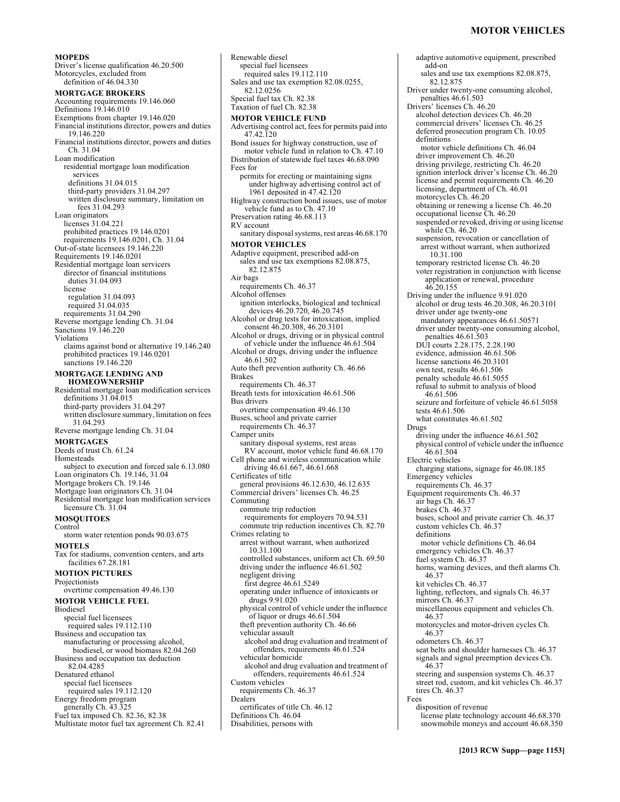# **MOTOR VEHICLES**

#### **MOPEDS**

Driver's license qualification 46.20.500 Motorcycles, excluded from definition of 46.04.330 **MORTGAGE BROKERS**  Accounting requirements 19.146.060 Definitions 19.146.010 Exemptions from chapter 19.146.020 Financial institutions director, powers and duties 19.146.220 Financial institutions director, powers and duties Ch. 31.04 Loan modification residential mortgage loan modification services definitions 31.04.015 third-party providers 31.04.297 written disclosure summary, limitation on fees 31.04.293 Loan originators licenses 31.04.221 prohibited practices 19.146.0201 requirements 19.146.0201, Ch. 31.04 Out-of-state licensees 19.146.220 Requirements 19.146.0201 Residential mortgage loan servicers director of financial institutions duties 31.04.093 license regulation 31.04.093 required 31.04.035 requirements 31.04.290 Reverse mortgage lending Ch. 31.04 Sanctions 19.146.220 Violations claims against bond or alternative 19.146.240 prohibited practices 19.146.0201 sanctions 19.146.220 **MORTGAGE LENDING AND HOMEOWNERSHIP**  Residential mortgage loan modification services definitions 31.04.015 third-party providers 31.04.297 written disclosure summary, limitation on fees 31.04.293 Reverse mortgage lending Ch. 31.04 **MORTGAGES**  Deeds of trust Ch. 61.24 Homesteads subject to execution and forced sale 6.13.080 Loan originators Ch. 19.146, 31.04 Mortgage brokers Ch. 19.146 Mortgage loan originators Ch. 31.04 Residential mortgage loan modification services licensure Ch. 31.04 **MOSQUITOES**  Control storm water retention ponds 90.03.675 **MOTELS**  Tax for stadiums, convention centers, and arts facilities 67.28.181 **MOTION PICTURES**  Projectionists overtime compensation 49.46.130 **MOTOR VEHICLE FUEL**  Biodiesel special fuel licensees required sales 19.112.110 Business and occupation tax manufacturing or processing alcohol, biodiesel, or wood biomass 82.04.260 Business and occupation tax deduction 82.04.4285 Denatured ethanol special fuel licensees required sales 19.112.120 Energy freedom program generally Ch. 43.325 Fuel tax imposed Ch. 82.36, 82.38 Multistate motor fuel tax agreement Ch. 82.41

Renewable diesel special fuel licensees required sales 19.112.110 Sales and use tax exemption 82.08.0255, 82.12.0256 Special fuel tax Ch. 82.38 Taxation of fuel Ch. 82.38 **MOTOR VEHICLE FUND**  Advertising control act, fees for permits paid into 47.42.120 Bond issues for highway construction, use of motor vehicle fund in relation to Ch. 47.10 Distribution of statewide fuel taxes 46.68.090 Fees for permits for erecting or maintaining signs under highway advertising control act of 1961 deposited in 47.42.120 Highway construction bond issues, use of motor vehicle fund as to Ch. 47.10 Preservation rating 46.68.113 RV account sanitary disposal systems, rest areas 46.68.170 **MOTOR VEHICLES**  Adaptive equipment, prescribed add-on sales and use tax exemptions 82.08.875, 82.12.875 Air bags requirements Ch. 46.37 Alcohol offenses ignition interlocks, biological and technical devices 46.20.720, 46.20.745 Alcohol or drug tests for intoxication, implied consent 46.20.308, 46.20.3101 Alcohol or drugs, driving or in physical control of vehicle under the influence 46.61.504 Alcohol or drugs, driving under the influence 46.61.502 Auto theft prevention authority Ch. 46.66 Brakes requirements Ch. 46.37 Breath tests for intoxication 46.61.506 Bus drivers overtime compensation 49.46.130 Buses, school and private carrier requirements Ch. 46.37 Camper units sanitary disposal systems, rest areas RV account, motor vehicle fund 46.68.170 Cell phone and wireless communication while driving 46.61.667, 46.61.668 Certificates of title general provisions 46.12.630, 46.12.635 Commercial drivers' licenses Ch. 46.25 Commuting commute trip reduction requirements for employers 70.94.531 commute trip reduction incentives Ch. 82.70 Crimes relating to arrest without warrant, when authorized 10.31.100 controlled substances, uniform act Ch. 69.50 driving under the influence 46.61.502 negligent driving first degree 46.61.5249 operating under influence of intoxicants or drugs 9.91.020 physical control of vehicle under the influence of liquor or drugs 46.61.504 theft prevention authority Ch. 46.66 vehicular assault alcohol and drug evaluation and treatment of offenders, requirements 46.61.524 vehicular homicide alcohol and drug evaluation and treatment of offenders, requirements 46.61.524 Custom vehicles requirements Ch. 46.37 Dealers certificates of title Ch. 46.12 Definitions Ch. 46.04 Disabilities, persons with

adaptive automotive equipment, prescribed add-on sales and use tax exemptions 82.08.875, 82.12.875 Driver under twenty-one consuming alcohol, penalties 46.61.503 Drivers' licenses Ch. 46.20 alcohol detection devices Ch. 46.20 commercial drivers' licenses Ch. 46.25 deferred prosecution program Ch. 10.05 definitions motor vehicle definitions Ch. 46.04 driver improvement Ch. 46.20 driving privilege, restricting Ch. 46.20 ignition interlock driver's license Ch. 46.20 license and permit requirements Ch. 46.20 licensing, department of Ch. 46.01 motorcycles Ch. 46.20 obtaining or renewing a license Ch. 46.20 occupational license Ch. 46.20 suspended or revoked, driving or using license while Ch. 46.20 suspension, revocation or cancellation of arrest without warrant, when authorized 10.31.100 temporary restricted license Ch. 46.20 voter registration in conjunction with license application or renewal, procedure 46.20.155 Driving under the influence 9.91.020 alcohol or drug tests 46.20.308, 46.20.3101 driver under age twenty-one mandatory appearances 46.61.50571 driver under twenty-one consuming alcohol, penalties 46.61.503 DUI courts 2.28.175, 2.28.190 evidence, admission 46.61.506 license sanctions 46.20.3101 own test, results 46.61.506 penalty schedule 46.61.5055 refusal to submit to analysis of blood 46.61.506 seizure and forfeiture of vehicle 46.61.5058 tests 46.61.506 what constitutes 46.61.502 Drugs driving under the influence 46.61.502 physical control of vehicle under the influence 46.61.504 Electric vehicles charging stations, signage for 46.08.185 Emergency vehicles requirements Ch. 46.37 Equipment requirements Ch. 46.37 air bags Ch. 46.37 brakes Ch. 46.37 buses, school and private carrier Ch. 46.37 custom vehicles Ch. 46.37 definitions motor vehicle definitions Ch. 46.04 emergency vehicles Ch. 46.37 fuel system Ch. 46.37 horns, warning devices, and theft alarms Ch. 46.37 kit vehicles Ch. 46.37 lighting, reflectors, and signals Ch. 46.37 mirrors Ch. 46.37 miscellaneous equipment and vehicles Ch. 46.37 motorcycles and motor-driven cycles Ch. 46.37 odometers Ch. 46.37 seat belts and shoulder harnesses Ch. 46.37 signals and signal preemption devices Ch. 46.37 steering and suspension systems Ch. 46.37 street rod, custom, and kit vehicles Ch. 46.37 tires Ch. 46.37 Fees disposition of revenue license plate technology account 46.68.370 snowmobile moneys and account 46.68.350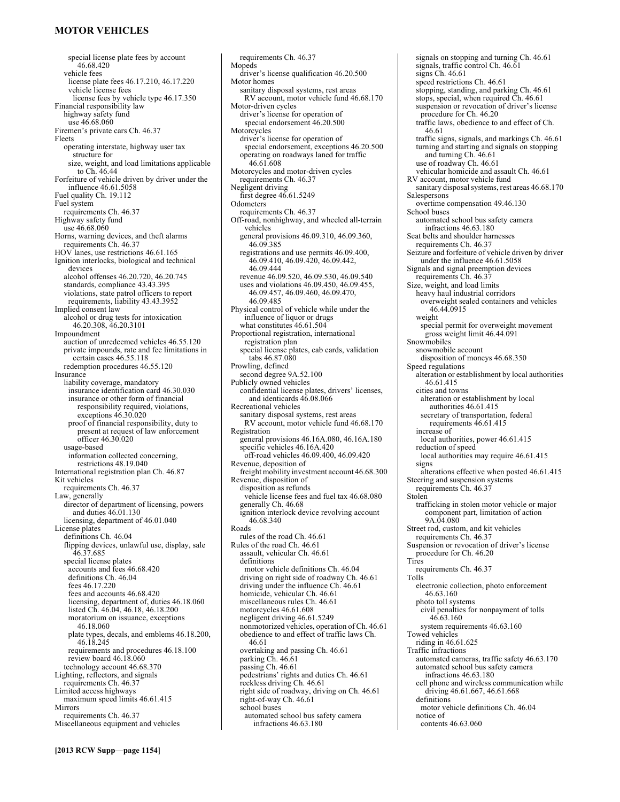# **MOTOR VEHICLES**

special license plate fees by account 46.68.420 vehicle fees license plate fees 46.17.210, 46.17.220 vehicle license fees license fees by vehicle type 46.17.350 Financial responsibility law highway safety fund use 46.68.060 Firemen's private cars Ch. 46.37 Fleets operating interstate, highway user tax structure for size, weight, and load limitations applicable to Ch. 46.44 Forfeiture of vehicle driven by driver under the influence 46.61.5058 Fuel quality Ch. 19.112 Fuel system requirements Ch. 46.37 Highway safety fund use 46.68.060 Horns, warning devices, and theft alarms requirements Ch. 46.37 HOV lanes, use restrictions 46.61.165 Ignition interlocks, biological and technical devices alcohol offenses 46.20.720, 46.20.745 standards, compliance 43.43.395 violations, state patrol officers to report requirements, liability 43.43.3952 Implied consent law alcohol or drug tests for intoxication 46.20.308, 46.20.3101 Impoundment auction of unredeemed vehicles 46.55.120 private impounds, rate and fee limitations in certain cases 46.55.118 redemption procedures 46.55.120 Insurance liability coverage, mandatory insurance identification card 46.30.030 insurance or other form of financial responsibility required, violations, exceptions 46.30.020 proof of financial responsibility, duty to present at request of law enforcement officer 46.30.020 usage-based information collected concerning, restrictions 48.19.040 International registration plan Ch. 46.87 Kit vehicles requirements Ch. 46.37 Law, generally director of department of licensing, powers and duties 46.01.130 licensing, department of 46.01.040 License plates definitions Ch. 46.04 flipping devices, unlawful use, display, sale 46.37.685 special license plates accounts and fees 46.68.420 definitions Ch. 46.04 fees 46.17.220 fees and accounts 46.68.420 licensing, department of, duties 46.18.060 listed Ch. 46.04, 46.18, 46.18.200 moratorium on issuance, exceptions 46.18.060 plate types, decals, and emblems 46.18.200, 46.18.245 requirements and procedures 46.18.100 review board 46.18.060 technology account 46.68.370 Lighting, reflectors, and signals requirements Ch. 46.37 Limited access highways maximum speed limits 46.61.415 Mirrors requirements Ch. 46.37 Miscellaneous equipment and vehicles

requirements Ch. 46.37 Mopeds driver's license qualification 46.20.500 Motor homes sanitary disposal systems, rest areas RV account, motor vehicle fund 46.68.170 Motor-driven cycles driver's license for operation of special endorsement 46.20.500 Motorcycles driver's license for operation of special endorsement, exceptions 46.20.500 operating on roadways laned for traffic 46.61.608 Motorcycles and motor-driven cycles requirements Ch. 46.37 Negligent driving first degree 46.61.5249 **Odometers** requirements Ch. 46.37 Off-road, nonhighway, and wheeled all-terrain vehicles general provisions 46.09.310, 46.09.360, 46.09.385 registrations and use permits 46.09.400, 46.09.410, 46.09.420, 46.09.442, 46.09.444 revenue 46.09.520, 46.09.530, 46.09.540 uses and violations 46.09.450, 46.09.455, 46.09.457, 46.09.460, 46.09.470, 46.09.485 Physical control of vehicle while under the influence of liquor or drugs what constitutes 46.61.504 Proportional registration, international registration plan special license plates, cab cards, validation tabs 46.87.080 Prowling, defined second degree 9A.52.100 Publicly owned vehicles confidential license plates, drivers' licenses, and identicards 46.08.066 Recreational vehicles sanitary disposal systems, rest areas RV account, motor vehicle fund 46.68.170 Registration general provisions 46.16A.080, 46.16A.180 specific vehicles 46.16A.420 off-road vehicles 46.09.400, 46.09.420 Revenue, deposition of freight mobility investment account 46.68.300 Revenue, disposition of disposition as refunds vehicle license fees and fuel tax 46.68.080 generally Ch. 46.68 ignition interlock device revolving account 46.68.340 Roads rules of the road Ch. 46.61 Rules of the road Ch. 46.61 assault, vehicular Ch. 46.61 definitions motor vehicle definitions Ch. 46.04 driving on right side of roadway Ch. 46.61 driving under the influence Ch. 46.61 homicide, vehicular Ch. 46.61 miscellaneous rules Ch. 46.61 motorcycles 46.61.608 negligent driving 46.61.5249 nonmotorized vehicles, operation of Ch. 46.61 obedience to and effect of traffic laws Ch. 46.61 overtaking and passing Ch. 46.61 parking Ch. 46.61 passing Ch. 46.61 pedestrians' rights and duties Ch. 46.61 reckless driving Ch. 46.61 right side of roadway, driving on Ch. 46.61 right-of-way Ch. 46.61 school buses automated school bus safety camera

infractions 46.63.180

signals on stopping and turning Ch. 46.61 signals, traffic control Ch. 46.61 signs Ch. 46.61 speed restrictions Ch. 46.61 stopping, standing, and parking Ch. 46.61 stops, special, when required Ch. 46.61 suspension or revocation of driver's license procedure for Ch. 46.20 traffic laws, obedience to and effect of Ch. 46.61 traffic signs, signals, and markings Ch. 46.61 turning and starting and signals on stopping and turning Ch. 46.61 use of roadway Ch. 46.61 vehicular homicide and assault Ch. 46.61 RV account, motor vehicle fund sanitary disposal systems, rest areas 46.68.170 Salespersons overtime compensation 49.46.130 School buses automated school bus safety camera infractions 46.63.180 Seat belts and shoulder harnesses requirements Ch. 46.37 Seizure and forfeiture of vehicle driven by driver under the influence 46.61.5058 Signals and signal preemption devices requirements Ch. 46.37 Size, weight, and load limits heavy haul industrial corridors overweight sealed containers and vehicles 46.44.0915 weight special permit for overweight movement gross weight limit 46.44.091 Snowmobiles snowmobile account disposition of moneys 46.68.350 Speed regulations alteration or establishment by local authorities 46.61.415 cities and towns alteration or establishment by local authorities 46.61.415 secretary of transportation, federal requirements 46.61.415 increase of local authorities, power 46.61.415 reduction of speed local authorities may require 46.61.415 signs alterations effective when posted 46.61.415 Steering and suspension systems requirements Ch. 46.37 Stolen trafficking in stolen motor vehicle or major component part, limitation of action 9A.04.080 Street rod, custom, and kit vehicles requirements Ch. 46.37 Suspension or revocation of driver's license procedure for Ch. 46.20 Tires requirements Ch. 46.37 Tolls electronic collection, photo enforcement 46.63.160 photo toll systems civil penalties for nonpayment of tolls 46.63.160 system requirements 46.63.160 Towed vehicles riding in 46.61.625 Traffic infractions automated cameras, traffic safety 46.63.170 automated school bus safety camera infractions 46.63.180 cell phone and wireless communication while driving 46.61.667, 46.61.668 definitions motor vehicle definitions Ch. 46.04 notice of contents 46.63.060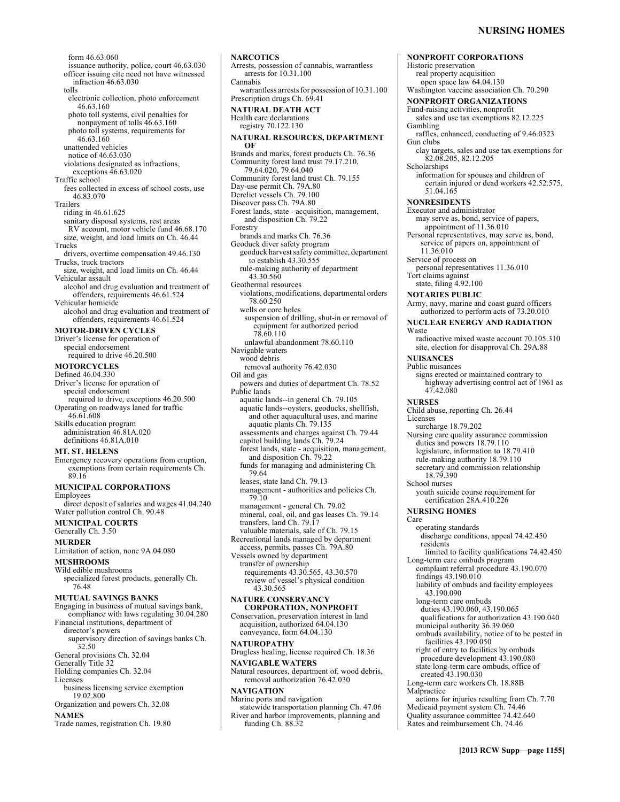**NONPROFIT CORPORATIONS** 

form 46.63.060 issuance authority, police, court 46.63.030 officer issuing cite need not have witnessed infraction 46.63.030 tolls electronic collection, photo enforcement 46.63.160 photo toll systems, civil penalties for nonpayment of tolls 46.63.160 photo toll systems, requirements for 46.63.160 unattended vehicles notice of 46.63.030 violations designated as infractions, exceptions 46.63.020 Traffic school fees collected in excess of school costs, use 46.83.070 Trailers riding in 46.61.625 sanitary disposal systems, rest areas RV account, motor vehicle fund 46.68.170 size, weight, and load limits on Ch. 46.44 Trucks drivers, overtime compensation 49.46.130 Trucks, truck tractors size, weight, and load limits on Ch. 46.44 Vehicular assault alcohol and drug evaluation and treatment of offenders, requirements 46.61.524 Vehicular homicide alcohol and drug evaluation and treatment of offenders, requirements 46.61.524 **MOTOR-DRIVEN CYCLES**  Driver's license for operation of special endorsement required to drive 46.20.500 **MOTORCYCLES**  Defined 46.04.330 Driver's license for operation of special endorsement required to drive, exceptions 46.20.500 Operating on roadways laned for traffic 46.61.608 Skills education program administration 46.81A.020 definitions 46.81A.010 **MT. ST. HELENS**  Emergency recovery operations from eruption, exemptions from certain requirements Ch. 89.16 **MUNICIPAL CORPORATIONS**  Employees direct deposit of salaries and wages 41.04.240 Water pollution control Ch. 90.48 **MUNICIPAL COURTS**  Generally Ch. 3.50 **MURDER**  Limitation of action, none 9A.04.080 **MUSHROOMS**  Wild edible mushrooms specialized forest products, generally Ch. 76.48 **MUTUAL SAVINGS BANKS**  Engaging in business of mutual savings bank, compliance with laws regulating 30.04.280 Financial institutions, department of director's powers supervisory direction of savings banks Ch. 32.50 General provisions Ch. 32.04 Generally Title 32 Holding companies Ch. 32.04 Licenses business licensing service exemption 19.02.800 Organization and powers Ch. 32.08 **NAMES** 

Trade names, registration Ch. 19.80

Arrests, possession of cannabis, warrantless arrests for 10.31.100 Cannabis warrantless arrests for possession of 10.31.100 Prescription drugs Ch. 69.41 **NATURAL DEATH ACT**  Health care declarations registry 70.122.130 **NATURAL RESOURCES, DEPARTMENT OF**  Brands and marks, forest products Ch. 76.36 Community forest land trust 79.17.210, 79.64.020, 79.64.040 Community forest land trust Ch. 79.155 Day-use permit Ch. 79A.80 Derelict vessels Ch. 79.100 Discover pass Ch. 79A.80 Forest lands, state - acquisition, management, and disposition Ch. 79.22 Forestry brands and marks Ch. 76.36 Geoduck diver safety program geoduck harvest safety committee, department to establish 43.30.555 rule-making authority of department 43.30.560 Geothermal resources violations, modifications, departmental orders 78.60.250 wells or core holes suspension of drilling, shut-in or removal of equipment for authorized period 78.60.110 unlawful abandonment 78.60.110 Navigable waters wood debris removal authority 76.42.030 Oil and gas powers and duties of department Ch. 78.52 Public lands aquatic lands--in general Ch. 79.105 aquatic lands--oysters, geoducks, shellfish, and other aquacultural uses, and marine aquatic plants Ch. 79.135 assessments and charges against Ch. 79.44 capitol building lands Ch. 79.24 forest lands, state - acquisition, management, and disposition Ch. 79.22 funds for managing and administering Ch. 79.64 leases, state land Ch. 79.13 management - authorities and policies Ch. 79.10 management - general Ch. 79.02 mineral, coal, oil, and gas leases Ch. 79.14 transfers, land Ch. 79.17 valuable materials, sale of Ch. 79.15 Recreational lands managed by department access, permits, passes Ch. 79A.80 Vessels owned by department transfer of ownership requirements 43.30.565, 43.30.570 review of vessel's physical condition 43.30.565 **NATURE CONSERVANCY CORPORATION, NONPROFIT**  Conservation, preservation interest in land acquisition, authorized 64.04.130 conveyance, form 64.04.130 **NATUROPATHY**  Drugless healing, license required Ch. 18.36 **NAVIGABLE WATERS**  Natural resources, department of, wood debris, removal authorization 76.42.030 **NAVIGATION**  Marine ports and navigation statewide transportation planning Ch. 47.06

River and harbor improvements, planning and

funding Ch. 88.32

**NARCOTICS** 

Historic preservation real property acquisition open space law 64.04.130 Washington vaccine association Ch. 70.290 **NONPROFIT ORGANIZATIONS**  Fund-raising activities, nonprofit sales and use tax exemptions 82.12.225 Gambling raffles, enhanced, conducting of 9.46.0323 Gun clubs clay targets, sales and use tax exemptions for 82.08.205, 82.12.205 **Scholarships** information for spouses and children of certain injured or dead workers 42.52.575, 51.04.165 **NONRESIDENTS**  Executor and administrator may serve as, bond, service of papers, appointment of 11.36.010 Personal representatives, may serve as, bond, service of papers on, appointment of 11.36.010 Service of process on personal representatives 11.36.010 Tort claims against state, filing 4.92.100 **NOTARIES PUBLIC**  Army, navy, marine and coast guard officers authorized to perform acts of 73.20.010 **NUCLEAR ENERGY AND RADIATION**  Waste radioactive mixed waste account 70.105.310 site, election for disapproval Ch. 29A.88 **NUISANCES**  Public nuisances signs erected or maintained contrary to highway advertising control act of 1961 as 47.42.080 **NURSES**  Child abuse, reporting Ch. 26.44 Licenses surcharge 18.79.202 Nursing care quality assurance commission duties and powers 18.79.110 legislature, information to 18.79.410 rule-making authority 18.79.110 secretary and commission relationship 18.79.390 School nurses youth suicide course requirement for certification 28A.410.226 **NURSING HOMES**  Care operating standards discharge conditions, appeal 74.42.450 residents limited to facility qualifications 74.42.450 Long-term care ombuds program complaint referral procedure 43.190.070 findings 43.190.010 liability of ombuds and facility employees 43.190.090 long-term care ombuds duties 43.190.060, 43.190.065 qualifications for authorization 43.190.040 municipal authority 36.39.060 ombuds availability, notice of to be posted in facilities 43.190.050 right of entry to facilities by ombuds procedure development 43.190.080 state long-term care ombuds, office of created 43.190.030 Long-term care workers Ch. 18.88B Malpractice actions for injuries resulting from Ch. 7.70 Medicaid payment system Ch. 74.46 Quality assurance committee 74.42.640 Rates and reimbursement Ch. 74.46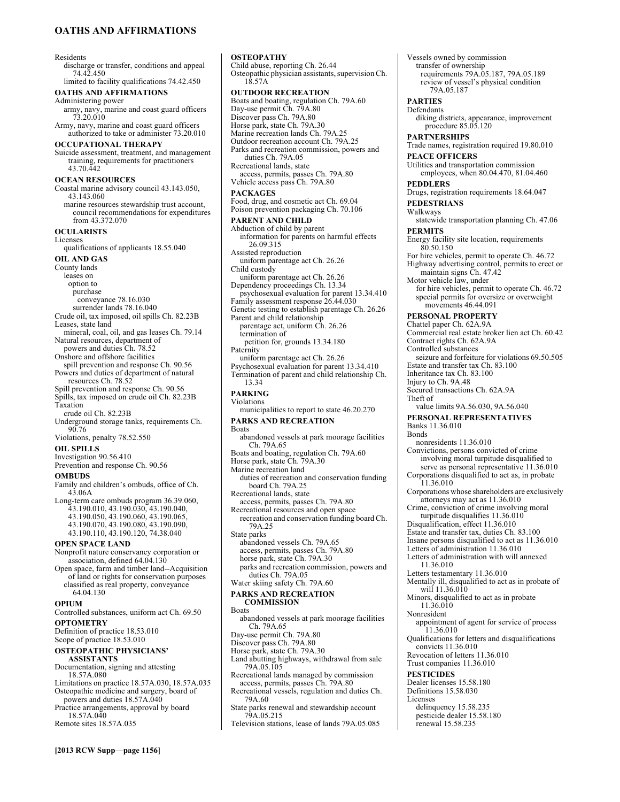# **OATHS AND AFFIRMATIONS**

#### Residents

discharge or transfer, conditions and appeal 74.42.450 limited to facility qualifications 74.42.450

#### **OATHS AND AFFIRMATIONS**

Administering power army, navy, marine and coast guard officers

73.20.010 Army, navy, marine and coast guard officers authorized to take or administer 73.20.010

# **OCCUPATIONAL THERAPY**

Suicide assessment, treatment, and management training, requirements for practitioners 43.70.442

#### **OCEAN RESOURCES**

Coastal marine advisory council 43.143.050, 43.143.060 marine resources stewardship trust account, council recommendations for expenditures from 43.372.070

**OCULARISTS**  Licenses

qualifications of applicants 18.55.040

**OIL AND GAS**  County lands leases on option to purchase conveyance 78.16.030 surrender lands 78.16.040 Crude oil, tax imposed, oil spills Ch. 82.23B Leases, state land mineral, coal, oil, and gas leases Ch. 79.14 Natural resources, department of powers and duties Ch. 78.52 Onshore and offshore facilities spill prevention and response Ch. 90.56 Powers and duties of department of natural resources Ch. 78.52 Spill prevention and response Ch. 90.56 Spills, tax imposed on crude oil Ch. 82.23B Taxation

crude oil Ch. 82.23B

Underground storage tanks, requirements Ch. 90.76

Violations, penalty 78.52.550

#### **OIL SPILLS**

Investigation 90.56.410 Prevention and response Ch. 90.56

#### **OMBUDS**

- Family and children's ombuds, office of Ch. 43.06A
- Long-term care ombuds program 36.39.060,
	- 43.190.010, 43.190.030, 43.190.040, 43.190.050, 43.190.060, 43.190.065,
	-
	- 43.190.070, 43.190.080, 43.190.090,
	- 43.190.110, 43.190.120, 74.38.040

### **OPEN SPACE LAND**

- Nonprofit nature conservancy corporation or association, defined 64.04.130
- Open space, farm and timber land--Acquisition of land or rights for conservation purposes classified as real property, conveyance 64.04.130

#### **OPIUM**

Controlled substances, uniform act Ch. 69.50 **OPTOMETRY** 

Definition of practice 18.53.010 Scope of practice 18.53.010

# **OSTEOPATHIC PHYSICIANS'**

**ASSISTANTS** 

Documentation, signing and attesting

- 18.57A.080 Limitations on practice 18.57A.030, 18.57A.035 Osteopathic medicine and surgery, board of
- powers and duties 18.57A.040 Practice arrangements, approval by board 18.57A.040

Remote sites 18.57A.035

Child abuse, reporting Ch. 26.44 Osteopathic physician assistants, supervision Ch. 18.57A **OUTDOOR RECREATION**  Boats and boating, regulation Ch. 79A.60 Day-use permit Ch. 79A.80 Discover pass Ch. 79A.80 Horse park, state Ch. 79A.30 Marine recreation lands Ch. 79A.25 Outdoor recreation account Ch. 79A.25 Parks and recreation commission, powers and duties Ch. 79A.05 Recreational lands, state access, permits, passes Ch. 79A.80 Vehicle access pass Ch. 79A.80 **PACKAGES**  Food, drug, and cosmetic act Ch. 69.04 Poison prevention packaging Ch. 70.106 **PARENT AND CHILD**  Abduction of child by parent information for parents on harmful effects 26.09.315 Assisted reproduction uniform parentage act Ch. 26.26 Child custody uniform parentage act Ch. 26.26 Dependency proceedings Ch. 13.34 psychosexual evaluation for parent 13.34.410 Family assessment response 26.44.030 Genetic testing to establish parentage Ch. 26.26 Parent and child relationship parentage act, uniform Ch. 26.26 termination of petition for, grounds 13.34.180 **Paternity** uniform parentage act Ch. 26.26 Psychosexual evaluation for parent 13.34.410 Termination of parent and child relationship Ch. 13.34 **PARKING**  Violations municipalities to report to state 46.20.270 **PARKS AND RECREATION Boats** abandoned vessels at park moorage facilities Ch. 79A.65 Boats and boating, regulation Ch. 79A.60 Horse park, state Ch. 79A.30 Marine recreation land duties of recreation and conservation funding board Ch. 79A.25 Recreational lands, state access, permits, passes Ch. 79A.80 Recreational resources and open space recreation and conservation funding board Ch. 79A.25 State parks abandoned vessels Ch. 79A.65 access, permits, passes Ch. 79A.80 horse park, state Ch. 79A.30 parks and recreation commission, powers and duties Ch. 79A.05 Water skiing safety Ch. 79A.60 **PARKS AND RECREATION COMMISSION Boats** abandoned vessels at park moorage facilities Ch. 79A.65 Day-use permit Ch. 79A.80 Discover pass Ch. 79A.80 Horse park, state Ch. 79A.30 Land abutting highways, withdrawal from sale 79A.05.105 Recreational lands managed by commission access, permits, passes Ch. 79A.80

**OSTEOPATHY** 

Recreational vessels, regulation and duties Ch. 79A.60

State parks renewal and stewardship account 79A.05.215

Television stations, lease of lands 79A.05.085

Vessels owned by commission transfer of ownership requirements 79A.05.187, 79A.05.189 review of vessel's physical condition 79A.05.187 **PARTIES**  Defendants diking districts, appearance, improvement procedure 85.05.120 **PARTNERSHIPS**  Trade names, registration required 19.80.010 **PEACE OFFICERS**  Utilities and transportation commission employees, when 80.04.470, 81.04.460 **PEDDLERS**  Drugs, registration requirements 18.64.047 **PEDESTRIANS**  Walkways statewide transportation planning Ch. 47.06 **PERMITS**  Energy facility site location, requirements 80.50.150 For hire vehicles, permit to operate Ch. 46.72 Highway advertising control, permits to erect or maintain signs Ch. 47.42 Motor vehicle law, under for hire vehicles, permit to operate Ch. 46.72 special permits for oversize or overweight movements 46.44.091 **PERSONAL PROPERTY**  Chattel paper Ch. 62A.9A Commercial real estate broker lien act Ch. 60.42 Contract rights Ch. 62A.9A Controlled substances seizure and forfeiture for violations 69.50.505 Estate and transfer tax Ch. 83.100 Inheritance tax Ch. 83.100 Injury to Ch. 9A.48 Secured transactions Ch. 62A.9A Theft of value limits 9A.56.030, 9A.56.040 **PERSONAL REPRESENTATIVES**  Banks 11.36.010 Bonds nonresidents 11.36.010 Convictions, persons convicted of crime involving moral turpitude disqualified to serve as personal representative 11.36.010 Corporations disqualified to act as, in probate 11.36.010 Corporations whose shareholders are exclusively attorneys may act as 11.36.010 Crime, conviction of crime involving moral turpitude disqualifies 11.36.010 Disqualification, effect 11.36.010 Estate and transfer tax, duties Ch. 83.100 Insane persons disqualified to act as 11.36.010 Letters of administration 11.36.010 Letters of administration with will annexed 11.36.010 Letters testamentary 11.36.010 Mentally ill, disqualified to act as in probate of will 11.36.010 Minors, disqualified to act as in probate 11.36.010 Nonresident appointment of agent for service of process 11.36.010 Qualifications for letters and disqualifications convicts 11.36.010 Revocation of letters 11.36.010 Trust companies 11.36.010 **PESTICIDES**  Dealer licenses 15.58.180 Definitions 15.58.030 Licenses delinquency 15.58.235 pesticide dealer 15.58.180 renewal 15.58.235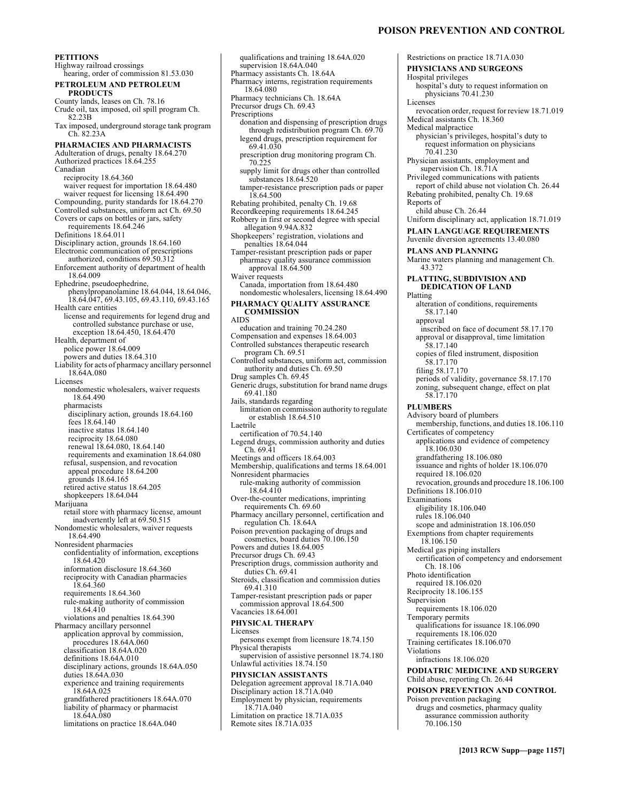#### **PETITIONS**  Highway railroad crossings hearing, order of commission 81.53.030 **PETROLEUM AND PETROLEUM PRODUCTS**  County lands, leases on Ch. 78.16 Crude oil, tax imposed, oil spill program Ch. 82.23B Tax imposed, underground storage tank program Ch. 82.23A **PHARMACIES AND PHARMACISTS**  Adulteration of drugs, penalty 18.64.270 Authorized practices 18.64.255 Canadian reciprocity 18.64.360 waiver request for importation 18.64.480 waiver request for licensing 18.64.490 Compounding, purity standards for 18.64.270 Controlled substances, uniform act Ch. 69.50 Covers or caps on bottles or jars, safety requirements 18.64.246 Definitions 18.64.011 Disciplinary action, grounds 18.64.160 Electronic communication of prescriptions authorized, conditions 69.50.312 Enforcement authority of department of health 18.64.009 Ephedrine, pseudoephedrine, phenylpropanolamine 18.64.044, 18.64.046, 18.64.047, 69.43.105, 69.43.110, 69.43.165 Health care entities license and requirements for legend drug and controlled substance purchase or use, exception 18.64.450, 18.64.470 Health, department of police power 18.64.009 powers and duties 18.64.310 Liability for acts of pharmacy ancillary personnel 18.64A.080 Licenses nondomestic wholesalers, waiver requests 18.64.490 pharmacists disciplinary action, grounds 18.64.160 fees 18.64.140 inactive status 18.64.140 reciprocity 18.64.080 renewal 18.64.080, 18.64.140 requirements and examination 18.64.080 refusal, suspension, and revocation appeal procedure 18.64.200 grounds 18.64.165 retired active status 18.64.205 shopkeepers 18.64.044 Marijuana retail store with pharmacy license, amount inadvertently left at 69.50.515 Nondomestic wholesalers, waiver requests 18.64.490 Nonresident pharmacies confidentiality of information, exceptions 18.64.420 information disclosure 18.64.360 reciprocity with Canadian pharmacies 18.64.360 requirements 18.64.360 rule-making authority of commission 18.64.410 violations and penalties 18.64.390 Pharmacy ancillary personnel application approval by commission, procedures 18.64A.060 classification 18.64A.020 definitions 18.64A.010 disciplinary actions, grounds 18.64A.050 duties 18.64A.030 experience and training requirements 18.64A.025 grandfathered practitioners 18.64A.070 liability of pharmacy or pharmacist 18.64A.080 limitations on practice 18.64A.040

qualifications and training 18.64A.020 supervision 18.64A.040 Pharmacy assistants Ch. 18.64A Pharmacy interns, registration requirements 18.64.080 Pharmacy technicians Ch. 18.64A Precursor drugs Ch. 69.43 Prescriptions donation and dispensing of prescription drugs through redistribution program Ch. 69.70 legend drugs, prescription requirement for 69.41.030 prescription drug monitoring program Ch. 70.225 supply limit for drugs other than controlled substances 18.64.520 tamper-resistance prescription pads or paper 18.64.500 Rebating prohibited, penalty Ch. 19.68 Recordkeeping requirements 18.64.245 Robbery in first or second degree with special allegation 9.94A.832 Shopkeepers' registration, violations and penalties 18.64.044 Tamper-resistant prescription pads or paper pharmacy quality assurance commission approval 18.64.500 Waiver requests Canada, importation from 18.64.480 nondomestic wholesalers, licensing 18.64.490 **PHARMACY QUALITY ASSURANCE COMMISSION**  AIDS education and training 70.24.280 Compensation and expenses 18.64.003 Controlled substances therapeutic research program Ch. 69.51 Controlled substances, uniform act, commission authority and duties Ch. 69.50 Drug samples Ch. 69.45 Generic drugs, substitution for brand name drugs 69.41.180 Jails, standards regarding limitation on commission authority to regulate or establish 18.64.510 Laetrile certification of 70.54.140 Legend drugs, commission authority and duties Ch. 69.41 Meetings and officers 18.64.003 Membership, qualifications and terms 18.64.001 Nonresident pharmacies rule-making authority of commission 18.64.410 Over-the-counter medications, imprinting requirements Ch. 69.60 Pharmacy ancillary personnel, certification and regulation Ch. 18.64A Poison prevention packaging of drugs and cosmetics, board duties 70.106.150 Powers and duties 18.64.005 Precursor drugs Ch. 69.43 Prescription drugs, commission authority and duties Ch. 69.41 Steroids, classification and commission duties 69.41.310 Tamper-resistant prescription pads or paper commission approval 18.64.500 Vacancies 18.64.001 **PHYSICAL THERAPY**  Licenses persons exempt from licensure 18.74.150 Physical therapists supervision of assistive personnel 18.74.180 Unlawful activities 18.74.150 **PHYSICIAN ASSISTANTS**  Delegation agreement approval 18.71A.040 Disciplinary action 18.71A.040 Employment by physician, requirements 18.71A.040 Limitation on practice 18.71A.035 Remote sites 18.71A.035

# **POISON PREVENTION AND CONTROL**

Restrictions on practice 18.71A.030 **PHYSICIANS AND SURGEONS**  Hospital privileges hospital's duty to request information on physicians 70.41.230 Licenses revocation order, request for review 18.71.019 Medical assistants Ch. 18.360 Medical malpractice physician's privileges, hospital's duty to request information on physicians 70.41.230 Physician assistants, employment and supervision Ch. 18.71A Privileged communications with patients report of child abuse not violation Ch. 26.44 Rebating prohibited, penalty Ch. 19.68 Reports of child abuse Ch. 26.44 Uniform disciplinary act, application 18.71.019 **PLAIN LANGUAGE REQUIREMENTS**  Juvenile diversion agreements 13.40.080 **PLANS AND PLANNING**  Marine waters planning and management Ch. 43.372 **PLATTING, SUBDIVISION AND DEDICATION OF LAND**  Platting alteration of conditions, requirements 58.17.140 approval inscribed on face of document 58.17.170 approval or disapproval, time limitation 58.17.140 copies of filed instrument, disposition 58.17.170 filing 58.17.170 periods of validity, governance 58.17.170 zoning, subsequent change, effect on plat 58.17.170 **PLUMBERS**  Advisory board of plumbers membership, functions, and duties 18.106.110 Certificates of competency applications and evidence of competency 18.106.030 grandfathering 18.106.080 issuance and rights of holder 18.106.070 required 18.106.020 revocation, grounds and procedure 18.106.100 Definitions 18.106.010 Examinations eligibility 18.106.040 rules 18.106.040 scope and administration 18.106.050 Exemptions from chapter requirements 18.106.150 Medical gas piping installers certification of competency and endorsement Ch. 18.106 Photo identification required 18.106.020 Reciprocity 18.106.155 Supervision requirements 18.106.020 Temporary permits qualifications for issuance 18.106.090 requirements 18.106.020 Training certificates 18.106.070 Violations infractions 18.106.020 **PODIATRIC MEDICINE AND SURGERY**  Child abuse, reporting Ch. 26.44 **POISON PREVENTION AND CONTROL**  Poison prevention packaging drugs and cosmetics, pharmacy quality assurance commission authority 70.106.150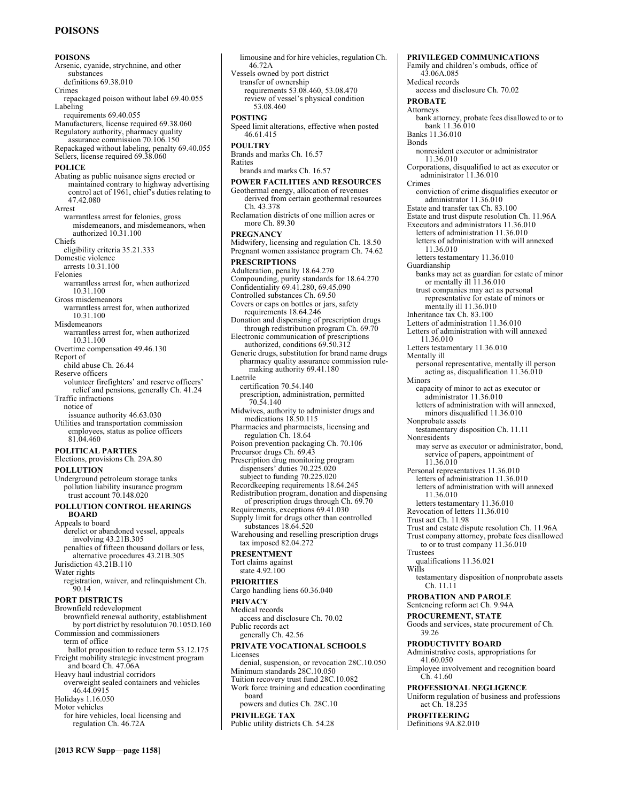# **POISONS**

#### **POISONS**  Arsenic, cyanide, strychnine, and other substances definitions 69.38.010 Crimes repackaged poison without label 69.40.055 Labeling requirements 69.40.055 Manufacturers, license required 69.38.060 Regulatory authority, pharmacy quality assurance commission 70.106.150 Repackaged without labeling, penalty 69.40.055 Sellers, license required 69.38.060 **POLICE**  Abating as public nuisance signs erected or maintained contrary to highway advertising control act of 1961, chief's duties relating to 47.42.080 Arrest warrantless arrest for felonies, gross misdemeanors, and misdemeanors, when authorized 10.31.100 Chiefs eligibility criteria 35.21.333 Domestic violence arrests 10.31.100 Felonies warrantless arrest for, when authorized 10.31.100 Gross misdemeanors warrantless arrest for, when authorized 10.31.100 Misdemeanors warrantless arrest for, when authorized 10.31.100 Overtime compensation 49.46.130 Report of child abuse Ch. 26.44 Reserve officers volunteer firefighters' and reserve officers' relief and pensions, generally Ch. 41.24 Traffic infractions notice of issuance authority 46.63.030 Utilities and transportation commission employees, status as police officers 81.04.460 **POLITICAL PARTIES**  Elections, provisions Ch. 29A.80 **POLLUTION**  Underground petroleum storage tanks pollution liability insurance program trust account 70.148.020 **POLLUTION CONTROL HEARINGS BOARD**  Appeals to board derelict or abandoned vessel, appeals involving 43.21B.305 penalties of fifteen thousand dollars or less, alternative procedures 43.21B.305 Jurisdiction 43.21B.110 Water rights registration, waiver, and relinquishment Ch. 90.14 **PORT DISTRICTS**  Brownfield redevelopment brownfield renewal authority, establishment by port district by resolutuion 70.105D.160 Commission and commissioners term of office ballot proposition to reduce term 53.12.175 Freight mobility strategic investment program and board Ch. 47.06A Heavy haul industrial corridors overweight sealed containers and vehicles 46.44.0915 Holidays 1.16.050 Motor vehicles for hire vehicles, local licensing and regulation Ch. 46.72A

limousine and for hire vehicles, regulation Ch. 46.72A Vessels owned by port district transfer of ownership requirements 53.08.460, 53.08.470 review of vessel's physical condition 53.08.460 **POSTING**  Speed limit alterations, effective when posted 46.61.415 **POULTRY**  Brands and marks Ch. 16.57 Ratites brands and marks Ch. 16.57 **POWER FACILITIES AND RESOURCES**  Geothermal energy, allocation of revenues derived from certain geothermal resources Ch. 43.378 Reclamation districts of one million acres or more Ch. 89.30 **PREGNANCY**  Midwifery, licensing and regulation Ch. 18.50 Pregnant women assistance program Ch. 74.62 **PRESCRIPTIONS**  Adulteration, penalty 18.64.270 Compounding, purity standards for 18.64.270 Confidentiality 69.41.280, 69.45.090 Controlled substances Ch. 69.50 Covers or caps on bottles or jars, safety requirements 18.64.246 Donation and dispensing of prescription drugs through redistribution program Ch. 69.70 Electronic communication of prescriptions authorized, conditions 69.50.312 Generic drugs, substitution for brand name drugs pharmacy quality assurance commission rulemaking authority 69.41.180 Laetrile certification 70.54.140 prescription, administration, permitted 70.54.140 Midwives, authority to administer drugs and medications 18.50.115 Pharmacies and pharmacists, licensing and regulation Ch. 18.64 Poison prevention packaging Ch. 70.106 Precursor drugs Ch. 69.43 Prescription drug monitoring program dispensers' duties 70.225.020 subject to funding 70.225.020 Recordkeeping requirements 18.64.245 Redistribution program, donation and dispensing of prescription drugs through Ch. 69.70 Requirements, exceptions 69.41.030 Supply limit for drugs other than controlled substances 18.64.520 Warehousing and reselling prescription drugs tax imposed 82.04.272 **PRESENTMENT**  Tort claims against state 4.92.100 **PRIORITIES**  Cargo handling liens 60.36.040 **PRIVACY**  Medical records access and disclosure Ch. 70.02 Public records act generally Ch. 42.56 **PRIVATE VOCATIONAL SCHOOLS**  Licenses denial, suspension, or revocation 28C.10.050 Minimum standards 28C.10.050 Tuition recovery trust fund 28C.10.082 Work force training and education coordinating board powers and duties Ch. 28C.10 **PRIVILEGE TAX**  Public utility districts Ch. 54.28

Medical records access and disclosure Ch. 70.02 **PROBATE**  Attorneys bank attorney, probate fees disallowed to or to bank 11.36.010 Banks 11.36.010 Bonds nonresident executor or administrator 11.36.010 Corporations, disqualified to act as executor or administrator 11.36.010 Crimes conviction of crime disqualifies executor or administrator 11.36.010 Estate and transfer tax Ch. 83.100 Estate and trust dispute resolution Ch. 11.96A Executors and administrators 11.36.010 letters of administration 11.36.010 letters of administration with will annexed 11.36.010 letters testamentary 11.36.010 Guardianship banks may act as guardian for estate of minor or mentally ill 11.36.010 trust companies may act as personal representative for estate of minors or mentally ill 11.36.010 Inheritance tax Ch. 83.100 Letters of administration 11.36.010 Letters of administration with will annexed 11.36.010 Letters testamentary 11.36.010 Mentally ill personal representative, mentally ill person acting as, disqualification 11.36.010 Minors capacity of minor to act as executor or administrator 11.36.010 letters of administration with will annexed, minors disqualified 11.36.010 Nonprobate assets testamentary disposition Ch. 11.11 Nonresidents may serve as executor or administrator, bond, service of papers, appointment of 11.36.010 Personal representatives 11.36.010 letters of administration 11.36.010 letters of administration with will annexed 11.36.010 letters testamentary 11.36.010 Revocation of letters 11.36.010 Trust act Ch. 11.98 Trust and estate dispute resolution Ch. 11.96A Trust company attorney, probate fees disallowed to or to trust company 11.36.010 Trustees qualifications 11.36.021 Wills testamentary disposition of nonprobate assets Ch. 11.11 **PROBATION AND PAROLE**  Sentencing reform act Ch. 9.94A **PROCUREMENT, STATE**  Goods and services, state procurement of Ch. 39.26 **PRODUCTIVITY BOARD**  Administrative costs, appropriations for 41.60.050 Employee involvement and recognition board Ch. 41.60 **PROFESSIONAL NEGLIGENCE**  Uniform regulation of business and professions act Ch. 18.235

**PRIVILEGED COMMUNICATIONS**  Family and children's ombuds, office of

43.06A.085

**PROFITEERING**  Definitions 9A.82.010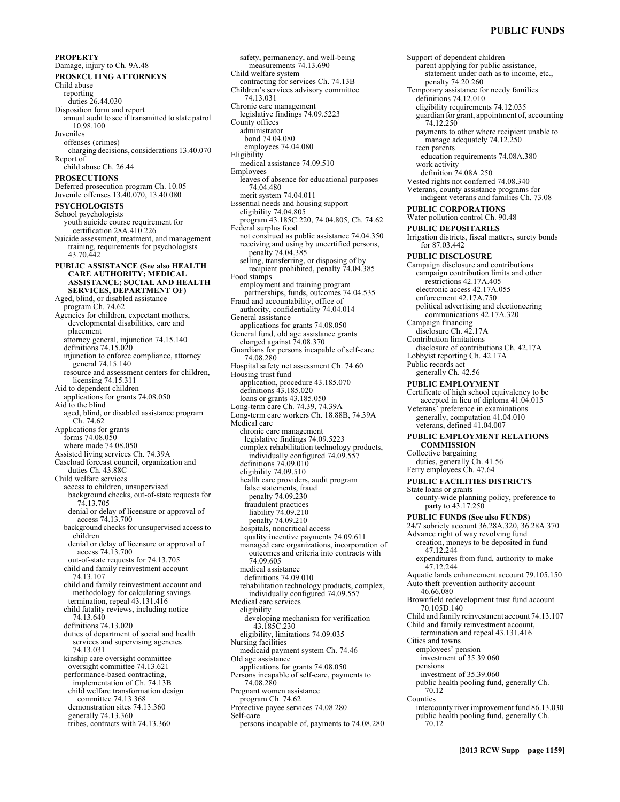# **PUBLIC FUNDS**

**PROPERTY**  Damage, injury to Ch. 9A.48 **PROSECUTING ATTORNEYS**  Child abuse reporting duties 26.44.030 Disposition form and report annual audit to see if transmitted to state patrol 10.98.100 Juveniles offenses (crimes) charging decisions, considerations 13.40.070 Report of child abuse Ch. 26.44 **PROSECUTIONS**  Deferred prosecution program Ch. 10.05 Juvenile offenses 13.40.070, 13.40.080 **PSYCHOLOGISTS**  School psychologists youth suicide course requirement for certification 28A.410.226 Suicide assessment, treatment, and management training, requirements for psychologists 43.70.442 **PUBLIC ASSISTANCE (See also HEALTH CARE AUTHORITY; MEDICAL ASSISTANCE; SOCIAL AND HEALTH SERVICES, DEPARTMENT OF)**  Aged, blind, or disabled assistance program Ch. 74.62 Agencies for children, expectant mothers, developmental disabilities, care and placement attorney general, injunction 74.15.140 definitions 74.15.020 injunction to enforce compliance, attorney general 74.15.140 resource and assessment centers for children, licensing 74.15.311 Aid to dependent children applications for grants 74.08.050 Aid to the blind aged, blind, or disabled assistance program Ch. 74.62 Applications for grants forms 74.08.050 where made 74.08.050 Assisted living services Ch. 74.39A Caseload forecast council, organization and duties Ch. 43.88C Child welfare services access to children, unsupervised background checks, out-of-state requests for 74.13.705 denial or delay of licensure or approval of access 74.13.700 background checks for unsupervised access to children denial or delay of licensure or approval of access 74.13.700 out-of-state requests for 74.13.705 child and family reinvestment account 74.13.107 child and family reinvestment account and methodology for calculating savings termination, repeal 43.131.416 child fatality reviews, including notice 74.13.640 definitions 74.13.020 duties of department of social and health services and supervising agencies 74.13.031 kinship care oversight committee oversight committee 74.13.621 performance-based contracting, implementation of Ch. 74.13B child welfare transformation design committee 74.13.368 demonstration sites 74.13.360 generally 74.13.360 tribes, contracts with 74.13.360

safety, permanency, and well-being measurements 74.13.690 Child welfare system contracting for services Ch. 74.13B Children's services advisory committee 74.13.031 Chronic care management legislative findings 74.09.5223 County offices administrator bond 74.04.080 employees 74.04.080 Eligibility medical assistance 74.09.510 Employees leaves of absence for educational purposes 74.04.480 merit system 74.04.011 Essential needs and housing support eligibility 74.04.805 program 43.185C.220, 74.04.805, Ch. 74.62 Federal surplus food not construed as public assistance 74.04.350 receiving and using by uncertified persons, penalty 74.04.385 selling, transferring, or disposing of by recipient prohibited, penalty 74.04.385 Food stamps employment and training program partnerships, funds, outcomes 74.04.535 Fraud and accountability, office of authority, confidentiality 74.04.014 General assistance applications for grants 74.08.050 General fund, old age assistance grants charged against 74.08.370 Guardians for persons incapable of self-care 74.08.280 Hospital safety net assessment Ch. 74.60 Housing trust fund application, procedure 43.185.070 definitions 43.185.020 loans or grants 43.185.050 Long-term care Ch. 74.39, 74.39A Long-term care workers Ch. 18.88B, 74.39A Medical care chronic care management legislative findings 74.09.5223 complex rehabilitation technology products, individually configured 74.09.557 definitions 74.09.010 eligibility 74.09.510 health care providers, audit program false statements, fraud penalty 74.09.230 fraudulent practices liability 74.09.210 penalty 74.09.210 hospitals, noncritical access quality incentive payments 74.09.611 managed care organizations, incorporation of outcomes and criteria into contracts with 74.09.605 medical assistance definitions 74.09.010 rehabilitation technology products, complex, individually configured 74.09.557 Medical care services eligibility developing mechanism for verification 43.185C.230 eligibility, limitations 74.09.035 Nursing facilities medicaid payment system Ch. 74.46 Old age assistance applications for grants 74.08.050 Persons incapable of self-care, payments to 74.08.280 Pregnant women assistance program Ch. 74.62 Protective payee services 74.08.280 Self-care persons incapable of, payments to 74.08.280

Support of dependent children parent applying for public assistance, statement under oath as to income, etc., penalty 74.20.260 Temporary assistance for needy families definitions 74.12.010 eligibility requirements 74.12.035 guardian for grant, appointment of, accounting 74.12.250 payments to other where recipient unable to manage adequately 74.12.250 teen parents education requirements 74.08A.380 work activity definition 74.08A.250 Vested rights not conferred 74.08.340 Veterans, county assistance programs for indigent veterans and families Ch. 73.08 **PUBLIC CORPORATIONS**  Water pollution control Ch. 90.48 **PUBLIC DEPOSITARIES**  Irrigation districts, fiscal matters, surety bonds for 87.03.442 **PUBLIC DISCLOSURE**  Campaign disclosure and contributions campaign contribution limits and other restrictions 42.17A.405 electronic access 42.17A.055 enforcement 42.17A.750 political advertising and electioneering communications 42.17A.320 Campaign financing disclosure Ch. 42.17A Contribution limitations disclosure of contributions Ch. 42.17A Lobbyist reporting Ch. 42.17A Public records act generally Ch. 42.56 **PUBLIC EMPLOYMENT**  Certificate of high school equivalency to be accepted in lieu of diploma 41.04.015 Veterans' preference in examinations generally, computation 41.04.010 veterans, defined 41.04.007 **PUBLIC EMPLOYMENT RELATIONS COMMISSION**  Collective bargaining duties, generally Ch. 41.56 Ferry employees Ch. 47.64 **PUBLIC FACILITIES DISTRICTS**  State loans or grants county-wide planning policy, preference to party to 43.17.250 **PUBLIC FUNDS (See also FUNDS)**  24/7 sobriety account 36.28A.320, 36.28A.370 Advance right of way revolving fund creation, moneys to be deposited in fund 47.12.244 expenditures from fund, authority to make 47.12.244 Aquatic lands enhancement account 79.105.150 Auto theft prevention authority account 46.66.080 Brownfield redevelopment trust fund account 70.105D.140 Child and family reinvestment account 74.13.107 Child and family reinvestment account, termination and repeal 43.131.416 Cities and towns employees' pension investment of 35.39.060 pensions investment of 35.39.060 public health pooling fund, generally Ch. 70.12 Counties intercounty river improvement fund 86.13.030 public health pooling fund, generally Ch. 70.12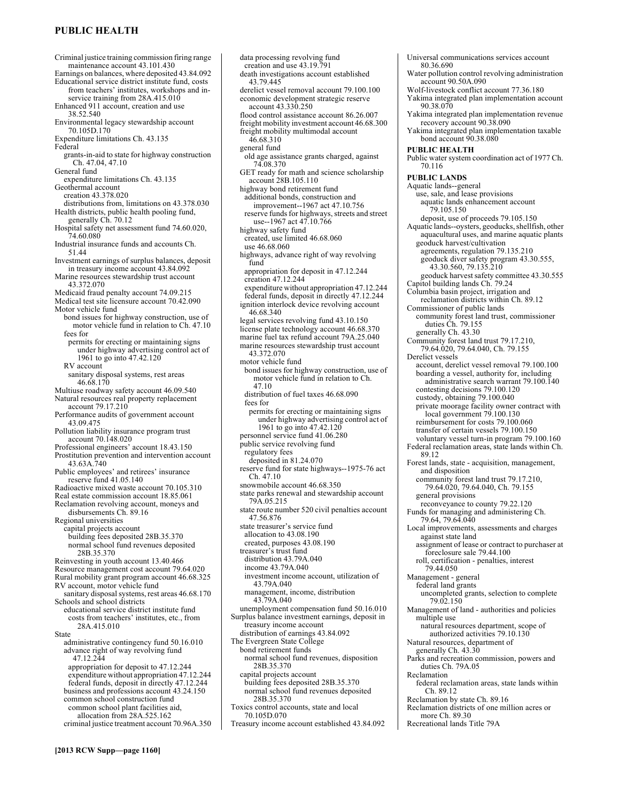# **PUBLIC HEALTH**

Criminal justice training commission firing range maintenance account 43.101.430 Earnings on balances, where deposited 43.84.092 Educational service district institute fund, costs from teachers' institutes, workshops and in-service training from 28A.415.010 Enhanced 911 account, creation and use 38.52.540 Environmental legacy stewardship account 70.105D.170 Expenditure limitations Ch. 43.135 Federal grants-in-aid to state for highway construction Ch. 47.04, 47.10 General fund expenditure limitations Ch. 43.135 Geothermal account creation 43.378.020 distributions from, limitations on 43.378.030 Health districts, public health pooling fund, generally Ch. 70.12 Hospital safety net assessment fund 74.60.020, 74.60.080 Industrial insurance funds and accounts Ch. 51.44 Investment earnings of surplus balances, deposit in treasury income account 43.84.092 Marine resources stewardship trust account 43.372.070 Medicaid fraud penalty account 74.09.215 Medical test site licensure account 70.42.090 Motor vehicle fund bond issues for highway construction, use of motor vehicle fund in relation to Ch. 47.10 fees for permits for erecting or maintaining signs under highway advertising control act of 1961 to go into 47.42.120 RV account sanitary disposal systems, rest areas 46.68.170 Multiuse roadway safety account 46.09.540 Natural resources real property replacement account 79.17.210 Performance audits of government account 43.09.475 Pollution liability insurance program trust account 70.148.020 Professional engineers' account 18.43.150 Prostitution prevention and intervention account 43.63A.740 Public employees' and retirees' insurance reserve fund 41.05.140 Radioactive mixed waste account 70.105.310 Real estate commission account 18.85.061 Reclamation revolving account, moneys and disbursements Ch. 89.16 Regional universities capital projects account building fees deposited 28B.35.370 normal school fund revenues deposited 28B.35.370 Reinvesting in youth account 13.40.466 Resource management cost account 79.64.020 Rural mobility grant program account 46.68.325 RV account, motor vehicle fund sanitary disposal systems, rest areas 46.68.170 Schools and school districts educational service district institute fund costs from teachers' institutes, etc., from 28A.415.010 State administrative contingency fund 50.16.010 advance right of way revolving fund 47.12.244 appropriation for deposit to 47.12.244 expenditure without appropriation 47.12.244 federal funds, deposit in directly 47.12.244 business and professions account 43.24.150 common school construction fund common school plant facilities aid, allocation from 28A.525.162 criminal justice treatment account 70.96A.350

data processing revolving fund creation and use 43.19.791 death investigations account established 43.79.445 derelict vessel removal account 79.100.100 economic development strategic reserve account 43.330.250 flood control assistance account 86.26.007 freight mobility investment account 46.68.300 freight mobility multimodal account 46.68.310 general fund old age assistance grants charged, against 74.08.370 GET ready for math and science scholarship account 28B.105.110 highway bond retirement fund additional bonds, construction and improvement--1967 act 47.10.756 reserve funds for highways, streets and street use--1967 act 47.10.766 highway safety fund created, use limited 46.68.060 use 46.68.060 highways, advance right of way revolving fund appropriation for deposit in 47.12.244 creation 47.12.244 expenditure without appropriation 47.12.244 federal funds, deposit in directly 47.12.244 ignition interlock device revolving account 46.68.340 legal services revolving fund 43.10.150 license plate technology account 46.68.370 marine fuel tax refund account 79A.25.040 marine resources stewardship trust account 43.372.070 motor vehicle fund bond issues for highway construction, use of motor vehicle fund in relation to Ch. 47.10 distribution of fuel taxes 46.68.090 fees for permits for erecting or maintaining signs under highway advertising control act of 1961 to go into 47.42.120 personnel service fund 41.06.280 public service revolving fund regulatory fees deposited in 81.24.070 reserve fund for state highways--1975-76 act Ch. 47.10 snowmobile account 46.68.350 state parks renewal and stewardship account 79A.05.215 state route number 520 civil penalties account 47.56.876 state treasurer's service fund allocation to 43.08.190 created, purposes 43.08.190 treasurer's trust fund distribution 43.79A.040 income 43.79A.040 investment income account, utilization of 43.79A.040 management, income, distribution 43.79A.040 unemployment compensation fund 50.16.010 Surplus balance investment earnings, deposit in treasury income account distribution of earnings 43.84.092 The Evergreen State College bond retirement funds normal school fund revenues, disposition 28B.35.370 capital projects account building fees deposited 28B.35.370 normal school fund revenues deposited 28B.35.370 Toxics control accounts, state and local 70.105D.070 Treasury income account established 43.84.092

80.36.690 Water pollution control revolving administration account 90.50A.090 Wolf-livestock conflict account 77.36.180 Yakima integrated plan implementation account 90.38.070 Yakima integrated plan implementation revenue recovery account 90.38.090 Yakima integrated plan implementation taxable bond account 90.38.080 **PUBLIC HEALTH**  Public water system coordination act of 1977 Ch. 70.116 **PUBLIC LANDS**  Aquatic lands--general use, sale, and lease provisions aquatic lands enhancement account 79.105.150 deposit, use of proceeds 79.105.150 Aquatic lands--oysters, geoducks, shellfish, other aquacultural uses, and marine aquatic plants geoduck harvest/cultivation agreements, regulation 79.135.210 geoduck diver safety program 43.30.555, 43.30.560, 79.135.210 geoduck harvest safety committee 43.30.555 Capitol building lands Ch. 79.24 Columbia basin project, irrigation and reclamation districts within Ch. 89.12 Commissioner of public lands community forest land trust, commissioner duties Ch. 79.155 generally Ch. 43.30 Community forest land trust 79.17.210, 79.64.020, 79.64.040, Ch. 79.155 Derelict vessels account, derelict vessel removal 79.100.100 boarding a vessel, authority for, including administrative search warrant 79.100.140 contesting decisions 79.100.120 custody, obtaining 79.100.040 private moorage facility owner contract with local government 79.100.130 reimbursement for costs 79.100.060 transfer of certain vessels 79.100.150 voluntary vessel turn-in program 79.100.160 Federal reclamation areas, state lands within Ch. 89.12 Forest lands, state - acquisition, management, and disposition community forest land trust 79.17.210, 79.64.020, 79.64.040, Ch. 79.155 general provisions reconveyance to county 79.22.120 Funds for managing and administering Ch. 79.64, 79.64.040 Local improvements, assessments and charges against state land assignment of lease or contract to purchaser at foreclosure sale 79.44.100 roll, certification - penalties, interest 79.44.050 Management - general federal land grants uncompleted grants, selection to complete 79.02.150 Management of land - authorities and policies multiple use natural resources department, scope of authorized activities 79.10.130 Natural resources, department of generally Ch. 43.30 Parks and recreation commission, powers and duties Ch. 79A.05 Reclamation federal reclamation areas, state lands within Ch. 89.12 Reclamation by state Ch. 89.16 Reclamation districts of one million acres or more Ch. 89.30

Recreational lands Title 79A

Universal communications services account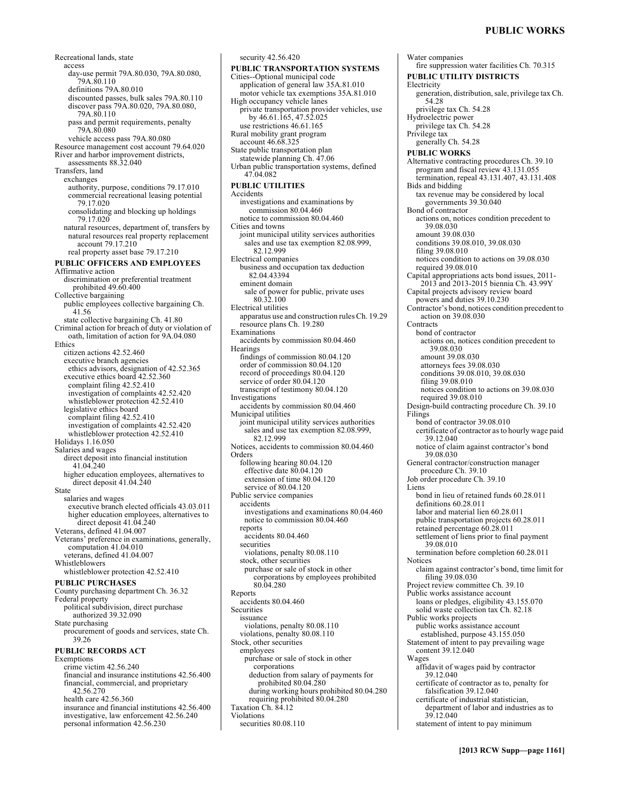# **PUBLIC WORKS**

Recreational lands, state access day-use permit 79A.80.030, 79A.80.080, 79A.80.110 definitions 79A.80.010 discounted passes, bulk sales 79A.80.110 discover pass 79A.80.020, 79A.80.080, 79A.80.110 pass and permit requirements, penalty 79A.80.080 vehicle access pass 79A.80.080 Resource management cost account 79.64.020 River and harbor improvement districts, assessments 88.32.040 Transfers, land exchanges authority, purpose, conditions 79.17.010 commercial recreational leasing potential 79.17.020 consolidating and blocking up holdings 79.17.020 natural resources, department of, transfers by natural resources real property replacement account 79.17.210 real property asset base 79.17.210 **PUBLIC OFFICERS AND EMPLOYEES**  Affirmative action discrimination or preferential treatment prohibited 49.60.400 Collective bargaining public employees collective bargaining Ch. 41.56 state collective bargaining Ch. 41.80 Criminal action for breach of duty or violation of oath, limitation of action for 9A.04.080 Ethics citizen actions 42.52.460 executive branch agencies ethics advisors, designation of 42.52.365 executive ethics board 42.52.360 complaint filing 42.52.410 investigation of complaints 42.52.420 whistleblower protection 42.52.410 legislative ethics board complaint filing 42.52.410 investigation of complaints 42.52.420 whistleblower protection 42.52.410 Holidays 1.16.050 Salaries and wages direct deposit into financial institution 41.04.240 higher education employees, alternatives to direct deposit 41.04.240 State salaries and wages executive branch elected officials 43.03.011 higher education employees, alternatives to direct deposit 41.04.240 Veterans, defined 41.04.007 Veterans' preference in examinations, generally, computation 41.04.010 veterans, defined 41.04.007 Whistleblowers whistleblower protection 42.52.410 **PUBLIC PURCHASES**  County purchasing department Ch. 36.32 Federal property political subdivision, direct purchase authorized 39.32.090 State purchasing procurement of goods and services, state Ch. 39.26 **PUBLIC RECORDS ACT**  Exemptions crime victim 42.56.240 financial and insurance institutions 42.56.400 financial, commercial, and proprietary 42.56.270 health care 42.56.360 insurance and financial institutions 42.56.400 investigative, law enforcement 42.56.240 personal information 42.56.230

**PUBLIC TRANSPORTATION SYSTEMS**  Cities--Optional municipal code application of general law 35A.81.010 motor vehicle tax exemptions 35A.81.010 High occupancy vehicle lanes private transportation provider vehicles, use by 46.61.165, 47.52.025 use restrictions 46.61.165 Rural mobility grant program account 46.68.325 State public transportation plan statewide planning Ch. 47.06 Urban public transportation systems, defined 47.04.082 **PUBLIC UTILITIES**  Accidents investigations and examinations by commission 80.04.460 notice to commission 80.04.460 Cities and towns joint municipal utility services authorities sales and use tax exemption 82.08.999, 82.12.999 Electrical companies business and occupation tax deduction 82.04.43394 eminent domain sale of power for public, private uses 80.32.100 Electrical utilities apparatus use and construction rules Ch. 19.29 resource plans Ch. 19.280 **Examinations** accidents by commission 80.04.460 Hearings findings of commission 80.04.120 order of commission 80.04.120 record of proceedings 80.04.120 service of order 80.04.120 transcript of testimony 80.04.120 Investigations accidents by commission 80.04.460 Municipal utilities joint municipal utility services authorities sales and use tax exemption 82.08.999, 82.12.999 Notices, accidents to commission 80.04.460 Orders following hearing 80.04.120 effective date 80.04.120 extension of time 80.04.120 service of 80.04.120 Public service companies accidents investigations and examinations 80.04.460 notice to commission 80.04.460 reports accidents 80.04.460 securities violations, penalty 80.08.110 stock, other securities purchase or sale of stock in other corporations by employees prohibited 80.04.280 Reports accidents 80.04.460 **Securities** issuance violations, penalty 80.08.110 violations, penalty 80.08.110 Stock, other securities employees purchase or sale of stock in other corporations deduction from salary of payments for prohibited 80.04.280 during working hours prohibited 80.04.280 requiring prohibited 80.04.280 Taxation Ch. 84.12 Violations securities 80.08.110

security 42.56.420

Water companies fire suppression water facilities Ch. 70.315 **PUBLIC UTILITY DISTRICTS**  Electricity generation, distribution, sale, privilege tax Ch. 54.28 privilege tax Ch. 54.28 Hydroelectric power privilege tax Ch. 54.28 Privilege tax generally Ch. 54.28 **PUBLIC WORKS**  Alternative contracting procedures Ch. 39.10 program and fiscal review 43.131.055 termination, repeal 43.131.407, 43.131.408 Bids and bidding tax revenue may be considered by local governments 39.30.040 Bond of contractor actions on, notices condition precedent to 39.08.030 amount 39.08.030 conditions 39.08.010, 39.08.030 filing 39.08.010 notices condition to actions on 39.08.030 required 39.08.010 Capital appropriations acts bond issues, 2011- 2013 and 2013-2015 biennia Ch. 43.99Y Capital projects advisory review board powers and duties 39.10.230 Contractor's bond, notices condition precedent to action on 39.08.030 **Contracts** bond of contractor actions on, notices condition precedent to 39.08.030 amount 39.08.030 attorneys fees 39.08.030 conditions 39.08.010, 39.08.030 filing 39.08.010 notices condition to actions on 39.08.030 required 39.08.010 Design-build contracting procedure Ch. 39.10 Filings bond of contractor 39.08.010 certificate of contractor as to hourly wage paid 39.12.040 notice of claim against contractor's bond 39.08.030 General contractor/construction manager procedure Ch. 39.10 Job order procedure Ch. 39.10 Liens bond in lieu of retained funds 60.28.011 definitions 60.28.011 labor and material lien 60.28.011 public transportation projects 60.28.011 retained percentage 60.28.011 settlement of liens prior to final payment 39.08.010 termination before completion 60.28.011 Notices claim against contractor's bond, time limit for filing 39.08.030 Project review committee Ch. 39.10 Public works assistance account loans or pledges, eligibility 43.155.070 solid waste collection tax Ch. 82.18 Public works projects public works assistance account established, purpose 43.155.050 Statement of intent to pay prevailing wage content 39.12.040 Wages affidavit of wages paid by contractor 39.12.040 certificate of contractor as to, penalty for falsification 39.12.040 certificate of industrial statistician, department of labor and industries as to 39.12.040 statement of intent to pay minimum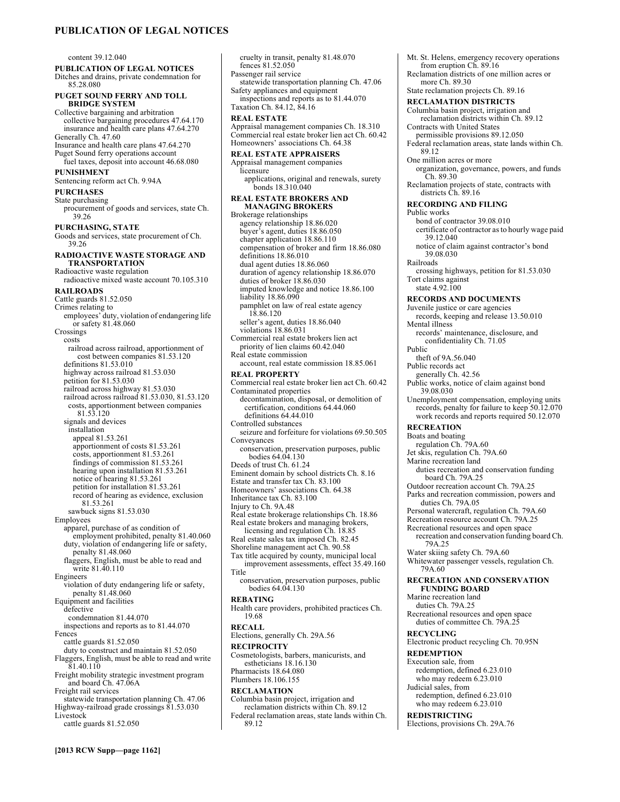# **PUBLICATION OF LEGAL NOTICES**

content 39.12.040

**PUBLICATION OF LEGAL NOTICES**  Ditches and drains, private condemnation for 85.28.080

**PUGET SOUND FERRY AND TOLL BRIDGE SYSTEM** 

Collective bargaining and arbitration collective bargaining procedures 47.64.170 insurance and health care plans 47.64.270 Generally Ch. 47.60 Insurance and health care plans 47.64.270

Puget Sound ferry operations account fuel taxes, deposit into account 46.68.080

**PUNISHMENT**  Sentencing reform act Ch. 9.94A

# **PURCHASES**

State purchasing

procurement of goods and services, state Ch. 39.26

**PURCHASING, STATE** 

Goods and services, state procurement of Ch. 39.26

**RADIOACTIVE WASTE STORAGE AND TRANSPORTATION**  Radioactive waste regulation

radioactive mixed waste account 70.105.310 **RAILROADS**  Cattle guards 81.52.050 Crimes relating to employees' duty, violation of endangering life or safety 81.48.060

Crossings costs railroad across railroad, apportionment of cost between companies 81.53.120 definitions 81.53.010 highway across railroad 81.53.030 petition for 81.53.030 railroad across highway 81.53.030 railroad across railroad 81.53.030, 81.53.120 costs, apportionment between companies 81.53.120 signals and devices installation appeal 81.53.261 apportionment of costs 81.53.261 costs, apportionment 81.53.261 findings of commission 81.53.261 hearing upon installation 81.53.261 notice of hearing 81.53.261 petition for installation 81.53.261 record of hearing as evidence, exclusion 81.53.261 sawbuck signs 81.53.030 Employees apparel, purchase of as condition of employment prohibited, penalty 81.40.060 duty, violation of endangering life or safety, penalty 81.48.060 flaggers, English, must be able to read and write 81.40.110 Engineers violation of duty endangering life or safety, penalty 81.48.060 Equipment and facilities defective condemnation 81.44.070 inspections and reports as to 81.44.070 Fences cattle guards 81.52.050 duty to construct and maintain 81.52.050 Flaggers, English, must be able to read and write 81.40.110 Freight mobility strategic investment program and board Ch. 47.06A Freight rail services statewide transportation planning Ch. 47.06

Highway-railroad grade crossings 81.53.030 Livestock

cattle guards 81.52.050

cruelty in transit, penalty 81.48.070 fences 81.52.050 Passenger rail service statewide transportation planning Ch. 47.06 Safety appliances and equipment inspections and reports as to 81.44.070 Taxation Ch. 84.12, 84.16 **REAL ESTATE**  Appraisal management companies Ch. 18.310 Commercial real estate broker lien act Ch. 60.42 Homeowners' associations Ch. 64.38 **REAL ESTATE APPRAISERS**  Appraisal management companies licensure applications, original and renewals, surety bonds 18.310.040 **REAL ESTATE BROKERS AND MANAGING BROKERS**  Brokerage relationships agency relationship 18.86.020 buyer's agent, duties 18.86.050 chapter application 18.86.110 compensation of broker and firm 18.86.080 definitions 18.86.010 dual agent duties 18.86.060 duration of agency relationship 18.86.070 duties of broker 18.86.030 imputed knowledge and notice 18.86.100 liability 18.86.090 pamphlet on law of real estate agency 18.86.120 seller's agent, duties 18.86.040 violations 18.86.031 Commercial real estate brokers lien act priority of lien claims 60.42.040 Real estate commission account, real estate commission 18.85.061 **REAL PROPERTY**  Commercial real estate broker lien act Ch. 60.42 Contaminated properties decontamination, disposal, or demolition of certification, conditions 64.44.060 definitions 64.44.010 Controlled substances seizure and forfeiture for violations 69.50.505 Conveyances conservation, preservation purposes, public bodies 64.04.130 Deeds of trust Ch. 61.24 Eminent domain by school districts Ch. 8.16 Estate and transfer tax Ch. 83.100 Homeowners' associations Ch. 64.38 Inheritance tax Ch. 83.100 Injury to Ch. 9A.48 Real estate brokerage relationships Ch. 18.86 Real estate brokers and managing brokers, licensing and regulation Ch. 18.85 Real estate sales tax imposed Ch. 82.45 Shoreline management act Ch. 90.58 Tax title acquired by county, municipal local improvement assessments, effect 35.49.160 Title conservation, preservation purposes, public bodies 64.04.130 **REBATING**  Health care providers, prohibited practices Ch. 19.68 **RECALL**  Elections, generally Ch. 29A.56 **RECIPROCITY**  Cosmetologists, barbers, manicurists, and estheticians 18.16.130 Pharmacists 18.64.080 Plumbers 18.106.155 **RECLAMATION**  Columbia basin project, irrigation and reclamation districts within Ch. 89.12 Federal reclamation areas, state lands within Ch. 89.12

from eruption Ch. 89.16 Reclamation districts of one million acres or more Ch. 89.30 State reclamation projects Ch. 89.16 **RECLAMATION DISTRICTS**  Columbia basin project, irrigation and reclamation districts within Ch. 89.12 Contracts with United States permissible provisions 89.12.050 Federal reclamation areas, state lands within Ch. 89.12 One million acres or more organization, governance, powers, and funds Ch. 89.30 Reclamation projects of state, contracts with districts Ch. 89.16 **RECORDING AND FILING**  Public works bond of contractor 39.08.010 certificate of contractor as to hourly wage paid 39.12.040 notice of claim against contractor's bond 39.08.030 Railroads crossing highways, petition for 81.53.030 Tort claims against state 4.92.100 **RECORDS AND DOCUMENTS**  Juvenile justice or care agencies records, keeping and release 13.50.010 Mental illness records' maintenance, disclosure, and confidentiality Ch. 71.05 Public theft of 9A.56.040 Public records act generally Ch. 42.56 Public works, notice of claim against bond 39.08.030 Unemployment compensation, employing units records, penalty for failure to keep 50.12.070 work records and reports required 50.12.070 **RECREATION**  Boats and boating regulation Ch. 79A.60 Jet skis, regulation Ch. 79A.60 Marine recreation land duties recreation and conservation funding board Ch. 79A.25 Outdoor recreation account Ch. 79A.25 Parks and recreation commission, powers and duties Ch. 79A.05 Personal watercraft, regulation Ch. 79A.60 Recreation resource account Ch. 79A.25 Recreational resources and open space recreation and conservation funding board Ch. 79A.25 Water skiing safety Ch. 79A.60 Whitewater passenger vessels, regulation Ch. 79A.60 **RECREATION AND CONSERVATION FUNDING BOARD**  Marine recreation land duties Ch. 79A.25 Recreational resources and open space duties of committee Ch. 79A.25 **RECYCLING**  Electronic product recycling Ch. 70.95N **REDEMPTION**  Execution sale, from redemption, defined 6.23.010 who may redeem 6.23.010 Judicial sales, from redemption, defined 6.23.010 who may redeem 6.23.010 **REDISTRICTING**  Elections, provisions Ch. 29A.76

Mt. St. Helens, emergency recovery operations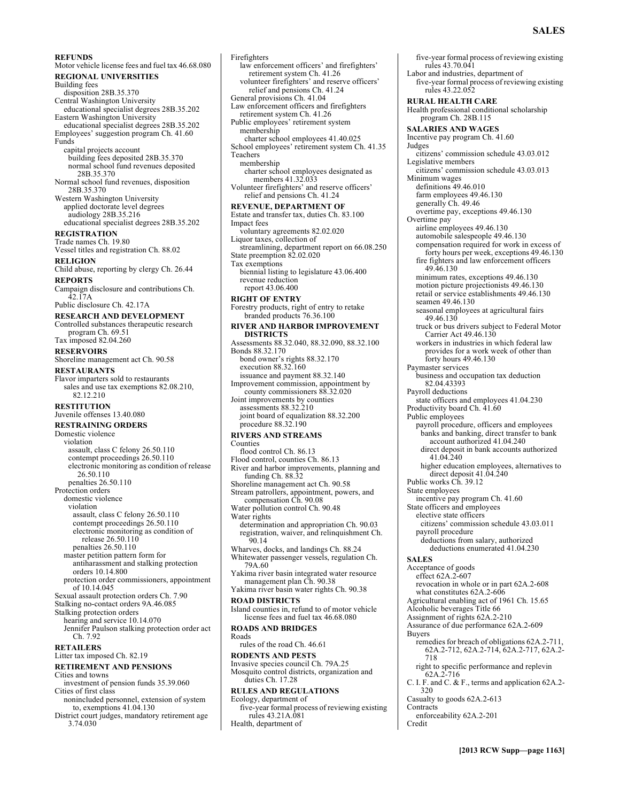#### **REFUNDS**

Motor vehicle license fees and fuel tax 46.68.080 **REGIONAL UNIVERSITIES**  Building fees disposition 28B.35.370 Central Washington University educational specialist degrees 28B.35.202 Eastern Washington University educational specialist degrees 28B.35.202 Employees' suggestion program Ch. 41.60 Funds capital projects account building fees deposited 28B.35.370 normal school fund revenues deposited 28B.35.370 Normal school fund revenues, disposition 28B.35.370 Western Washington University applied doctorate level degrees audiology 28B.35.216 educational specialist degrees 28B.35.202 **REGISTRATION**  Trade names Ch. 19.80 Vessel titles and registration Ch. 88.02 **RELIGION**  Child abuse, reporting by clergy Ch. 26.44 **REPORTS**  Campaign disclosure and contributions Ch. 42.17A Public disclosure Ch. 42.17A **RESEARCH AND DEVELOPMENT**  Controlled substances therapeutic research program Ch. 69.51 Tax imposed 82.04.260 **RESERVOIRS**  Shoreline management act Ch. 90.58 **RESTAURANTS**  Flavor imparters sold to restaurants sales and use tax exemptions 82.08.210, 82.12.210 **RESTITUTION**  Juvenile offenses 13.40.080 **RESTRAINING ORDERS**  Domestic violence violation assault, class C felony 26.50.110 contempt proceedings 26.50.110 electronic monitoring as condition of release 26.50.110 penalties 26.50.110 Protection orders domestic violence violation assault, class C felony 26.50.110 contempt proceedings 26.50.110 electronic monitoring as condition of release 26.50.110 penalties 26.50.110 master petition pattern form for antiharassment and stalking protection orders 10.14.800 protection order commissioners, appointment of 10.14.045 Sexual assault protection orders Ch. 7.90 Stalking no-contact orders 9A.46.085 Stalking protection orders hearing and service 10.14.070 Jennifer Paulson stalking protection order act Ch. 7.92 **RETAILERS**  Litter tax imposed Ch. 82.19 **RETIREMENT AND PENSIONS**  Cities and towns investment of pension funds 35.39.060 Cities of first class nonincluded personnel, extension of system to, exemptions 41.04.130

District court judges, mandatory retirement age 3.74.030

Firefighters law enforcement officers' and firefighters' retirement system Ch. 41.26 volunteer firefighters' and reserve officers' relief and pensions Ch. 41.24 General provisions Ch. 41.04 Law enforcement officers and firefighters retirement system Ch. 41.26 Public employees' retirement system membership charter school employees 41.40.025 School employees' retirement system Ch. 41.35 Teachers membership charter school employees designated as members 41.32.033 Volunteer firefighters' and reserve officers' relief and pensions Ch. 41.24 **REVENUE, DEPARTMENT OF**  Estate and transfer tax, duties Ch. 83.100 Impact fees voluntary agreements 82.02.020 Liquor taxes, collection of streamlining, department report on 66.08.250 State preemption 82.02.020 Tax exemptions biennial listing to legislature 43.06.400 revenue reduction report 43.06.400 **RIGHT OF ENTRY**  Forestry products, right of entry to retake branded products 76.36.100 **RIVER AND HARBOR IMPROVEMENT DISTRICTS**  Assessments 88.32.040, 88.32.090, 88.32.100 Bonds 88.32.170 bond owner's rights 88.32.170 execution 88.32.160 issuance and payment 88.32.140 Improvement commission, appointment by county commissioners 88.32.020 Joint improvements by counties assessments 88.32.210 joint board of equalization 88.32.200 procedure 88.32.190 **RIVERS AND STREAMS**  Counties flood control Ch. 86.13 Flood control, counties Ch. 86.13 River and harbor improvements, planning and funding Ch. 88.32 Shoreline management act Ch. 90.58 Stream patrollers, appointment, powers, and compensation Ch. 90.08 Water pollution control Ch. 90.48 Water rights determination and appropriation Ch. 90.03 registration, waiver, and relinquishment Ch. 90.14 Wharves, docks, and landings Ch. 88.24 Whitewater passenger vessels, regulation Ch. 79A.60 Yakima river basin integrated water resource management plan Ch. 90.38 Yakima river basin water rights Ch. 90.38 **ROAD DISTRICTS**  Island counties in, refund to of motor vehicle license fees and fuel tax 46.68.080 **ROADS AND BRIDGES**  Roads rules of the road Ch. 46.61 **RODENTS AND PESTS**  Invasive species council Ch. 79A.25 Mosquito control districts, organization and duties Ch. 17.28 **RULES AND REGULATIONS**  Ecology, department of five-year formal process of reviewing existing rules 43.21A.081 Health, department of

five-year formal process of reviewing existing rules 43.70.041 Labor and industries, department of five-year formal process of reviewing existing rules 43.22.052 **RURAL HEALTH CARE**  Health professional conditional scholarship program Ch. 28B.115 **SALARIES AND WAGES**  Incentive pay program Ch. 41.60 Judges citizens' commission schedule 43.03.012 Legislative members citizens' commission schedule 43.03.013 Minimum wages definitions 49.46.010 farm employees 49.46.130 generally Ch. 49.46 overtime pay, exceptions 49.46.130 Overtime pay airline employees 49.46.130 automobile salespeople 49.46.130 compensation required for work in excess of forty hours per week, exceptions 49.46.130 fire fighters and law enforcement officers 49.46.130 minimum rates, exceptions 49.46.130 motion picture projectionists 49.46.130 retail or service establishments 49.46.130 seamen 49.46.130 seasonal employees at agricultural fairs 49.46.130 truck or bus drivers subject to Federal Motor Carrier Act 49.46.130 workers in industries in which federal law provides for a work week of other than forty hours 49.46.130 Paymaster services business and occupation tax deduction 82.04.43393 Payroll deductions state officers and employees 41.04.230 Productivity board Ch. 41.60 Public employees payroll procedure, officers and employees banks and banking, direct transfer to bank account authorized 41.04.240 direct deposit in bank accounts authorized 41.04.240 higher education employees, alternatives to direct deposit 41.04.240 Public works Ch. 39.12 State employees incentive pay program Ch. 41.60 State officers and employees elective state officers citizens' commission schedule 43.03.011 payroll procedure deductions from salary, authorized deductions enumerated 41.04.230 **SALES**  Acceptance of goods effect 62A.2-607 revocation in whole or in part 62A.2-608 what constitutes 62A.2-606 Agricultural enabling act of 1961 Ch. 15.65 Alcoholic beverages Title 66 Assignment of rights 62A.2-210 Assurance of due performance 62A.2-609 Buyers remedies for breach of obligations 62A.2-711, 62A.2-712, 62A.2-714, 62A.2-717, 62A.2- 718 right to specific performance and replevin 62A.2-716 C. I. F. and C. & F., terms and application 62A.2- 320 Casualty to goods 62A.2-613 **Contracts** enforceability 62A.2-201 Credit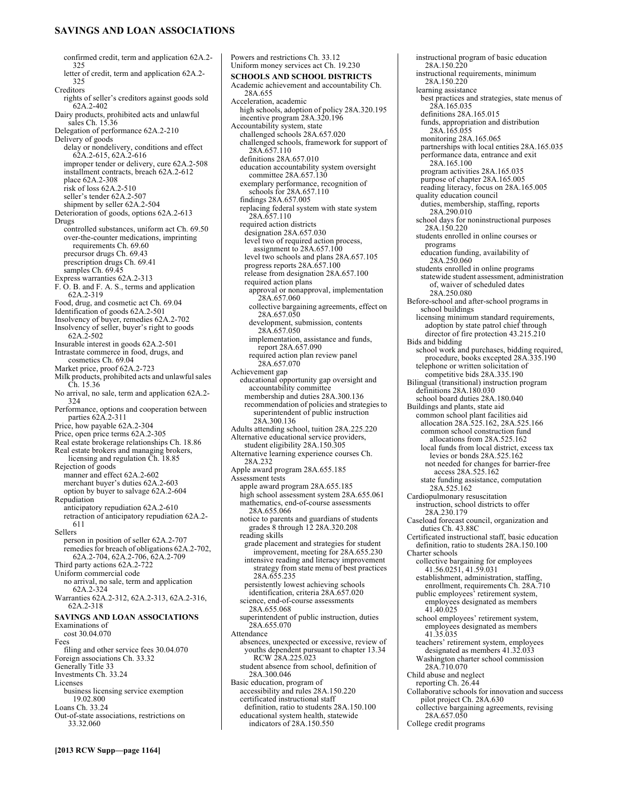# **SAVINGS AND LOAN ASSOCIATIONS**

confirmed credit, term and application 62A.2- 325 letter of credit, term and application 62A.2- 325 Creditors rights of seller's creditors against goods sold 62A.2-402 Dairy products, prohibited acts and unlawful sales Ch. 15.36 Delegation of performance 62A.2-210 Delivery of goods delay or nondelivery, conditions and effect 62A.2-615, 62A.2-616 improper tender or delivery, cure 62A.2-508 installment contracts, breach 62A.2-612 place 62A.2-308 risk of loss 62A.2-510 seller's tender 62A.2-507 shipment by seller 62A.2-504 Deterioration of goods, options 62A.2-613 Drugs controlled substances, uniform act Ch. 69.50 over-the-counter medications, imprinting requirements Ch. 69.60 precursor drugs Ch. 69.43 prescription drugs Ch. 69.41 samples Ch. 69.45 Express warranties 62A.2-313 F. O. B. and F. A. S., terms and application 62A.2-319 Food, drug, and cosmetic act Ch. 69.04 Identification of goods 62A.2-501 Insolvency of buyer, remedies 62A.2-702 Insolvency of seller, buyer's right to goods 62A.2-502 Insurable interest in goods 62A.2-501 Intrastate commerce in food, drugs, and cosmetics Ch. 69.04 Market price, proof 62A.2-723 Milk products, prohibited acts and unlawful sales Ch. 15.36 No arrival, no sale, term and application 62A.2- 324 Performance, options and cooperation between parties 62A.2-311 Price, how payable 62A.2-304 Price, open price terms 62A.2-305 Real estate brokerage relationships Ch. 18.86 Real estate brokers and managing brokers, licensing and regulation Ch. 18.85 Rejection of goods manner and effect 62A.2-602 merchant buyer's duties 62A.2-603 option by buyer to salvage 62A.2-604 Repudiation anticipatory repudiation 62A.2-610 retraction of anticipatory repudiation 62A.2- 611 Sellers person in position of seller 62A.2-707 remedies for breach of obligations 62A.2-702, 62A.2-704, 62A.2-706, 62A.2-709 Third party actions 62A.2-722 Uniform commercial code no arrival, no sale, term and application 62A.2-324 Warranties 62A.2-312, 62A.2-313, 62A.2-316, 62A.2-318 **SAVINGS AND LOAN ASSOCIATIONS**  Examinations of cost 30.04.070 Fees filing and other service fees 30.04.070 Foreign associations Ch. 33.32 Generally Title 33 Investments Ch. 33.24 Licenses business licensing service exemption 19.02.800 Loans Ch. 33.24 Out-of-state associations, restrictions on 33.32.060

Powers and restrictions Ch. 33.12 Uniform money services act Ch. 19.230 **SCHOOLS AND SCHOOL DISTRICTS**  Academic achievement and accountability Ch. 28A.655 Acceleration, academic high schools, adoption of policy 28A.320.195 incentive program 28A.320.196 Accountability system, state challenged schools 28A.657.020 challenged schools, framework for support of 28A.657.110 definitions 28A.657.010 education accountability system oversight committee 28A.657.130 exemplary performance, recognition of schools for 28A.657.110 findings 28A.657.005 replacing federal system with state system 28A.657.110 required action districts designation 28A.657.030 level two of required action process, assignment to  $28A.657.100$ level two schools and plans 28A.657.105 progress reports 28A.657.100 release from designation 28A.657.100 required action plans approval or nonapproval, implementation 28A.657.060 collective bargaining agreements, effect on 28A.657.050 development, submission, contents 28A.657.050 implementation, assistance and funds, report 28A.657.090 required action plan review panel 28A.657.070 Achievement gap educational opportunity gap oversight and accountability committee membership and duties 28A.300.136 recommendation of policies and strategies to superintendent of public instruction 28A.300.136 Adults attending school, tuition 28A.225.220 Alternative educational service providers, student eligibility 28A.150.305 Alternative learning experience courses Ch. 28A.232 Apple award program 28A.655.185 Assessment tests apple award program 28A.655.185 high school assessment system 28A.655.061 mathematics, end-of-course assessments 28A.655.066 notice to parents and guardians of students grades 8 through 12 28A.320.208 reading skills grade placement and strategies for student improvement, meeting for 28A.655.230 intensive reading and literacy improvement strategy from state menu of best practices 28A.655.235 persistently lowest achieving schools identification, criteria 28A.657.020 science, end-of-course assessments 28A.655.068 superintendent of public instruction, duties 28A.655.070 Attendance absences, unexpected or excessive, review of youths dependent pursuant to chapter 13.34 RCW 28A.225.023 student absence from school, definition of 28A.300.046 Basic education, program of accessibility and rules 28A.150.220 certificated instructional staff definition, ratio to students 28A.150.100 educational system health, statewide indicators of 28A.150.550

instructional program of basic education 28A.150.220 instructional requirements, minimum 28A.150.220 learning assistance best practices and strategies, state menus of 28A.165.035 definitions 28A.165.015 funds, appropriation and distribution 28A.165.055 monitoring 28A.165.065 partnerships with local entities 28A.165.035 performance data, entrance and exit 28A.165.100 program activities 28A.165.035 purpose of chapter 28A.165.005 reading literacy, focus on 28A.165.005 quality education council duties, membership, staffing, reports 28A.290.010 school days for noninstructional purposes 28A.150.220 students enrolled in online courses or programs education funding, availability of 28A.250.060 students enrolled in online programs statewide student assessment, administration of, waiver of scheduled dates 28A.250.080 Before-school and after-school programs in school buildings licensing minimum standard requirements, adoption by state patrol chief through director of fire protection 43.215.210 Bids and bidding school work and purchases, bidding required, procedure, books excepted 28A.335.190 telephone or written solicitation of competitive bids 28A.335.190 Bilingual (transitional) instruction program definitions 28A.180.030 school board duties 28A.180.040 Buildings and plants, state aid common school plant facilities aid allocation 28A.525.162, 28A.525.166 common school construction fund allocations from 28A.525.162 local funds from local district, excess tax levies or bonds 28A.525.162 not needed for changes for barrier-free access 28A.525.162 state funding assistance, computation 28A.525.162 Cardiopulmonary resuscitation instruction, school districts to offer 28A.230.179 Caseload forecast council, organization and duties Ch. 43.88C Certificated instructional staff, basic education definition, ratio to students 28A.150.100 Charter schools collective bargaining for employees 41.56.0251, 41.59.031 establishment, administration, staffing, enrollment, requirements Ch. 28A.710 public employees' retirement system, employees designated as members 41.40.025 school employees' retirement system, employees designated as members 41.35.035 teachers' retirement system, employees designated as members 41.32.033 Washington charter school commission 28A.710.070 Child abuse and neglect reporting Ch. 26.44 Collaborative schools for innovation and success pilot project Ch. 28A.630 collective bargaining agreements, revising 28A.657.050

College credit programs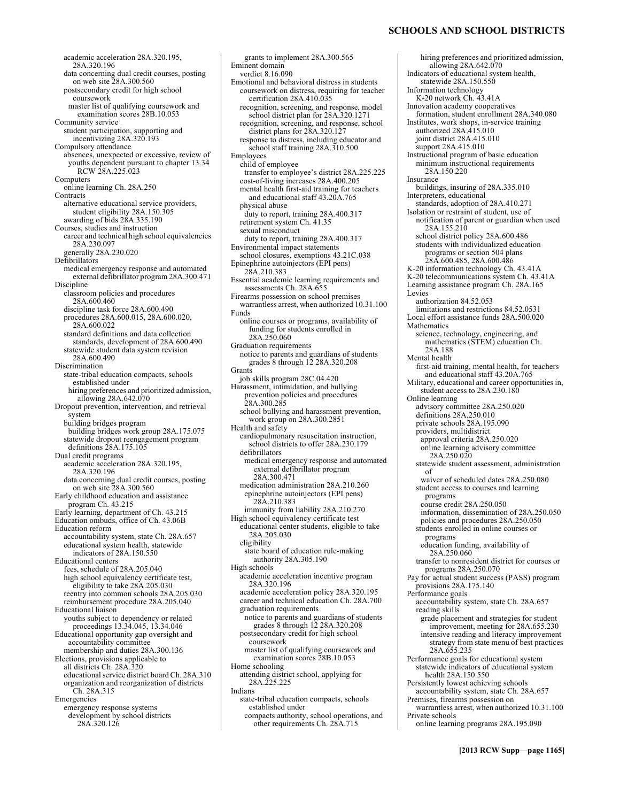academic acceleration 28A.320.195, 28A.320.196 data concerning dual credit courses, posting on web site 28A.300.560 postsecondary credit for high school coursework master list of qualifying coursework and examination scores 28B.10.053 Community service student participation, supporting and incentivizing 28A.320.193 Compulsory attendance absences, unexpected or excessive, review of youths dependent pursuant to chapter 13.34 RCW 28A.225.023 Computers online learning Ch. 28A.250 **Contracts** alternative educational service providers, student eligibility 28A.150.305 awarding of bids 28A.335.190 Courses, studies and instruction career and technical high school equivalencies 28A.230.097 generally 28A.230.020 Defibrillators medical emergency response and automated external defibrillator program 28A.300.471 Discipline classroom policies and procedures 28A.600.460 discipline task force 28A.600.490 procedures 28A.600.015, 28A.600.020, 28A.600.022 standard definitions and data collection standards, development of 28A.600.490 statewide student data system revision 28A.600.490 Discrimination state-tribal education compacts, schools established under hiring preferences and prioritized admission, allowing 28A.642.070 Dropout prevention, intervention, and retrieval system building bridges program building bridges work group 28A.175.075 statewide dropout reengagement program definitions 28A.175.105 Dual credit programs academic acceleration 28A.320.195, 28A.320.196 data concerning dual credit courses, posting on web site 28A.300.560 Early childhood education and assistance program Ch. 43.215 Early learning, department of Ch. 43.215 Education ombuds, office of Ch. 43.06B Education reform accountability system, state Ch. 28A.657 educational system health, statewide indicators of 28A.150.550 Educational centers fees, schedule of 28A.205.040 high school equivalency certificate test, eligibility to take 28A.205.030 reentry into common schools 28A.205.030 reimbursement procedure 28A.205.040 Educational liaison youths subject to dependency or related proceedings 13.34.045, 13.34.046 Educational opportunity gap oversight and accountability committee membership and duties 28A.300.136 Elections, provisions applicable to all districts Ch. 28A.320 educational service district board Ch. 28A.310 organization and reorganization of districts Ch. 28A.315 Emergencies emergency response systems development by school districts 28A.320.126

verdict 8.16.090 Emotional and behavioral distress in students coursework on distress, requiring for teacher certification 28A.410.035 recognition, screening, and response, model school district plan for 28A.320.1271 recognition, screening, and response, school district plans for 28A.320.127 response to distress, including educator and school staff training 28A.310.500 Employees child of employee transfer to employee's district 28A.225.225 cost-of-living increases 28A.400.205 mental health first-aid training for teachers and educational staff 43.20A.765 physical abuse duty to report, training 28A.400.317 retirement system Ch. 41.35 sexual misconduct duty to report, training 28A.400.317 Environmental impact statements school closures, exemptions 43.21C.038 Epinephrine autoinjectors (EPI pens) 28A.210.383 Essential academic learning requirements and assessments Ch. 28A.655 Firearms possession on school premises warrantless arrest, when authorized 10.31.100 Funds online courses or programs, availability of funding for students enrolled in 28A.250.060 Graduation requirements notice to parents and guardians of students grades 8 through 12 28A.320.208 **Grants** job skills program 28C.04.420 Harassment, intimidation, and bullying prevention policies and procedures 28A.300.285 school bullying and harassment prevention, work group on 28A.300.2851 Health and safety cardiopulmonary resuscitation instruction, school districts to offer 28A.230.179 defibrillators medical emergency response and automated external defibrillator program 28A.300.471 medication administration 28A.210.260 epinephrine autoinjectors (EPI pens) 28A.210.383 immunity from liability 28A.210.270 High school equivalency certificate test educational center students, eligible to take 28A.205.030 eligibility state board of education rule-making authority 28A.305.190 High schools academic acceleration incentive program 28A.320.196 academic acceleration policy 28A.320.195 career and technical education Ch. 28A.700 graduation requirements notice to parents and guardians of students grades 8 through 12 28A.320.208 postsecondary credit for high school coursework master list of qualifying coursework and examination scores 28B.10.053 Home schooling attending district school, applying for 28A.225.225 Indians state-tribal education compacts, schools established under compacts authority, school operations, and other requirements Ch. 28A.715

grants to implement 28A.300.565

Eminent domain

# **SCHOOLS AND SCHOOL DISTRICTS**

hiring preferences and prioritized admission, allowing 28A.642.070 Indicators of educational system health, statewide 28A.150.550 Information technology K-20 network Ch. 43.41A Innovation academy cooperatives formation, student enrollment 28A.340.080 Institutes, work shops, in-service training authorized 28A.415.010 joint district 28A.415.010 support 28A.415.010 Instructional program of basic education minimum instructional requirements 28A.150.220 Insurance buildings, insuring of 28A.335.010 Interpreters, educational standards, adoption of 28A.410.271 Isolation or restraint of student, use of notification of parent or guardian when used 28A.155.210 school district policy 28A.600.486 students with individualized education programs or section 504 plans 28A.600.485, 28A.600.486 K-20 information technology Ch. 43.41A K-20 telecommunications system Ch. 43.41A Learning assistance program Ch. 28A.165 Levies authorization 84.52.053 limitations and restrictions 84.52.0531 Local effort assistance funds 28A.500.020 Mathematics science, technology, engineering, and mathematics (STEM) education Ch. 28A.188 Mental health first-aid training, mental health, for teachers and educational staff 43.20A.765 Military, educational and career opportunities in, student access to 28A.230.180 Online learning advisory committee 28A.250.020 definitions 28A.250.010 private schools 28A.195.090 providers, multidistrict approval criteria 28A.250.020 online learning advisory committee 28A.250.020 statewide student assessment, administration of waiver of scheduled dates 28A.250.080 student access to courses and learning programs course credit 28A.250.050 information, dissemination of 28A.250.050 policies and procedures 28A.250.050 students enrolled in online courses or programs education funding, availability of 28A.250.060 transfer to nonresident district for courses or programs 28A.250.070 Pay for actual student success (PASS) program provisions 28A.175.140 Performance goals accountability system, state Ch. 28A.657 reading skills grade placement and strategies for student improvement, meeting for 28A.655.230 intensive reading and literacy improvement strategy from state menu of best practices 28A.655.235 Performance goals for educational system statewide indicators of educational system health 28A.150.550 Persistently lowest achieving schools accountability system, state Ch. 28A.657 Premises, firearms possession on warrantless arrest, when authorized 10.31.100 Private schools online learning programs 28A.195.090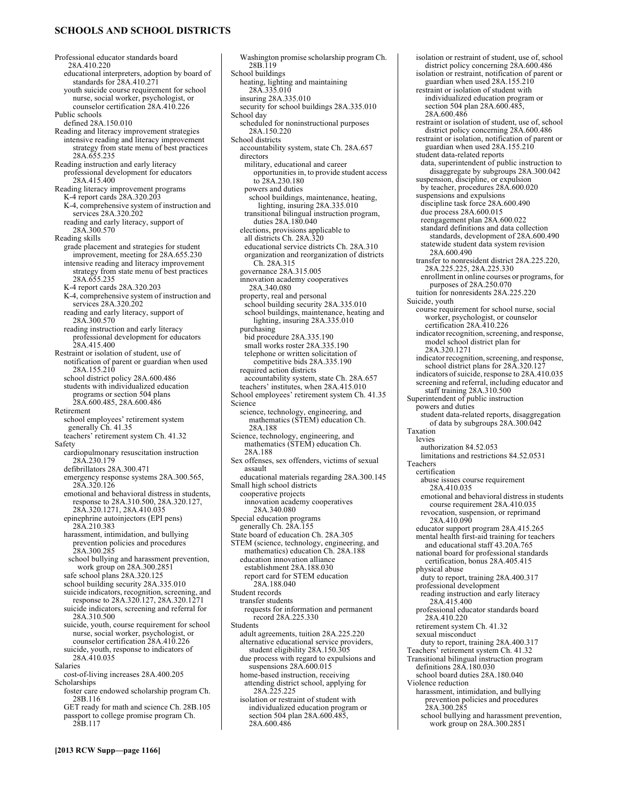# **SCHOOLS AND SCHOOL DISTRICTS**

Professional educator standards board 28A.410.220 educational interpreters, adoption by board of standards for 28A.410.271 youth suicide course requirement for school nurse, social worker, psychologist, or counselor certification 28A.410.226 Public schools defined 28A.150.010 Reading and literacy improvement strategies intensive reading and literacy improvement strategy from state menu of best practices 28A.655.235 Reading instruction and early literacy professional development for educators 28A.415.400 Reading literacy improvement programs K-4 report cards 28A.320.203 K-4, comprehensive system of instruction and services 28A.320.202 reading and early literacy, support of 28A.300.570 Reading skills grade placement and strategies for student improvement, meeting for 28A.655.230 intensive reading and literacy improvement strategy from state menu of best practices 28A.655.235 K-4 report cards 28A.320.203 K-4, comprehensive system of instruction and services 28A.320.202 reading and early literacy, support of 28A.300.570 reading instruction and early literacy professional development for educators 28A.415.400 Restraint or isolation of student, use of notification of parent or guardian when used 28A.155.210 school district policy 28A.600.486 students with individualized education programs or section 504 plans 28A.600.485, 28A.600.486 Retirement school employees' retirement system generally Ch. 41.35 teachers' retirement system Ch. 41.32 Safety cardiopulmonary resuscitation instruction 28A.230.179 defibrillators 28A.300.471 emergency response systems 28A.300.565, 28A.320.126 emotional and behavioral distress in students, response to 28A.310.500, 28A.320.127, 28A.320.1271, 28A.410.035 epinephrine autoinjectors (EPI pens) 28A.210.383 harassment, intimidation, and bullying prevention policies and procedures 28A.300.285 school bullying and harassment prevention, work group on 28A.300.2851 safe school plans 28A.320.125 school building security 28A.335.010 suicide indicators, recognition, screening, and response to 28A.320.127, 28A.320.1271 suicide indicators, screening and referral for 28A.310.500 suicide, youth, course requirement for school nurse, social worker, psychologist, or counselor certification 28A.410.226 suicide, youth, response to indicators of 28A.410.035 Salaries cost-of-living increases 28A.400.205 Scholarships foster care endowed scholarship program Ch. 28B.116 GET ready for math and science Ch. 28B.105 passport to college promise program Ch. 28B.117

Washington promise scholarship program Ch. 28B.119 School buildings heating, lighting and maintaining 28A.335.010 insuring 28A.335.010 security for school buildings 28A.335.010 School day scheduled for noninstructional purposes 28A.150.220 School districts accountability system, state Ch. 28A.657 directors military, educational and career opportunities in, to provide student access to 28A.230.180 powers and duties school buildings, maintenance, heating, lighting, insuring 28A.335.010 transitional bilingual instruction program, duties 28A.180.040 elections, provisions applicable to all districts Ch. 28A.320 educational service districts Ch. 28A.310 organization and reorganization of districts Ch. 28A.315 governance 28A.315.005 innovation academy cooperatives 28A.340.080 property, real and personal school building security 28A.335.010 school buildings, maintenance, heating and lighting, insuring 28A.335.010 purchasing bid procedure 28A.335.190 small works roster 28A.335.190 telephone or written solicitation of competitive bids 28A.335.190 required action districts accountability system, state Ch. 28A.657 teachers' institutes, when 28A.415.010 School employees' retirement system Ch. 41.35 Science science, technology, engineering, and mathematics (STEM) education Ch. 28A.188 Science, technology, engineering, and mathematics (STEM) education Ch. 28A.188 Sex offenses, sex offenders, victims of sexual assault educational materials regarding 28A.300.145 Small high school districts cooperative projects innovation academy cooperatives 28A.340.080 Special education programs generally Ch. 28A.155 State board of education Ch. 28A.305 STEM (science, technology, engineering, and mathematics) education Ch. 28A.188 education innovation alliance establishment 28A.188.030 report card for STEM education 28A.188.040 Student records transfer students requests for information and permanent record 28A.225.330 Students adult agreements, tuition 28A.225.220 alternative educational service providers, student eligibility 28A.150.305 due process with regard to expulsions and suspensions 28A.600.015 home-based instruction, receiving attending district school, applying for 28A.225.225 isolation or restraint of student with individualized education program or

section 504 plan 28A.600.485, 28A.600.486

isolation or restraint of student, use of, school district policy concerning 28A.600.486 isolation or restraint, notification of parent or guardian when used 28A.155.210 restraint or isolation of student with individualized education program or section 504 plan 28A.600.485, 28A.600.486 restraint or isolation of student, use of, school district policy concerning 28A.600.486 restraint or isolation, notification of parent or guardian when used 28A.155.210 student data-related reports data, superintendent of public instruction to disaggregate by subgroups 28A.300.042 suspension, discipline, or expulsion by teacher, procedures 28A.600.020 suspensions and expulsions discipline task force 28A.600.490 due process 28A.600.015 reengagement plan 28A.600.022 standard definitions and data collection standards, development of 28A.600.490 statewide student data system revision 28A.600.490 transfer to nonresident district 28A.225.220, 28A.225.225, 28A.225.330 enrollment in online courses or programs, for purposes of 28A.250.070 tuition for nonresidents 28A.225.220 Suicide, youth course requirement for school nurse, social worker, psychologist, or counselor certification 28A.410.226 indicator recognition, screening, and response, model school district plan for 28A.320.1271 indicator recognition, screening, and response, school district plans for 28A.320.127 indicators of suicide, response to 28A.410.035 screening and referral, including educator and staff training 28A.310.500 Superintendent of public instruction powers and duties student data-related reports, disaggregation of data by subgroups 28A.300.042 Taxation levies authorization 84.52.053 limitations and restrictions 84.52.0531 Teachers certification abuse issues course requirement 28A.410.035 emotional and behavioral distress in students course requirement 28A.410.035 revocation, suspension, or reprimand 28A.410.090 educator support program 28A.415.265 mental health first-aid training for teachers and educational staff 43.20A.765 national board for professional standards certification, bonus 28A.405.415 physical abuse duty to report, training 28A.400.317 professional development reading instruction and early literacy 28A.415.400 professional educator standards board 28A.410.220 retirement system Ch. 41.32 sexual misconduct duty to report, training 28A.400.317 Teachers' retirement system Ch. 41.32 Transitional bilingual instruction program definitions 28A.180.030 school board duties 28A.180.040 Violence reduction harassment, intimidation, and bullying prevention policies and procedures 28A.300.285

school bullying and harassment prevention, work group on 28A.300.2851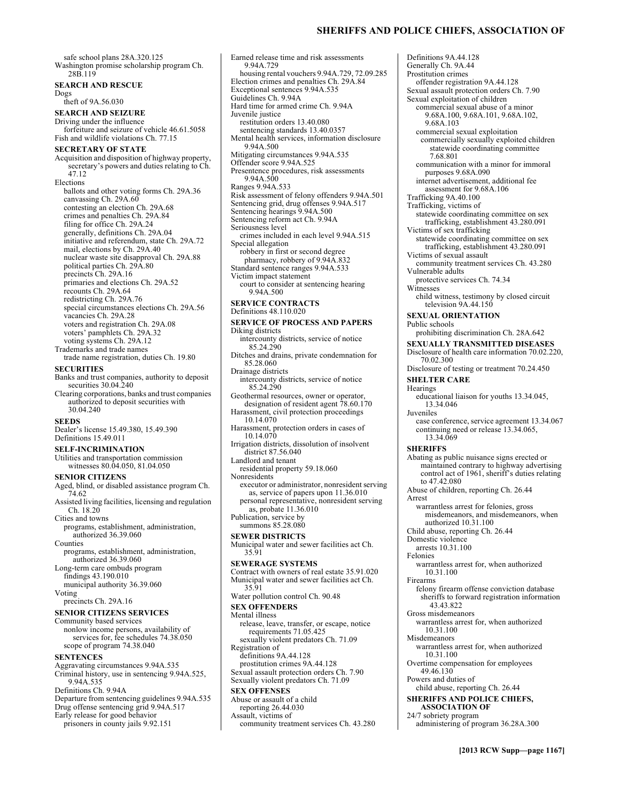# **SHERIFFS AND POLICE CHIEFS, ASSOCIATION OF**

safe school plans 28A.320.125 Washington promise scholarship program Ch. 28B.119 **SEARCH AND RESCUE**  theft of 9A.56.030 **SEARCH AND SEIZURE**  Driving under the influence forfeiture and seizure of vehicle 46.61.5058 Fish and wildlife violations Ch. 77.15 **SECRETARY OF STATE**  Acquisition and disposition of highway property, secretary's powers and duties relating to Ch. ballots and other voting forms Ch. 29A.36 canvassing Ch. 29A.60 contesting an election Ch. 29A.68 crimes and penalties Ch. 29A.84 filing for office Ch. 29A.24 generally, definitions Ch. 29A.04 initiative and referendum, state Ch. 29A.72 mail, elections by Ch. 29A.40 nuclear waste site disapproval Ch. 29A.88 political parties Ch. 29A.80 precincts Ch. 29A.16 primaries and elections Ch. 29A.52 recounts Ch. 29A.64 redistricting Ch. 29A.76 special circumstances elections Ch. 29A.56 vacancies Ch. 29A.28 voters and registration Ch. 29A.08 voters' pamphlets Ch. 29A.32 voting systems Ch. 29A.12 Trademarks and trade names trade name registration, duties Ch. 19.80 **SECURITIES**  Banks and trust companies, authority to deposit securities 30.04.240 Clearing corporations, banks and trust companies authorized to deposit securities with 30.04.240 Dealer's license 15.49.380, 15.49.390 Definitions 15.49.011 **SELF-INCRIMINATION**  Utilities and transportation commission witnesses 80.04.050, 81.04.050 **SENIOR CITIZENS**  Aged, blind, or disabled assistance program Ch. 74.62 Assisted living facilities, licensing and regulation Ch. 18.20 Cities and towns programs, establishment, administration, authorized 36.39.060 programs, establishment, administration, authorized 36.39.060 Long-term care ombuds program findings 43.190.010 municipal authority 36.39.060 precincts Ch. 29A.16 **SENIOR CITIZENS SERVICES**  Community based services nonlow income persons, availability of services for, fee schedules 74.38.050 scope of program 74.38.040 **SENTENCES**  Aggravating circumstances 9.94A.535 Criminal history, use in sentencing 9.94A.525, 9.94A.535 Definitions Ch. 9.94A Departure from sentencing guidelines 9.94A.535 Drug offense sentencing grid 9.94A.517 Early release for good behavior 9.94A.729 Juvenile justice 9.94A.500 9.94A.500 Ranges 9.94A.533 Seriousness level Special allegation Diking districts 85.24.290 85.28.060 Drainage districts 85.24.290 10.14.070 10.14.070 Nonresidents 35.91 35.91 Mental illness Registration of **SEX OFFENSES**  Assault, victims of

prisoners in county jails 9.92.151

Dogs

47.12 Elections

**SEEDS** 

Counties

Voting

Earned release time and risk assessments housing rental vouchers 9.94A.729, 72.09.285 Election crimes and penalties Ch. 29A.84 Exceptional sentences 9.94A.535 Guidelines Ch. 9.94A Hard time for armed crime Ch. 9.94A restitution orders 13.40.080 sentencing standards 13.40.0357 Mental health services, information disclosure Mitigating circumstances 9.94A.535 Offender score 9.94A.525 Presentence procedures, risk assessments Risk assessment of felony offenders 9.94A.501 Sentencing grid, drug offenses 9.94A.517 Sentencing hearings 9.94A.500 Sentencing reform act Ch. 9.94A crimes included in each level 9.94A.515 robbery in first or second degree pharmacy, robbery of 9.94A.832 Standard sentence ranges 9.94A.533 Victim impact statement court to consider at sentencing hearing 9.94A.500 **SERVICE CONTRACTS**  Definitions 48.110.020 **SERVICE OF PROCESS AND PAPERS**  intercounty districts, service of notice Ditches and drains, private condemnation for intercounty districts, service of notice Geothermal resources, owner or operator, designation of resident agent 78.60.170 Harassment, civil protection proceedings Harassment, protection orders in cases of Irrigation districts, dissolution of insolvent district 87.56.040 Landlord and tenant residential property 59.18.060 executor or administrator, nonresident serving as, service of papers upon 11.36.010 personal representative, nonresident serving as, probate 11.36.010 Publication, service by summons 85.28.080 **SEWER DISTRICTS**  Municipal water and sewer facilities act Ch. **SEWERAGE SYSTEMS**  Contract with owners of real estate 35.91.020 Municipal water and sewer facilities act Ch. Water pollution control Ch. 90.48 **SEX OFFENDERS**  release, leave, transfer, or escape, notice requirements 71.05.425 sexually violent predators Ch. 71.09 definitions 9A.44.128 prostitution crimes 9A.44.128 Sexual assault protection orders Ch. 7.90 Sexually violent predators Ch. 71.09 Abuse or assault of a child reporting 26.44.030 community treatment services Ch. 43.280

Definitions 9A.44.128 Generally Ch. 9A.44 Prostitution crimes offender registration 9A.44.128 Sexual assault protection orders Ch. 7.90 Sexual exploitation of children commercial sexual abuse of a minor 9.68A.100, 9.68A.101, 9.68A.102, 9.68A.103 commercial sexual exploitation commercially sexually exploited children statewide coordinating committee 7.68.801 communication with a minor for immoral purposes 9.68A.090 internet advertisement, additional fee assessment for 9.68A.106 Trafficking 9A.40.100 Trafficking, victims of statewide coordinating committee on sex trafficking, establishment 43.280.091 Victims of sex trafficking statewide coordinating committee on sex trafficking, establishment 43.280.091 Victims of sexual assault community treatment services Ch. 43.280 Vulnerable adults protective services Ch. 74.34 Witnesses child witness, testimony by closed circuit television 9A.44.150 **SEXUAL ORIENTATION**  Public schools prohibiting discrimination Ch. 28A.642 **SEXUALLY TRANSMITTED DISEASES**  Disclosure of health care information 70.02.220, 70.02.300 Disclosure of testing or treatment 70.24.450 **SHELTER CARE**  Hearings educational liaison for youths 13.34.045, 13.34.046 Juveniles case conference, service agreement 13.34.067 continuing need or release 13.34.065, 13.34.069 **SHERIFFS**  Abating as public nuisance signs erected or maintained contrary to highway advertising control act of 1961, sheriff's duties relating to 47.42.080 Abuse of children, reporting Ch. 26.44 Arrest warrantless arrest for felonies, gross misdemeanors, and misdemeanors, when authorized 10.31.100 Child abuse, reporting Ch. 26.44 Domestic violence arrests 10.31.100 Felonies warrantless arrest for, when authorized 10.31.100 Firearms felony firearm offense conviction database sheriffs to forward registration information 43.43.822 Gross misdemeanors warrantless arrest for, when authorized 10.31.100 Misdemeanors warrantless arrest for, when authorized 10.31.100 Overtime compensation for employees 49.46.130 Powers and duties of child abuse, reporting Ch. 26.44 **SHERIFFS AND POLICE CHIEFS, ASSOCIATION OF**  24/7 sobriety program administering of program 36.28A.300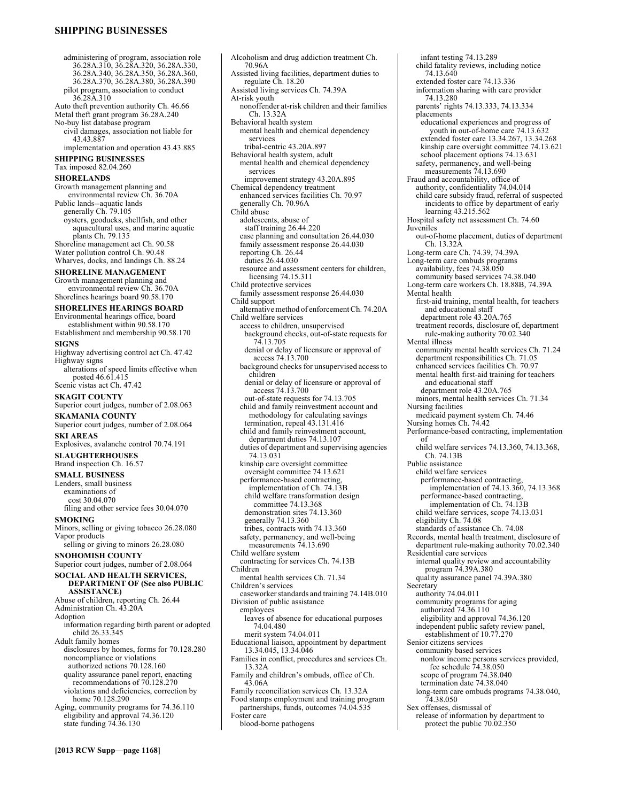# **SHIPPING BUSINESSES**

administering of program, association role 36.28A.310, 36.28A.320, 36.28A.330, 36.28A.340, 36.28A.350, 36.28A.360, 36.28A.370, 36.28A.380, 36.28A.390 pilot program, association to conduct 36.28A.310 Auto theft prevention authority Ch. 46.66 Metal theft grant program 36.28A.240 No-buy list database program civil damages, association not liable for 43.43.887 implementation and operation 43.43.885 **SHIPPING BUSINESSES**  Tax imposed 82.04.260 **SHORELANDS**  Growth management planning and environmental review Ch. 36.70A Public lands--aquatic lands generally Ch. 79.105 oysters, geoducks, shellfish, and other aquacultural uses, and marine aquatic plants Ch. 79.135 Shoreline management act Ch. 90.58 Water pollution control Ch. 90.48 Wharves, docks, and landings Ch. 88.24 **SHORELINE MANAGEMENT**  Growth management planning and environmental review Ch. 36.70A Shorelines hearings board 90.58.170 **SHORELINES HEARINGS BOARD**  Environmental hearings office, board establishment within 90.58.170 Establishment and membership 90.58.170 **SIGNS**  Highway advertising control act Ch. 47.42 Highway signs alterations of speed limits effective when posted 46.61.415 Scenic vistas act Ch. 47.42 **SKAGIT COUNTY**  Superior court judges, number of 2.08.063 **SKAMANIA COUNTY**  Superior court judges, number of 2.08.064 **SKI AREAS**  Explosives, avalanche control 70.74.191 **SLAUGHTERHOUSES**  Brand inspection Ch. 16.57 **SMALL BUSINESS**  Lenders, small business examinations of cost 30.04.070 filing and other service fees 30.04.070 **SMOKING**  Minors, selling or giving tobacco 26.28.080 Vapor products selling or giving to minors 26.28.080 **SNOHOMISH COUNTY**  Superior court judges, number of 2.08.064 **SOCIAL AND HEALTH SERVICES, DEPARTMENT OF (See also PUBLIC ASSISTANCE)**  Abuse of children, reporting Ch. 26.44 Administration Ch. 43.20A Adoption information regarding birth parent or adopted child 26.33.345 Adult family homes disclosures by homes, forms for 70.128.280 noncompliance or violations authorized actions 70.128.160 quality assurance panel report, enacting recommendations of 70.128.270 violations and deficiencies, correction by home 70.128.290 Aging, community programs for 74.36.110 eligibility and approval 74.36.120 state funding 74.36.130

Alcoholism and drug addiction treatment Ch. 70.96A Assisted living facilities, department duties to regulate Ch. 18.20 Assisted living services Ch. 74.39A At-risk youth nonoffender at-risk children and their families Ch. 13.32A Behavioral health system mental health and chemical dependency services tribal-centric 43.20A.897 Behavioral health system, adult mental health and chemical dependency services improvement strategy 43.20A.895 Chemical dependency treatment enhanced services facilities Ch. 70.97 generally Ch. 70.96A Child abuse adolescents, abuse of staff training 26.44.220 case planning and consultation 26.44.030 family assessment response 26.44.030 reporting Ch. 26.44 duties 26.44.030 resource and assessment centers for children, licensing 74.15.311 Child protective services family assessment response 26.44.030 Child support alternative method of enforcement Ch. 74.20A Child welfare services access to children, unsupervised background checks, out-of-state requests for 74.13.705 denial or delay of licensure or approval of access 74.13.700 background checks for unsupervised access to children denial or delay of licensure or approval of access 74.13.700 out-of-state requests for 74.13.705 child and family reinvestment account and methodology for calculating savings termination, repeal 43.131.416 child and family reinvestment account, department duties 74.13.107 duties of department and supervising agencies 74.13.031 kinship care oversight committee oversight committee 74.13.621 performance-based contracting, implementation of Ch. 74.13B child welfare transformation design committee 74.13.368 demonstration sites 74.13.360 generally 74.13.360 tribes, contracts with 74.13.360 safety, permanency, and well-being measurements  $74.13.690$ Child welfare system contracting for services Ch. 74.13B Children mental health services Ch. 71.34 Children's services caseworker standards and training 74.14B.010 Division of public assistance employees leaves of absence for educational purposes 74.04.480 merit system 74.04.011 Educational liaison, appointment by department 13.34.045, 13.34.046 Families in conflict, procedures and services Ch. 13.32A Family and children's ombuds, office of Ch. 43.06A Family reconciliation services Ch. 13.32A Food stamps employment and training program partnerships, funds, outcomes 74.04.535 Foster care blood-borne pathogens

infant testing 74.13.289 child fatality reviews, including notice 74.13.640 extended foster care 74.13.336 information sharing with care provider 74.13.280 parents' rights 74.13.333, 74.13.334 placements educational experiences and progress of youth in out-of-home care 74.13.632 extended foster care 13.34.267, 13.34.268 kinship care oversight committee 74.13.621 school placement options 74.13.631 safety, permanency, and well-being measurements  $74.13.690$ Fraud and accountability, office of authority, confidentiality 74.04.014 child care subsidy fraud, referral of suspected incidents to office by department of early learning 43.215.562 Hospital safety net assessment Ch. 74.60 Juveniles out-of-home placement, duties of department Ch. 13.32A Long-term care Ch. 74.39, 74.39A Long-term care ombuds programs availability, fees 74.38.050 community based services 74.38.040 Long-term care workers Ch. 18.88B, 74.39A Mental health first-aid training, mental health, for teachers and educational staff department role 43.20A.765 treatment records, disclosure of, department rule-making authority 70.02.340 Mental illness community mental health services Ch. 71.24 department responsibilities Ch. 71.05 enhanced services facilities Ch. 70.97 mental health first-aid training for teachers and educational staff department role 43.20A.765 minors, mental health services Ch. 71.34 Nursing facilities medicaid payment system Ch. 74.46 Nursing homes Ch. 74.42 Performance-based contracting, implementation of child welfare services 74.13.360, 74.13.368, Ch. 74.13B Public assistance child welfare services performance-based contracting, implementation of 74.13.360, 74.13.368 performance-based contracting, implementation of Ch. 74.13B child welfare services, scope 74.13.031 eligibility Ch. 74.08 standards of assistance Ch. 74.08 Records, mental health treatment, disclosure of department rule-making authority 70.02.340 Residential care services internal quality review and accountability program 74.39A.380 quality assurance panel 74.39A.380 **Secretary** authority 74.04.011 community programs for aging authorized 74.36.110 eligibility and approval 74.36.120 independent public safety review panel, establishment of 10.77.270 Senior citizens services community based services nonlow income persons services provided, fee schedule 74.38.050 scope of program 74.38.040 termination date 74.38.040 long-term care ombuds programs 74.38.040, 74.38.050 Sex offenses, dismissal of release of information by department to

protect the public 70.02.350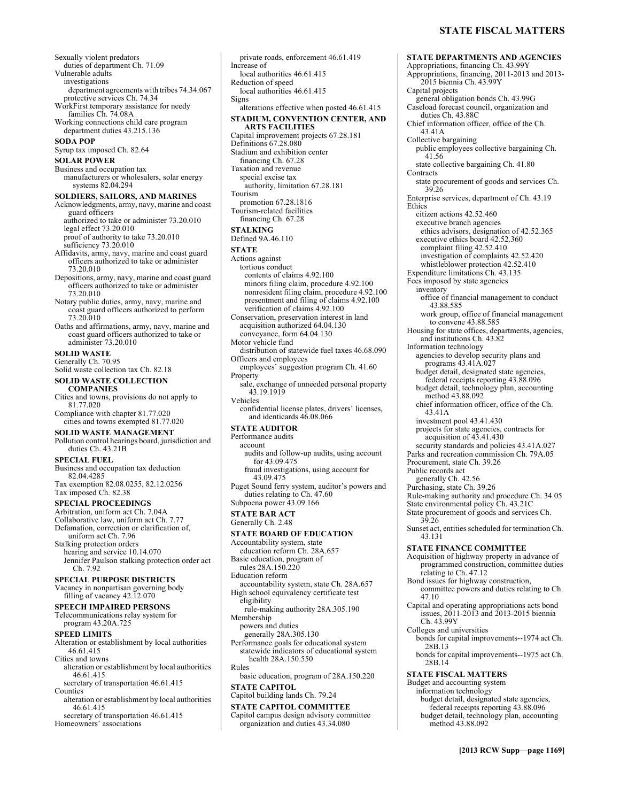- Sexually violent predators duties of department Ch. 71.09 Vulnerable adults investigations department agreements with tribes 74.34.067 protective services Ch. 74.34 WorkFirst temporary assistance for needy families Ch. 74.08A Working connections child care program department duties 43.215.136 **SODA POP**  Syrup tax imposed Ch. 82.64 **SOLAR POWER**  Business and occupation tax manufacturers or wholesalers, solar energy systems 82.04.294 **SOLDIERS, SAILORS, AND MARINES**  Acknowledgments, army, navy, marine and coast guard officers authorized to take or administer 73.20.010 legal effect 73.20.010 proof of authority to take 73.20.010 sufficiency 73.20.010 Affidavits, army, navy, marine and coast guard officers authorized to take or administer 73.20.010 Depositions, army, navy, marine and coast guard officers authorized to take or administer 73.20.010 Notary public duties, army, navy, marine and coast guard officers authorized to perform 73.20.010 Oaths and affirmations, army, navy, marine and coast guard officers authorized to take or administer 73.20.010 **SOLID WASTE**  Generally Ch. 70.95 Solid waste collection tax Ch. 82.18 **SOLID WASTE COLLECTION COMPANIES**  Cities and towns, provisions do not apply to 81.77.020 Compliance with chapter 81.77.020 cities and towns exempted 81.77.020 **SOLID WASTE MANAGEMENT**  Pollution control hearings board, jurisdiction and duties Ch. 43.21B **SPECIAL FUEL**  Business and occupation tax deduction 82.04.4285 Tax exemption 82.08.0255, 82.12.0256 Tax imposed Ch. 82.38 **SPECIAL PROCEEDINGS**  Arbitration, uniform act Ch. 7.04A Collaborative law, uniform act Ch. 7.77 Defamation, correction or clarification of, uniform act Ch. 7.96 Stalking protection orders hearing and service 10.14.070 Jennifer Paulson stalking protection order act Ch. 7.92 **SPECIAL PURPOSE DISTRICTS**  Vacancy in nonpartisan governing body filling of vacancy 42.12.070 **SPEECH IMPAIRED PERSONS**  Telecommunications relay system for program 43.20A.725 **SPEED LIMITS**  Alteration or establishment by local authorities
- 46.61.415 Cities and towns alteration or establishment by local authorities
- 46.61.415 secretary of transportation 46.61.415 Counties
- alteration or establishment by local authorities 46.61.415
- secretary of transportation 46.61.415 Homeowners' associations

private roads, enforcement 46.61.419 Increase of local authorities 46.61.415 Reduction of speed local authorities 46.61.415 Signs alterations effective when posted 46.61.415 **STADIUM, CONVENTION CENTER, AND ARTS FACILITIES**  Capital improvement projects 67.28.181 Definitions 67.28.080 Stadium and exhibition center financing Ch. 67.28 Taxation and revenue special excise tax authority, limitation 67.28.181 Tourism promotion 67.28.1816 Tourism-related facilities financing Ch. 67.28 **STALKING**  Defined 9A.46.110 **STATE**  Actions against tortious conduct contents of claims 4.92.100 minors filing claim, procedure 4.92.100 nonresident filing claim, procedure 4.92.100 presentment and filing of claims 4.92.100 verification of claims 4.92.100 Conservation, preservation interest in land acquisition authorized 64.04.130 conveyance, form 64.04.130 Motor vehicle fund distribution of statewide fuel taxes 46.68.090 Officers and employees employees' suggestion program Ch. 41.60 Property sale, exchange of unneeded personal property 43.19.1919 Vehicles confidential license plates, drivers' licenses, and identicards 46.08.066 **STATE AUDITOR**  Performance audits account audits and follow-up audits, using account for 43.09.475 fraud investigations, using account for 43.09.475 Puget Sound ferry system, auditor's powers and duties relating to Ch. 47.60 Subpoena power 43.09.166 **STATE BAR ACT**  Generally Ch. 2.48 **STATE BOARD OF EDUCATION**  Accountability system, state education reform Ch. 28A.657 Basic education, program of rules 28A.150.220 Education reform accountability system, state Ch. 28A.657 High school equivalency certificate test eligibility rule-making authority 28A.305.190 Membership powers and duties generally 28A.305.130 Performance goals for educational system statewide indicators of educational system health 28A.150.550 Rules

basic education, program of 28A.150.220 **STATE CAPITOL** 

Capitol building lands Ch. 79.24

**STATE CAPITOL COMMITTEE**  Capitol campus design advisory committee

# organization and duties 43.34.080

**STATE DEPARTMENTS AND AGENCIES**  Appropriations, financing Ch. 43.99Y Appropriations, financing, 2011-2013 and 2013- 2015 biennia Ch. 43.99Y Capital projects general obligation bonds Ch. 43.99G Caseload forecast council, organization and duties Ch. 43.88C Chief information officer, office of the Ch. 43.41A Collective bargaining public employees collective bargaining Ch. 41.56 state collective bargaining Ch. 41.80 **Contracts** state procurement of goods and services Ch. 39.26 Enterprise services, department of Ch. 43.19 **Ethics** citizen actions 42.52.460 executive branch agencies ethics advisors, designation of 42.52.365 executive ethics board 42.52.360 complaint filing 42.52.410 investigation of complaints 42.52.420 whistleblower protection 42.52.410 Expenditure limitations Ch. 43.135 Fees imposed by state agencies inventory office of financial management to conduct 43.88.585 work group, office of financial management to convene 43.88.585 Housing for state offices, departments, agencies, and institutions Ch. 43.82 Information technology agencies to develop security plans and programs 43.41A.027 budget detail, designated state agencies, federal receipts reporting 43.88.096 budget detail, technology plan, accounting method 43.88.092 chief information officer, office of the Ch. 43.41A investment pool 43.41.430 projects for state agencies, contracts for acquisition of 43.41.430 security standards and policies  $43.41A.027$ Parks and recreation commission Ch. 79A.05 Procurement, state Ch. 39.26 Public records act generally Ch. 42.56 Purchasing, state Ch. 39.26 Rule-making authority and procedure Ch. 34.05 State environmental policy Ch. 43.21C State procurement of goods and services Ch. 39.26 Sunset act, entities scheduled for termination Ch. 43.131 **STATE FINANCE COMMITTEE**  Acquisition of highway property in advance of programmed construction, committee duties relating to Ch. 47.12 Bond issues for highway construction, committee powers and duties relating to Ch. 47.10 Capital and operating appropriations acts bond issues, 2011-2013 and 2013-2015 biennia Ch. 43.99Y Colleges and universities bonds for capital improvements--1974 act Ch. 28B.13 bonds for capital improvements--1975 act Ch. 28B.14 **STATE FISCAL MATTERS**  Budget and accounting system information technology budget detail, designated state agencies, federal receipts reporting 43.88.096

budget detail, technology plan, accounting

method 43.88.092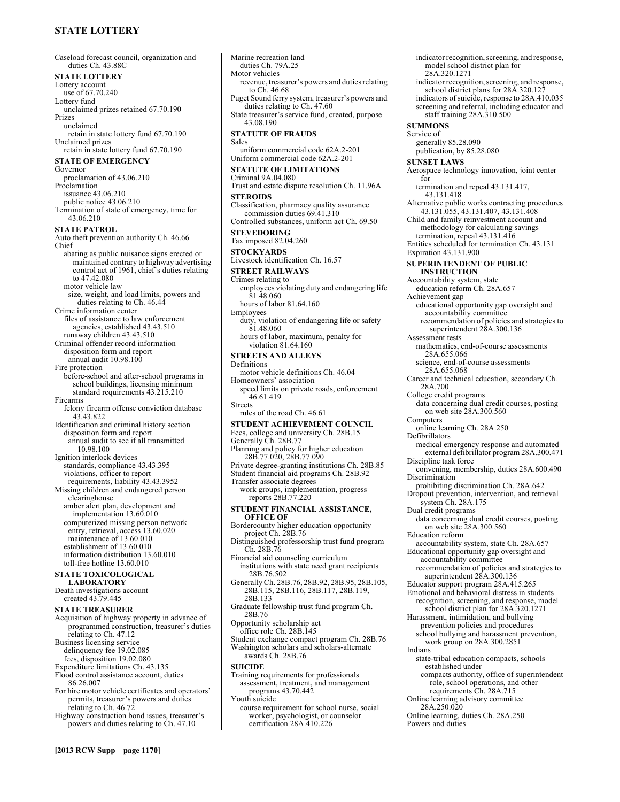# **STATE LOTTERY**

Caseload forecast council, organization and duties Ch. 43.88C **STATE LOTTERY**  Lottery account use of 67.70.240 Lottery fund unclaimed prizes retained 67.70.190 Prizes unclaimed retain in state lottery fund 67.70.190 Unclaimed prizes retain in state lottery fund 67.70.190 **STATE OF EMERGENCY**  Governor proclamation of 43.06.210 Proclamation issuance 43.06.210 public notice 43.06.210 Termination of state of emergency, time for 43.06.210 **STATE PATROL**  Auto theft prevention authority Ch. 46.66 Chief abating as public nuisance signs erected or maintained contrary to highway advertising control act of 1961, chief's duties relating to 47.42.080 motor vehicle law size, weight, and load limits, powers and duties relating to Ch. 46.44 Crime information center files of assistance to law enforcement agencies, established 43.43.510 runaway children 43.43.510 Criminal offender record information disposition form and report annual audit 10.98.100 Fire protection before-school and after-school programs in school buildings, licensing minimum standard requirements 43.215.210 Firearms felony firearm offense conviction database 43.43.822 Identification and criminal history section disposition form and report annual audit to see if all transmitted 10.98.100 Ignition interlock devices standards, compliance 43.43.395 violations, officer to report requirements, liability 43.43.3952 Missing children and endangered person clearinghouse amber alert plan, development and implementation 13.60.010 computerized missing person network entry, retrieval, access 13.60.020 maintenance of 13.60.010 establishment of 13.60.010 information distribution 13.60.010 toll-free hotline 13.60.010 **STATE TOXICOLOGICAL LABORATORY**  Death investigations account created 43.79.445 **STATE TREASURER**  Acquisition of highway property in advance of programmed construction, treasurer's duties relating to Ch. 47.12 Business licensing service delinquency fee 19.02.085 fees, disposition 19.02.080 Expenditure limitations Ch. 43.135 Flood control assistance account, duties 86.26.007 For hire motor vehicle certificates and operators' permits, treasurer's powers and duties relating to Ch. 46.72 Highway construction bond issues, treasurer's powers and duties relating to Ch. 47.10

revenue, treasurer's powers and duties relating to Ch. 46.68 Puget Sound ferry system, treasurer's powers and duties relating to Ch. 47.60 State treasurer's service fund, created, purpose 43.08.190 **STATUTE OF FRAUDS**  Sales uniform commercial code 62A.2-201 Uniform commercial code 62A.2-201 **STATUTE OF LIMITATIONS**  Criminal 9A.04.080 Trust and estate dispute resolution Ch. 11.96A **STEROIDS**  Classification, pharmacy quality assurance commission duties 69.41.310 Controlled substances, uniform act Ch. 69.50 **STEVEDORING**  Tax imposed 82.04.260 **STOCKYARDS**  Livestock identification Ch. 16.57 **STREET RAILWAYS**  Crimes relating to employees violating duty and endangering life 81.48.060 hours of labor 81.64.160 Employees duty, violation of endangering life or safety 81.48.060 hours of labor, maximum, penalty for violation 81.64.160 **STREETS AND ALLEYS**  Definitions motor vehicle definitions Ch. 46.04 Homeowners' association speed limits on private roads, enforcement 46.61.419 Streets rules of the road Ch. 46.61 **STUDENT ACHIEVEMENT COUNCIL**  Fees, college and university Ch. 28B.15 Generally Ch. 28B.77 Planning and policy for higher education 28B.77.020, 28B.77.090 Private degree-granting institutions Ch. 28B.85 Student financial aid programs Ch. 28B.92 Transfer associate degrees work groups, implementation, progress reports 28B.77.220 **STUDENT FINANCIAL ASSISTANCE, OFFICE OF** Bordercounty higher education opportunity project Ch. 28B.76 Distinguished professorship trust fund program Ch. 28B.76 Financial aid counseling curriculum institutions with state need grant recipients 28B.76.502 Generally Ch. 28B.76, 28B.92, 28B.95, 28B.105, 28B.115, 28B.116, 28B.117, 28B.119, 28B.133 Graduate fellowship trust fund program Ch. 28B.76 Opportunity scholarship act office role Ch. 28B.145 Student exchange compact program Ch. 28B.76 Washington scholars and scholars-alternate awards Ch. 28B.76 **SUICIDE**  Training requirements for professionals assessment, treatment, and management programs 43.70.442 Youth suicide course requirement for school nurse, social worker, psychologist, or counselor certification 28A.410.226

Marine recreation land duties Ch. 79A.25 Motor vehicles

indicator recognition, screening, and response, model school district plan for 28A.320.1271 indicator recognition, screening, and response, school district plans for 28A.320.127 indicators of suicide, response to 28A.410.035 screening and referral, including educator and staff training 28A.310.500 **SUMMONS**  Service of generally 85.28.090 publication, by 85.28.080 **SUNSET LAWS**  Aerospace technology innovation, joint center for termination and repeal 43.131.417, 43.131.418 Alternative public works contracting procedures 43.131.055, 43.131.407, 43.131.408 Child and family reinvestment account and methodology for calculating savings termination, repeal 43.131.416 Entities scheduled for termination Ch. 43.131 Expiration 43.131.900 **SUPERINTENDENT OF PUBLIC INSTRUCTION**  Accountability system, state education reform Ch. 28A.657 Achievement gap educational opportunity gap oversight and accountability committee recommendation of policies and strategies to superintendent 28A.300.136 Assessment tests mathematics, end-of-course assessments 28A.655.066 science, end-of-course assessments 28A.655.068 Career and technical education, secondary Ch. 28A.700 College credit programs data concerning dual credit courses, posting on web site 28A.300.560 Computers online learning Ch. 28A.250 Defibrillators medical emergency response and automated external defibrillator program 28A.300.471 Discipline task force convening, membership, duties 28A.600.490 Discrimination prohibiting discrimination Ch. 28A.642 Dropout prevention, intervention, and retrieval system Ch. 28A.175 Dual credit programs data concerning dual credit courses, posting on web site 28A.300.560 Education reform accountability system, state Ch. 28A.657 Educational opportunity gap oversight and accountability committee recommendation of policies and strategies to superintendent 28A.300.136 Educator support program 28A.415.265 Emotional and behavioral distress in students recognition, screening, and response, model school district plan for 28A.320.1271 Harassment, intimidation, and bullying prevention policies and procedures school bullying and harassment prevention, work group on 28A.300.2851 Indians state-tribal education compacts, schools established under compacts authority, office of superintendent role, school operations, and other requirements Ch. 28A.715 Online learning advisory committee 28A.250.020 Online learning, duties Ch. 28A.250

Powers and duties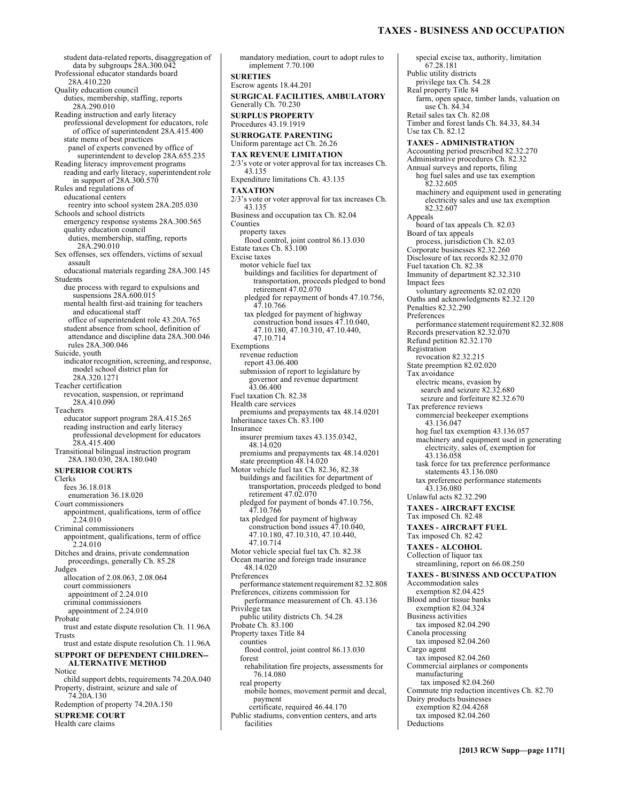# **TAXES - BUSINESS AND OCCUPATION**

student data-related reports, disaggregation of data by subgroups  $28A.300.042$ Professional educator standards board 28A.410.220 Quality education council duties, membership, staffing, reports 28A.290.010 Reading instruction and early literacy professional development for educators, role of office of superintendent 28A.415.400 state menu of best practices panel of experts convened by office of superintendent to develop 28A.655.235 Reading literacy improvement programs reading and early literacy, superintendent role in support of 28A.300.570 Rules and regulations of educational centers reentry into school system 28A.205.030 Schools and school districts emergency response systems 28A.300.565 quality education council duties, membership, staffing, reports 28A.290.010 Sex offenses, sex offenders, victims of sexual assault educational materials regarding 28A.300.145 Students due process with regard to expulsions and suspensions 28A.600.015 mental health first-aid training for teachers and educational staff office of superintendent role 43.20A.765 student absence from school, definition of attendance and discipline data 28A.300.046 rules 28A.300.046 Suicide, youth indicator recognition, screening, and response, model school district plan for 28A.320.1271 Teacher certification revocation, suspension, or reprimand 28A.410.090 Teachers educator support program 28A.415.265 reading instruction and early literacy professional development for educators 28A.415.400 Transitional bilingual instruction program 28A.180.030, 28A.180.040 **SUPERIOR COURTS**  Clerks fees 36.18.018 enumeration 36.18.020 Court commissioners appointment, qualifications, term of office 2.24.010 Criminal commissioners appointment, qualifications, term of office 2.24.010 Ditches and drains, private condemnation proceedings, generally Ch. 85.28 **Judges** allocation of 2.08.063, 2.08.064 court commissioners appointment of 2.24.010 criminal commissioners appointment of 2.24.010 Probate trust and estate dispute resolution Ch. 11.96A Trusts trust and estate dispute resolution Ch. 11.96A **SUPPORT OF DEPENDENT CHILDREN-- ALTERNATIVE METHOD**  Notice child support debts, requirements 74.20A.040 Property, distraint, seizure and sale of 74.20A.130 Redemption of property 74.20A.150 **SUPREME COURT**  Health care claims

mandatory mediation, court to adopt rules to implement 7.70.100 **SURETIES**  Escrow agents 18.44.201 **SURGICAL FACILITIES, AMBULATORY**  Generally Ch. 70.230 **SURPLUS PROPERTY**  Procedures 43.19.1919 **SURROGATE PARENTING**  Uniform parentage act Ch. 26.26 **TAX REVENUE LIMITATION**  2/3's vote or voter approval for tax increases Ch. 43.135 Expenditure limitations Ch. 43.135 **TAXATION**  2/3's vote or voter approval for tax increases Ch. 43.135 Business and occupation tax Ch. 82.04 Counties property taxes flood control, joint control 86.13.030 Estate taxes Ch. 83.100 Excise taxes motor vehicle fuel tax buildings and facilities for department of transportation, proceeds pledged to bond retirement 47.02.070 pledged for repayment of bonds 47.10.756, 47.10.766 tax pledged for payment of highway construction bond issues 47.10.040, 47.10.180, 47.10.310, 47.10.440, 47.10.714 Exemptions revenue reduction report 43.06.400 submission of report to legislature by governor and revenue department 43.06.400 Fuel taxation Ch. 82.38 Health care services premiums and prepayments tax 48.14.0201 Inheritance taxes Ch. 83.100 Insurance insurer premium taxes 43.135.0342, 48.14.020 premiums and prepayments tax 48.14.0201 state preemption 48.14.020 Motor vehicle fuel tax Ch. 82.36, 82.38 buildings and facilities for department of transportation, proceeds pledged to bond retirement 47.02.070 pledged for payment of bonds 47.10.756, 47.10.766 tax pledged for payment of highway construction bond issues 47.10.040, 47.10.180, 47.10.310, 47.10.440, 47.10.714 Motor vehicle special fuel tax Ch. 82.38 Ocean marine and foreign trade insurance 48.14.020 Preferences performance statement requirement 82.32.808 Preferences, citizens commission for performance measurement of Ch. 43.136 Privilege tax public utility districts Ch. 54.28 Probate Ch. 83.100 Property taxes Title 84 counties flood control, joint control 86.13.030 forest rehabilitation fire projects, assessments for 76.14.080 real property mobile homes, movement permit and decal, payment certificate, required 46.44.170 Public stadiums, convention centers, and arts facilities

special excise tax, authority, limitation 67.28.181 Public utility districts privilege tax Ch. 54.28 Real property Title 84 farm, open space, timber lands, valuation on use Ch. 84.34 Retail sales tax Ch. 82.08 Timber and forest lands Ch. 84.33, 84.34 Use tax Ch. 82.12 **TAXES - ADMINISTRATION**  Accounting period prescribed 82.32.270 Administrative procedures Ch. 82.32 Annual surveys and reports, filing hog fuel sales and use tax exemption 82.32.605 machinery and equipment used in generating electricity sales and use tax exemption 82.32.607 Appeals board of tax appeals Ch. 82.03 Board of tax appeals process, jurisdiction Ch. 82.03 Corporate businesses 82.32.260 Disclosure of tax records 82.32.070 Fuel taxation Ch. 82.38 Immunity of department 82.32.310 Impact fees voluntary agreements 82.02.020 Oaths and acknowledgments 82.32.120 Penalties 82.32.290 Preferences performance statement requirement 82.32.808 Records preservation 82.32.070 Refund petition 82.32.170 Registration revocation 82.32.215 State preemption 82.02.020 Tax avoidance electric means, evasion by search and seizure 82.32.680 seizure and forfeiture 82.32.670 Tax preference reviews commercial beekeeper exemptions 43.136.047 hog fuel tax exemption 43.136.057 machinery and equipment used in generating electricity, sales of, exemption for 43.136.058 task force for tax preference performance statements 43.136.080 tax preference performance statements 43.136.080 Unlawful acts 82.32.290 **TAXES - AIRCRAFT EXCISE**  Tax imposed Ch. 82.48 **TAXES - AIRCRAFT FUEL**  Tax imposed Ch. 82.42 **TAXES - ALCOHOL**  Collection of liquor tax streamlining, report on 66.08.250 **TAXES - BUSINESS AND OCCUPATION**  Accommodation sales exemption 82.04.425 Blood and/or tissue banks exemption 82.04.324 Business activities tax imposed 82.04.290 Canola processing tax imposed 82.04.260 Cargo agent tax imposed 82.04.260 Commercial airplanes or components manufacturing tax imposed 82.04.260 Commute trip reduction incentives Ch. 82.70 Dairy products businesses exemption 82.04.4268 tax imposed 82.04.260 **Deductions**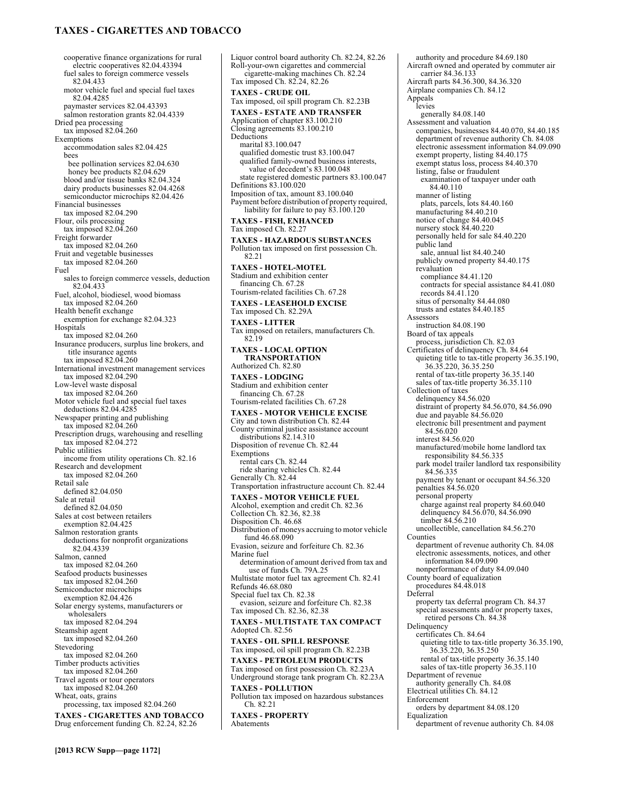# **TAXES - CIGARETTES AND TOBACCO**

cooperative finance organizations for rural electric cooperatives 82.04.43394 fuel sales to foreign commerce vessels 82.04.433 motor vehicle fuel and special fuel taxes 82.04.4285 paymaster services 82.04.43393 salmon restoration grants 82.04.4339 Dried pea processing tax imposed 82.04.260 **Exemptions** accommodation sales 82.04.425 bees bee pollination services 82.04.630 honey bee products 82.04.629 blood and/or tissue banks 82.04.324 dairy products businesses 82.04.4268 semiconductor microchips 82.04.426 Financial businesses tax imposed 82.04.290 Flour, oils processing tax imposed 82.04.260 Freight forwarder tax imposed 82.04.260 Fruit and vegetable businesses tax imposed 82.04.260 Fuel sales to foreign commerce vessels, deduction 82.04.433 Fuel, alcohol, biodiesel, wood biomass tax imposed 82.04.260 Health benefit exchange exemption for exchange 82.04.323 Hospitals tax imposed 82.04.260 Insurance producers, surplus line brokers, and title insurance agents tax imposed 82.04.260 International investment management services tax imposed 82.04.290 Low-level waste disposal tax imposed  $82.04.260$ Motor vehicle fuel and special fuel taxes deductions 82.04.4285 Newspaper printing and publishing tax imposed 82.04.260 Prescription drugs, warehousing and reselling tax imposed 82.04.272 Public utilities income from utility operations Ch. 82.16 Research and development tax imposed 82.04.260 Retail sale defined 82.04.050 Sale at retail defined 82.04.050 Sales at cost between retailers exemption 82.04.425 Salmon restoration grants deductions for nonprofit organizations 82.04.4339 Salmon, canned tax imposed 82.04.260 Seafood products businesses tax imposed 82.04.260 Semiconductor microchips exemption 82.04.426 Solar energy systems, manufacturers or wholesalers tax imposed 82.04.294 Steamship agent tax imposed 82.04.260 Stevedoring tax imposed 82.04.260 Timber products activities tax imposed 82.04.260 Travel agents or tour operators tax imposed 82.04.260 Wheat, oats, grains processing, tax imposed 82.04.260 **TAXES - CIGARETTES AND TOBACCO**  Drug enforcement funding Ch. 82.24, 82.26

Liquor control board authority Ch. 82.24, 82.26 Roll-your-own cigarettes and commercial cigarette-making machines Ch. 82.24 Tax imposed Ch. 82.24, 82.26 **TAXES - CRUDE OIL**  Tax imposed, oil spill program Ch. 82.23B **TAXES - ESTATE AND TRANSFER**  Application of chapter 83.100.210 Closing agreements 83.100.210 Deductions marital 83.100.047 qualified domestic trust 83.100.047 qualified family-owned business interests, value of decedent's 83.100.048 state registered domestic partners 83.100.047 Definitions 83.100.020 Imposition of tax, amount 83.100.040 Payment before distribution of property required, liability for failure to pay 83.100.120 **TAXES - FISH, ENHANCED**  Tax imposed Ch. 82.27 **TAXES - HAZARDOUS SUBSTANCES**  Pollution tax imposed on first possession Ch. 82.21 **TAXES - HOTEL-MOTEL**  Stadium and exhibition center financing Ch. 67.28 Tourism-related facilities Ch. 67.28 **TAXES - LEASEHOLD EXCISE**  Tax imposed Ch. 82.29A **TAXES - LITTER**  Tax imposed on retailers, manufacturers Ch. 82.19 **TAXES - LOCAL OPTION TRANSPORTATION**  Authorized Ch. 82.80 **TAXES - LODGING**  Stadium and exhibition center financing Ch. 67.28 Tourism-related facilities Ch. 67.28 **TAXES - MOTOR VEHICLE EXCISE**  City and town distribution Ch. 82.44 County criminal justice assistance account distributions 82.14.310 Disposition of revenue Ch. 82.44 Exemptions rental cars Ch. 82.44 ride sharing vehicles Ch. 82.44 Generally Ch. 82.44 Transportation infrastructure account Ch. 82.44 **TAXES - MOTOR VEHICLE FUEL**  Alcohol, exemption and credit Ch. 82.36 Collection Ch. 82.36, 82.38 Disposition Ch. 46.68 Distribution of moneys accruing to motor vehicle fund 46.68.090 Evasion, seizure and forfeiture Ch. 82.36 Marine fuel determination of amount derived from tax and use of funds Ch. 79A.25 Multistate motor fuel tax agreement Ch. 82.41 Refunds 46.68.080 Special fuel tax Ch. 82.38 evasion, seizure and forfeiture Ch. 82.38 Tax imposed Ch. 82.36, 82.38 **TAXES - MULTISTATE TAX COMPACT**  Adopted Ch. 82.56 **TAXES - OIL SPILL RESPONSE**  Tax imposed, oil spill program Ch. 82.23B **TAXES - PETROLEUM PRODUCTS**  Tax imposed on first possession Ch. 82.23A Underground storage tank program Ch. 82.23A **TAXES - POLLUTION**  Pollution tax imposed on hazardous substances Ch. 82.21 **TAXES - PROPERTY** 

Abatements

authority and procedure 84.69.180 Aircraft owned and operated by commuter air carrier 84.36.133 Aircraft parts 84.36.300, 84.36.320 Airplane companies Ch. 84.12 Appeals levies generally 84.08.140 Assessment and valuation companies, businesses 84.40.070, 84.40.185 department of revenue authority Ch. 84.08 electronic assessment information 84.09.090 exempt property, listing 84.40.175 exempt status loss, process 84.40.370 listing, false or fraudulent examination of taxpayer under oath 84.40.110 manner of listing plats, parcels, lots 84.40.160 manufacturing 84.40.210 notice of change 84.40.045 nursery stock 84.40.220 personally held for sale 84.40.220 public land sale, annual list 84.40.240 publicly owned property 84.40.175 revaluation compliance 84.41.120 contracts for special assistance 84.41.080 records 84.41.120 situs of personalty 84.44.080 trusts and estates 84.40.185 Assessors instruction 84.08.190 Board of tax appeals process, jurisdiction Ch. 82.03 Certificates of delinquency Ch. 84.64 quieting title to tax-title property 36.35.190, 36.35.220, 36.35.250 rental of tax-title property 36.35.140 sales of tax-title property 36.35.110 Collection of taxes delinquency 84.56.020 distraint of property 84.56.070, 84.56.090 due and payable 84.56.020 electronic bill presentment and payment 84.56.020 interest 84.56.020 manufactured/mobile home landlord tax responsibility 84.56.335 park model trailer landlord tax responsibility 84.56.335 payment by tenant or occupant 84.56.320 penalties 84.56.020 personal property charge against real property 84.60.040 delinquency 84.56.070, 84.56.090 timber 84.56.210 uncollectible, cancellation 84.56.270 Counties department of revenue authority Ch. 84.08 electronic assessments, notices, and other information 84.09.090 nonperformance of duty 84.09.040 County board of equalization procedures 84.48.018 Deferral property tax deferral program Ch. 84.37 special assessments and/or property taxes, retired persons Ch. 84.38 Delinquency certificates Ch. 84.64 quieting title to tax-title property 36.35.190, 36.35.220, 36.35.250 rental of tax-title property 36.35.140 sales of tax-title property 36.35.110 Department of revenue authority generally Ch. 84.08 Electrical utilities Ch. 84.12 Enforcement orders by department 84.08.120 Equalization

department of revenue authority Ch. 84.08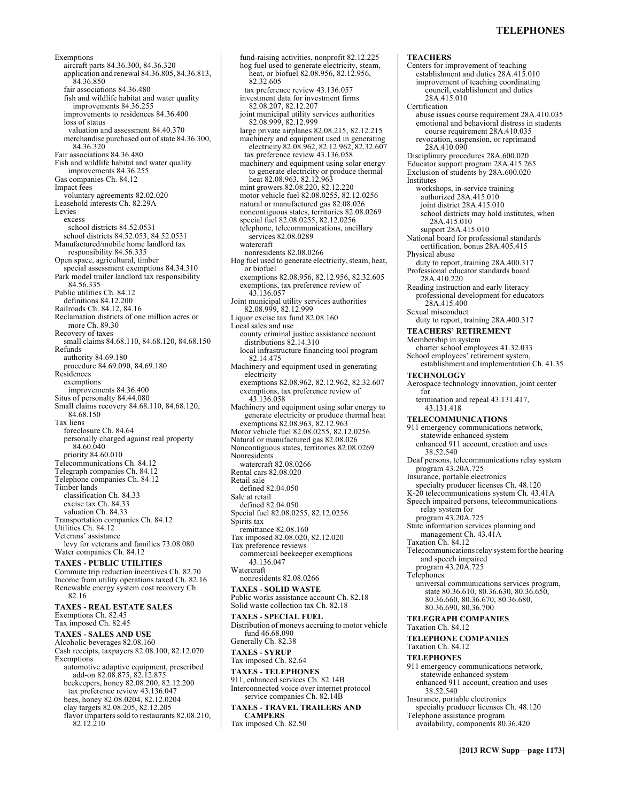# **TELEPHONES**

Exemptions aircraft parts 84.36.300, 84.36.320 application and renewal 84.36.805, 84.36.813, 84.36.850 fair associations 84.36.480 fish and wildlife habitat and water quality improvements 84.36.255 improvements to residences 84.36.400 loss of status valuation and assessment 84.40.370 merchandise purchased out of state 84.36.300, 84.36.320 Fair associations 84.36.480 Fish and wildlife habitat and water quality improvements 84.36.255 Gas companies Ch. 84.12 Impact fees voluntary agreements 82.02.020 Leasehold interests Ch. 82.29A Levies excess school districts 84.52.0531 school districts 84.52.053, 84.52.0531 Manufactured/mobile home landlord tax responsibility 84.56.335 Open space, agricultural, timber special assessment exemptions 84.34.310 Park model trailer landlord tax responsibility 84.56.335 Public utilities Ch. 84.12 definitions 84.12.200 Railroads Ch. 84.12, 84.16 Reclamation districts of one million acres or more Ch. 89.30 Recovery of taxes small claims 84.68.110, 84.68.120, 84.68.150 Refunds authority 84.69.180 procedure 84.69.090, 84.69.180 Residences exemptions improvements 84.36.400 Situs of personalty 84.44.080 Small claims recovery 84.68.110, 84.68.120, 84.68.150 Tax liens foreclosure Ch. 84.64 personally charged against real property 84.60.040 priority 84.60.010 Telecommunications Ch. 84.12 Telegraph companies Ch. 84.12 Telephone companies Ch. 84.12 Timber lands classification Ch. 84.33 excise tax Ch. 84.33 valuation Ch. 84.33 Transportation companies Ch. 84.12 Utilities Ch. 84.12 Veterans' assistance levy for veterans and families 73.08.080 Water companies Ch. 84.12 **TAXES - PUBLIC UTILITIES**  Commute trip reduction incentives Ch. 82.70 Income from utility operations taxed Ch. 82.16 Renewable energy system cost recovery Ch. 82.16 **TAXES - REAL ESTATE SALES**  Exemptions Ch. 82.45 Tax imposed Ch. 82.45 **TAXES - SALES AND USE**  Alcoholic beverages 82.08.160 Cash receipts, taxpayers 82.08.100, 82.12.070 Exemptions automotive adaptive equipment, prescribed add-on 82.08.875, 82.12.875 beekeepers, honey 82.08.200, 82.12.200 tax preference review 43.136.047 bees, honey 82.08.0204, 82.12.0204 clay targets 82.08.205, 82.12.205

flavor imparters sold to restaurants 82.08.210,

82.12.210

hog fuel used to generate electricity, steam, heat, or biofuel 82.08.956, 82.12.956, 82.32.605 tax preference review 43.136.057 investment data for investment firms 82.08.207, 82.12.207 joint municipal utility services authorities 82.08.999, 82.12.999 large private airplanes 82.08.215, 82.12.215 machinery and equipment used in generating electricity 82.08.962, 82.12.962, 82.32.607 tax preference review 43.136.058 machinery and equipment using solar energy to generate electricity or produce thermal heat 82.08.963, 82.12.963 mint growers 82.08.220, 82.12.220 motor vehicle fuel 82.08.0255, 82.12.0256 natural or manufactured gas 82.08.026 noncontiguous states, territories 82.08.0269 special fuel 82.08.0255, 82.12.0256 telephone, telecommunications, ancillary services 82.08.0289 watercraft nonresidents 82.08.0266 Hog fuel used to generate electricity, steam, heat, or biofuel exemptions 82.08.956, 82.12.956, 82.32.605 exemptions, tax preference review of 43.136.057 Joint municipal utility services authorities 82.08.999, 82.12.999 Liquor excise tax fund 82.08.160 Local sales and use county criminal justice assistance account distributions 82.14.310 local infrastructure financing tool program 82.14.475 Machinery and equipment used in generating electricity exemptions 82.08.962, 82.12.962, 82.32.607 exemptions, tax preference review of 43.136.058 Machinery and equipment using solar energy to generate electricity or produce thermal heat exemptions 82.08.963, 82.12.963 Motor vehicle fuel 82.08.0255, 82.12.0256 Natural or manufactured gas 82.08.026 Noncontiguous states, territories 82.08.0269 Nonresidents watercraft 82.08.0266 Rental cars 82.08.020 Retail sale defined 82.04.050 Sale at retail defined 82.04.050 Special fuel 82.08.0255, 82.12.0256 Spirits tax remittance 82.08.160 Tax imposed 82.08.020, 82.12.020 Tax preference reviews commercial beekeeper exemptions 43.136.047 Watercraft nonresidents 82.08.0266 **TAXES - SOLID WASTE**  Public works assistance account Ch. 82.18 Solid waste collection tax Ch. 82.18 **TAXES - SPECIAL FUEL**  Distribution of moneys accruing to motor vehicle fund 46.68.090 Generally Ch. 82.38 **TAXES - SYRUP**  Tax imposed Ch. 82.64 **TAXES - TELEPHONES**  911, enhanced services Ch. 82.14B Interconnected voice over internet protocol service companies Ch. 82.14B **TAXES - TRAVEL TRAILERS AND CAMPERS**  Tax imposed Ch. 82.50

fund-raising activities, nonprofit 82.12.225

**TEACHERS**  Centers for improvement of teaching establishment and duties 28A.415.010 improvement of teaching coordinating council, establishment and duties 28A.415.010 Certification abuse issues course requirement 28A.410.035 emotional and behavioral distress in students course requirement 28A.410.035 revocation, suspension, or reprimand 28A.410.090 Disciplinary procedures 28A.600.020 Educator support program 28A.415.265 Exclusion of students by 28A.600.020 Institutes workshops, in-service training authorized 28A.415.010 joint district 28A.415.010 school districts may hold institutes, when 28A.415.010 support 28A.415.010 National board for professional standards certification, bonus 28A.405.415 Physical abuse duty to report, training 28A.400.317 Professional educator standards board 28A.410.220 Reading instruction and early literacy professional development for educators 28A.415.400 Sexual misconduct duty to report, training 28A.400.317 **TEACHERS' RETIREMENT**  Membership in system charter school employees 41.32.033 School employees' retirement system, establishment and implementation Ch. 41.35 **TECHNOLOGY**  Aerospace technology innovation, joint center for termination and repeal 43.131.417, 43.131.418 **TELECOMMUNICATIONS**  911 emergency communications network, statewide enhanced system enhanced 911 account, creation and uses 38.52.540 Deaf persons, telecommunications relay system program 43.20A.725 Insurance, portable electronics specialty producer licenses Ch. 48.120 K-20 telecommunications system Ch. 43.41A Speech impaired persons, telecommunications relay system for program 43.20A.725 State information services planning and management Ch. 43.41A Taxation Ch. 84.12 Telecommunications relay system for the hearing and speech impaired program 43.20A.725 Telephones universal communications services program, state 80.36.610, 80.36.630, 80.36.650, 80.36.660, 80.36.670, 80.36.680, 80.36.690, 80.36.700 **TELEGRAPH COMPANIES**  Taxation Ch. 84.12 **TELEPHONE COMPANIES**  Taxation Ch. 84.12 **TELEPHONES**  911 emergency communications network, statewide enhanced system enhanced 911 account, creation and uses 38.52.540 Insurance, portable electronics specialty producer licenses Ch. 48.120 Telephone assistance program availability, components 80.36.420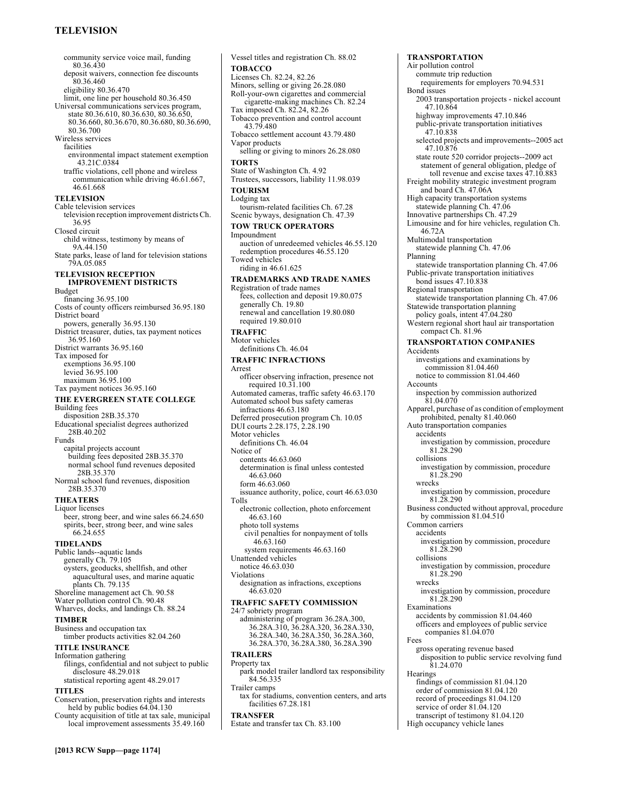# **TELEVISION**

community service voice mail, funding 80.36.430 deposit waivers, connection fee discounts 80.36.460 eligibility 80.36.470 limit, one line per household 80.36.450 Universal communications services program, state 80.36.610, 80.36.630, 80.36.650, 80.36.660, 80.36.670, 80.36.680, 80.36.690, 80.36.700 Wireless services facilities environmental impact statement exemption 43.21C.0384 traffic violations, cell phone and wireless communication while driving 46.61.667, 46.61.668 **TELEVISION**  Cable television services television reception improvement districts Ch. 36.95 Closed circuit child witness, testimony by means of 9A.44.150 State parks, lease of land for television stations 79A.05.085 **TELEVISION RECEPTION IMPROVEMENT DISTRICTS**  Budget financing 36.95.100 Costs of county officers reimbursed 36.95.180 District board powers, generally 36.95.130 District treasurer, duties, tax payment notices 36.95.160 District warrants 36.95.160 Tax imposed for exemptions 36.95.100 levied 36.95.100 maximum 36.95.100 Tax payment notices 36.95.160 **THE EVERGREEN STATE COLLEGE**  Building fees disposition 28B.35.370 Educational specialist degrees authorized 28B.40.202 Funds capital projects account building fees deposited 28B.35.370 normal school fund revenues deposited 28B.35.370 Normal school fund revenues, disposition 28B.35.370 **THEATERS**  Liquor licenses beer, strong beer, and wine sales 66.24.650 spirits, beer, strong beer, and wine sales 66.24.655 **TIDELANDS**  Public lands--aquatic lands generally Ch. 79.105 oysters, geoducks, shellfish, and other aquacultural uses, and marine aquatic plants Ch. 79.135 Shoreline management act Ch. 90.58 Water pollution control Ch. 90.48 Wharves, docks, and landings Ch. 88.24 **TIMBER**  Business and occupation tax timber products activities 82.04.260 **TITLE INSURANCE**  Information gathering filings, confidential and not subject to public disclosure 48.29.018 statistical reporting agent 48.29.017 **TITLES**  Conservation, preservation rights and interests held by public bodies 64.04.130 County acquisition of title at tax sale, municipal

Vessel titles and registration Ch. 88.02 **TOBACCO**  Licenses Ch. 82.24, 82.26 Minors, selling or giving 26.28.080 Roll-your-own cigarettes and commercial cigarette-making machines Ch. 82.24 Tax imposed Ch. 82.24, 82.26 Tobacco prevention and control account 43.79.480 Tobacco settlement account 43.79.480 Vapor products selling or giving to minors 26.28.080 **TORTS**  State of Washington Ch. 4.92 Trustees, successors, liability 11.98.039 **TOURISM**  Lodging tax tourism-related facilities Ch. 67.28 Scenic byways, designation Ch. 47.39 **TOW TRUCK OPERATORS**  Impoundment auction of unredeemed vehicles 46.55.120 redemption procedures 46.55.120 Towed vehicles riding in 46.61.625 **TRADEMARKS AND TRADE NAMES**  Registration of trade names fees, collection and deposit 19.80.075 generally Ch. 19.80 renewal and cancellation 19.80.080 required 19.80.010 **TRAFFIC**  Motor vehicles definitions Ch. 46.04 **TRAFFIC INFRACTIONS**  Arrest officer observing infraction, presence not required 10.31.100 Automated cameras, traffic safety 46.63.170 Automated school bus safety cameras infractions 46.63.180 Deferred prosecution program Ch. 10.05 DUI courts 2.28.175, 2.28.190 Motor vehicles definitions Ch. 46.04 Notice of contents 46.63.060 determination is final unless contested 46.63.060 form 46.63.060 issuance authority, police, court 46.63.030 Tolls electronic collection, photo enforcement 46.63.160 photo toll systems civil penalties for nonpayment of tolls 46.63.160 system requirements 46.63.160 Unattended vehicles notice 46.63.030 Violations designation as infractions, exceptions 46.63.020 **TRAFFIC SAFETY COMMISSION**  24/7 sobriety program administering of program 36.28A.300, 36.28A.310, 36.28A.320, 36.28A.330, 36.28A.340, 36.28A.350, 36.28A.360, 36.28A.370, 36.28A.380, 36.28A.390 **TRAILERS**  Property tax park model trailer landlord tax responsibility 84.56.335 Trailer camps tax for stadiums, convention centers, and arts facilities 67.28.181 **TRANSFER**  Estate and transfer tax Ch. 83.100

**TRANSPORTATION**  Air pollution control commute trip reduction requirements for employers 70.94.531 Bond issues 2003 transportation projects - nickel account 47.10.864 highway improvements 47.10.846 public-private transportation initiatives 47.10.838 selected projects and improvements--2005 act 47.10.876 state route 520 corridor projects--2009 act statement of general obligation, pledge of toll revenue and excise taxes 47.10.883 Freight mobility strategic investment program and board Ch. 47.06A High capacity transportation systems statewide planning Ch. 47.06 Innovative partnerships Ch. 47.29 Limousine and for hire vehicles, regulation Ch. 46.72A Multimodal transportation statewide planning Ch. 47.06 Planning statewide transportation planning Ch. 47.06 Public-private transportation initiatives bond issues 47.10.838 Regional transportation statewide transportation planning Ch. 47.06 Statewide transportation planning policy goals, intent 47.04.280 Western regional short haul air transportation compact Ch. 81.96 **TRANSPORTATION COMPANIES**  Accidents investigations and examinations by commission 81.04.460 notice to commission 81.04.460 Accounts inspection by commission authorized 81.04.070 Apparel, purchase of as condition of employment prohibited, penalty 81.40.060 Auto transportation companies accidents investigation by commission, procedure  $81.28.290$ collisions investigation by commission, procedure 81.28.290 wrecks investigation by commission, procedure 81.28.290 Business conducted without approval, procedure by commission  $81.04.510$ Common carriers accidents investigation by commission, procedure 81.28.290 collisions investigation by commission, procedure 81.28.290 wrecks investigation by commission, procedure 81.28.290 Examinations accidents by commission 81.04.460 officers and employees of public service companies 81.04.070 Fees gross operating revenue based disposition to public service revolving fund 81.24.070 **Hearings** findings of commission 81.04.120 order of commission 81.04.120 record of proceedings 81.04.120 service of order 81.04.120 transcript of testimony 81.04.120

High occupancy vehicle lanes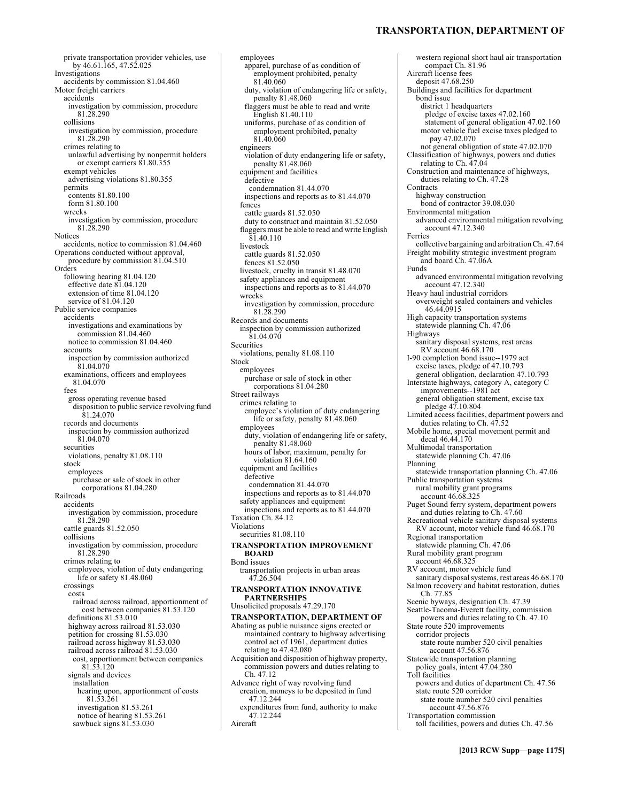**TRANSPORTATION, DEPARTMENT OF**

western regional short haul air transportation

private transportation provider vehicles, use by 46.61.165, 47.52.025 Investigations accidents by commission 81.04.460 Motor freight carriers accidents investigation by commission, procedure 81.28.290 collisions investigation by commission, procedure 81.28.290 crimes relating to unlawful advertising by nonpermit holders or exempt carriers 81.80.355 exempt vehicles advertising violations 81.80.355 permits contents 81.80.100 form 81.80.100 wrecks investigation by commission, procedure 81.28.290 Notices accidents, notice to commission 81.04.460 Operations conducted without approval, procedure by commission 81.04.510 Orders following hearing 81.04.120 effective date 81.04.120 extension of time 81.04.120 service of 81.04.120 Public service companies accidents investigations and examinations by commission 81.04.460 notice to commission 81.04.460 accounts inspection by commission authorized 81.04.070 examinations, officers and employees 81.04.070 fees gross operating revenue based disposition to public service revolving fund 81.24.070 records and documents inspection by commission authorized 81.04.070 securities violations, penalty 81.08.110 stock employees purchase or sale of stock in other corporations 81.04.280 Railroads accidents investigation by commission, procedure 81.28.290 cattle guards 81.52.050 collisions investigation by commission, procedure 81.28.290 crimes relating to employees, violation of duty endangering life or safety 81.48.060 crossings costs railroad across railroad, apportionment of cost between companies 81.53.120 definitions 81.53.010 highway across railroad 81.53.030 petition for crossing 81.53.030 railroad across highway 81.53.030 railroad across railroad 81.53.030 cost, apportionment between companies 81.53.120 signals and devices installation hearing upon, apportionment of costs 81.53.261 investigation 81.53.261 notice of hearing 81.53.261 sawbuck signs 81.53.030

employees apparel, purchase of as condition of employment prohibited, penalty 81.40.060 duty, violation of endangering life or safety, penalty 81.48.060 flaggers must be able to read and write English 81.40.110 uniforms, purchase of as condition of employment prohibited, penalty 81.40.060 engineers violation of duty endangering life or safety, penalty 81.48.060 equipment and facilities defective condemnation 81.44.070 inspections and reports as to 81.44.070 fences cattle guards 81.52.050 duty to construct and maintain 81.52.050 flaggers must be able to read and write English 81.40.110 livestock cattle guards 81.52.050 fences 81.52.050 livestock, cruelty in transit 81.48.070 safety appliances and equipment inspections and reports as to 81.44.070 wrecks investigation by commission, procedure 81.28.290 Records and documents inspection by commission authorized 81.04.070 Securities violations, penalty 81.08.110 Stock employees purchase or sale of stock in other corporations 81.04.280 Street railways crimes relating to employee's violation of duty endangering life or safety, penalty 81.48.060 employees duty, violation of endangering life or safety, penalty 81.48.060 hours of labor, maximum, penalty for violation 81.64.160 equipment and facilities defective condemnation 81.44.070 inspections and reports as to 81.44.070 safety appliances and equipment inspections and reports as to 81.44.070 Taxation Ch. 84.12 Violations securities 81.08.110 **TRANSPORTATION IMPROVEMENT BOARD**  Bond issues transportation projects in urban areas 47.26.504 **TRANSPORTATION INNOVATIVE PARTNERSHIPS**  Unsolicited proposals 47.29.170 **TRANSPORTATION, DEPARTMENT OF**  Abating as public nuisance signs erected or maintained contrary to highway advertising control act of 1961, department duties relating to 47.42.080 Acquisition and disposition of highway property, commission powers and duties relating to Ch. 47.12 Advance right of way revolving fund creation, moneys to be deposited in fund 47.12.244 expenditures from fund, authority to make 47.12.244 Aircraft

compact Ch. 81.96 Aircraft license fees deposit 47.68.250 Buildings and facilities for department bond issue district 1 headquarters pledge of excise taxes 47.02.160 statement of general obligation 47.02.160 motor vehicle fuel excise taxes pledged to pay 47.02.070 not general obligation of state 47.02.070 Classification of highways, powers and duties relating to Ch. 47.04 Construction and maintenance of highways, duties relating to Ch. 47.28 **Contracts** highway construction bond of contractor 39.08.030 Environmental mitigation advanced environmental mitigation revolving account 47.12.340 Ferries collective bargaining and arbitration Ch. 47.64 Freight mobility strategic investment program and board Ch. 47.06A Funds advanced environmental mitigation revolving account 47.12.340 Heavy haul industrial corridors overweight sealed containers and vehicles 46.44.0915 High capacity transportation systems statewide planning Ch. 47.06 Highways sanitary disposal systems, rest areas RV account 46.68.170 I-90 completion bond issue--1979 act excise taxes, pledge of 47.10.793 general obligation, declaration 47.10.793 Interstate highways, category A, category C improvements--1981 act general obligation statement, excise tax pledge 47.10.804 Limited access facilities, department powers and duties relating to Ch. 47.52 Mobile home, special movement permit and decal 46.44.170 Multimodal transportation statewide planning Ch. 47.06 Planning statewide transportation planning Ch. 47.06 Public transportation systems rural mobility grant programs account 46.68.325 Puget Sound ferry system, department powers and duties relating to Ch. 47.60 Recreational vehicle sanitary disposal systems RV account, motor vehicle fund 46.68.170 Regional transportation statewide planning Ch. 47.06 Rural mobility grant program account 46.68.325 RV account, motor vehicle fund sanitary disposal systems, rest areas 46.68.170 Salmon recovery and habitat restoration, duties Ch. 77.85 Scenic byways, designation Ch. 47.39 Seattle-Tacoma-Everett facility, commission powers and duties relating to Ch. 47.10 State route 520 improvements corridor projects state route number 520 civil penalties account 47.56.876 Statewide transportation planning policy goals, intent 47.04.280 Toll facilities powers and duties of department Ch. 47.56 state route 520 corridor state route number 520 civil penalties account 47.56.876 Transportation commission toll facilities, powers and duties Ch. 47.56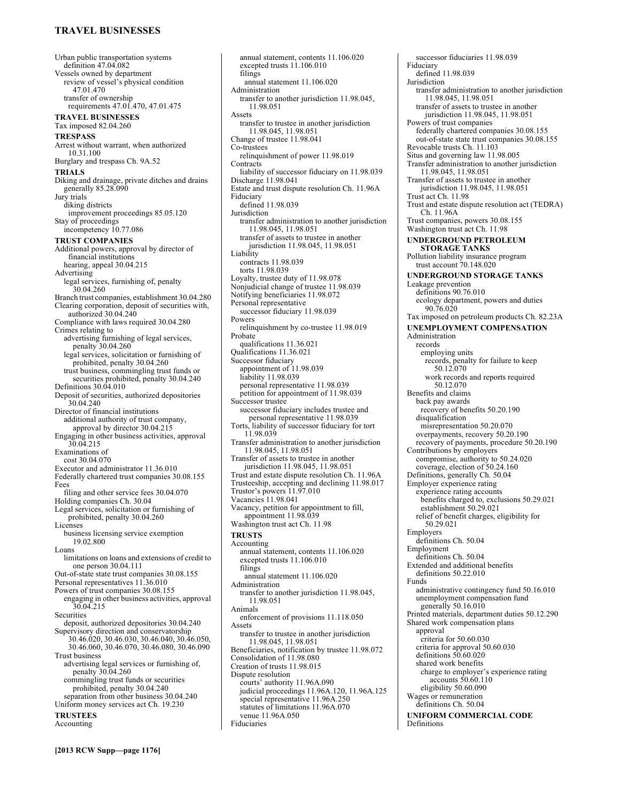# **TRAVEL BUSINESSES**

Urban public transportation systems definition 47.04.082 Vessels owned by department review of vessel's physical condition 47.01.470 transfer of ownership requirements 47.01.470, 47.01.475 **TRAVEL BUSINESSES**  Tax imposed 82.04.260 **TRESPASS**  Arrest without warrant, when authorized 10.31.100 Burglary and trespass Ch. 9A.52 **TRIALS**  Diking and drainage, private ditches and drains generally 85.28.090 Jury trials diking districts improvement proceedings 85.05.120 Stay of proceedings incompetency 10.77.086 **TRUST COMPANIES**  Additional powers, approval by director of financial institutions hearing, appeal 30.04.215 Advertising legal services, furnishing of, penalty 30.04.260 Branch trust companies, establishment 30.04.280 Clearing corporation, deposit of securities with, authorized 30.04.240 Compliance with laws required 30.04.280 Crimes relating to advertising furnishing of legal services, penalty 30.04.260 legal services, solicitation or furnishing of prohibited, penalty 30.04.260 trust business, commingling trust funds or securities prohibited, penalty 30.04.240 Definitions 30.04.010 Deposit of securities, authorized depositories 30.04.240 Director of financial institutions additional authority of trust company, approval by director 30.04.215 Engaging in other business activities, approval 30.04.215 Examinations of cost 30.04.070 Executor and administrator 11.36.010 Federally chartered trust companies 30.08.155 Fees filing and other service fees 30.04.070 Holding companies Ch. 30.04 Legal services, solicitation or furnishing of prohibited, penalty 30.04.260 Licenses business licensing service exemption 19.02.800 Loans limitations on loans and extensions of credit to one person 30.04.111 Out-of-state state trust companies 30.08.155 Personal representatives 11.36.010 Powers of trust companies 30.08.155 engaging in other business activities, approval 30.04.215 Securities deposit, authorized depositories 30.04.240 Supervisory direction and conservatorship 30.46.020, 30.46.030, 30.46.040, 30.46.050, 30.46.060, 30.46.070, 30.46.080, 30.46.090 Trust business advertising legal services or furnishing of, penalty 30.04.260 commingling trust funds or securities prohibited, penalty 30.04.240 separation from other business 30.04.240 Uniform money services act Ch. 19.230 **TRUSTEES**  Accounting

excepted trusts 11.106.010 filings annual statement 11.106.020 Administration transfer to another jurisdiction 11.98.045, 11.98.051 Assets transfer to trustee in another jurisdiction 11.98.045, 11.98.051 Change of trustee 11.98.041 Co-trustees relinquishment of power 11.98.019 **Contracts** liability of successor fiduciary on 11.98.039 Discharge 11.98.041 Estate and trust dispute resolution Ch. 11.96A Fiduciary defined 11.98.039 Jurisdiction transfer administration to another jurisdiction 11.98.045, 11.98.051 transfer of assets to trustee in another jurisdiction 11.98.045, 11.98.051 Liability contracts 11.98.039 torts 11.98.039 Loyalty, trustee duty of 11.98.078 Nonjudicial change of trustee 11.98.039 Notifying beneficiaries 11.98.072 Personal representative successor fiduciary 11.98.039 Powers relinquishment by co-trustee 11.98.019 Probate qualifications 11.36.021 Qualifications 11.36.021 Successor fiduciary appointment of 11.98.039 liability 11.98.039 personal representative 11.98.039 petition for appointment of 11.98.039 Successor trustee successor fiduciary includes trustee and personal representative 11.98.039 Torts, liability of successor fiduciary for tort 11.98.039 Transfer administration to another jurisdiction 11.98.045, 11.98.051 Transfer of assets to trustee in another jurisdiction 11.98.045, 11.98.051 Trust and estate dispute resolution Ch. 11.96A Trusteeship, accepting and declining 11.98.017 Trustor's powers 11.97.010 Vacancies 11.98.041 Vacancy, petition for appointment to fill, appointment 11.98.039 Washington trust act Ch. 11.98 **TRUSTS**  Accounting annual statement, contents 11.106.020 excepted trusts 11.106.010 filings annual statement 11.106.020 Administration transfer to another jurisdiction 11.98.045, 11.98.051 Animals enforcement of provisions 11.118.050 Assets transfer to trustee in another jurisdiction 11.98.045, 11.98.051 Beneficiaries, notification by trustee 11.98.072 Consolidation of 11.98.080 Creation of trusts 11.98.015 Dispute resolution courts' authority 11.96A.090 judicial proceedings 11.96A.120, 11.96A.125 special representative 11.96A.250 statutes of limitations 11.96A.070 venue 11.96A.050 Fiduciaries

annual statement, contents 11.106.020

successor fiduciaries 11.98.039 Fiduciary defined 11.98.039 Jurisdiction transfer administration to another jurisdiction 11.98.045, 11.98.051 transfer of assets to trustee in another jurisdiction 11.98.045, 11.98.051 Powers of trust companies federally chartered companies 30.08.155 out-of-state state trust companies 30.08.155 Revocable trusts Ch. 11.103 Situs and governing law 11.98.005 Transfer administration to another jurisdiction 11.98.045, 11.98.051 Transfer of assets to trustee in another jurisdiction 11.98.045, 11.98.051 Trust act Ch. 11.98 Trust and estate dispute resolution act (TEDRA) Ch. 11.96A Trust companies, powers 30.08.155 Washington trust act Ch. 11.98 **UNDERGROUND PETROLEUM STORAGE TANKS**  Pollution liability insurance program trust account 70.148.020 **UNDERGROUND STORAGE TANKS**  Leakage prevention definitions 90.76.010 ecology department, powers and duties 90.76.020 Tax imposed on petroleum products Ch. 82.23A **UNEMPLOYMENT COMPENSATION**  Administration records employing units records, penalty for failure to keep 50.12.070 work records and reports required 50.12.070 Benefits and claims back pay awards recovery of benefits 50.20.190 disqualification misrepresentation 50.20.070 overpayments, recovery 50.20.190 recovery of payments, procedure 50.20.190 Contributions by employers compromise, authority to 50.24.020 coverage, election of 50.24.160 Definitions, generally Ch. 50.04 Employer experience rating experience rating accounts benefits charged to, exclusions 50.29.021 establishment 50.29.021 relief of benefit charges, eligibility for 50.29.021 Employers definitions Ch. 50.04 Employment definitions Ch. 50.04 Extended and additional benefits definitions 50.22.010 Funds administrative contingency fund 50.16.010 unemployment compensation fund generally 50.16.010 Printed materials, department duties 50.12.290 Shared work compensation plans approval criteria for 50.60.030 criteria for approval 50.60.030 definitions 50.60.020 shared work benefits charge to employer's experience rating accounts 50.60.110 eligibility 50.60.090 Wages or remuneration definitions Ch. 50.04 **UNIFORM COMMERCIAL CODE**  Definitions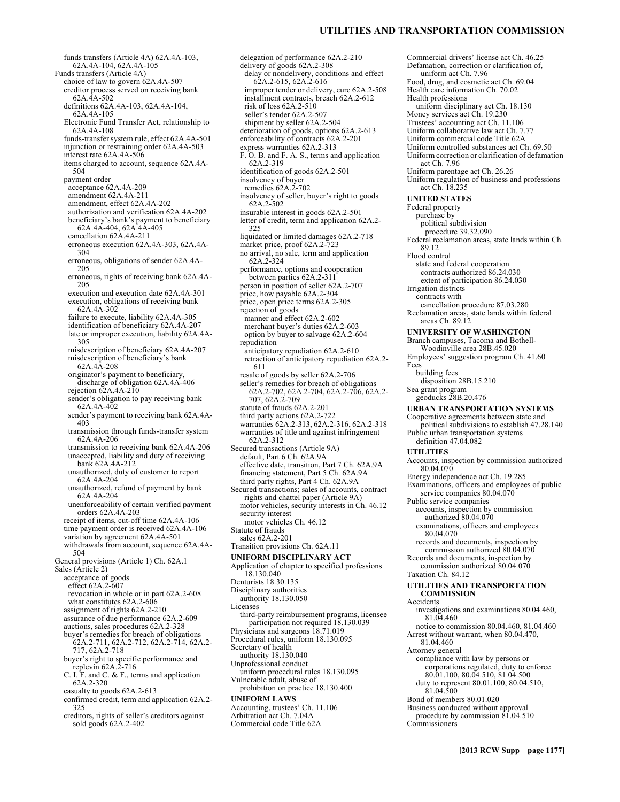# **UTILITIES AND TRANSPORTATION COMMISSION**

funds transfers (Article 4A) 62A.4A-103, 62A.4A-104, 62A.4A-105 Funds transfers (Article 4A) choice of law to govern 62A.4A-507 creditor process served on receiving bank  $62A.\overline{4}A-502$ definitions 62A.4A-103, 62A.4A-104, 62A.4A-105 Electronic Fund Transfer Act, relationship to 62A.4A-108 funds-transfer system rule, effect 62A.4A-501 injunction or restraining order 62A.4A-503 interest rate 62A.4A-506 items charged to account, sequence 62A.4A-504 payment order acceptance 62A.4A-209 amendment 62A.4A-211 amendment, effect 62A.4A-202 authorization and verification 62A.4A-202 beneficiary's bank's payment to beneficiary 62A.4A-404, 62A.4A-405 cancellation 62A.4A-211 erroneous execution 62A.4A-303, 62A.4A-304 erroneous, obligations of sender 62A.4A-205 erroneous, rights of receiving bank 62A.4A-205 execution and execution date 62A.4A-301 execution, obligations of receiving bank 62A.4A-302 failure to execute, liability 62A.4A-305 identification of beneficiary 62A.4A-207 late or improper execution, liability 62A.4A-305 misdescription of beneficiary 62A.4A-207 misdescription of beneficiary's bank 62A.4A-208 originator's payment to beneficiary, discharge of obligation 62A.4A-406 rejection 62A.4A-210 sender's obligation to pay receiving bank 62A.4A-402 sender's payment to receiving bank 62A.4A-403 transmission through funds-transfer system 62A.4A-206 transmission to receiving bank 62A.4A-206 unaccepted, liability and duty of receiving bank 62A.4A-212 unauthorized, duty of customer to report 62A.4A-204 unauthorized, refund of payment by bank 62A.4A-204 unenforceability of certain verified payment orders 62A.4A-203 receipt of items, cut-off time 62A.4A-106 time payment order is received 62A.4A-106 variation by agreement 62A.4A-501 withdrawals from account, sequence 62A.4A-504 General provisions (Article 1) Ch. 62A.1 Sales (Article 2) acceptance of goods effect 62A.2-607 revocation in whole or in part 62A.2-608 what constitutes 62A.2-606 assignment of rights 62A.2-210 assurance of due performance 62A.2-609 auctions, sales procedures 62A.2-328 buyer's remedies for breach of obligations 62A.2-711, 62A.2-712, 62A.2-714, 62A.2- 717, 62A.2-718 buyer's right to specific performance and replevin  $62A.2-716$ C. I. F. and C. & F., terms and application 62A.2-320 casualty to goods 62A.2-613 confirmed credit, term and application 62A.2- 325 creditors, rights of seller's creditors against sold goods 62A.2-402

delegation of performance 62A.2-210 delivery of goods 62A.2-308 delay or nondelivery, conditions and effect 62A.2-615, 62A.2-616 improper tender or delivery, cure 62A.2-508 installment contracts, breach 62A.2-612 risk of loss 62A.2-510 seller's tender 62A.2-507 shipment by seller 62A.2-504 deterioration of goods, options 62A.2-613 enforceability of contracts 62A.2-201 express warranties 62A.2-313 F. O. B. and F. A. S., terms and application 62A.2-319 identification of goods 62A.2-501 insolvency of buyer remedies 62A.2-702 insolvency of seller, buyer's right to goods 62A.2-502 insurable interest in goods 62A.2-501 letter of credit, term and application 62A.2- 325 liquidated or limited damages 62A.2-718 market price, proof 62A.2-723 no arrival, no sale, term and application 62A.2-324 performance, options and cooperation between parties 62A.2-311 person in position of seller 62A.2-707 price, how payable 62A.2-304 price, open price terms 62A.2-305 rejection of goods manner and effect 62A.2-602 merchant buyer's duties 62A.2-603 option by buyer to salvage 62A.2-604 repudiation anticipatory repudiation 62A.2-610 retraction of anticipatory repudiation 62A.2- 611 resale of goods by seller 62A.2-706 seller's remedies for breach of obligations 62A.2-702, 62A.2-704, 62A.2-706, 62A.2- 707, 62A.2-709 statute of frauds 62A.2-201 third party actions 62A.2-722 warranties 62A.2-313, 62A.2-316, 62A.2-318 warranties of title and against infringement 62A.2-312 Secured transactions (Article 9A) default, Part 6 Ch. 62A.9A effective date, transition, Part 7 Ch. 62A.9A financing statement, Part 5 Ch. 62A.9A third party rights, Part 4 Ch. 62A.9A Secured transactions; sales of accounts, contract rights and chattel paper (Article 9A) motor vehicles, security interests in Ch. 46.12 security interest motor vehicles Ch. 46.12 Statute of frauds sales 62A.2-201 Transition provisions Ch. 62A.11 **UNIFORM DISCIPLINARY ACT**  Application of chapter to specified professions 18.130.040 Denturists 18.30.135 Disciplinary authorities authority 18.130.050 Licenses third-party reimbursement programs, licensee participation not required 18.130.039 Physicians and surgeons 18.71.019 Procedural rules, uniform 18.130.095 Secretary of health authority 18.130.040 Unprofessional conduct uniform procedural rules 18.130.095 Vulnerable adult, abuse of prohibition on practice 18.130.400 **UNIFORM LAWS**  Accounting, trustees' Ch. 11.106 Arbitration act Ch. 7.04A Commercial code Title 62A

Commercial drivers' license act Ch. 46.25 Defamation, correction or clarification of, uniform act Ch. 7.96 Food, drug, and cosmetic act Ch. 69.04 Health care information Ch. 70.02 Health professions uniform disciplinary act Ch. 18.130 Money services act Ch. 19.230 Trustees' accounting act Ch. 11.106 Uniform collaborative law act Ch. 7.77 Uniform commercial code Title 62A Uniform controlled substances act Ch. 69.50 Uniform correction or clarification of defamation act Ch. 7.96 Uniform parentage act Ch. 26.26 Uniform regulation of business and professions act Ch. 18.235 **UNITED STATES**  Federal property purchase by political subdivision procedure 39.32.090 Federal reclamation areas, state lands within Ch. 89.12 Flood control state and federal cooperation contracts authorized 86.24.030 extent of participation 86.24.030 Irrigation districts contracts with cancellation procedure 87.03.280 Reclamation areas, state lands within federal areas Ch. 89.12 **UNIVERSITY OF WASHINGTON**  Branch campuses, Tacoma and Bothell-Woodinville area 28B.45.020 Employees' suggestion program Ch. 41.60 Fees building fees disposition 28B.15.210 Sea grant program geoducks 28B.20.476 **URBAN TRANSPORTATION SYSTEMS**  Cooperative agreements between state and political subdivisions to establish 47.28.140 Public urban transportation systems definition 47.04.082 **UTILITIES**  Accounts, inspection by commission authorized 80.04.070 Energy independence act Ch. 19.285 Examinations, officers and employees of public service companies 80.04.070 Public service companies accounts, inspection by commission authorized 80.04.070 examinations, officers and employees 80.04.070 records and documents, inspection by commission authorized 80.04.070 Records and documents, inspection by commission authorized 80.04.070 Taxation Ch. 84.12 **UTILITIES AND TRANSPORTATION COMMISSION**  Accidents investigations and examinations 80.04.460, 81.04.460 notice to commission 80.04.460, 81.04.460 Arrest without warrant, when 80.04.470, 81.04.460 Attorney general compliance with law by persons or corporations regulated, duty to enforce 80.01.100, 80.04.510, 81.04.500 duty to represent 80.01.100, 80.04.510, 81.04.500 Bond of members 80.01.020 Business conducted without approval procedure by commission 81.04.510 Commissioners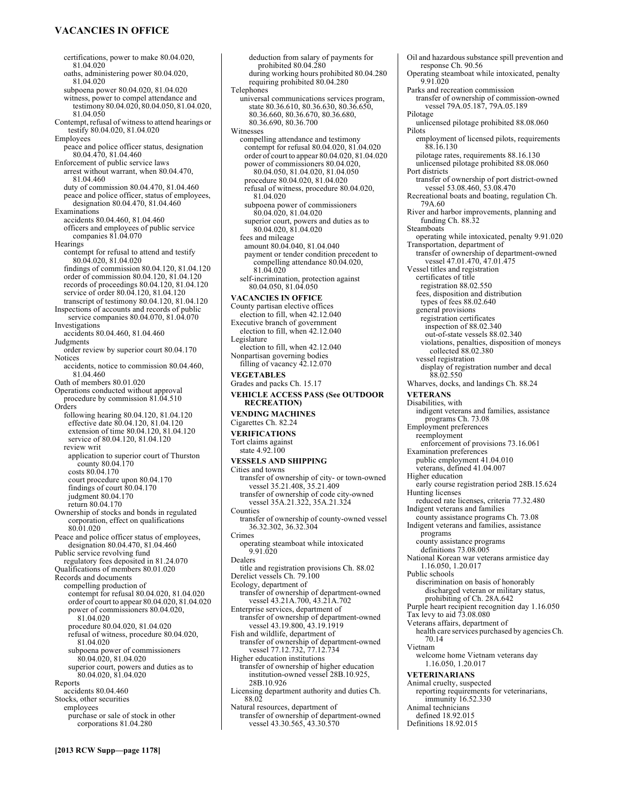# **VACANCIES IN OFFICE**

certifications, power to make 80.04.020, 81.04.020 oaths, administering power 80.04.020, 81.04.020 subpoena power 80.04.020, 81.04.020 witness, power to compel attendance and testimony 80.04.020, 80.04.050, 81.04.020, 81.04.050 Contempt, refusal of witness to attend hearings or testify 80.04.020, 81.04.020 Employees peace and police officer status, designation 80.04.470, 81.04.460 Enforcement of public service laws arrest without warrant, when 80.04.470, 81.04.460 duty of commission 80.04.470, 81.04.460 peace and police officer, status of employees, designation 80.04.470, 81.04.460 Examinations accidents 80.04.460, 81.04.460 officers and employees of public service companies 81.04.070 **Hearings** contempt for refusal to attend and testify 80.04.020, 81.04.020 findings of commission 80.04.120, 81.04.120 order of commission 80.04.120, 81.04.120 records of proceedings 80.04.120, 81.04.120 service of order 80.04.120, 81.04.120 transcript of testimony 80.04.120, 81.04.120 Inspections of accounts and records of public service companies 80.04.070, 81.04.070 Investigations accidents 80.04.460, 81.04.460 Judgments order review by superior court 80.04.170 Notices accidents, notice to commission 80.04.460, 81.04.460 Oath of members 80.01.020 Operations conducted without approval procedure by commission 81.04.510 Orders following hearing 80.04.120, 81.04.120 effective date 80.04.120, 81.04.120 extension of time 80.04.120, 81.04.120 service of 80.04.120, 81.04.120 review writ application to superior court of Thurston county 80.04.170 costs 80.04.170 court procedure upon 80.04.170 findings of court 80.04.170 judgment 80.04.170 return 80.04.170 Ownership of stocks and bonds in regulated corporation, effect on qualifications 80.01.020 Peace and police officer status of employees, designation 80.04.470, 81.04.460 Public service revolving fund regulatory fees deposited in 81.24.070 Qualifications of members 80.01.020 Records and documents compelling production of contempt for refusal 80.04.020, 81.04.020 order of court to appear 80.04.020, 81.04.020 power of commissioners 80.04.020, 81.04.020 procedure 80.04.020, 81.04.020 refusal of witness, procedure 80.04.020, 81.04.020 subpoena power of commissioners 80.04.020, 81.04.020 superior court, powers and duties as to 80.04.020, 81.04.020 Reports accidents 80.04.460 Stocks, other securities employees purchase or sale of stock in other corporations 81.04.280

deduction from salary of payments for prohibited 80.04.280 during working hours prohibited 80.04.280 requiring prohibited 80.04.280 Telephones universal communications services program, state 80.36.610, 80.36.630, 80.36.650, 80.36.660, 80.36.670, 80.36.680, 80.36.690, 80.36.700 Witnesses compelling attendance and testimony contempt for refusal 80.04.020, 81.04.020 order of court to appear 80.04.020, 81.04.020 power of commissioners 80.04.020, 80.04.050, 81.04.020, 81.04.050 procedure 80.04.020, 81.04.020 refusal of witness, procedure 80.04.020, 81.04.020 subpoena power of commissioners 80.04.020, 81.04.020 superior court, powers and duties as to 80.04.020, 81.04.020 fees and mileage amount 80.04.040, 81.04.040 payment or tender condition precedent to compelling attendance 80.04.020, 81.04.020 self-incrimination, protection against 80.04.050, 81.04.050 **VACANCIES IN OFFICE**  County partisan elective offices election to fill, when 42.12.040 Executive branch of government election to fill, when 42.12.040 Legislature election to fill, when 42.12.040 Nonpartisan governing bodies filling of vacancy 42.12.070 **VEGETABLES**  Grades and packs Ch. 15.17 **VEHICLE ACCESS PASS (See OUTDOOR RECREATION) VENDING MACHINES**  Cigarettes Ch. 82.24 **VERIFICATIONS**  Tort claims against state 4.92.100 **VESSELS AND SHIPPING**  Cities and towns transfer of ownership of city- or town-owned vessel 35.21.408, 35.21.409 transfer of ownership of code city-owned vessel 35A.21.322, 35A.21.324 Counties transfer of ownership of county-owned vessel 36.32.302, 36.32.304 Crimes operating steamboat while intoxicated 9.91.020 Dealers title and registration provisions Ch. 88.02 Derelict vessels Ch. 79.100 Ecology, department of transfer of ownership of department-owned vessel 43.21A.700, 43.21A.702 Enterprise services, department of transfer of ownership of department-owned vessel 43.19.800, 43.19.1919 Fish and wildlife, department of transfer of ownership of department-owned vessel 77.12.732, 77.12.734 Higher education institutions transfer of ownership of higher education institution-owned vessel 28B.10.925, 28B.10.926 Licensing department authority and duties Ch. 88.02 Natural resources, department of

transfer of ownership of department-owned vessel 43.30.565, 43.30.570

Oil and hazardous substance spill prevention and response Ch. 90.56 Operating steamboat while intoxicated, penalty 9.91.020 Parks and recreation commission transfer of ownership of commission-owned vessel 79A.05.187, 79A.05.189 Pilotage unlicensed pilotage prohibited 88.08.060 Pilots employment of licensed pilots, requirements 88.16.130 pilotage rates, requirements 88.16.130 unlicensed pilotage prohibited 88.08.060 Port districts transfer of ownership of port district-owned vessel 53.08.460, 53.08.470 Recreational boats and boating, regulation Ch. 79A.60 River and harbor improvements, planning and funding Ch. 88.32 Steamboats operating while intoxicated, penalty 9.91.020 Transportation, department of transfer of ownership of department-owned vessel 47.01.470, 47.01.475 Vessel titles and registration certificates of title registration 88.02.550 fees, disposition and distribution types of fees 88.02.640 general provisions registration certificates inspection of 88.02.340 out-of-state vessels 88.02.340 violations, penalties, disposition of moneys collected 88.02.380 vessel registration display of registration number and decal 88.02.550 Wharves, docks, and landings Ch. 88.24 **VETERANS**  Disabilities, with indigent veterans and families, assistance programs Ch. 73.08 Employment preferences reemployment enforcement of provisions 73.16.061 Examination preferences public employment 41.04.010 veterans, defined 41.04.007 Higher education early course registration period 28B.15.624 Hunting licenses reduced rate licenses, criteria 77.32.480 Indigent veterans and families county assistance programs Ch. 73.08 Indigent veterans and families, assistance programs county assistance programs definitions 73.08.005 National Korean war veterans armistice day 1.16.050, 1.20.017 Public schools discrimination on basis of honorably discharged veteran or military status, prohibiting of Ch. 28A.642 Purple heart recipient recognition day 1.16.050 Tax levy to aid  $73.08.080$ Veterans affairs, department of health care services purchased by agencies Ch. 70.14 Vietnam welcome home Vietnam veterans day 1.16.050, 1.20.017 **VETERINARIANS**  Animal cruelty, suspected reporting requirements for veterinarians, immunity 16.52.330 Animal technicians defined 18.92.015 Definitions 18.92.015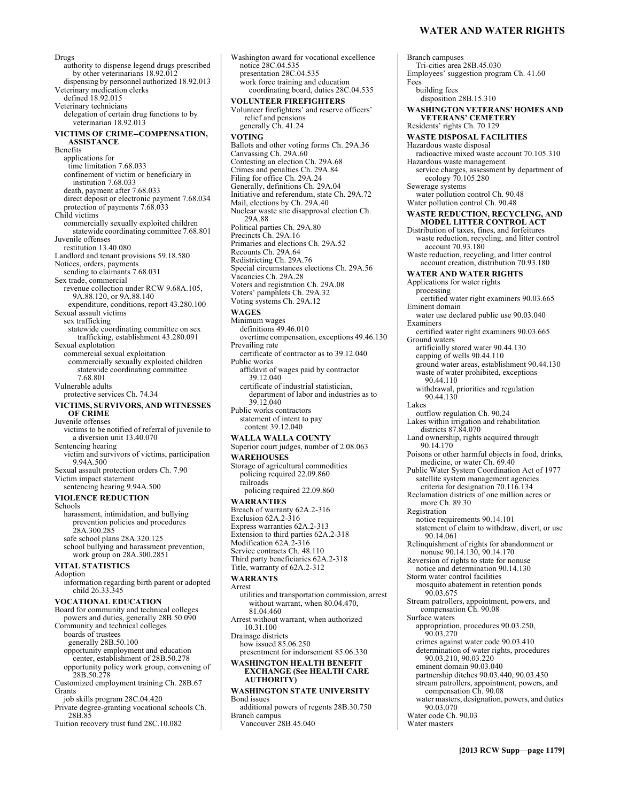Drugs authority to dispense legend drugs prescribed by other veterinarians 18.92.012 dispensing by personnel authorized 18.92.013 Veterinary medication clerks defined 18.92.015 Veterinary technicians delegation of certain drug functions to by veterinarian 18.92.013 **VICTIMS OF CRIME--COMPENSATION, ASSISTANCE**  Benefits applications for time limitation 7.68.033 confinement of victim or beneficiary in institution 7.68.033 death, payment after 7.68.033 direct deposit or electronic payment 7.68.034 protection of payments 7.68.033 Child victims commercially sexually exploited children statewide coordinating committee 7.68.801 Juvenile offenses restitution 13.40.080 Landlord and tenant provisions 59.18.580 Notices, orders, payments sending to claimants 7.68.031 Sex trade, commercial revenue collection under RCW 9.68A.105, 9A.88.120, or 9A.88.140 expenditure, conditions, report 43.280.100 Sexual assault victims sex trafficking statewide coordinating committee on sex trafficking, establishment 43.280.091 Sexual explotation commercial sexual exploitation commercially sexually exploited children statewide coordinating committee 7.68.801 Vulnerable adults protective services Ch. 74.34 **VICTIMS, SURVIVORS, AND WITNESSES OF CRIME**  Juvenile offenses victims to be notified of referral of juvenile to a diversion unit 13.40.070 Sentencing hearing victim and survivors of victims, participation 9.94A.500 Sexual assault protection orders Ch. 7.90 Victim impact statement sentencing hearing 9.94A.500 **VIOLENCE REDUCTION**  Schools harassment, intimidation, and bullying prevention policies and procedures 28A.300.285 safe school plans 28A.320.125 school bullying and harassment prevention, work group on 28A.300.2851 **VITAL STATISTICS**  Adoption information regarding birth parent or adopted child 26.33.345 **VOCATIONAL EDUCATION**  Board for community and technical colleges powers and duties, generally 28B.50.090 Community and technical colleges boards of trustees generally 28B.50.100 opportunity employment and education center, establishment of 28B.50.278 opportunity policy work group, convening of 28B.50.278 Customized employment training Ch. 28B.67 Grants job skills program 28C.04.420 Private degree-granting vocational schools Ch. 28B.85

Tuition recovery trust fund 28C.10.082

Washington award for vocational excellence notice 28C.04.535 presentation 28C.04.535 work force training and education coordinating board, duties 28C.04.535 **VOLUNTEER FIREFIGHTERS**  Volunteer firefighters' and reserve officers' relief and pensions generally Ch. 41.24 **VOTING**  Ballots and other voting forms Ch. 29A.36 Canvassing Ch. 29A.60 Contesting an election Ch. 29A.68 Crimes and penalties Ch. 29A.84 Filing for office Ch. 29A.24 Generally, definitions Ch. 29A.04 Initiative and referendum, state Ch. 29A.72 Mail, elections by Ch. 29A.40 Nuclear waste site disapproval election Ch. 29A.88 Political parties Ch. 29A.80 Precincts Ch. 29A.16 Primaries and elections Ch. 29A.52 Recounts Ch. 29A.64 Redistricting Ch. 29A.76 Special circumstances elections Ch. 29A.56 Vacancies Ch. 29A.28 Voters and registration Ch. 29A.08 Voters' pamphlets Ch. 29A.32 Voting systems Ch. 29A.12 **WAGES**  Minimum wages definitions 49.46.010 overtime compensation, exceptions 49.46.130 Prevailing rate certificate of contractor as to 39.12.040 Public works affidavit of wages paid by contractor 39.12.040 certificate of industrial statistician, department of labor and industries as to 39.12.040 Public works contractors statement of intent to pay content 39.12.040 **WALLA WALLA COUNTY**  Superior court judges, number of 2.08.063 **WAREHOUSES**  Storage of agricultural commodities policing required 22.09.860 railroads policing required 22.09.860 **WARRANTIES**  Breach of warranty 62A.2-316 Exclusion 62A.2-316 Express warranties 62A.2-313 Extension to third parties 62A.2-318 Modification 62A<sub>.</sub>2-316 Service contracts Ch. 48.110 Third party beneficiaries 62A.2-318 Title, warranty of 62A.2-312 **WARRANTS**  Arrest utilities and transportation commission, arrest without warrant, when 80.04.470, 81.04.460 Arrest without warrant, when authorized 10.31.100 Drainage districts how issued 85.06.250 presentment for indorsement 85.06.330 **WASHINGTON HEALTH BENEFIT EXCHANGE (See HEALTH CARE AUTHORITY) WASHINGTON STATE UNIVERSITY**  Bond issues additional powers of regents 28B.30.750 Branch campus Vancouver 28B.45.040

Branch campuses Tri-cities area 28B.45.030 Employees' suggestion program Ch. 41.60 Fees building fees disposition 28B.15.310 **WASHINGTON VETERANS' HOMES AND VETERANS' CEMETERY**  Residents' rights Ch. 70.129 **WASTE DISPOSAL FACILITIES**  Hazardous waste disposal radioactive mixed waste account 70.105.310 Hazardous waste management service charges, assessment by department of ecology 70.105.280 Sewerage systems water pollution control Ch. 90.48 Water pollution control Ch. 90.48 **WASTE REDUCTION, RECYCLING, AND MODEL LITTER CONTROL ACT**  Distribution of taxes, fines, and forfeitures waste reduction, recycling, and litter control account 70.93.180 Waste reduction, recycling, and litter control account creation, distribution 70.93.180 **WATER AND WATER RIGHTS**  Applications for water rights processing certified water right examiners 90.03.665 Eminent domain water use declared public use 90.03.040 Examiners certified water right examiners 90.03.665 Ground waters artificially stored water 90.44.130 capping of wells 90.44.110 ground water areas, establishment 90.44.130 waste of water prohibited, exceptions 90.44.110 withdrawal, priorities and regulation 90.44.130 Lakes outflow regulation Ch. 90.24 Lakes within irrigation and rehabilitation districts 87.84.070 Land ownership, rights acquired through 90.14.170 Poisons or other harmful objects in food, drinks, medicine, or water Ch. 69.40 Public Water System Coordination Act of 1977 satellite system management agencies criteria for designation 70.116.134 Reclamation districts of one million acres or more Ch. 89.30 Registration notice requirements 90.14.101 statement of claim to withdraw, divert, or use 90.14.061 Relinquishment of rights for abandonment or nonuse 90.14.130, 90.14.170 Reversion of rights to state for nonuse notice and determination 90.14.130 Storm water control facilities mosquito abatement in retention ponds 90.03.675 Stream patrollers, appointment, powers, and compensation Ch. 90.08 Surface waters appropriation, procedures 90.03.250, 90.03.270 crimes against water code 90.03.410 determination of water rights, procedures 90.03.210, 90.03.220 eminent domain 90.03.040 partnership ditches 90.03.440, 90.03.450 stream patrollers, appointment, powers, and compensation Ch. 90.08 water masters, designation, powers, and duties 90.03.070 Water code Ch. 90.03 Water masters